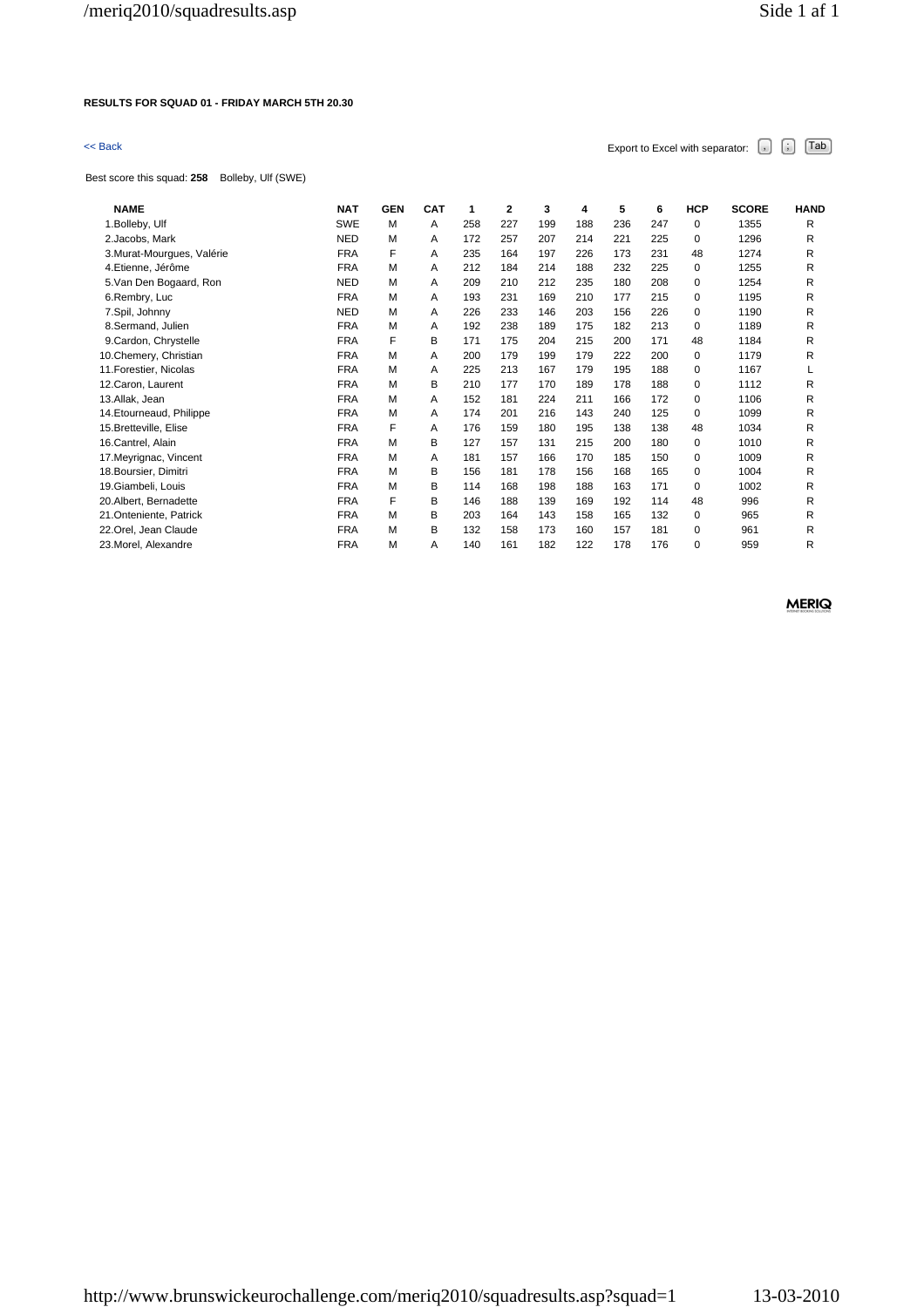### **RESULTS FOR SQUAD 01 - FRIDAY MARCH 5TH 20.30**

| << Back                                          |            |            |            |     |     |     |     |     |     | Export to Excel with separator: | $\bar{\mathcal{F}}$ | Tab<br>Ġ.   |
|--------------------------------------------------|------------|------------|------------|-----|-----|-----|-----|-----|-----|---------------------------------|---------------------|-------------|
| Best score this squad: 258<br>Bolleby, Ulf (SWE) |            |            |            |     |     |     |     |     |     |                                 |                     |             |
| <b>NAME</b>                                      | <b>NAT</b> | <b>GEN</b> | <b>CAT</b> | 1   | 2   | 3   | 4   | 5   | 6   | <b>HCP</b>                      | <b>SCORE</b>        | <b>HAND</b> |
| 1. Bolleby, Ulf                                  | SWE        | M          | A          | 258 | 227 | 199 | 188 | 236 | 247 | 0                               | 1355                | R           |
| 2.Jacobs, Mark                                   | <b>NED</b> | М          | A          | 172 | 257 | 207 | 214 | 221 | 225 | 0                               | 1296                | R           |
| 3. Murat-Mourques, Valérie                       | <b>FRA</b> | F          | A          | 235 | 164 | 197 | 226 | 173 | 231 | 48                              | 1274                | R           |
| 4.Etienne, Jérôme                                | <b>FRA</b> | M          | A          | 212 | 184 | 214 | 188 | 232 | 225 | 0                               | 1255                | R           |
| 5. Van Den Bogaard, Ron                          | <b>NED</b> | M          | A          | 209 | 210 | 212 | 235 | 180 | 208 | 0                               | 1254                | R           |
| 6.Rembry, Luc                                    | <b>FRA</b> | M          | A          | 193 | 231 | 169 | 210 | 177 | 215 | 0                               | 1195                | R           |
| 7.Spil, Johnny                                   | <b>NED</b> | М          | A          | 226 | 233 | 146 | 203 | 156 | 226 | 0                               | 1190                | R           |
| 8.Sermand, Julien                                | <b>FRA</b> | M          | A          | 192 | 238 | 189 | 175 | 182 | 213 | 0                               | 1189                | R           |
| 9.Cardon, Chrystelle                             | <b>FRA</b> | F          | В          | 171 | 175 | 204 | 215 | 200 | 171 | 48                              | 1184                | R           |
| 10.Chemery, Christian                            | <b>FRA</b> | M          | A          | 200 | 179 | 199 | 179 | 222 | 200 | 0                               | 1179                | R           |
| 11. Forestier, Nicolas                           | <b>FRA</b> | M          | A          | 225 | 213 | 167 | 179 | 195 | 188 | $\mathbf 0$                     | 1167                |             |
| 12. Caron, Laurent                               | <b>FRA</b> | М          | в          | 210 | 177 | 170 | 189 | 178 | 188 | 0                               | 1112                | R           |

13.Allak, Jean FRA M A 152 181 224 211 166 172 0 1106 R 14.Etourneaud, Philippe FRA M A 174 201 216 143 240 125 0 1099 R 15.Bretteville, Elise FRA F A 176 159 180 195 138 138 48 1034 R 16.Cantrel, Alain FRA M B 127 157 131 215 200 180 0 1010 R 17.Meyrignac, Vincent FRA M A 181 157 166 170 185 150 0 1009 R 18.Boursier, Dimitri FRA M B 156 181 178 156 168 165 0 1004 R 19.Giambeli, Louis FRA M B 114 168 198 188 163 171 0 1002 R 20.Albert, Bernadette FRA F B 146 188 139 169 192 114 48 996 R 21.Onteniente, Patrick **FRA M** B 203 164 143 158 165 132 0 965

22.Orel, Jean Claude FRA M B 132 158 173 160 157 181 0 961 R 23.Morel, Alexandre FRA M A 140 161 182 122 178 176 0 959 R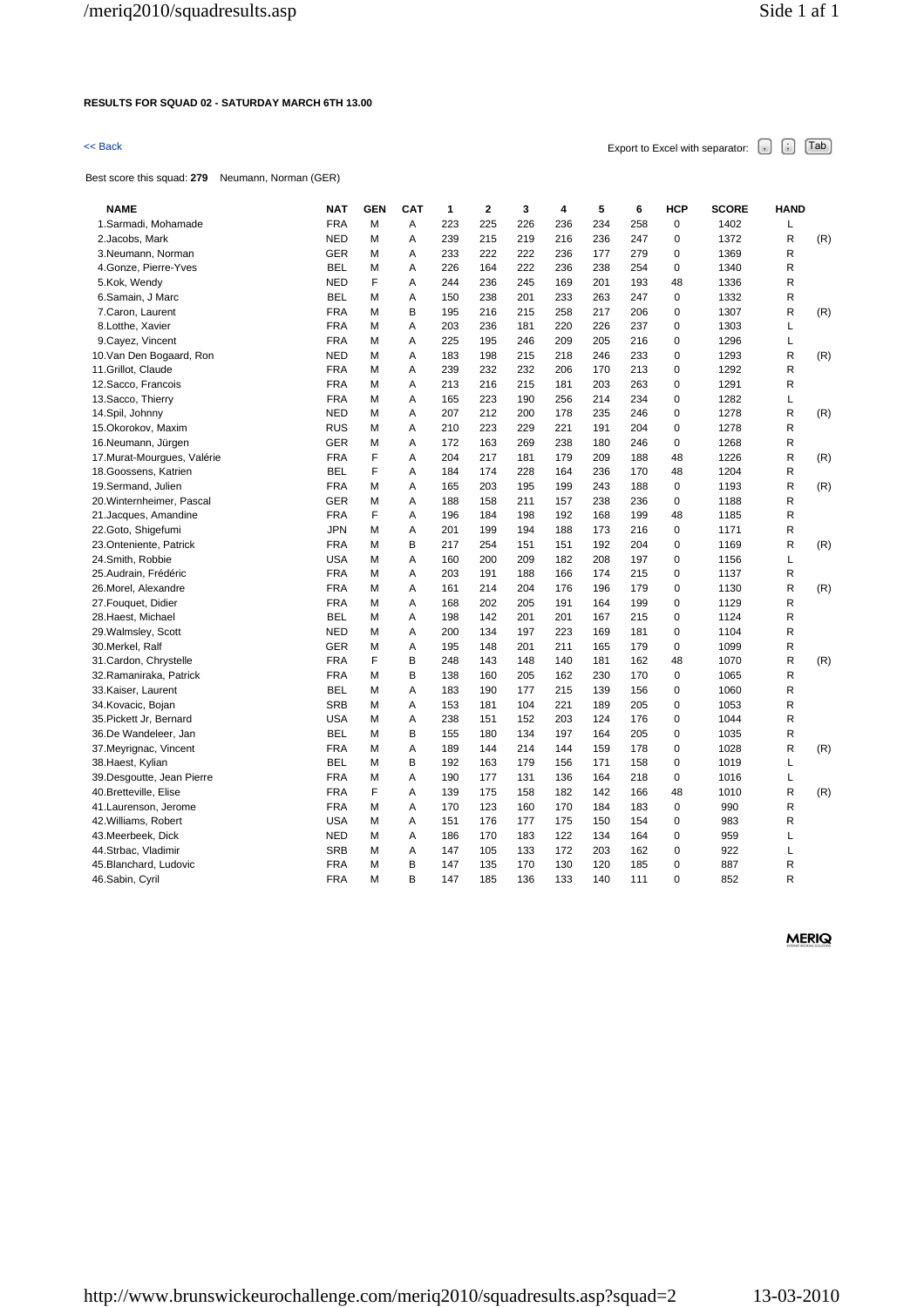# **RESULTS FOR SQUAD 02 - SATURDAY MARCH 6TH 13.00**

# $\leq$  Back Export to Excel with separator:  $\begin{bmatrix} . \end{bmatrix}$   $\begin{bmatrix} . \end{bmatrix}$   $\begin{bmatrix} \text{Tab} \end{bmatrix}$

Best score this squad: **279** Neumann, Norman (GER)

| <b>NAME</b>                 | <b>NAT</b> | <b>GEN</b> | <b>CAT</b> | 1   | $\overline{2}$ | 3   | 4   | 5   | 6   | <b>HCP</b>  | <b>SCORE</b> | <b>HAND</b> |     |
|-----------------------------|------------|------------|------------|-----|----------------|-----|-----|-----|-----|-------------|--------------|-------------|-----|
| 1.Sarmadi, Mohamade         | <b>FRA</b> | M          | Α          | 223 | 225            | 226 | 236 | 234 | 258 | $\pmb{0}$   | 1402         | L           |     |
| 2.Jacobs, Mark              | <b>NED</b> | М          | A          | 239 | 215            | 219 | 216 | 236 | 247 | $\mathbf 0$ | 1372         | R           | (R) |
| 3.Neumann, Norman           | <b>GER</b> | М          | Α          | 233 | 222            | 222 | 236 | 177 | 279 | 0           | 1369         | R           |     |
| 4. Gonze, Pierre-Yves       | <b>BEL</b> | М          | A          | 226 | 164            | 222 | 236 | 238 | 254 | $\mathbf 0$ | 1340         | R           |     |
| 5.Kok, Wendy                | <b>NED</b> | F          | Α          | 244 | 236            | 245 | 169 | 201 | 193 | 48          | 1336         | R           |     |
| 6.Samain, J Marc            | BEL        | М          | Α          | 150 | 238            | 201 | 233 | 263 | 247 | 0           | 1332         | R           |     |
| 7.Caron, Laurent            | <b>FRA</b> | М          | В          | 195 | 216            | 215 | 258 | 217 | 206 | $\mathbf 0$ | 1307         | R           | (R) |
| 8.Lotthe, Xavier            | <b>FRA</b> | М          | A          | 203 | 236            | 181 | 220 | 226 | 237 | 0           | 1303         | Г           |     |
| 9. Cayez, Vincent           | <b>FRA</b> | М          | Α          | 225 | 195            | 246 | 209 | 205 | 216 | 0           | 1296         | L           |     |
| 10. Van Den Bogaard, Ron    | <b>NED</b> | М          | Α          | 183 | 198            | 215 | 218 | 246 | 233 | 0           | 1293         | R           | (R) |
| 11. Grillot, Claude         | <b>FRA</b> | М          | A          | 239 | 232            | 232 | 206 | 170 | 213 | $\mathbf 0$ | 1292         | R           |     |
| 12. Sacco, Francois         | <b>FRA</b> | М          | A          | 213 | 216            | 215 | 181 | 203 | 263 | $\mathbf 0$ | 1291         | $\mathsf R$ |     |
| 13. Sacco, Thierry          | <b>FRA</b> | М          | Α          | 165 | 223            | 190 | 256 | 214 | 234 | 0           | 1282         | L           |     |
| 14.Spil, Johnny             | <b>NED</b> | М          | A          | 207 | 212            | 200 | 178 | 235 | 246 | $\mathbf 0$ | 1278         | R           | (R) |
| 15. Okorokov, Maxim         | <b>RUS</b> | М          | Α          | 210 | 223            | 229 | 221 | 191 | 204 | 0           | 1278         | R           |     |
| 16.Neumann, Jürgen          | <b>GER</b> | М          | Α          | 172 | 163            | 269 | 238 | 180 | 246 | $\mathbf 0$ | 1268         | R           |     |
| 17. Murat-Mourgues, Valérie | <b>FRA</b> | F          | Α          | 204 | 217            | 181 | 179 | 209 | 188 | 48          | 1226         | R           | (R) |
| 18. Goossens, Katrien       | <b>BEL</b> | F          | A          | 184 | 174            | 228 | 164 | 236 | 170 | 48          | 1204         | R           |     |
| 19.Sermand, Julien          | <b>FRA</b> | М          | Α          | 165 | 203            | 195 | 199 | 243 | 188 | $\mathbf 0$ | 1193         | ${\sf R}$   | (R) |
| 20. Winternheimer, Pascal   | <b>GER</b> | М          | Α          | 188 | 158            | 211 | 157 | 238 | 236 | $\mathbf 0$ | 1188         | R           |     |
| 21.Jacques, Amandine        | <b>FRA</b> | F          | A          | 196 | 184            | 198 | 192 | 168 | 199 | 48          | 1185         | R           |     |
| 22.Goto, Shigefumi          | <b>JPN</b> | М          | Α          | 201 | 199            | 194 | 188 | 173 | 216 | $\mathbf 0$ | 1171         | R           |     |
| 23.Onteniente, Patrick      | <b>FRA</b> | М          | В          | 217 | 254            | 151 | 151 | 192 | 204 | 0           | 1169         | R           | (R) |
| 24.Smith, Robbie            | <b>USA</b> | М          | Α          | 160 | 200            | 209 | 182 | 208 | 197 | 0           | 1156         | L           |     |
| 25.Audrain, Frédéric        | <b>FRA</b> | М          | A          | 203 | 191            | 188 | 166 | 174 | 215 | $\mathbf 0$ | 1137         | R           |     |
| 26.Morel, Alexandre         | <b>FRA</b> | М          | Α          | 161 | 214            | 204 | 176 | 196 | 179 | $\mathbf 0$ | 1130         | R           | (R) |
| 27. Fouquet, Didier         | <b>FRA</b> | М          | Α          | 168 | 202            | 205 | 191 | 164 | 199 | 0           | 1129         | R           |     |
| 28.Haest, Michael           | <b>BEL</b> | М          | Α          | 198 | 142            | 201 | 201 | 167 | 215 | 0           | 1124         | R           |     |
| 29. Walmsley, Scott         | <b>NED</b> | M          | A          | 200 | 134            | 197 | 223 | 169 | 181 | $\mathbf 0$ | 1104         | R           |     |
| 30.Merkel, Ralf             | <b>GER</b> | М          | A          | 195 | 148            | 201 | 211 | 165 | 179 | $\mathbf 0$ | 1099         | R           |     |
| 31.Cardon, Chrystelle       | <b>FRA</b> | F          | B          | 248 | 143            | 148 | 140 | 181 | 162 | 48          | 1070         | ${\sf R}$   | (R) |
| 32.Ramaniraka, Patrick      | <b>FRA</b> | М          | В          | 138 | 160            | 205 | 162 | 230 | 170 | 0           | 1065         | R           |     |
| 33.Kaiser, Laurent          | <b>BEL</b> | М          | A          | 183 | 190            | 177 | 215 | 139 | 156 | 0           | 1060         | R           |     |
| 34. Kovacic, Bojan          | <b>SRB</b> | М          | Α          | 153 | 181            | 104 | 221 | 189 | 205 | 0           | 1053         | R           |     |
| 35. Pickett Jr, Bernard     | <b>USA</b> | М          | Α          | 238 | 151            | 152 | 203 | 124 | 176 | 0           | 1044         | R           |     |
| 36.De Wandeleer, Jan        | <b>BEL</b> | М          | В          | 155 | 180            | 134 | 197 | 164 | 205 | $\mathbf 0$ | 1035         | R           |     |
| 37. Meyrignac, Vincent      | <b>FRA</b> | М          | Α          | 189 | 144            | 214 | 144 | 159 | 178 | $\mathbf 0$ | 1028         | R           | (R) |
| 38.Haest, Kylian            | <b>BEL</b> | М          | В          | 192 | 163            | 179 | 156 | 171 | 158 | $\mathbf 0$ | 1019         | Г           |     |
| 39.Desgoutte, Jean Pierre   | <b>FRA</b> | М          | Α          | 190 | 177            | 131 | 136 | 164 | 218 | $\mathbf 0$ | 1016         | L           |     |
| 40.Bretteville, Elise       | <b>FRA</b> | F          | A          | 139 | 175            | 158 | 182 | 142 | 166 | 48          | 1010         | R           | (R) |
| 41.Laurenson, Jerome        | <b>FRA</b> | М          | Α          | 170 | 123            | 160 | 170 | 184 | 183 | $\mathbf 0$ | 990          | R           |     |
| 42. Williams, Robert        | <b>USA</b> | М          | Α          | 151 | 176            | 177 | 175 | 150 | 154 | $\mathbf 0$ | 983          | R           |     |
| 43.Meerbeek, Dick           | <b>NED</b> | М          | A          | 186 | 170            | 183 | 122 | 134 | 164 | $\mathbf 0$ | 959          | L           |     |
| 44.Strbac, Vladimir         | <b>SRB</b> | М          | Α          | 147 | 105            | 133 | 172 | 203 | 162 | 0           | 922          | L           |     |
| 45.Blanchard, Ludovic       | <b>FRA</b> | М          | B          | 147 | 135            | 170 | 130 | 120 | 185 | 0           | 887          | R           |     |
| 46.Sabin, Cyril             | <b>FRA</b> | М          | B          | 147 | 185            | 136 | 133 | 140 | 111 | 0           | 852          | R           |     |
|                             |            |            |            |     |                |     |     |     |     |             |              |             |     |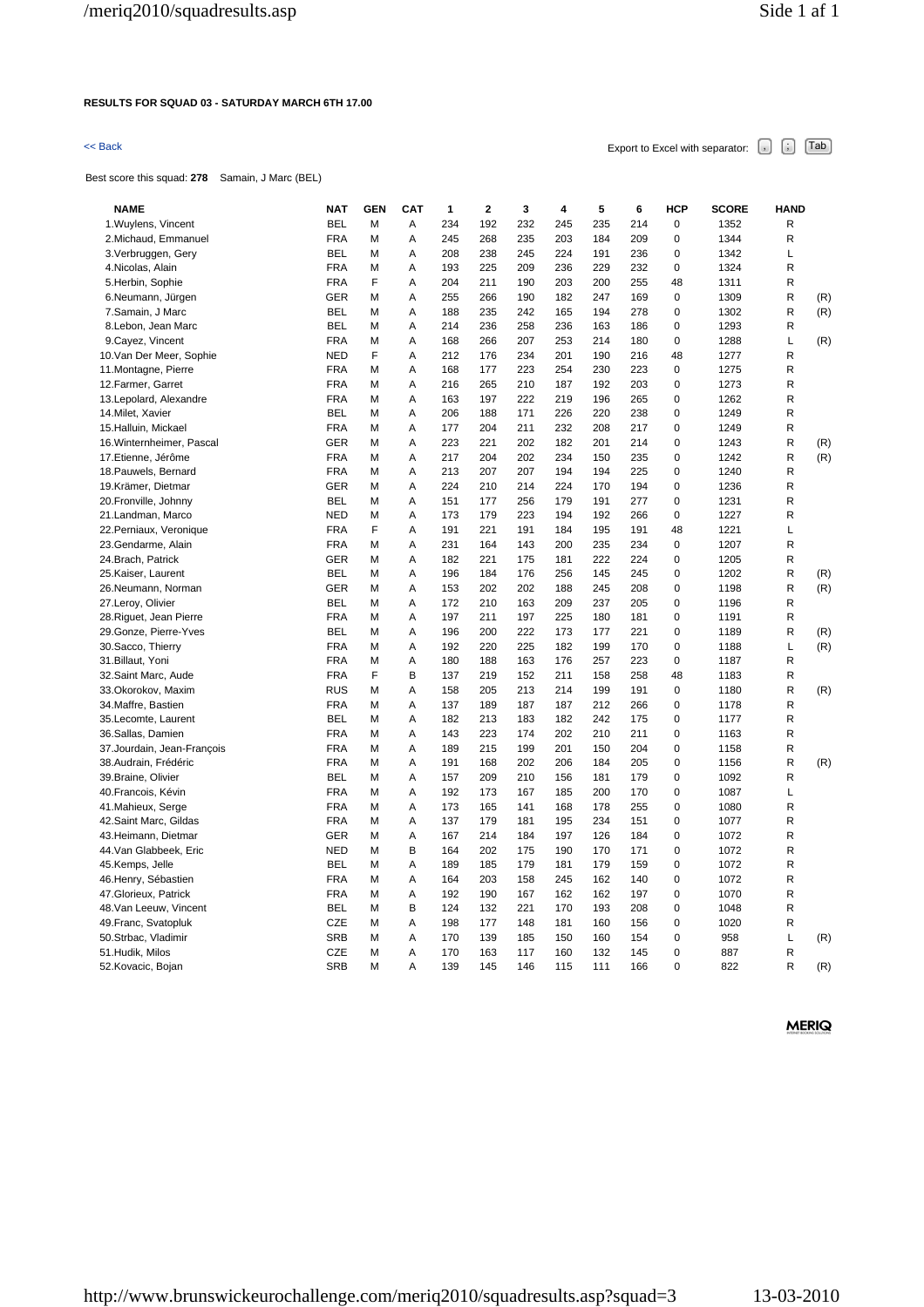# **RESULTS FOR SQUAD 03 - SATURDAY MARCH 6TH 17.00**

# $\leq$  Back Export to Excel with separator:  $\begin{bmatrix} . \ . \ . \end{bmatrix}$   $\begin{bmatrix} . \ . \ . \end{bmatrix}$   $\begin{bmatrix} . \ . \ . \end{bmatrix}$   $\begin{bmatrix} . \ . \ . \end{bmatrix}$   $\begin{bmatrix} . \ . \ . \end{bmatrix}$

Best score this squad: **278** Samain, J Marc (BEL)

| <b>NAME</b>                 | <b>NAT</b>        | <b>GEN</b> | <b>CAT</b> | 1          | $\mathbf{2}$ | 3          | 4          | 5          | 6   | <b>HCP</b>  | <b>SCORE</b> | <b>HAND</b> |     |
|-----------------------------|-------------------|------------|------------|------------|--------------|------------|------------|------------|-----|-------------|--------------|-------------|-----|
| 1. Wuylens, Vincent         | <b>BEL</b>        | М          | Α          | 234        | 192          | 232        | 245        | 235        | 214 | $\pmb{0}$   | 1352         | R           |     |
| 2. Michaud, Emmanuel        | <b>FRA</b>        | Μ          | Α          | 245        | 268          | 235        | 203        | 184        | 209 | $\mathbf 0$ | 1344         | R           |     |
| 3. Verbruggen, Gery         | <b>BEL</b>        | М          | Α          | 208        | 238          | 245        | 224        | 191        | 236 | 0           | 1342         | L           |     |
| 4. Nicolas, Alain           | <b>FRA</b>        | М          | Α          | 193        | 225          | 209        | 236        | 229        | 232 | 0           | 1324         | R           |     |
| 5.Herbin, Sophie            | <b>FRA</b>        | F          | Α          | 204        | 211          | 190        | 203        | 200        | 255 | 48          | 1311         | R           |     |
| 6.Neumann, Jürgen           | <b>GER</b>        | М          | Α          | 255        | 266          | 190        | 182        | 247        | 169 | 0           | 1309         | R           | (R) |
| 7.Samain, J Marc            | <b>BEL</b>        | М          | А          | 188        | 235          | 242        | 165        | 194        | 278 | $\mathbf 0$ | 1302         | R           | (R) |
| 8.Lebon, Jean Marc          | <b>BEL</b>        | Μ          | Α          | 214        | 236          | 258        | 236        | 163        | 186 | 0           | 1293         | R           |     |
| 9. Cayez, Vincent           | <b>FRA</b>        | М          | Α          | 168        | 266          | 207        | 253        | 214        | 180 | $\mathbf 0$ | 1288         | Г           | (R) |
| 10. Van Der Meer, Sophie    | <b>NED</b>        | F          | Α          | 212        | 176          | 234        | 201        | 190        | 216 | 48          | 1277         | R           |     |
| 11. Montagne, Pierre        | <b>FRA</b>        | Μ          | Α          | 168        | 177          | 223        | 254        | 230        | 223 | 0           | 1275         | R           |     |
| 12. Farmer, Garret          | <b>FRA</b>        | М          | Α          | 216        | 265          | 210        | 187        | 192        | 203 | $\mathbf 0$ | 1273         | R           |     |
| 13. Lepolard, Alexandre     | <b>FRA</b>        | М          | A          | 163        | 197          | 222        | 219        | 196        | 265 | $\mathbf 0$ | 1262         | R           |     |
| 14. Milet, Xavier           | <b>BEL</b>        | М          | Α          | 206        | 188          | 171        | 226        | 220        | 238 | $\mathbf 0$ | 1249         | R           |     |
| 15.Halluin, Mickael         | <b>FRA</b>        | М          | Α          | 177        | 204          | 211        | 232        | 208        | 217 | $\pmb{0}$   | 1249         | R           |     |
| 16. Winternheimer, Pascal   | <b>GER</b>        | М          | Α          | 223        | 221          | 202        | 182        | 201        | 214 | $\mathbf 0$ | 1243         | R           | (R) |
| 17.Etienne, Jérôme          | <b>FRA</b>        | М          | Α          | 217        | 204          | 202        | 234        | 150        | 235 | $\mathbf 0$ | 1242         | R           | (R) |
| 18. Pauwels, Bernard        | <b>FRA</b>        | М          | Α          | 213        | 207          | 207        | 194        | 194        | 225 | 0           | 1240         | R           |     |
| 19.Krämer, Dietmar          | <b>GER</b>        | Μ          | Α          | 224        | 210          | 214        | 224        | 170        | 194 | 0           | 1236         | R           |     |
| 20. Fronville, Johnny       | <b>BEL</b>        | М          | Α          | 151        | 177          | 256        | 179        | 191        | 277 | $\mathbf 0$ | 1231         | R           |     |
| 21. Landman, Marco          | <b>NED</b>        | М          | A          | 173        | 179          | 223        | 194        | 192        | 266 | $\mathbf 0$ | 1227         | R           |     |
| 22. Perniaux, Veronique     | <b>FRA</b>        | F          | Α          | 191        | 221          | 191        | 184        | 195        | 191 | 48          | 1221         | Г           |     |
| 23.Gendarme, Alain          | <b>FRA</b>        | Μ          | Α          | 231        | 164          | 143        | 200        | 235        | 234 | 0           | 1207         | R           |     |
|                             |                   | М          | Α          |            | 221          |            |            | 222        | 224 | $\mathbf 0$ |              | R           |     |
| 24. Brach, Patrick          | GER               |            | Α          | 182<br>196 | 184          | 175        | 181        |            | 245 | $\mathbf 0$ | 1205<br>1202 | R           |     |
| 25. Kaiser, Laurent         | BEL<br><b>GER</b> | Μ          | Α          | 153        | 202          | 176<br>202 | 256<br>188 | 145<br>245 | 208 | 0           | 1198         | R           | (R) |
| 26.Neumann, Norman          | <b>BEL</b>        | Μ          |            |            |              |            |            |            | 205 | $\mathbf 0$ |              |             | (R) |
| 27.Leroy, Olivier           |                   | Μ          | Α          | 172        | 210          | 163        | 209        | 237        |     | $\mathbf 0$ | 1196         | R           |     |
| 28. Riguet, Jean Pierre     | <b>FRA</b>        | М          | A          | 197        | 211          | 197        | 225        | 180        | 181 |             | 1191         | R           |     |
| 29. Gonze, Pierre-Yves      | <b>BEL</b>        | М          | Α          | 196        | 200          | 222        | 173        | 177        | 221 | $\mathbf 0$ | 1189         | R           | (R) |
| 30. Sacco, Thierry          | <b>FRA</b>        | м          | Α          | 192        | 220          | 225        | 182        | 199        | 170 | 0           | 1188         | L           | (R) |
| 31. Billaut, Yoni           | <b>FRA</b>        | М          | Α          | 180        | 188          | 163        | 176        | 257        | 223 | $\pmb{0}$   | 1187         | R           |     |
| 32. Saint Marc, Aude        | <b>FRA</b>        | F          | B          | 137        | 219          | 152        | 211        | 158        | 258 | 48          | 1183         | R           |     |
| 33. Okorokov, Maxim         | <b>RUS</b>        | М          | A          | 158        | 205          | 213        | 214        | 199        | 191 | $\mathbf 0$ | 1180         | R           | (R) |
| 34. Maffre, Bastien         | <b>FRA</b>        | М          | Α          | 137        | 189          | 187        | 187        | 212        | 266 | $\mathbf 0$ | 1178         | R           |     |
| 35.Lecomte, Laurent         | <b>BEL</b>        | Μ          | Α          | 182        | 213          | 183        | 182        | 242        | 175 | 0           | 1177         | R           |     |
| 36.Sallas, Damien           | <b>FRA</b>        | М          | Α          | 143        | 223          | 174        | 202        | 210        | 211 | 0           | 1163         | R           |     |
| 37. Jourdain, Jean-François | <b>FRA</b>        | М          | Α          | 189        | 215          | 199        | 201        | 150        | 204 | $\mathbf 0$ | 1158         | R           |     |
| 38.Audrain, Frédéric        | <b>FRA</b>        | М          | Α          | 191        | 168          | 202        | 206        | 184        | 205 | 0           | 1156         | R           | (R) |
| 39. Braine, Olivier         | <b>BEL</b>        | Μ          | Α          | 157        | 209          | 210        | 156        | 181        | 179 | 0           | 1092         | R           |     |
| 40. Francois, Kévin         | <b>FRA</b>        | М          | Α          | 192        | 173          | 167        | 185        | 200        | 170 | $\mathbf 0$ | 1087         | L           |     |
| 41. Mahieux, Serge          | <b>FRA</b>        | М          | A          | 173        | 165          | 141        | 168        | 178        | 255 | $\mathbf 0$ | 1080         | R           |     |
| 42. Saint Marc, Gildas      | <b>FRA</b>        | Μ          | Α          | 137        | 179          | 181        | 195        | 234        | 151 | 0           | 1077         | R           |     |
| 43. Heimann, Dietmar        | <b>GER</b>        | М          | Α          | 167        | 214          | 184        | 197        | 126        | 184 | 0           | 1072         | R           |     |
| 44. Van Glabbeek, Eric      | <b>NED</b>        | М          | B          | 164        | 202          | 175        | 190        | 170        | 171 | $\mathbf 0$ | 1072         | R           |     |
| 45.Kemps, Jelle             | <b>BEL</b>        | Μ          | Α          | 189        | 185          | 179        | 181        | 179        | 159 | $\mathbf 0$ | 1072         | R           |     |
| 46. Henry, Sébastien        | <b>FRA</b>        | Μ          | Α          | 164        | 203          | 158        | 245        | 162        | 140 | 0           | 1072         | R           |     |
| 47. Glorieux, Patrick       | <b>FRA</b>        | Μ          | Α          | 192        | 190          | 167        | 162        | 162        | 197 | $\mathbf 0$ | 1070         | R           |     |
| 48. Van Leeuw, Vincent      | <b>BEL</b>        | М          | B          | 124        | 132          | 221        | 170        | 193        | 208 | $\mathbf 0$ | 1048         | R           |     |
| 49. Franc, Svatopluk        | CZE               | М          | Α          | 198        | 177          | 148        | 181        | 160        | 156 | 0           | 1020         | R           |     |
| 50.Strbac, Vladimir         | <b>SRB</b>        | м          | Α          | 170        | 139          | 185        | 150        | 160        | 154 | $\mathbf 0$ | 958          | L           | (R) |
| 51.Hudik, Milos             | CZE               | М          | Α          | 170        | 163          | 117        | 160        | 132        | 145 | $\mathbf 0$ | 887          | R           |     |
| 52. Kovacic, Bojan          | <b>SRB</b>        | М          | Α          | 139        | 145          | 146        | 115        | 111        | 166 | $\Omega$    | 822          | R           | (R) |
|                             |                   |            |            |            |              |            |            |            |     |             |              |             |     |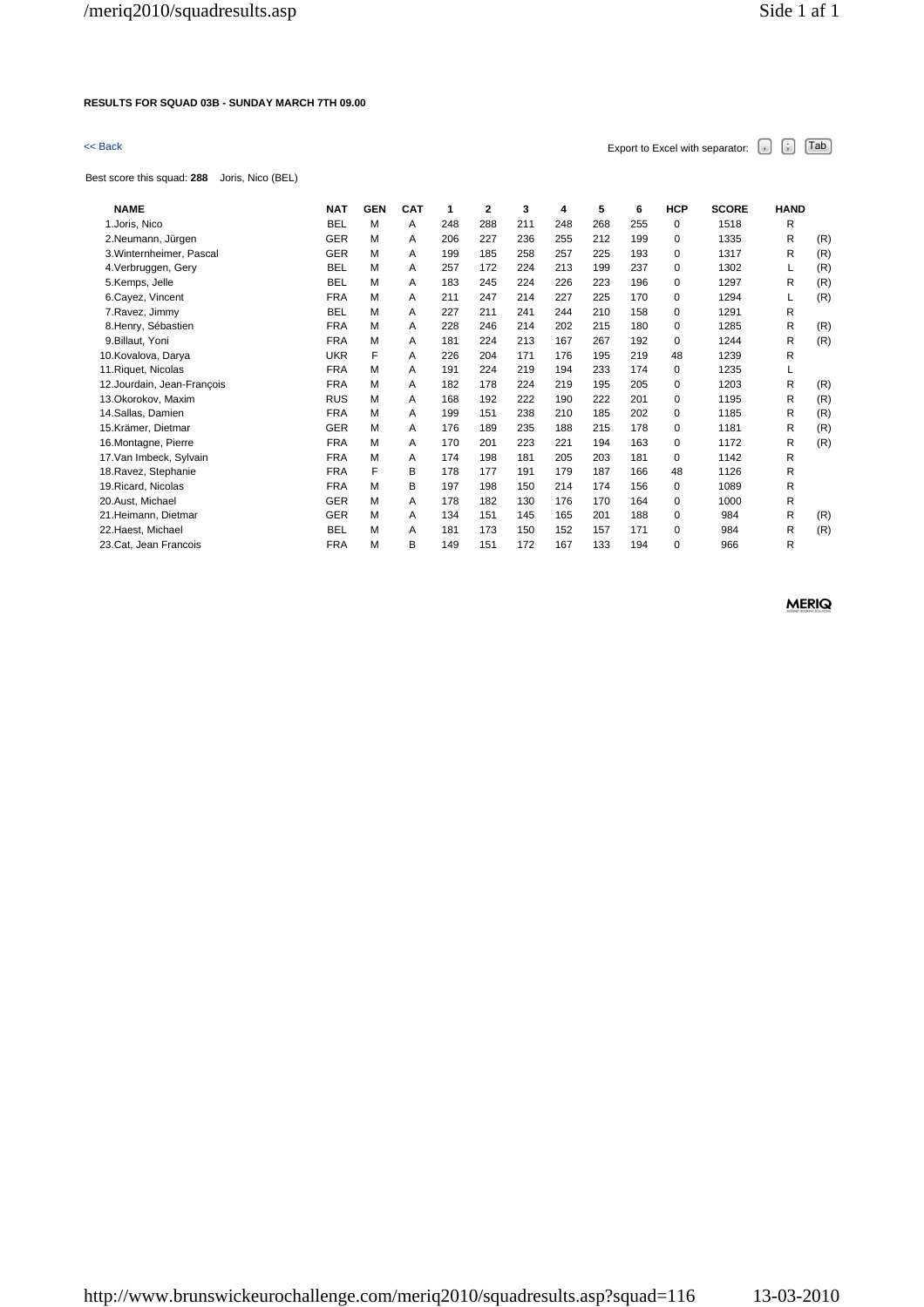# **RESULTS FOR SQUAD 03B - SUNDAY MARCH 7TH 09.00**

Best score this squad: **288** Joris, Nico (BEL)

| <b>NAME</b>                 | <b>NAT</b> | <b>GEN</b> | <b>CAT</b> | 1   | $\mathbf{2}$ | 3   | 4   | 5   | 6   | <b>HCP</b>  | <b>SCORE</b> | <b>HAND</b> |     |
|-----------------------------|------------|------------|------------|-----|--------------|-----|-----|-----|-----|-------------|--------------|-------------|-----|
| 1.Joris, Nico               | <b>BEL</b> | M          | A          | 248 | 288          | 211 | 248 | 268 | 255 | $\Omega$    | 1518         | R           |     |
| 2.Neumann, Jürgen           | <b>GER</b> | M          | A          | 206 | 227          | 236 | 255 | 212 | 199 | $\Omega$    | 1335         | R           | (R) |
| 3. Winternheimer, Pascal    | <b>GER</b> | M          | A          | 199 | 185          | 258 | 257 | 225 | 193 | $\mathbf 0$ | 1317         | R           | (R) |
| 4. Verbruggen, Gery         | <b>BEL</b> | M          | A          | 257 | 172          | 224 | 213 | 199 | 237 | 0           | 1302         | L           | (R) |
| 5.Kemps, Jelle              | <b>BEL</b> | M          | A          | 183 | 245          | 224 | 226 | 223 | 196 | 0           | 1297         | R           | (R) |
| 6.Cayez, Vincent            | <b>FRA</b> | M          | Α          | 211 | 247          | 214 | 227 | 225 | 170 | 0           | 1294         | L           | (R) |
| 7. Ravez, Jimmy             | <b>BEL</b> | М          | A          | 227 | 211          | 241 | 244 | 210 | 158 | 0           | 1291         | R           |     |
| 8.Henry, Sébastien          | <b>FRA</b> | M          | A          | 228 | 246          | 214 | 202 | 215 | 180 | 0           | 1285         | R           | (R) |
| 9. Billaut, Yoni            | <b>FRA</b> | M          | A          | 181 | 224          | 213 | 167 | 267 | 192 | $\Omega$    | 1244         | R           | (R) |
| 10. Kovalova, Darya         | <b>UKR</b> | F          | Α          | 226 | 204          | 171 | 176 | 195 | 219 | 48          | 1239         | R           |     |
| 11. Riquet, Nicolas         | <b>FRA</b> | M          | A          | 191 | 224          | 219 | 194 | 233 | 174 | $\Omega$    | 1235         | L           |     |
| 12. Jourdain, Jean-François | <b>FRA</b> | M          | A          | 182 | 178          | 224 | 219 | 195 | 205 | 0           | 1203         | R           | (R) |
| 13. Okorokov. Maxim         | <b>RUS</b> | M          | A          | 168 | 192          | 222 | 190 | 222 | 201 | $\Omega$    | 1195         | R           | (R) |
| 14.Sallas, Damien           | <b>FRA</b> | M          | A          | 199 | 151          | 238 | 210 | 185 | 202 | $\mathbf 0$ | 1185         | R           | (R) |
| 15.Krämer. Dietmar          | <b>GER</b> | M          | A          | 176 | 189          | 235 | 188 | 215 | 178 | 0           | 1181         | R           | (R) |
| 16. Montagne, Pierre        | <b>FRA</b> | M          | A          | 170 | 201          | 223 | 221 | 194 | 163 | 0           | 1172         | R           | (R) |
| 17. Van Imbeck, Sylvain     | <b>FRA</b> | M          | A          | 174 | 198          | 181 | 205 | 203 | 181 | $\Omega$    | 1142         | R           |     |
| 18. Ravez, Stephanie        | <b>FRA</b> | F          | B          | 178 | 177          | 191 | 179 | 187 | 166 | 48          | 1126         | R           |     |
| 19. Ricard, Nicolas         | <b>FRA</b> | M          | в          | 197 | 198          | 150 | 214 | 174 | 156 | 0           | 1089         | R           |     |
| 20.Aust, Michael            | <b>GER</b> | M          | Α          | 178 | 182          | 130 | 176 | 170 | 164 | 0           | 1000         | R           |     |
| 21. Heimann, Dietmar        | <b>GER</b> | М          | A          | 134 | 151          | 145 | 165 | 201 | 188 | $\Omega$    | 984          | R           | (R) |
| 22. Haest, Michael          | <b>BEL</b> | M          | Α          | 181 | 173          | 150 | 152 | 157 | 171 | 0           | 984          | R           | (R) |
| 23.Cat, Jean Francois       | <b>FRA</b> | M          | B          | 149 | 151          | 172 | 167 | 133 | 194 | $\mathbf 0$ | 966          | R           |     |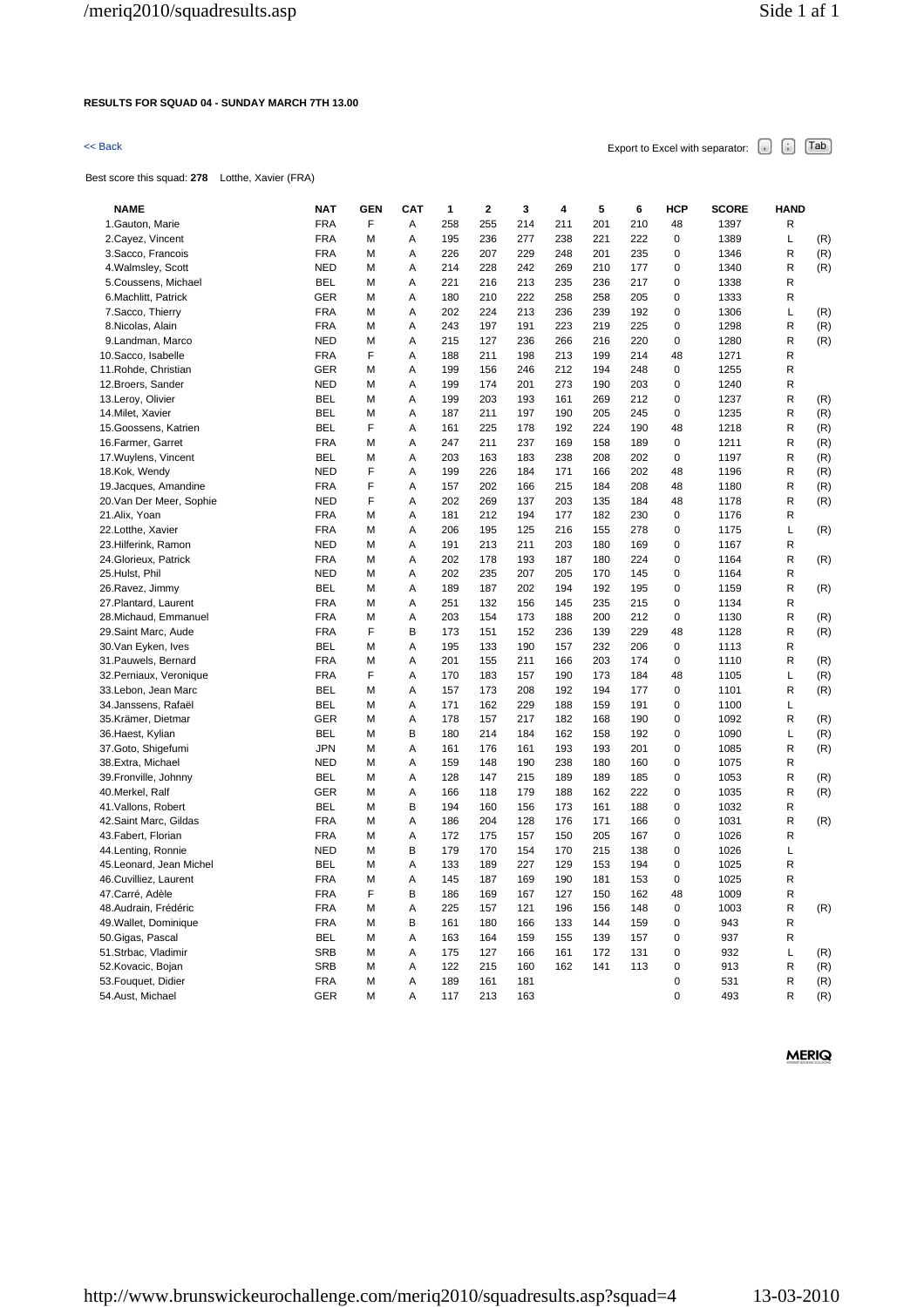### **RESULTS FOR SQUAD 04 - SUNDAY MARCH 7TH 13.00**

# $\leq$  Back Export to Excel with separator:  $\begin{bmatrix} . \end{bmatrix}$   $\begin{bmatrix} . \end{bmatrix}$   $\begin{bmatrix} \text{Tab} \end{bmatrix}$

Best score this squad: **278** Lotthe, Xavier (FRA)

| <b>NAME</b>                                    | <b>NAT</b> | <b>GEN</b> | CAT | 1   | $\mathbf{2}$ | 3   | 4   | 5   | 6   | <b>HCP</b>       | <b>SCORE</b> | <b>HAND</b> |     |
|------------------------------------------------|------------|------------|-----|-----|--------------|-----|-----|-----|-----|------------------|--------------|-------------|-----|
| 1. Gauton, Marie                               | <b>FRA</b> | F          | Α   | 258 | 255          | 214 | 211 | 201 | 210 | 48               | 1397         | R           |     |
| 2. Cayez, Vincent                              | <b>FRA</b> | М          | Α   | 195 | 236          | 277 | 238 | 221 | 222 | $\mathbf 0$      | 1389         | L           | (R) |
| 3. Sacco, Francois                             | <b>FRA</b> | M          | Α   | 226 | 207          | 229 | 248 | 201 | 235 | 0                | 1346         | R           | (R) |
| 4. Walmsley, Scott                             | <b>NED</b> | M          | Α   | 214 | 228          | 242 | 269 | 210 | 177 | 0                | 1340         | R           | (R) |
| 5.Coussens, Michael                            | BEL        | М          | Α   | 221 | 216          | 213 | 235 | 236 | 217 | 0                | 1338         | R           |     |
| 6. Machlitt, Patrick                           | <b>GER</b> | M          | Α   | 180 | 210          | 222 | 258 | 258 | 205 | 0                | 1333         | R           |     |
| 7.Sacco, Thierry                               | <b>FRA</b> | M          | Α   | 202 | 224          | 213 | 236 | 239 | 192 | 0                | 1306         | L           | (R) |
| 8.Nicolas, Alain                               | <b>FRA</b> | М          | Α   | 243 | 197          | 191 | 223 | 219 | 225 | 0                | 1298         | R           | (R) |
| 9.Landman, Marco                               | <b>NED</b> | M          | Α   | 215 | 127          | 236 | 266 | 216 | 220 | 0                | 1280         | R           | (R) |
| 10. Sacco, Isabelle                            | <b>FRA</b> | F          | Α   | 188 | 211          | 198 | 213 | 199 | 214 | 48               | 1271         | R           |     |
| 11. Rohde, Christian                           | GER        | М          | Α   | 199 | 156          | 246 | 212 | 194 | 248 | $\mathbf 0$      | 1255         | R           |     |
| 12. Broers, Sander                             | <b>NED</b> | M          | Α   | 199 | 174          | 201 | 273 | 190 | 203 | 0                | 1240         | R           |     |
| 13.Leroy, Olivier                              | <b>BEL</b> | M          | Α   | 199 | 203          | 193 | 161 | 269 | 212 | 0                | 1237         | R           | (R) |
| 14. Milet, Xavier                              | <b>BEL</b> | M          | Α   | 187 | 211          | 197 | 190 | 205 | 245 | 0                | 1235         | R           | (R) |
| 15. Goossens, Katrien                          | <b>BEL</b> | F          | Α   | 161 | 225          | 178 | 192 | 224 | 190 | 48               | 1218         | R           | (R) |
| 16. Farmer, Garret                             | <b>FRA</b> | M          | Α   | 247 | 211          | 237 | 169 | 158 | 189 | 0                | 1211         | R           | (R) |
| 17. Wuylens, Vincent                           | <b>BEL</b> | M          | А   | 203 | 163          | 183 | 238 | 208 | 202 | $\mathbf 0$      | 1197         | R           | (R) |
| 18.Kok, Wendy                                  | <b>NED</b> | F          | A   | 199 | 226          | 184 | 171 | 166 | 202 | 48               | 1196         | R           | (R) |
| 19.Jacques, Amandine                           | <b>FRA</b> | F          | A   | 157 | 202          | 166 | 215 | 184 | 208 | 48               | 1180         | R           | (R) |
| 20. Van Der Meer, Sophie                       | <b>NED</b> | F          | Α   | 202 | 269          | 137 | 203 | 135 | 184 | 48               | 1178         | R           | (R) |
| 21.Alix, Yoan                                  | <b>FRA</b> | M          | A   | 181 | 212          | 194 | 177 | 182 | 230 | 0                | 1176         | R           |     |
| 22.Lotthe, Xavier                              | <b>FRA</b> | M          | Α   | 206 | 195          | 125 | 216 | 155 | 278 | 0                | 1175         | L           | (R) |
| 23. Hilferink, Ramon                           | <b>NED</b> | М          | A   | 191 | 213          | 211 | 203 | 180 | 169 | $\mathbf 0$      | 1167         | R           |     |
| 24. Glorieux, Patrick                          | <b>FRA</b> | М          | Α   | 202 | 178          | 193 | 187 | 180 | 224 | 0                | 1164         | R           | (R) |
| 25.Hulst, Phil                                 | <b>NED</b> | M          | Α   | 202 | 235          | 207 | 205 | 170 | 145 | 0                | 1164         | R           |     |
| 26.Ravez, Jimmy                                | BEL        | M          | Α   | 189 | 187          | 202 | 194 | 192 | 195 | 0                | 1159         | R           | (R) |
| 27. Plantard, Laurent                          | <b>FRA</b> | M          | A   | 251 | 132          | 156 | 145 | 235 | 215 | 0                | 1134         | R           |     |
| 28. Michaud, Emmanuel                          | <b>FRA</b> | M          | Α   | 203 | 154          | 173 | 188 | 200 | 212 | 0                | 1130         | R           | (R) |
| 29.Saint Marc, Aude                            | <b>FRA</b> | F          | B   | 173 | 151          | 152 | 236 | 139 | 229 | 48               | 1128         | R           | (R) |
| 30.Van Eyken, Ives                             | BEL        | М          | Α   | 195 | 133          | 190 | 157 | 232 | 206 | 0                | 1113         | R           |     |
| 31. Pauwels, Bernard                           | <b>FRA</b> | М          | A   | 201 | 155          | 211 | 166 | 203 | 174 | 0                | 1110         | R           | (R) |
|                                                | <b>FRA</b> | F          | Α   | 170 | 183          | 157 | 190 | 173 | 184 | 48               | 1105         | L           |     |
| 32. Perniaux, Veronique<br>33.Lebon, Jean Marc | <b>BEL</b> | M          | A   | 157 | 173          | 208 | 192 | 194 | 177 | $\mathbf 0$      | 1101         | R           | (R) |
| 34.Janssens, Rafaël                            | <b>BEL</b> | М          | Α   | 171 | 162          | 229 | 188 | 159 | 191 | 0                | 1100         | L           | (R) |
| 35.Krämer, Dietmar                             | <b>GER</b> | M          | Α   | 178 | 157          | 217 | 182 | 168 | 190 | 0                | 1092         | R           | (R) |
|                                                | <b>BEL</b> |            |     |     |              |     |     |     |     |                  |              |             |     |
| 36.Haest, Kylian                               |            | M          | В   | 180 | 214          | 184 | 162 | 158 | 192 | 0<br>$\mathbf 0$ | 1090         | L           | (R) |
| 37. Goto, Shigefumi                            | <b>JPN</b> | M          | Α   | 161 | 176          | 161 | 193 | 193 | 201 |                  | 1085         | R           | (R) |
| 38.Extra, Michael                              | <b>NED</b> | M          | А   | 159 | 148          | 190 | 238 | 180 | 160 | 0                | 1075         | R           |     |
| 39. Fronville, Johnny                          | <b>BEL</b> | M          | Α   | 128 | 147          | 215 | 189 | 189 | 185 | 0                | 1053         | R           | (R) |
| 40.Merkel, Ralf                                | GER        | М          | А   | 166 | 118          | 179 | 188 | 162 | 222 | 0                | 1035         | R           | (R) |
| 41. Vallons, Robert                            | <b>BEL</b> | M          | B   | 194 | 160          | 156 | 173 | 161 | 188 | 0                | 1032         | R           |     |
| 42.Saint Marc, Gildas                          | <b>FRA</b> | M          | Α   | 186 | 204          | 128 | 176 | 171 | 166 | 0                | 1031         | R           | (R) |
| 43. Fabert, Florian                            | <b>FRA</b> | M          | А   | 172 | 175          | 157 | 150 | 205 | 167 | 0                | 1026         | R           |     |
| 44.Lenting, Ronnie                             | <b>NED</b> | M          | B   | 179 | 170          | 154 | 170 | 215 | 138 | 0                | 1026         | L           |     |
| 45.Leonard, Jean Michel                        | <b>BEL</b> | M          | Α   | 133 | 189          | 227 | 129 | 153 | 194 | 0                | 1025         | R           |     |
| 46.Cuvilliez, Laurent                          | <b>FRA</b> | M          | Α   | 145 | 187          | 169 | 190 | 181 | 153 | $\mathbf 0$      | 1025         | R           |     |
| 47.Carré, Adèle                                | <b>FRA</b> | F          | B   | 186 | 169          | 167 | 127 | 150 | 162 | 48               | 1009         | R           |     |
| 48.Audrain, Frédéric                           | <b>FRA</b> | M          | Α   | 225 | 157          | 121 | 196 | 156 | 148 | 0                | 1003         | R           | (R) |
| 49. Wallet, Dominique                          | <b>FRA</b> | M          | B   | 161 | 180          | 166 | 133 | 144 | 159 | 0                | 943          | R           |     |
| 50. Gigas, Pascal                              | <b>BEL</b> | M          | A   | 163 | 164          | 159 | 155 | 139 | 157 | 0                | 937          | R           |     |
| 51.Strbac, Vladimir                            | <b>SRB</b> | M          | А   | 175 | 127          | 166 | 161 | 172 | 131 | 0                | 932          | L           | (R) |
| 52.Kovacic, Bojan                              | <b>SRB</b> | M          | A   | 122 | 215          | 160 | 162 | 141 | 113 | 0                | 913          | R           | (R) |
| 53.Fouquet, Didier                             | <b>FRA</b> | M          | Α   | 189 | 161          | 181 |     |     |     | 0                | 531          | R           | (R) |
| 54.Aust, Michael                               | <b>GER</b> | M          | Α   | 117 | 213          | 163 |     |     |     | $\Omega$         | 493          | R           | (R) |
|                                                |            |            |     |     |              |     |     |     |     |                  |              |             |     |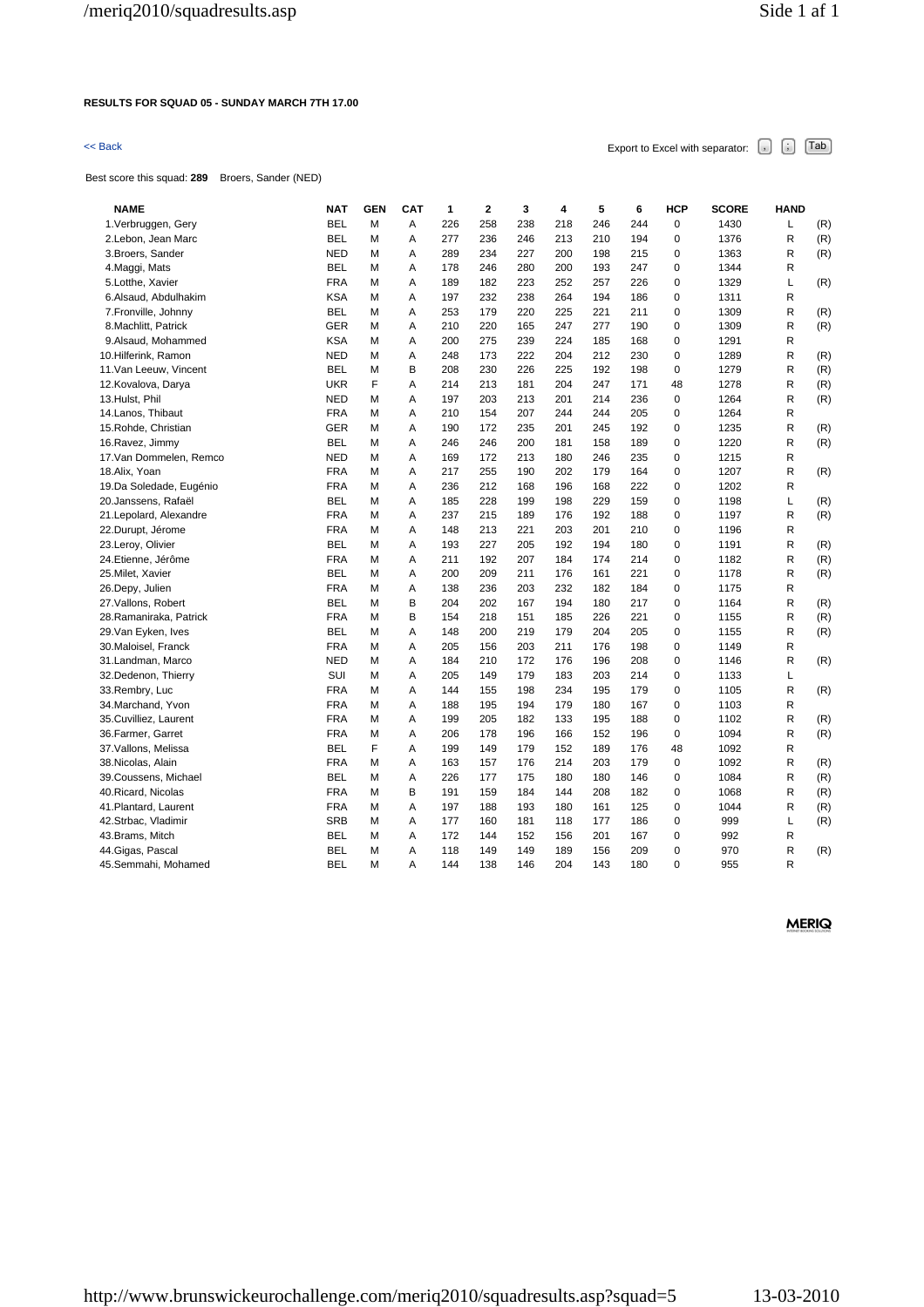### **RESULTS FOR SQUAD 05 - SUNDAY MARCH 7TH 17.00**

# $\leq$  Back Export to Excel with separator:  $\begin{bmatrix} . \ . \ . \end{bmatrix}$   $\begin{bmatrix} . \ . \ . \end{bmatrix}$   $\begin{bmatrix} . \ . \ . \end{bmatrix}$   $\begin{bmatrix} . \ . \ . \end{bmatrix}$   $\begin{bmatrix} . \ . \ . \end{bmatrix}$

Best score this squad: **289** Broers, Sander (NED)

| <b>NAME</b>             | <b>NAT</b> | <b>GEN</b> | <b>CAT</b> | 1   | 2   | 3   | 4   | 5   | 6   | <b>HCP</b>  | <b>SCORE</b> | <b>HAND</b> |     |
|-------------------------|------------|------------|------------|-----|-----|-----|-----|-----|-----|-------------|--------------|-------------|-----|
| 1. Verbruggen, Gery     | <b>BEL</b> | М          | A          | 226 | 258 | 238 | 218 | 246 | 244 | 0           | 1430         | L           | (R) |
| 2.Lebon, Jean Marc      | <b>BEL</b> | М          | Α          | 277 | 236 | 246 | 213 | 210 | 194 | 0           | 1376         | R           | (R) |
| 3. Broers, Sander       | <b>NED</b> | М          | Α          | 289 | 234 | 227 | 200 | 198 | 215 | 0           | 1363         | R           | (R) |
| 4. Maggi, Mats          | <b>BEL</b> | М          | A          | 178 | 246 | 280 | 200 | 193 | 247 | 0           | 1344         | R           |     |
| 5.Lotthe, Xavier        | <b>FRA</b> | М          | A          | 189 | 182 | 223 | 252 | 257 | 226 | 0           | 1329         | Г           | (R) |
| 6.Alsaud, Abdulhakim    | <b>KSA</b> | М          | Α          | 197 | 232 | 238 | 264 | 194 | 186 | 0           | 1311         | R           |     |
| 7. Fronville, Johnny    | <b>BEL</b> | М          | A          | 253 | 179 | 220 | 225 | 221 | 211 | 0           | 1309         | R           | (R) |
| 8. Machlitt, Patrick    | <b>GER</b> | м          | A          | 210 | 220 | 165 | 247 | 277 | 190 | $\Omega$    | 1309         | R           | (R) |
| 9.Alsaud, Mohammed      | <b>KSA</b> | м          | Α          | 200 | 275 | 239 | 224 | 185 | 168 | 0           | 1291         | R           |     |
| 10.Hilferink, Ramon     | <b>NED</b> | м          | Α          | 248 | 173 | 222 | 204 | 212 | 230 | 0           | 1289         | R           | (R) |
| 11. Van Leeuw, Vincent  | <b>BEL</b> | М          | B          | 208 | 230 | 226 | 225 | 192 | 198 | 0           | 1279         | R           | (R) |
| 12. Kovalova, Darya     | <b>UKR</b> | F          | Α          | 214 | 213 | 181 | 204 | 247 | 171 | 48          | 1278         | R           | (R) |
| 13.Hulst, Phil          | <b>NED</b> | М          | Α          | 197 | 203 | 213 | 201 | 214 | 236 | $\mathbf 0$ | 1264         | R           | (R) |
| 14. Lanos, Thibaut      | <b>FRA</b> | м          | Α          | 210 | 154 | 207 | 244 | 244 | 205 | 0           | 1264         | R           |     |
| 15. Rohde, Christian    | <b>GER</b> | м          | A          | 190 | 172 | 235 | 201 | 245 | 192 | 0           | 1235         | R           | (R) |
| 16. Ravez, Jimmy        | <b>BEL</b> | м          | Α          | 246 | 246 | 200 | 181 | 158 | 189 | 0           | 1220         | R           | (R) |
| 17. Van Dommelen, Remco | <b>NED</b> | М          | Α          | 169 | 172 | 213 | 180 | 246 | 235 | 0           | 1215         | R           |     |
| 18.Alix, Yoan           | <b>FRA</b> | м          | Α          | 217 | 255 | 190 | 202 | 179 | 164 | 0           | 1207         | R           | (R) |
| 19.Da Soledade, Eugénio | <b>FRA</b> | м          | A          | 236 | 212 | 168 | 196 | 168 | 222 | 0           | 1202         | R           |     |
| 20. Janssens, Rafaël    | <b>BEL</b> | м          | Α          | 185 | 228 | 199 | 198 | 229 | 159 | 0           | 1198         | Г           | (R) |
| 21. Lepolard, Alexandre | <b>FRA</b> | м          | A          | 237 | 215 | 189 | 176 | 192 | 188 | 0           | 1197         | R           | (R) |
| 22.Durupt, Jérome       | <b>FRA</b> | Μ          | Α          | 148 | 213 | 221 | 203 | 201 | 210 | 0           | 1196         | R           |     |
| 23.Leroy, Olivier       | <b>BEL</b> | м          | Α          | 193 | 227 | 205 | 192 | 194 | 180 | 0           | 1191         | R           | (R) |
| 24.Etienne, Jérôme      | <b>FRA</b> | м          | Α          | 211 | 192 | 207 | 184 | 174 | 214 | 0           | 1182         | R           | (R) |
| 25. Milet, Xavier       | <b>BEL</b> | м          | Α          | 200 | 209 | 211 | 176 | 161 | 221 | 0           | 1178         | R           | (R) |
| 26.Depy, Julien         | <b>FRA</b> | Μ          | Α          | 138 | 236 | 203 | 232 | 182 | 184 | 0           | 1175         | R           |     |
| 27. Vallons, Robert     | <b>BEL</b> | м          | в          | 204 | 202 | 167 | 194 | 180 | 217 | 0           | 1164         | R           | (R) |
| 28. Ramaniraka, Patrick | <b>FRA</b> | Μ          | B          | 154 | 218 | 151 | 185 | 226 | 221 | 0           | 1155         | R           | (R) |
| 29. Van Eyken, Ives     | <b>BEL</b> | М          | Α          | 148 | 200 | 219 | 179 | 204 | 205 | 0           | 1155         | R           | (R) |
| 30. Maloisel, Franck    | <b>FRA</b> | Μ          | Α          | 205 | 156 | 203 | 211 | 176 | 198 | 0           | 1149         | R           |     |
| 31. Landman, Marco      | <b>NED</b> | м          | Α          | 184 | 210 | 172 | 176 | 196 | 208 | 0           | 1146         | R           | (R) |
| 32.Dedenon, Thierry     | SUI        | М          | Α          | 205 | 149 | 179 | 183 | 203 | 214 | 0           | 1133         | Г           |     |
| 33.Rembry, Luc          | <b>FRA</b> | М          | Α          | 144 | 155 | 198 | 234 | 195 | 179 | 0           | 1105         | R           | (R) |
| 34. Marchand, Yvon      | <b>FRA</b> | М          | Α          | 188 | 195 | 194 | 179 | 180 | 167 | 0           | 1103         | R           |     |
| 35.Cuvilliez, Laurent   | <b>FRA</b> | М          | A          | 199 | 205 | 182 | 133 | 195 | 188 | 0           | 1102         | R           | (R) |
| 36. Farmer, Garret      | <b>FRA</b> | М          | Α          | 206 | 178 | 196 | 166 | 152 | 196 | 0           | 1094         | R           | (R) |
| 37. Vallons, Melissa    | <b>BEL</b> | F          | Α          | 199 | 149 | 179 | 152 | 189 | 176 | 48          | 1092         | R           |     |
| 38. Nicolas, Alain      | <b>FRA</b> | М          | Α          | 163 | 157 | 176 | 214 | 203 | 179 | 0           | 1092         | R           | (R) |
| 39. Coussens, Michael   | <b>BEL</b> | М          | Α          | 226 | 177 | 175 | 180 | 180 | 146 | 0           | 1084         | R           | (R) |
| 40. Ricard, Nicolas     | <b>FRA</b> | М          | В          | 191 | 159 | 184 | 144 | 208 | 182 | 0           | 1068         | R           | (R) |
| 41. Plantard, Laurent   | <b>FRA</b> | М          | Α          | 197 | 188 | 193 | 180 | 161 | 125 | 0           | 1044         | R           | (R) |
| 42.Strbac, Vladimir     | <b>SRB</b> | М          | Α          | 177 | 160 | 181 | 118 | 177 | 186 | 0           | 999          | Г           | (R) |
| 43.Brams, Mitch         | <b>BEL</b> | М          | Α          | 172 | 144 | 152 | 156 | 201 | 167 | 0           | 992          | R           |     |
| 44. Gigas, Pascal       | <b>BEL</b> | М          | Α          | 118 | 149 | 149 | 189 | 156 | 209 | 0           | 970          | R           | (R) |
|                         | <b>BEL</b> | М          | A          | 144 |     | 146 | 204 | 143 | 180 | $\Omega$    | 955          | R           |     |
| 45.Semmahi, Mohamed     |            |            |            |     | 138 |     |     |     |     |             |              |             |     |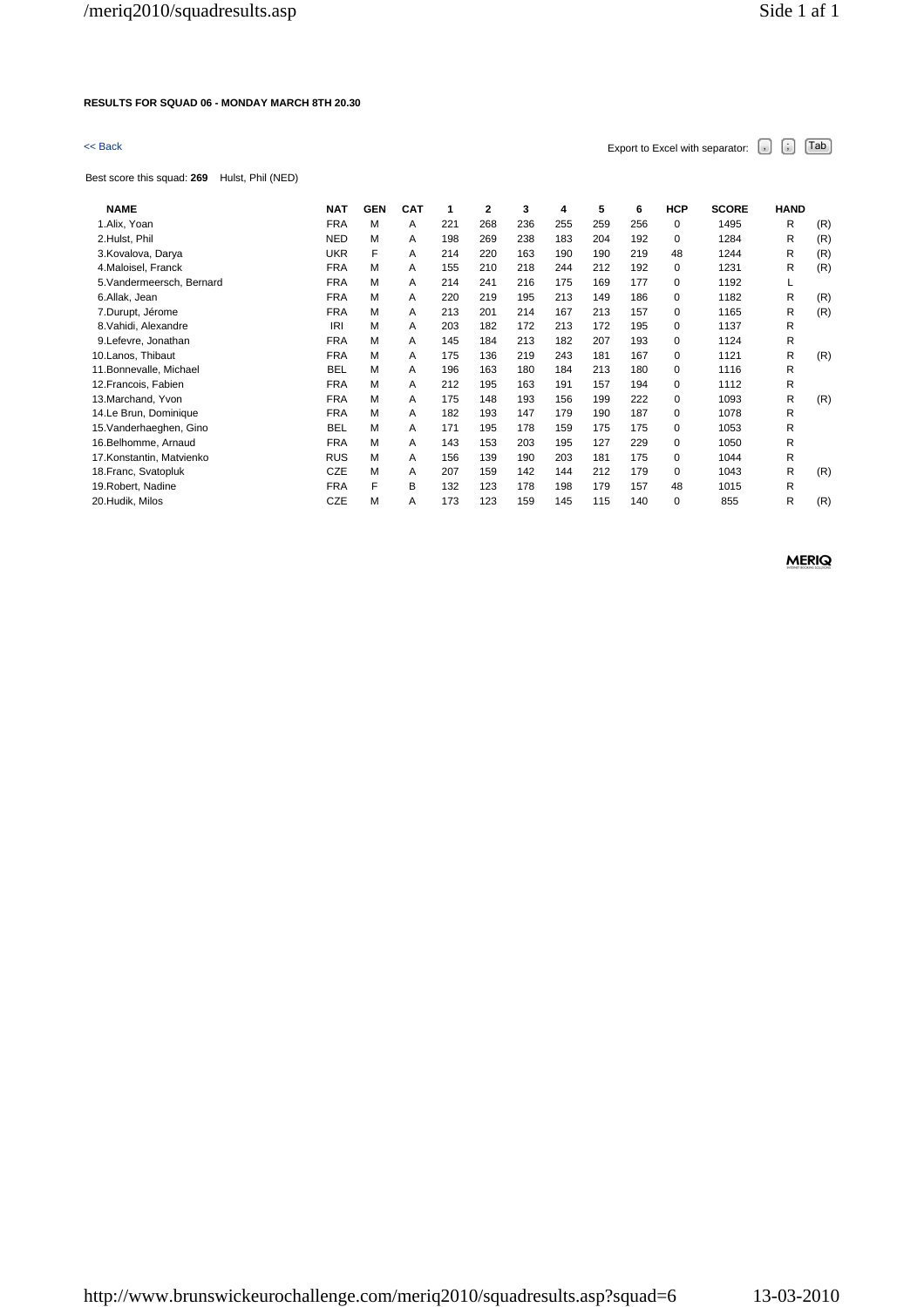### **RESULTS FOR SQUAD 06 - MONDAY MARCH 8TH 20.30**

# $\leq$  Back Export to Excel with separator:  $\begin{bmatrix} . \end{bmatrix}$   $\begin{bmatrix} . \end{bmatrix}$   $\begin{bmatrix} \text{Tab} \end{bmatrix}$

Best score this squad: **269** Hulst, Phil (NED)

| <b>NAME</b>               | <b>NAT</b> | <b>GEN</b> | <b>CAT</b> | 1   | 2   | 3   | 4   | 5   | 6   | <b>HCP</b> | <b>SCORE</b> | <b>HAND</b> |     |
|---------------------------|------------|------------|------------|-----|-----|-----|-----|-----|-----|------------|--------------|-------------|-----|
| 1.Alix, Yoan              | <b>FRA</b> | M          | A          | 221 | 268 | 236 | 255 | 259 | 256 | 0          | 1495         | R           | (R) |
| 2.Hulst, Phil             | <b>NED</b> | M          | A          | 198 | 269 | 238 | 183 | 204 | 192 | 0          | 1284         | R           | (R) |
| 3. Kovalova, Darya        | <b>UKR</b> | F          | A          | 214 | 220 | 163 | 190 | 190 | 219 | 48         | 1244         | R           | (R) |
| 4. Maloisel, Franck       | <b>FRA</b> | M          | A          | 155 | 210 | 218 | 244 | 212 | 192 | 0          | 1231         | R           | (R) |
| 5. Vandermeersch, Bernard | <b>FRA</b> | M          | A          | 214 | 241 | 216 | 175 | 169 | 177 | 0          | 1192         | L           |     |
| 6.Allak, Jean             | <b>FRA</b> | M          | A          | 220 | 219 | 195 | 213 | 149 | 186 | 0          | 1182         | R           | (R) |
| 7.Durupt, Jérome          | <b>FRA</b> | M          | A          | 213 | 201 | 214 | 167 | 213 | 157 | 0          | 1165         | R           | (R) |
| 8. Vahidi, Alexandre      | <b>IRI</b> | M          | Α          | 203 | 182 | 172 | 213 | 172 | 195 | 0          | 1137         | R           |     |
| 9.Lefevre, Jonathan       | <b>FRA</b> | M          | A          | 145 | 184 | 213 | 182 | 207 | 193 | 0          | 1124         | R           |     |
| 10.Lanos, Thibaut         | <b>FRA</b> | M          | A          | 175 | 136 | 219 | 243 | 181 | 167 | 0          | 1121         | R           | (R) |
| 11.Bonnevalle, Michael    | <b>BEL</b> | M          | A          | 196 | 163 | 180 | 184 | 213 | 180 | 0          | 1116         | R           |     |
| 12. Francois, Fabien      | <b>FRA</b> | M          | A          | 212 | 195 | 163 | 191 | 157 | 194 | 0          | 1112         | R           |     |
| 13. Marchand, Yvon        | <b>FRA</b> | M          | A          | 175 | 148 | 193 | 156 | 199 | 222 | 0          | 1093         | R           | (R) |
| 14.Le Brun, Dominique     | <b>FRA</b> | M          | A          | 182 | 193 | 147 | 179 | 190 | 187 | $\Omega$   | 1078         | R           |     |
| 15. Vanderhaeghen, Gino   | <b>BEL</b> | M          | A          | 171 | 195 | 178 | 159 | 175 | 175 | 0          | 1053         | R           |     |
| 16.Belhomme, Arnaud       | <b>FRA</b> | M          | A          | 143 | 153 | 203 | 195 | 127 | 229 | 0          | 1050         | R           |     |
| 17.Konstantin, Matvienko  | <b>RUS</b> | M          | A          | 156 | 139 | 190 | 203 | 181 | 175 | 0          | 1044         | R           |     |
| 18. Franc, Svatopluk      | <b>CZE</b> | M          | A          | 207 | 159 | 142 | 144 | 212 | 179 | 0          | 1043         | R           | (R) |
| 19. Robert, Nadine        | <b>FRA</b> | F          | B          | 132 | 123 | 178 | 198 | 179 | 157 | 48         | 1015         | R           |     |
| 20.Hudik, Milos           | CZE        | M          | A          | 173 | 123 | 159 | 145 | 115 | 140 | 0          | 855          | R           | (R) |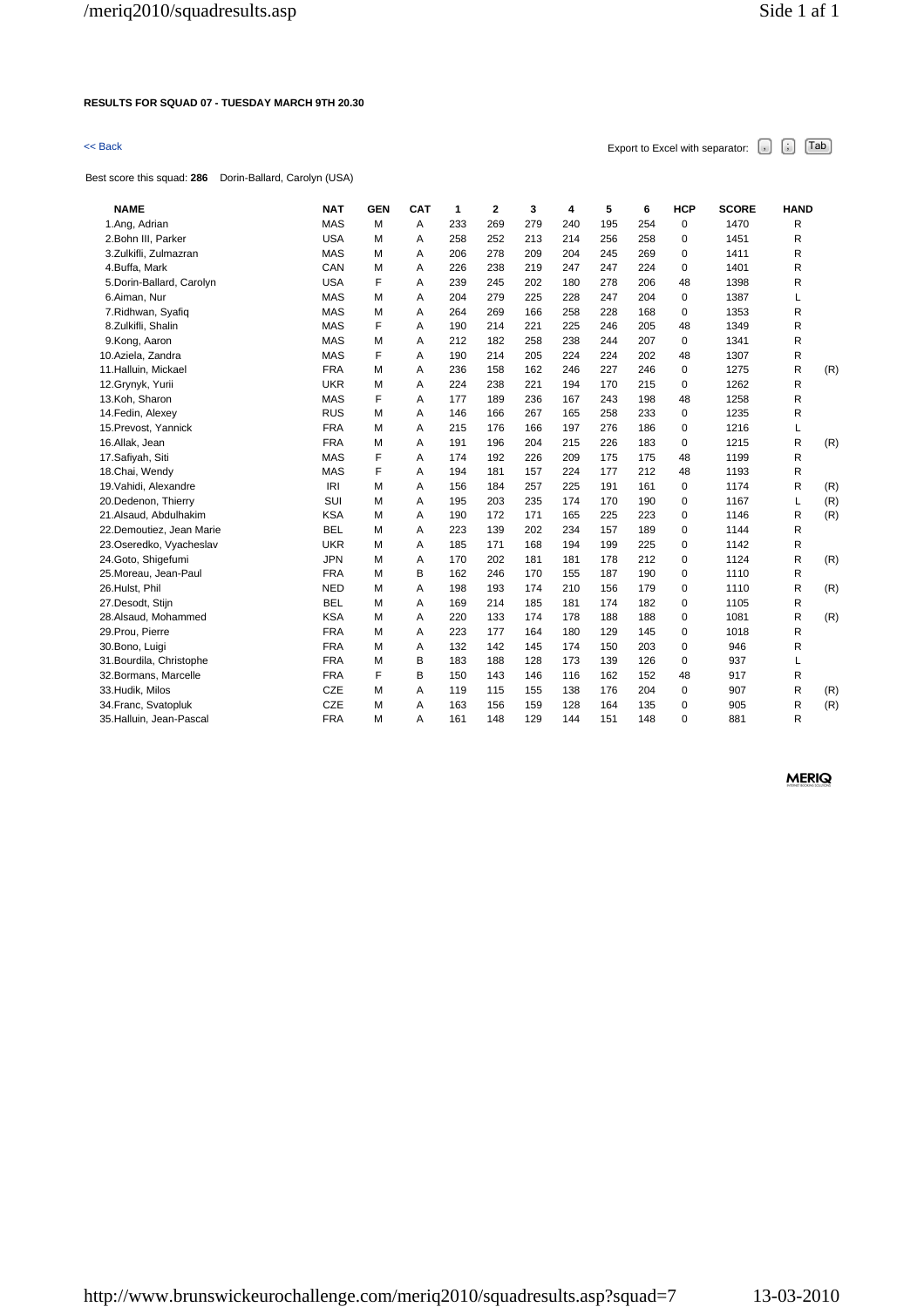### **RESULTS FOR SQUAD 07 - TUESDAY MARCH 9TH 20.30**

Best score this squad: **286** Dorin-Ballard, Carolyn (USA)

 $\leq$  Back Export to Excel with separator:  $\begin{bmatrix} . \end{bmatrix}$   $\begin{bmatrix} . \end{bmatrix}$   $\begin{bmatrix} \text{Tab} \end{bmatrix}$ 

| separator: | , | i dD |
|------------|---|------|
|            |   |      |
|            |   |      |
|            |   |      |

| <b>NAME</b>               | <b>NAT</b> | <b>GEN</b> | CAT | 1   | 2   | 3   | 4   | 5   | 6   | <b>HCP</b>  | <b>SCORE</b> | <b>HAND</b> |     |
|---------------------------|------------|------------|-----|-----|-----|-----|-----|-----|-----|-------------|--------------|-------------|-----|
| 1.Ang, Adrian             | <b>MAS</b> | м          | A   | 233 | 269 | 279 | 240 | 195 | 254 | $\mathbf 0$ | 1470         | R           |     |
| 2. Bohn III, Parker       | <b>USA</b> | м          | A   | 258 | 252 | 213 | 214 | 256 | 258 | $\Omega$    | 1451         | R           |     |
| 3.Zulkifli, Zulmazran     | <b>MAS</b> | M          | Α   | 206 | 278 | 209 | 204 | 245 | 269 | 0           | 1411         | R           |     |
| 4.Buffa, Mark             | CAN        | м          | A   | 226 | 238 | 219 | 247 | 247 | 224 | $\mathbf 0$ | 1401         | R           |     |
| 5. Dorin-Ballard, Carolyn | <b>USA</b> | F          | A   | 239 | 245 | 202 | 180 | 278 | 206 | 48          | 1398         | R           |     |
| 6.Aiman, Nur              | <b>MAS</b> | M          | Α   | 204 | 279 | 225 | 228 | 247 | 204 | $\mathbf 0$ | 1387         | Г           |     |
| 7. Ridhwan, Syafiq        | <b>MAS</b> | м          | A   | 264 | 269 | 166 | 258 | 228 | 168 | $\mathbf 0$ | 1353         | R           |     |
| 8.Zulkifli, Shalin        | <b>MAS</b> | F          | A   | 190 | 214 | 221 | 225 | 246 | 205 | 48          | 1349         | R           |     |
| 9.Kong, Aaron             | <b>MAS</b> | M          | A   | 212 | 182 | 258 | 238 | 244 | 207 | $\mathbf 0$ | 1341         | R           |     |
| 10.Aziela, Zandra         | <b>MAS</b> | F          | A   | 190 | 214 | 205 | 224 | 224 | 202 | 48          | 1307         | R           |     |
| 11. Halluin, Mickael      | <b>FRA</b> | M          | A   | 236 | 158 | 162 | 246 | 227 | 246 | $\Omega$    | 1275         | R           | (R) |
| 12.Grynyk, Yurii          | <b>UKR</b> | M          | A   | 224 | 238 | 221 | 194 | 170 | 215 | $\mathbf 0$ | 1262         | R           |     |
| 13.Koh, Sharon            | <b>MAS</b> | F          | A   | 177 | 189 | 236 | 167 | 243 | 198 | 48          | 1258         | R           |     |
| 14. Fedin, Alexey         | <b>RUS</b> | м          | A   | 146 | 166 | 267 | 165 | 258 | 233 | $\Omega$    | 1235         | R           |     |
| 15. Prevost, Yannick      | <b>FRA</b> | м          | A   | 215 | 176 | 166 | 197 | 276 | 186 | $\Omega$    | 1216         | L           |     |
| 16.Allak, Jean            | <b>FRA</b> | м          | A   | 191 | 196 | 204 | 215 | 226 | 183 | $\mathbf 0$ | 1215         | R           | (R) |
| 17.Safiyah, Siti          | <b>MAS</b> | F          | A   | 174 | 192 | 226 | 209 | 175 | 175 | 48          | 1199         | R           |     |
| 18.Chai, Wendy            | <b>MAS</b> | F          | A   | 194 | 181 | 157 | 224 | 177 | 212 | 48          | 1193         | R           |     |
| 19. Vahidi, Alexandre     | IRI        | м          | A   | 156 | 184 | 257 | 225 | 191 | 161 | $\mathbf 0$ | 1174         | R           | (R) |
| 20.Dedenon, Thierry       | SUI        | м          | A   | 195 | 203 | 235 | 174 | 170 | 190 | $\Omega$    | 1167         | L           | (R) |
| 21.Alsaud, Abdulhakim     | <b>KSA</b> | M          | A   | 190 | 172 | 171 | 165 | 225 | 223 | $\Omega$    | 1146         | R           | (R) |
| 22.Demoutiez, Jean Marie  | <b>BEL</b> | M          | A   | 223 | 139 | 202 | 234 | 157 | 189 | 0           | 1144         | R           |     |
| 23.Oseredko, Vyacheslav   | <b>UKR</b> | M          | A   | 185 | 171 | 168 | 194 | 199 | 225 | $\Omega$    | 1142         | R           |     |
| 24.Goto, Shigefumi        | <b>JPN</b> | M          | A   | 170 | 202 | 181 | 181 | 178 | 212 | $\Omega$    | 1124         | R           | (R) |
| 25. Moreau, Jean-Paul     | <b>FRA</b> | м          | B   | 162 | 246 | 170 | 155 | 187 | 190 | $\mathbf 0$ | 1110         | R           |     |
| 26.Hulst, Phil            | <b>NED</b> | м          | A   | 198 | 193 | 174 | 210 | 156 | 179 | $\Omega$    | 1110         | R           | (R) |
| 27.Desodt, Stijn          | <b>BEL</b> | M          | A   | 169 | 214 | 185 | 181 | 174 | 182 | $\mathbf 0$ | 1105         | R           |     |
| 28.Alsaud, Mohammed       | <b>KSA</b> | м          | A   | 220 | 133 | 174 | 178 | 188 | 188 | $\mathbf 0$ | 1081         | R           | (R) |
| 29. Prou, Pierre          | <b>FRA</b> | м          | A   | 223 | 177 | 164 | 180 | 129 | 145 | $\mathbf 0$ | 1018         | R           |     |
| 30.Bono, Luigi            | <b>FRA</b> | M          | Α   | 132 | 142 | 145 | 174 | 150 | 203 | $\mathbf 0$ | 946          | R           |     |
| 31. Bourdila, Christophe  | <b>FRA</b> | M          | B   | 183 | 188 | 128 | 173 | 139 | 126 | $\mathbf 0$ | 937          | L           |     |
| 32. Bormans, Marcelle     | <b>FRA</b> | F          | B   | 150 | 143 | 146 | 116 | 162 | 152 | 48          | 917          | R           |     |
| 33. Hudik, Milos          | CZE        | м          | A   | 119 | 115 | 155 | 138 | 176 | 204 | $\mathbf 0$ | 907          | R           | (R) |
| 34. Franc, Svatopluk      | CZE        | M          | A   | 163 | 156 | 159 | 128 | 164 | 135 | 0           | 905          | R           | (R) |
| 35. Halluin, Jean-Pascal  | <b>FRA</b> | м          | A   | 161 | 148 | 129 | 144 | 151 | 148 | $\Omega$    | 881          | R           |     |
|                           |            |            |     |     |     |     |     |     |     |             |              |             |     |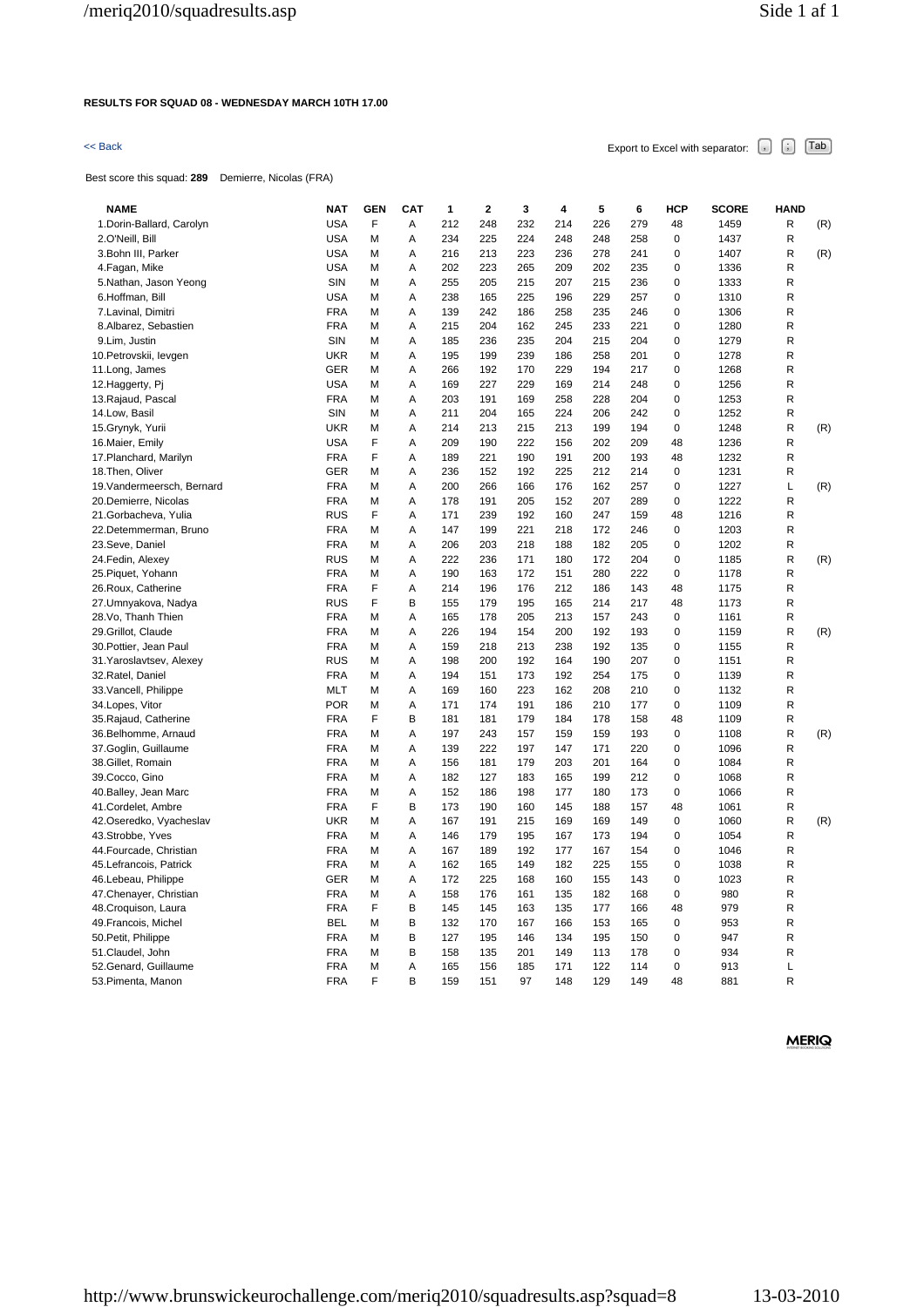### **RESULTS FOR SQUAD 08 - WEDNESDAY MARCH 10TH 17.00**

# $\leq$  Back Export to Excel with separator:  $\begin{bmatrix} . \ . \ . \end{bmatrix}$   $\begin{bmatrix} . \ . \ . \end{bmatrix}$   $\begin{bmatrix} . \ . \ . \end{bmatrix}$   $\begin{bmatrix} . \ . \ . \end{bmatrix}$   $\begin{bmatrix} . \ . \ . \end{bmatrix}$

Best score this squad: **289** Demierre, Nicolas (FRA)

| <b>NAME</b>                | <b>NAT</b> | <b>GEN</b> | <b>CAT</b> | 1   | $\mathbf 2$ | 3   | 4   | 5   | 6   | <b>HCP</b>  | <b>SCORE</b> | <b>HAND</b> |     |
|----------------------------|------------|------------|------------|-----|-------------|-----|-----|-----|-----|-------------|--------------|-------------|-----|
| 1. Dorin-Ballard, Carolyn  | <b>USA</b> | F          | Α          | 212 | 248         | 232 | 214 | 226 | 279 | 48          | 1459         | R           | (R) |
| 2.O'Neill, Bill            | <b>USA</b> | М          | A          | 234 | 225         | 224 | 248 | 248 | 258 | $\mathbf 0$ | 1437         | R           |     |
| 3. Bohn III, Parker        | <b>USA</b> | М          | Α          | 216 | 213         | 223 | 236 | 278 | 241 | $\mathbf 0$ | 1407         | R           | (R) |
| 4. Fagan, Mike             | <b>USA</b> | М          | A          | 202 | 223         | 265 | 209 | 202 | 235 | $\mathbf 0$ | 1336         | R           |     |
| 5.Nathan, Jason Yeong      | SIN        | М          | A          | 255 | 205         | 215 | 207 | 215 | 236 | $\mathbf 0$ | 1333         | R           |     |
| 6.Hoffman, Bill            | <b>USA</b> | М          | A          | 238 | 165         | 225 | 196 | 229 | 257 | $\mathbf 0$ | 1310         | R           |     |
| 7.Lavinal, Dimitri         | <b>FRA</b> | М          | Α          | 139 | 242         | 186 | 258 | 235 | 246 | 0           | 1306         | R           |     |
| 8.Albarez, Sebastien       | <b>FRA</b> | М          | A          | 215 | 204         | 162 | 245 | 233 | 221 | $\mathbf 0$ | 1280         | R           |     |
| 9.Lim, Justin              | SIN        | М          | Α          | 185 | 236         | 235 | 204 | 215 | 204 | $\mathbf 0$ | 1279         | R           |     |
| 10. Petrovskii, levgen     | <b>UKR</b> | М          | A          | 195 | 199         | 239 | 186 | 258 | 201 | 0           | 1278         | R           |     |
| 11. Long, James            | <b>GER</b> | М          | Α          | 266 | 192         | 170 | 229 | 194 | 217 | $\mathbf 0$ | 1268         | R           |     |
| 12. Haggerty, Pi           | <b>USA</b> | М          | A          | 169 | 227         | 229 | 169 | 214 | 248 | $\mathbf 0$ | 1256         | R           |     |
| 13. Rajaud, Pascal         | <b>FRA</b> | М          | Α          | 203 | 191         | 169 | 258 | 228 | 204 | $\mathbf 0$ | 1253         | R           |     |
| 14.Low, Basil              | SIN        | М          | A          | 211 | 204         | 165 | 224 | 206 | 242 | 0           | 1252         | R           |     |
| 15.Grynyk, Yurii           | <b>UKR</b> | М          | Α          | 214 | 213         | 215 | 213 | 199 | 194 | $\mathbf 0$ | 1248         | R           | (R) |
| 16. Maier, Emily           | <b>USA</b> | F          | A          | 209 | 190         | 222 | 156 | 202 | 209 | 48          | 1236         | R           |     |
| 17. Planchard, Marilyn     | <b>FRA</b> | F          | Α          | 189 | 221         | 190 | 191 | 200 | 193 | 48          | 1232         | R           |     |
| 18. Then, Oliver           | <b>GER</b> | М          | Α          | 236 | 152         | 192 | 225 | 212 | 214 | 0           | 1231         | R           |     |
| 19. Vandermeersch, Bernard | <b>FRA</b> | М          | Α          | 200 | 266         | 166 | 176 | 162 | 257 | 0           | 1227         | L           | (R) |
| 20.Demierre, Nicolas       | <b>FRA</b> | М          | Α          | 178 | 191         | 205 | 152 | 207 | 289 | 0           | 1222         | R           |     |
| 21. Gorbacheva, Yulia      | <b>RUS</b> | F          | Α          | 171 | 239         | 192 | 160 | 247 | 159 | 48          | 1216         | R           |     |
| 22.Detemmerman, Bruno      | <b>FRA</b> | М          | Α          | 147 | 199         | 221 | 218 | 172 | 246 | $\mathbf 0$ | 1203         | R           |     |
| 23.Seve, Daniel            | <b>FRA</b> | М          | A          | 206 | 203         | 218 | 188 | 182 | 205 | $\mathbf 0$ | 1202         | R           |     |
| 24. Fedin, Alexey          | <b>RUS</b> | м          | A          | 222 | 236         | 171 | 180 | 172 | 204 | $\mathbf 0$ | 1185         | R           | (R) |
| 25. Piquet, Yohann         | <b>FRA</b> | М          | A          | 190 | 163         | 172 | 151 | 280 | 222 | $\mathbf 0$ | 1178         | R           |     |
| 26. Roux, Catherine        | <b>FRA</b> | F          | Α          | 214 | 196         | 176 | 212 | 186 | 143 | 48          | 1175         | R           |     |
| 27. Umnyakova, Nadya       | <b>RUS</b> | F          | В          | 155 | 179         | 195 | 165 | 214 | 217 | 48          | 1173         | R           |     |
| 28.Vo, Thanh Thien         | <b>FRA</b> | М          | Α          | 165 | 178         | 205 | 213 | 157 | 243 | $\mathbf 0$ | 1161         | R           |     |
| 29. Grillot, Claude        | <b>FRA</b> | М          | A          | 226 | 194         | 154 | 200 | 192 | 193 | $\mathbf 0$ | 1159         | R           | (R) |
| 30. Pottier, Jean Paul     | <b>FRA</b> | М          | Α          | 159 | 218         | 213 | 238 | 192 | 135 | $\mathbf 0$ | 1155         | R           |     |
| 31. Yaroslavtsev, Alexey   | <b>RUS</b> | М          | A          | 198 | 200         | 192 | 164 | 190 | 207 | 0           | 1151         | R           |     |
| 32. Ratel, Daniel          | <b>FRA</b> | м          | A          | 194 | 151         | 173 | 192 | 254 | 175 | $\mathbf 0$ | 1139         | R           |     |
| 33. Vancell, Philippe      | <b>MLT</b> | М          | A          | 169 | 160         | 223 | 162 | 208 | 210 | $\mathbf 0$ | 1132         | R           |     |
| 34. Lopes, Vitor           | <b>POR</b> | М          | Α          | 171 | 174         | 191 | 186 | 210 | 177 | $\mathbf 0$ | 1109         | R           |     |
| 35. Rajaud, Catherine      | <b>FRA</b> | F          | В          | 181 | 181         | 179 | 184 | 178 | 158 | 48          | 1109         | R           |     |
| 36. Belhomme, Arnaud       | <b>FRA</b> | М          | Α          | 197 | 243         | 157 | 159 | 159 | 193 | $\mathbf 0$ | 1108         | R           | (R) |
| 37.Goglin, Guillaume       | <b>FRA</b> | М          | A          | 139 | 222         | 197 | 147 | 171 | 220 | $\mathbf 0$ | 1096         | R           |     |
| 38.Gillet, Romain          | <b>FRA</b> | М          | Α          | 156 | 181         | 179 | 203 | 201 | 164 | $\mathbf 0$ | 1084         | R           |     |
| 39. Cocco, Gino            | <b>FRA</b> | М          | A          | 182 | 127         | 183 | 165 | 199 | 212 | $\mathbf 0$ | 1068         | R           |     |
| 40. Balley, Jean Marc      | <b>FRA</b> | М          | Α          | 152 | 186         | 198 | 177 | 180 | 173 | $\mathbf 0$ | 1066         | R           |     |
| 41.Cordelet, Ambre         | <b>FRA</b> | F          | B          | 173 | 190         | 160 | 145 | 188 | 157 | 48          | 1061         | R           |     |
| 42.Oseredko, Vyacheslav    | <b>UKR</b> | М          | Α          | 167 | 191         | 215 | 169 | 169 | 149 | $\mathbf 0$ | 1060         | R           | (R) |
| 43.Strobbe, Yves           | <b>FRA</b> | М          | A          | 146 | 179         | 195 | 167 | 173 | 194 | $\mathbf 0$ | 1054         | R           |     |
| 44. Fourcade, Christian    | <b>FRA</b> | М          | Α          | 167 | 189         | 192 | 177 | 167 | 154 | 0           | 1046         | R           |     |
| 45. Lefrancois, Patrick    | <b>FRA</b> | М          | Α          | 162 | 165         | 149 | 182 | 225 | 155 | 0           | 1038         | R           |     |
| 46.Lebeau, Philippe        | <b>GER</b> | М          | Α          | 172 | 225         | 168 | 160 | 155 | 143 | 0           | 1023         | R           |     |
| 47. Chenayer, Christian    | <b>FRA</b> | М          | Α          | 158 | 176         | 161 | 135 | 182 | 168 | 0           | 980          | R           |     |
| 48.Croquison, Laura        | <b>FRA</b> | F          | В          | 145 | 145         | 163 | 135 | 177 | 166 | 48          | 979          | R           |     |
| 49. Francois, Michel       | BEL        | М          | В          | 132 | 170         | 167 | 166 | 153 | 165 | $\mathbf 0$ | 953          | R           |     |
| 50. Petit, Philippe        | <b>FRA</b> | М          | В          | 127 | 195         | 146 | 134 | 195 | 150 | $\mathbf 0$ | 947          | R           |     |
| 51.Claudel, John           | <b>FRA</b> | М          | B          | 158 | 135         | 201 | 149 | 113 | 178 | $\mathbf 0$ | 934          | R           |     |
| 52.Genard, Guillaume       | <b>FRA</b> | М          | Α          | 165 | 156         | 185 | 171 | 122 | 114 | $\mathbf 0$ | 913          | L           |     |
| 53. Pimenta, Manon         | <b>FRA</b> | F          | В          | 159 | 151         | 97  | 148 | 129 | 149 | 48          | 881          | R           |     |
|                            |            |            |            |     |             |     |     |     |     |             |              |             |     |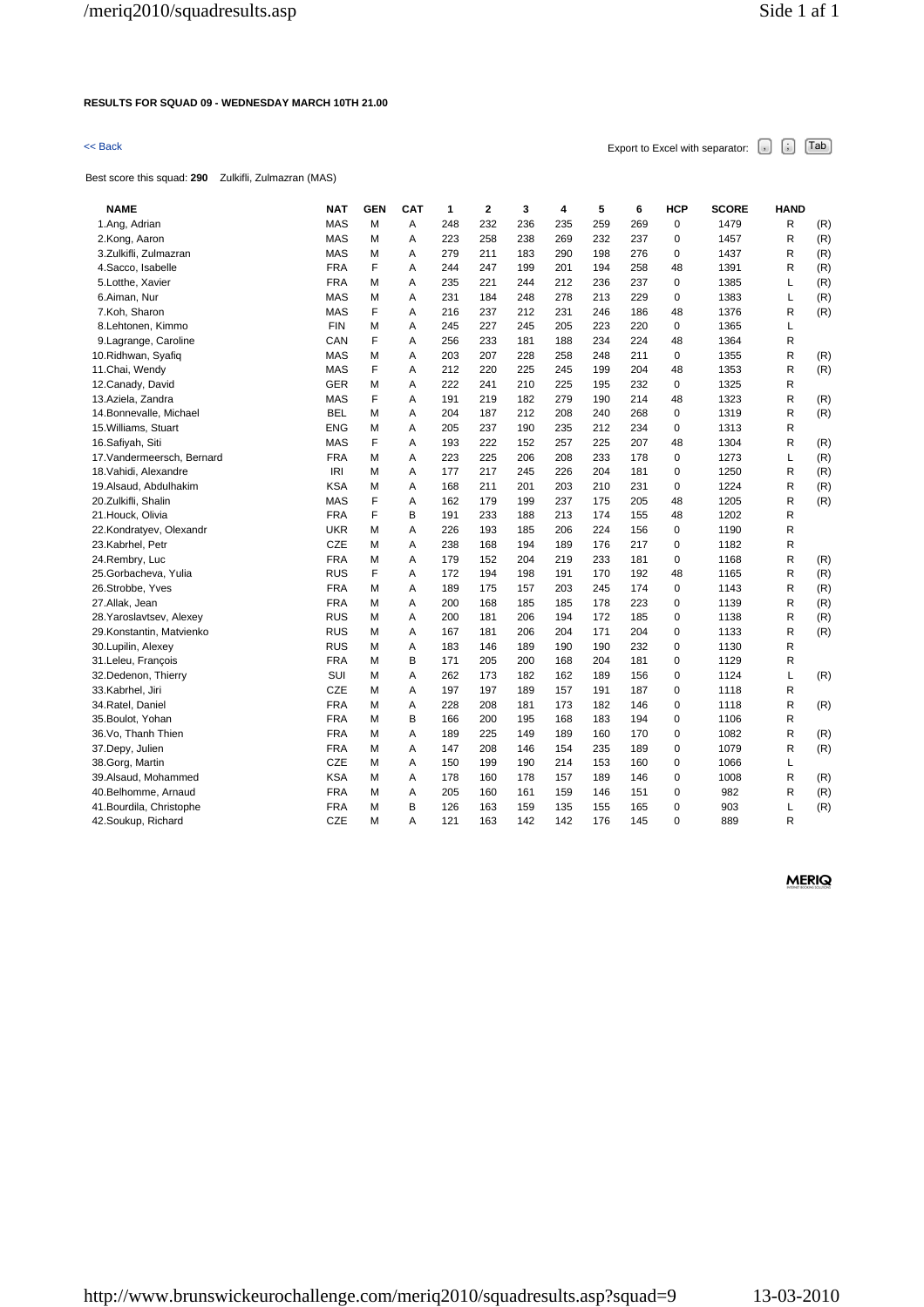### **RESULTS FOR SQUAD 09 - WEDNESDAY MARCH 10TH 21.00**

# $\leq$  Back Export to Excel with separator:  $\begin{bmatrix} . \end{bmatrix}$   $\begin{bmatrix} . \end{bmatrix}$   $\begin{bmatrix} \text{Tab} \end{bmatrix}$

Best score this squad: **290** Zulkifli, Zulmazran (MAS)

| <b>NAME</b>                | <b>NAT</b> | <b>GEN</b> | <b>CAT</b> | 1   | 2   | 3   | 4   | 5   | 6   | HCP         | <b>SCORE</b> | <b>HAND</b> |     |
|----------------------------|------------|------------|------------|-----|-----|-----|-----|-----|-----|-------------|--------------|-------------|-----|
| 1.Ang, Adrian              | <b>MAS</b> | M          | A          | 248 | 232 | 236 | 235 | 259 | 269 | $\mathbf 0$ | 1479         | R           | (R) |
| 2.Kong, Aaron              | <b>MAS</b> | M          | A          | 223 | 258 | 238 | 269 | 232 | 237 | $\mathbf 0$ | 1457         | R           | (R) |
| 3.Zulkifli, Zulmazran      | <b>MAS</b> | М          | Α          | 279 | 211 | 183 | 290 | 198 | 276 | $\mathbf 0$ | 1437         | R           | (R) |
| 4. Sacco, Isabelle         | <b>FRA</b> | F          | Α          | 244 | 247 | 199 | 201 | 194 | 258 | 48          | 1391         | R           | (R) |
| 5.Lotthe, Xavier           | <b>FRA</b> | М          | Α          | 235 | 221 | 244 | 212 | 236 | 237 | $\mathbf 0$ | 1385         | Г           | (R) |
| 6.Aiman, Nur               | MAS        | М          | Α          | 231 | 184 | 248 | 278 | 213 | 229 | $\mathbf 0$ | 1383         | L           | (R) |
| 7.Koh, Sharon              | MAS        | F          | A          | 216 | 237 | 212 | 231 | 246 | 186 | 48          | 1376         | R           | (R) |
| 8.Lehtonen, Kimmo          | <b>FIN</b> | М          | A          | 245 | 227 | 245 | 205 | 223 | 220 | $\mathbf 0$ | 1365         | L           |     |
| 9. Lagrange, Caroline      | CAN        | F          | Α          | 256 | 233 | 181 | 188 | 234 | 224 | 48          | 1364         | R           |     |
| 10. Ridhwan, Syafiq        | <b>MAS</b> | М          | Α          | 203 | 207 | 228 | 258 | 248 | 211 | $\pmb{0}$   | 1355         | R           | (R) |
| 11. Chai, Wendy            | MAS        | F          | Α          | 212 | 220 | 225 | 245 | 199 | 204 | 48          | 1353         | R           | (R) |
| 12. Canady, David          | <b>GER</b> | М          | A          | 222 | 241 | 210 | 225 | 195 | 232 | $\mathbf 0$ | 1325         | R           |     |
| 13.Aziela, Zandra          | <b>MAS</b> | F          | A          | 191 | 219 | 182 | 279 | 190 | 214 | 48          | 1323         | R           | (R) |
| 14.Bonnevalle, Michael     | <b>BEL</b> | М          | Α          | 204 | 187 | 212 | 208 | 240 | 268 | 0           | 1319         | R           | (R) |
| 15. Williams, Stuart       | <b>ENG</b> | М          | Α          | 205 | 237 | 190 | 235 | 212 | 234 | $\mathbf 0$ | 1313         | R           |     |
| 16.Safiyah, Siti           | <b>MAS</b> | F          | A          | 193 | 222 | 152 | 257 | 225 | 207 | 48          | 1304         | R           | (R) |
| 17. Vandermeersch, Bernard | <b>FRA</b> | М          | Α          | 223 | 225 | 206 | 208 | 233 | 178 | $\mathbf 0$ | 1273         | Г           | (R) |
| 18. Vahidi, Alexandre      | IRI        | М          | Α          | 177 | 217 | 245 | 226 | 204 | 181 | $\mathbf 0$ | 1250         | R           | (R) |
| 19.Alsaud, Abdulhakim      | <b>KSA</b> | М          | Α          | 168 | 211 | 201 | 203 | 210 | 231 | $\mathbf 0$ | 1224         | R           | (R) |
| 20.Zulkifli, Shalin        | <b>MAS</b> | F          | A          | 162 | 179 | 199 | 237 | 175 | 205 | 48          | 1205         | R           | (R) |
| 21.Houck, Olivia           | <b>FRA</b> | F          | B          | 191 | 233 | 188 | 213 | 174 | 155 | 48          | 1202         | R           |     |
| 22.Kondratyev, Olexandr    | <b>UKR</b> | М          | A          | 226 | 193 | 185 | 206 | 224 | 156 | $\mathbf 0$ | 1190         | R           |     |
| 23.Kabrhel, Petr           | <b>CZE</b> | М          | A          | 238 | 168 | 194 | 189 | 176 | 217 | $\mathbf 0$ | 1182         | R           |     |
| 24.Rembry, Luc             | <b>FRA</b> | М          | Α          | 179 | 152 | 204 | 219 | 233 | 181 | $\mathbf 0$ | 1168         | R           | (R) |
| 25.Gorbacheva, Yulia       | <b>RUS</b> | F          | Α          | 172 | 194 | 198 | 191 | 170 | 192 | 48          | 1165         | R           | (R) |
| 26.Strobbe, Yves           | <b>FRA</b> | М          | Α          | 189 | 175 | 157 | 203 | 245 | 174 | $\mathbf 0$ | 1143         | R           | (R) |
| 27.Allak, Jean             | <b>FRA</b> | М          | Α          | 200 | 168 | 185 | 185 | 178 | 223 | 0           | 1139         | R           | (R) |
| 28. Yaroslavtsev, Alexey   | <b>RUS</b> | М          | A          | 200 | 181 | 206 | 194 | 172 | 185 | $\mathbf 0$ | 1138         | R           | (R) |
| 29.Konstantin, Matvienko   | <b>RUS</b> | М          | Α          | 167 | 181 | 206 | 204 | 171 | 204 | $\mathbf 0$ | 1133         | R           | (R) |
| 30. Lupilin, Alexey        | <b>RUS</b> | М          | Α          | 183 | 146 | 189 | 190 | 190 | 232 | $\mathbf 0$ | 1130         | R           |     |
| 31.Leleu, François         | <b>FRA</b> | М          | В          | 171 | 205 | 200 | 168 | 204 | 181 | $\mathbf 0$ | 1129         | R           |     |
| 32.Dedenon, Thierry        | SUI        | М          | Α          | 262 | 173 | 182 | 162 | 189 | 156 | $\mathbf 0$ | 1124         | L           | (R) |
| 33.Kabrhel, Jiri           | <b>CZE</b> | М          | Α          | 197 | 197 | 189 | 157 | 191 | 187 | $\mathbf 0$ | 1118         | R           |     |
| 34.Ratel, Daniel           | <b>FRA</b> | М          | Α          | 228 | 208 | 181 | 173 | 182 | 146 | $\mathbf 0$ | 1118         | R           | (R) |
| 35. Boulot, Yohan          | <b>FRA</b> | М          | B          | 166 | 200 | 195 | 168 | 183 | 194 | $\mathbf 0$ | 1106         | R           |     |
| 36.Vo, Thanh Thien         | <b>FRA</b> | М          | Α          | 189 | 225 | 149 | 189 | 160 | 170 | 0           | 1082         | R           | (R) |
| 37.Depy, Julien            | <b>FRA</b> | M          | Α          | 147 | 208 | 146 | 154 | 235 | 189 | $\mathbf 0$ | 1079         | R           | (R) |
| 38.Gorg, Martin            | CZE        | М          | Α          | 150 | 199 | 190 | 214 | 153 | 160 | $\mathbf 0$ | 1066         | L           |     |
| 39.Alsaud, Mohammed        | <b>KSA</b> | М          | A          | 178 | 160 | 178 | 157 | 189 | 146 | $\mathbf 0$ | 1008         | R           | (R) |
| 40.Belhomme, Arnaud        | <b>FRA</b> | М          | Α          | 205 | 160 | 161 | 159 | 146 | 151 | 0           | 982          | R           | (R) |
| 41. Bourdila, Christophe   | <b>FRA</b> | М          | B          | 126 | 163 | 159 | 135 | 155 | 165 | $\mathbf 0$ | 903          | L           | (R) |
| 42. Soukup, Richard        | <b>CZE</b> | М          | A          | 121 | 163 | 142 | 142 | 176 | 145 | $\mathbf 0$ | 889          | R           |     |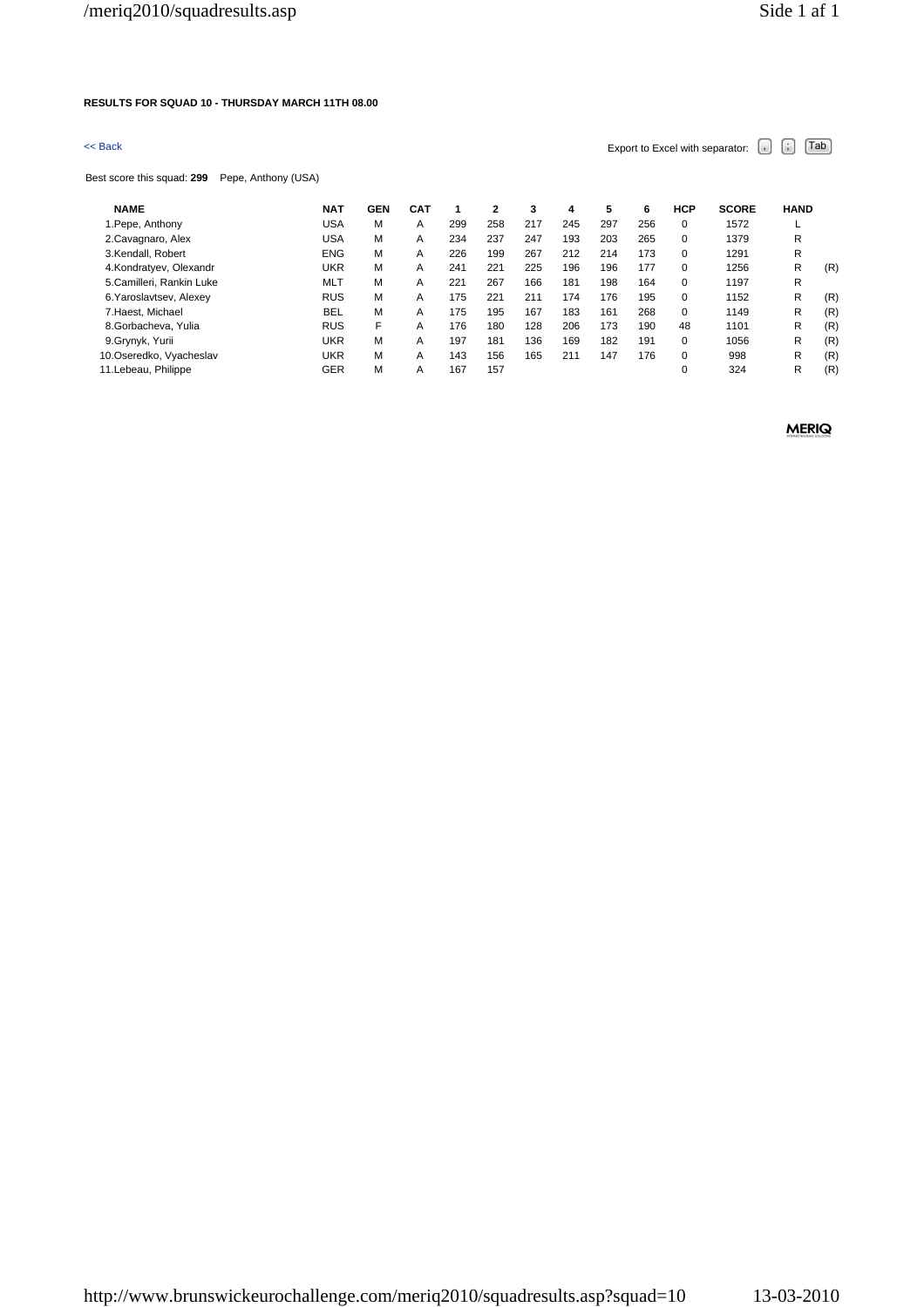### **RESULTS FOR SQUAD 10 - THURSDAY MARCH 11TH 08.00**

# $\leq$  Back Export to Excel with separator:  $\begin{bmatrix} . \ . \ . \end{bmatrix}$   $\begin{bmatrix} . \ . \ . \end{bmatrix}$   $\begin{bmatrix} . \ . \ . \end{bmatrix}$   $\begin{bmatrix} . \ . \ . \end{bmatrix}$   $\begin{bmatrix} . \ . \ . \end{bmatrix}$

Best score this squad: **299** Pepe, Anthony (USA)

| <b>NAME</b>              | <b>NAT</b> | GEN | CAT |     | 2   | 3   | 4   | 5   | 6   | <b>HCP</b> | <b>SCORE</b> | <b>HAND</b> |     |
|--------------------------|------------|-----|-----|-----|-----|-----|-----|-----|-----|------------|--------------|-------------|-----|
| 1. Pepe, Anthony         | USA        | М   | A   | 299 | 258 | 217 | 245 | 297 | 256 | 0          | 1572         |             |     |
| 2. Cavagnaro, Alex       | USA        | М   | A   | 234 | 237 | 247 | 193 | 203 | 265 | 0          | 1379         | R           |     |
| 3.Kendall, Robert        | <b>ENG</b> | М   | A   | 226 | 199 | 267 | 212 | 214 | 173 | $\Omega$   | 1291         | R           |     |
| 4.Kondratyev, Olexandr   | UKR        | М   | Α   | 241 | 221 | 225 | 196 | 196 | 177 | 0          | 1256         | R           | (R) |
| 5.Camilleri, Rankin Luke | <b>MLT</b> | M   | A   | 221 | 267 | 166 | 181 | 198 | 164 | 0          | 1197         | R           |     |
| 6. Yaroslavtsev, Alexey  | <b>RUS</b> | М   | A   | 175 | 221 | 211 | 174 | 176 | 195 | $\Omega$   | 1152         | R           | (R) |
| 7. Haest, Michael        | <b>BEL</b> | М   | A   | 175 | 195 | 167 | 183 | 161 | 268 | 0          | 1149         | R           | (R) |
| 8.Gorbacheva, Yulia      | <b>RUS</b> | F   | А   | 176 | 180 | 128 | 206 | 173 | 190 | 48         | 1101         | R           | (R) |
| 9.Grynyk, Yurii          | UKR        | М   | A   | 197 | 181 | 136 | 169 | 182 | 191 | $\Omega$   | 1056         | R           | (R) |
| 10.Oseredko, Vyacheslav  | UKR        | М   | A   | 143 | 156 | 165 | 211 | 147 | 176 | 0          | 998          | R           | (R) |
| 11. Lebeau, Philippe     | <b>GER</b> | М   | A   | 167 | 157 |     |     |     |     | 0          | 324          | R           | (R) |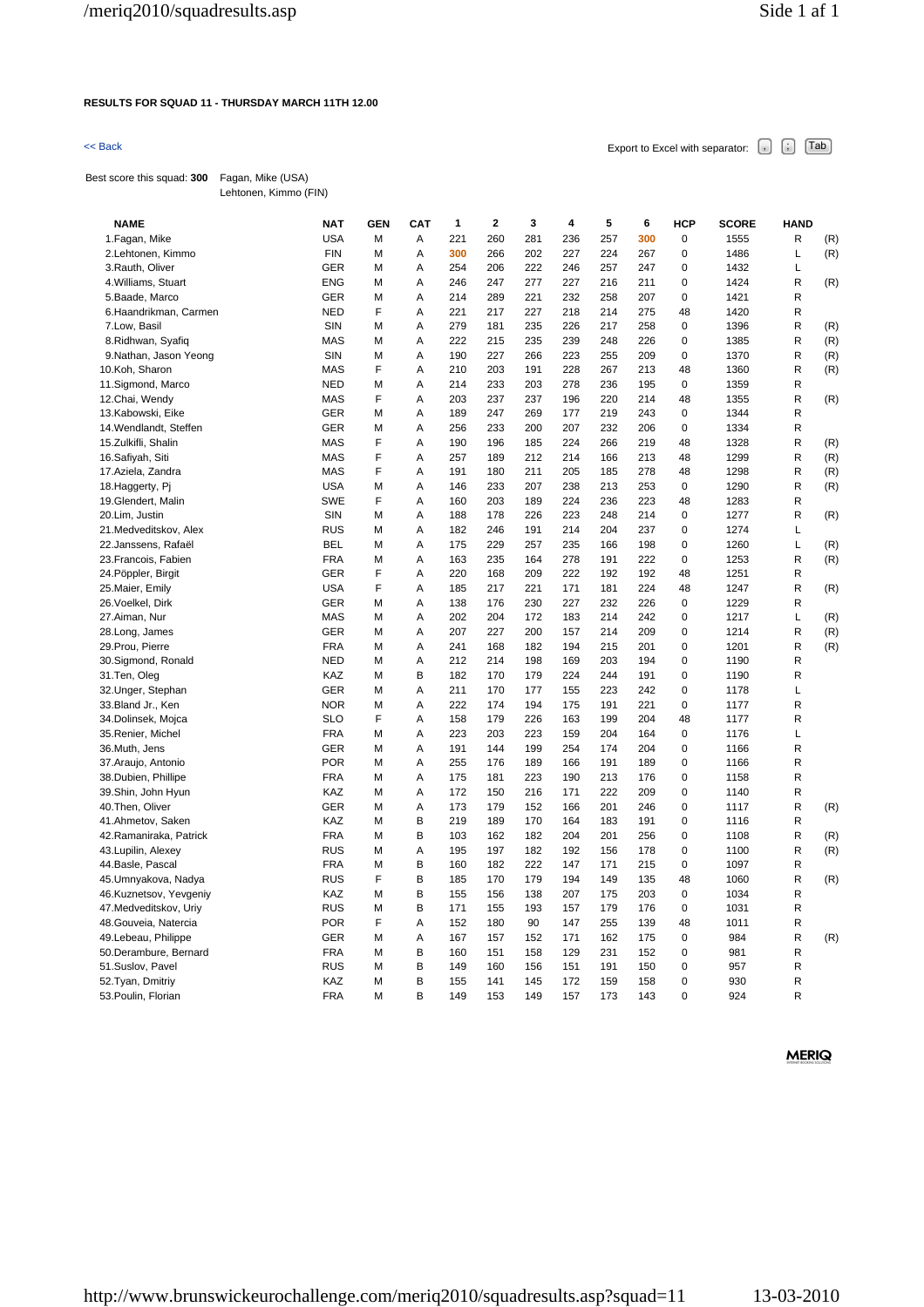### **RESULTS FOR SQUAD 11 - THURSDAY MARCH 11TH 12.00**

 $\leq$  Back Export to Excel with separator:  $\begin{bmatrix} . \end{bmatrix}$   $\begin{bmatrix} . \end{bmatrix}$   $\begin{bmatrix} \text{Tab} \end{bmatrix}$ 

Best score this squad: **300** Fagan, Mike (USA) Lehtonen, Kimmo (FIN)

| <b>NAME</b>             | <b>NAT</b> | <b>GEN</b> | <b>CAT</b> | 1   | $\overline{\mathbf{2}}$ | 3   | 4   | 5   | 6   | <b>HCP</b>     | <b>SCORE</b> | <b>HAND</b> |     |
|-------------------------|------------|------------|------------|-----|-------------------------|-----|-----|-----|-----|----------------|--------------|-------------|-----|
| 1. Fagan, Mike          | <b>USA</b> | M          | Α          | 221 | 260                     | 281 | 236 | 257 | 300 | 0              | 1555         | R           | (R) |
| 2.Lehtonen, Kimmo       | <b>FIN</b> | M          | Α          | 300 | 266                     | 202 | 227 | 224 | 267 | 0              | 1486         | Г           | (R) |
| 3. Rauth, Oliver        | <b>GER</b> | M          | Α          | 254 | 206                     | 222 | 246 | 257 | 247 | 0              | 1432         | Г           |     |
| 4. Williams, Stuart     | <b>ENG</b> | М          | A          | 246 | 247                     | 277 | 227 | 216 | 211 | 0              | 1424         | R           | (R) |
| 5. Baade, Marco         | <b>GER</b> | M          | Α          | 214 | 289                     | 221 | 232 | 258 | 207 | 0              | 1421         | R           |     |
| 6.Haandrikman, Carmen   | <b>NED</b> | F          | A          | 221 | 217                     | 227 | 218 | 214 | 275 | 48             | 1420         | R           |     |
| 7.Low, Basil            | SIN        | M          | Α          | 279 | 181                     | 235 | 226 | 217 | 258 | 0              | 1396         | R           | (R) |
| 8. Ridhwan, Syafiq      | <b>MAS</b> | М          | Α          | 222 | 215                     | 235 | 239 | 248 | 226 | 0              | 1385         | R           | (R) |
| 9.Nathan, Jason Yeong   | SIN        | M          | Α          | 190 | 227                     | 266 | 223 | 255 | 209 | 0              | 1370         | R           | (R) |
| 10.Koh, Sharon          | <b>MAS</b> | F          | Α          | 210 | 203                     | 191 | 228 | 267 | 213 | 48             | 1360         | R           | (R) |
| 11.Sigmond, Marco       | <b>NED</b> | М          | Α          | 214 | 233                     | 203 | 278 | 236 | 195 | 0              | 1359         | R           |     |
| 12.Chai, Wendy          | <b>MAS</b> | F          | Α          | 203 | 237                     | 237 | 196 | 220 | 214 | 48             | 1355         | R           | (R) |
| 13.Kabowski, Eike       | <b>GER</b> | М          | Α          | 189 | 247                     | 269 | 177 | 219 | 243 | 0              | 1344         | R           |     |
| 14. Wendlandt, Steffen  | GER        | M          | Α          | 256 | 233                     | 200 | 207 | 232 | 206 | 0              | 1334         | R           |     |
| 15.Zulkifli, Shalin     | <b>MAS</b> | F          | A          | 190 | 196                     | 185 | 224 | 266 | 219 | 48             | 1328         | R           | (R) |
| 16.Safiyah, Siti        | <b>MAS</b> | F          | A          | 257 | 189                     | 212 | 214 | 166 | 213 | 48             | 1299         | R           | (R) |
| 17.Aziela, Zandra       | <b>MAS</b> | F          | Α          | 191 | 180                     | 211 | 205 | 185 | 278 | 48             | 1298         | R           | (R) |
| 18. Haggerty, Pi        | <b>USA</b> | M          | Α          | 146 | 233                     | 207 | 238 | 213 | 253 | 0              | 1290         | R           | (R) |
| 19.Glendert, Malin      | <b>SWE</b> | F          | Α          | 160 | 203                     | 189 | 224 | 236 | 223 | 48             | 1283         | R           |     |
| 20.Lim, Justin          | SIN        | M          | Α          | 188 | 178                     | 226 | 223 | 248 | 214 | 0              | 1277         | R           | (R) |
| 21. Medveditskov, Alex  | <b>RUS</b> | M          | Α          | 182 | 246                     | 191 | 214 | 204 | 237 | 0              | 1274         | Г           |     |
| 22.Janssens, Rafaël     | <b>BEL</b> | M          | Α          | 175 | 229                     | 257 | 235 | 166 | 198 | 0              | 1260         | Г           | (R) |
| 23. Francois, Fabien    | <b>FRA</b> | M          | A          | 163 | 235                     | 164 | 278 | 191 | 222 | 0              | 1253         | R           | (R) |
| 24. Pöppler, Birgit     | <b>GER</b> | F          | Α          | 220 | 168                     | 209 | 222 | 192 | 192 | 48             | 1251         | R           |     |
| 25. Maier, Emily        | <b>USA</b> | F          | A          | 185 | 217                     | 221 | 171 | 181 | 224 | 48             | 1247         | R           | (R) |
| 26. Voelkel, Dirk       | <b>GER</b> | M          | Α          | 138 | 176                     | 230 | 227 | 232 | 226 | 0              | 1229         | R           |     |
| 27.Aiman, Nur           | <b>MAS</b> | М          | Α          | 202 | 204                     | 172 | 183 | 214 | 242 | 0              | 1217         | Г           | (R) |
| 28.Long, James          | <b>GER</b> | M          | Α          | 207 | 227                     | 200 | 157 | 214 | 209 | 0              | 1214         | R           | (R) |
| 29. Prou, Pierre        | <b>FRA</b> | M          | Α          | 241 | 168                     | 182 | 194 | 215 | 201 | 0              | 1201         | R           | (R) |
| 30.Sigmond, Ronald      | <b>NED</b> | M          | Α          | 212 | 214                     | 198 | 169 | 203 | 194 | 0              | 1190         | R           |     |
| 31.Ten, Oleg            | KAZ        | M          | B          | 182 | 170                     | 179 | 224 | 244 | 191 | 0              | 1190         | R           |     |
| 32. Unger, Stephan      | <b>GER</b> | M          | Α          | 211 | 170                     | 177 | 155 | 223 | 242 | 0              | 1178         | Г           |     |
| 33. Bland Jr., Ken      | <b>NOR</b> | M          | Α          | 222 | 174                     | 194 | 175 | 191 | 221 | 0              | 1177         | R           |     |
| 34.Dolinsek, Mojca      | <b>SLO</b> | F          | A          | 158 | 179                     | 226 | 163 | 199 | 204 | 48             | 1177         | R           |     |
| 35. Renier, Michel      | <b>FRA</b> | М          | Α          | 223 | 203                     | 223 | 159 | 204 | 164 | 0              | 1176         | Г           |     |
| 36.Muth, Jens           | <b>GER</b> | M          | Α          | 191 | 144                     | 199 | 254 | 174 | 204 | 0              | 1166         | R           |     |
| 37. Araujo, Antonio     | <b>POR</b> | M          | Α          | 255 | 176                     | 189 | 166 | 191 | 189 | 0              | 1166         | R           |     |
| 38.Dubien, Phillipe     | <b>FRA</b> | M          | Α          | 175 | 181                     | 223 | 190 | 213 | 176 | 0              | 1158         | R           |     |
| 39.Shin, John Hyun      | KAZ        | M          | Α          | 172 | 150                     | 216 | 171 | 222 | 209 | 0              | 1140         | R           |     |
| 40. Then, Oliver        | <b>GER</b> | M          | А          | 173 | 179                     | 152 | 166 | 201 | 246 | 0              | 1117         | R           | (R) |
| 41.Ahmetov, Saken       | KAZ        | M          | В          | 219 | 189                     | 170 | 164 | 183 | 191 | 0              | 1116         | R           |     |
| 42. Ramaniraka, Patrick | <b>FRA</b> | M          | B          | 103 | 162                     | 182 | 204 | 201 | 256 | 0              | 1108         | R           | (R) |
| 43. Lupilin, Alexey     | <b>RUS</b> | M          | A          | 195 | 197                     | 182 | 192 | 156 | 178 | 0              | 1100         | R           | (R) |
| 44. Basle, Pascal       | <b>FRA</b> | M          | В          | 160 | 182                     | 222 | 147 | 171 | 215 | 0              | 1097         | R           |     |
| 45.Umnyakova, Nadya     | <b>RUS</b> | F          | В          | 185 | 170                     | 179 | 194 | 149 | 135 | 48             | 1060         | R           | (R) |
| 46.Kuznetsov, Yevgeniy  | KAZ        | М          | В          | 155 | 156                     | 138 | 207 | 175 | 203 | 0              | 1034         | R           |     |
| 47. Medveditskov, Uriy  | <b>RUS</b> | M          | В          | 171 | 155                     | 193 | 157 | 179 | 176 | 0              | 1031         | R           |     |
| 48. Gouveia, Natercia   | <b>POR</b> | F          | Α          | 152 | 180                     | 90  | 147 | 255 | 139 | 48             | 1011         | R           |     |
| 49.Lebeau, Philippe     | <b>GER</b> | M          | Α          | 167 | 157                     | 152 | 171 | 162 | 175 | 0              | 984          | R           | (R) |
| 50.Derambure, Bernard   | <b>FRA</b> | М          | B          | 160 | 151                     | 158 | 129 | 231 | 152 | 0              | 981          | R           |     |
| 51.Suslov, Pavel        | <b>RUS</b> | M          | В          | 149 | 160                     | 156 | 151 | 191 | 150 | 0              | 957          | R           |     |
| 52. Tyan, Dmitriy       | KAZ        | M          | B          | 155 | 141                     | 145 | 172 | 159 | 158 | $\overline{0}$ | 930          | R           |     |
| 53. Poulin, Florian     | <b>FRA</b> | M          | B          | 149 | 153                     | 149 | 157 | 173 | 143 | $\Omega$       | 924          | R           |     |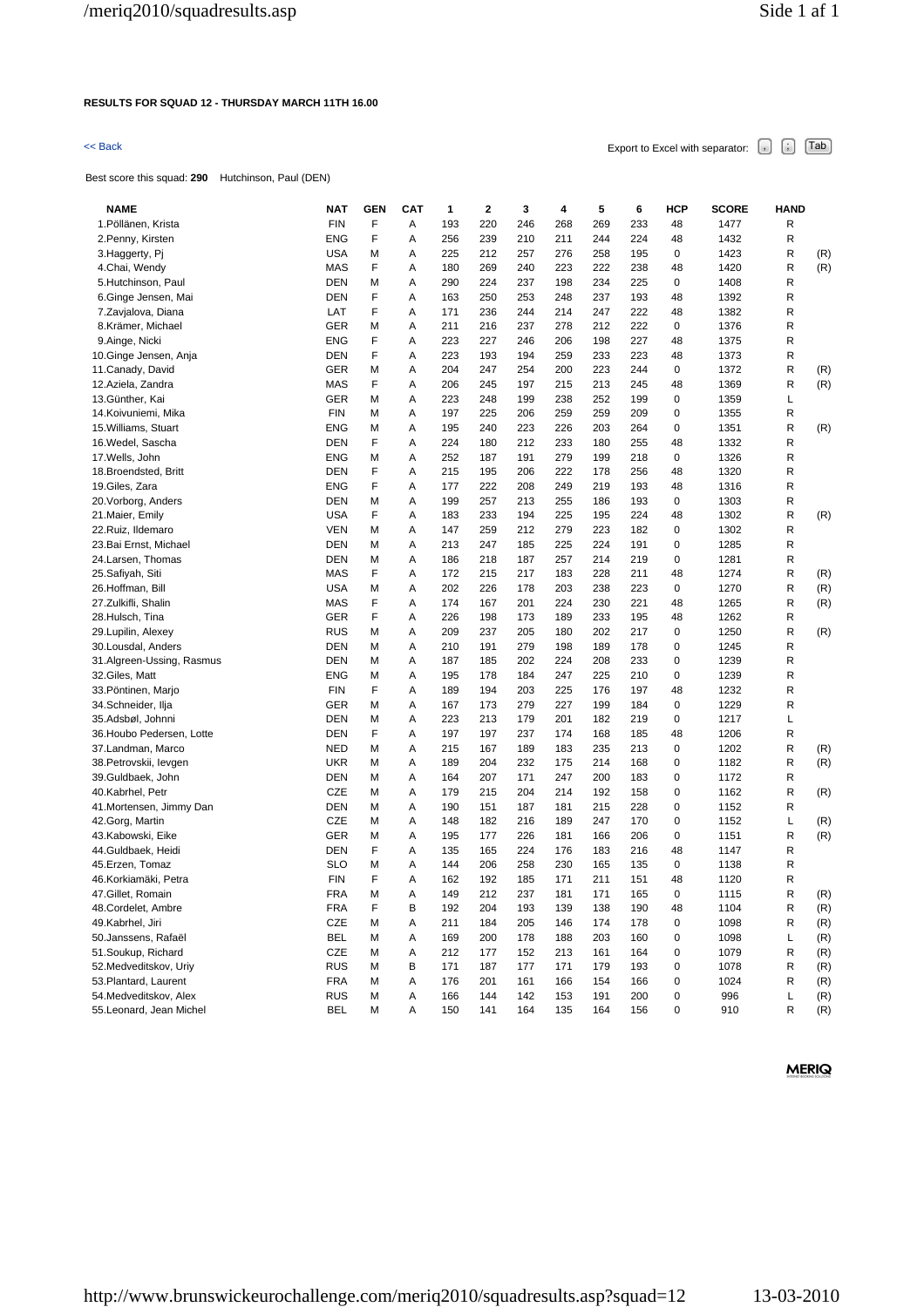### **RESULTS FOR SQUAD 12 - THURSDAY MARCH 11TH 16.00**

# $\leq$  Back Export to Excel with separator:  $\begin{bmatrix} . \ . \ . \end{bmatrix}$   $\begin{bmatrix} . \ . \ . \end{bmatrix}$   $\begin{bmatrix} . \ . \ . \end{bmatrix}$   $\begin{bmatrix} . \ . \ . \end{bmatrix}$   $\begin{bmatrix} . \ . \ . \end{bmatrix}$

Best score this squad: **290** Hutchinson, Paul (DEN)

| <b>NAME</b>               | NAT        | <b>GEN</b> | <b>CAT</b> | 1   | 2   | 3   | 4   | 5   | 6   | HCP | <b>SCORE</b> | HAND        |            |
|---------------------------|------------|------------|------------|-----|-----|-----|-----|-----|-----|-----|--------------|-------------|------------|
| 1. Pöllänen, Krista       | <b>FIN</b> | F          | Α          | 193 | 220 | 246 | 268 | 269 | 233 | 48  | 1477         | R           |            |
| 2. Penny, Kirsten         | <b>ENG</b> | F          | Α          | 256 | 239 | 210 | 211 | 244 | 224 | 48  | 1432         | R           |            |
| 3. Haggerty, Pj           | <b>USA</b> | M          | Α          | 225 | 212 | 257 | 276 | 258 | 195 | 0   | 1423         | R           | (R)        |
| 4.Chai, Wendy             | <b>MAS</b> | F          | Α          | 180 | 269 | 240 | 223 | 222 | 238 | 48  | 1420         | R           | (R)        |
| 5.Hutchinson, Paul        | <b>DEN</b> | M          | Α          | 290 | 224 | 237 | 198 | 234 | 225 | 0   | 1408         | R           |            |
| 6.Ginge Jensen, Mai       | <b>DEN</b> | F          | Α          | 163 | 250 | 253 | 248 | 237 | 193 | 48  | 1392         | R           |            |
| 7.Zavjalova, Diana        | LAT        | F          | Α          | 171 | 236 | 244 | 214 | 247 | 222 | 48  | 1382         | R           |            |
| 8.Krämer, Michael         | GER        | M          | Α          | 211 | 216 | 237 | 278 | 212 | 222 | 0   | 1376         | R           |            |
| 9.Ainge, Nicki            | <b>ENG</b> | F          | Α          | 223 | 227 | 246 | 206 | 198 | 227 | 48  | 1375         | R           |            |
| 10.Ginge Jensen, Anja     | <b>DEN</b> | F          | Α          | 223 | 193 | 194 | 259 | 233 | 223 | 48  | 1373         | R           |            |
| 11. Canady, David         | GER        | M          | Α          | 204 | 247 | 254 | 200 | 223 | 244 | 0   | 1372         | R           | (R)        |
| 12.Aziela, Zandra         | <b>MAS</b> | F          | Α          | 206 | 245 | 197 | 215 | 213 | 245 | 48  | 1369         | R           | (R)        |
| 13.Günther, Kai           | <b>GER</b> | м          | Α          | 223 | 248 | 199 | 238 | 252 | 199 | 0   | 1359         | Г           |            |
| 14. Koivuniemi, Mika      | <b>FIN</b> | M          | Α          | 197 | 225 | 206 | 259 | 259 | 209 | 0   | 1355         | R           |            |
| 15. Williams, Stuart      | <b>ENG</b> | M          | Α          | 195 | 240 | 223 | 226 | 203 | 264 | 0   | 1351         | R           | (R)        |
| 16. Wedel, Sascha         | <b>DEN</b> | F          | Α          | 224 | 180 | 212 | 233 | 180 | 255 | 48  | 1332         | R           |            |
| 17. Wells, John           | <b>ENG</b> | M          | Α          | 252 | 187 | 191 | 279 | 199 | 218 | 0   | 1326         | R           |            |
| 18. Broendsted, Britt     | <b>DEN</b> | F          | Α          | 215 | 195 | 206 | 222 | 178 | 256 | 48  | 1320         | R           |            |
| 19. Giles, Zara           | <b>ENG</b> | F          | Α          | 177 | 222 | 208 | 249 | 219 | 193 | 48  | 1316         | R           |            |
| 20. Vorborg, Anders       | <b>DEN</b> | M          | Α          | 199 | 257 | 213 | 255 | 186 | 193 | 0   | 1303         | R           |            |
| 21. Maier, Emily          | <b>USA</b> | F          | Α          | 183 | 233 | 194 | 225 | 195 | 224 | 48  | 1302         | R           | (R)        |
| 22. Ruiz, Ildemaro        | <b>VEN</b> | м          | Α          | 147 | 259 | 212 | 279 | 223 | 182 | 0   | 1302         | R           |            |
| 23. Bai Ernst, Michael    | DEN        | M          | Α          | 213 | 247 | 185 | 225 | 224 | 191 | 0   | 1285         | R           |            |
| 24.Larsen, Thomas         | <b>DEN</b> | M          | А          | 186 | 218 | 187 | 257 | 214 | 219 | 0   | 1281         | R           |            |
| 25.Safiyah, Siti          | <b>MAS</b> | F          | Α          | 172 | 215 | 217 | 183 | 228 | 211 | 48  | 1274         | R           | (R)        |
| 26.Hoffman, Bill          | <b>USA</b> | M          | Α          | 202 | 226 | 178 | 203 | 238 | 223 | 0   | 1270         | R           | (R)        |
| 27.Zulkifli, Shalin       | <b>MAS</b> | F          | Α          | 174 | 167 | 201 | 224 | 230 | 221 | 48  | 1265         | R           | (R)        |
| 28.Hulsch, Tina           | GER        | F          | Α          | 226 | 198 | 173 | 189 | 233 | 195 | 48  | 1262         | R           |            |
| 29. Lupilin, Alexey       | <b>RUS</b> | м          | Α          | 209 | 237 | 205 | 180 | 202 | 217 | 0   | 1250         | R           | (R)        |
| 30.Lousdal, Anders        | <b>DEN</b> | M          | Α          | 210 | 191 | 279 | 198 | 189 | 178 | 0   | 1245         | R           |            |
| 31.Algreen-Ussing, Rasmus | <b>DEN</b> | M          | Α          | 187 | 185 | 202 | 224 | 208 | 233 | 0   | 1239         | R           |            |
| 32. Giles, Matt           | <b>ENG</b> | M          | Α          | 195 | 178 | 184 | 247 | 225 | 210 | 0   | 1239         | R           |            |
| 33. Pöntinen, Marjo       | <b>FIN</b> | F          | Α          | 189 | 194 | 203 | 225 | 176 | 197 | 48  | 1232         | R           |            |
| 34.Schneider, Ilja        | GER        | M          | Α          | 167 | 173 | 279 | 227 | 199 | 184 | 0   | 1229         | R           |            |
| 35.Adsbøl, Johnni         | <b>DEN</b> | M          | Α          | 223 | 213 | 179 | 201 | 182 | 219 | 0   | 1217         | L           |            |
| 36. Houbo Pedersen, Lotte | <b>DEN</b> | F          | Α          | 197 | 197 | 237 | 174 | 168 | 185 | 48  | 1206         | R           |            |
| 37.Landman, Marco         | <b>NED</b> | M          | Α          | 215 | 167 | 189 | 183 | 235 | 213 | 0   | 1202         | R           | (R)        |
| 38. Petrovskii, levgen    | <b>UKR</b> | M          | Α          | 189 | 204 | 232 | 175 | 214 | 168 | 0   | 1182         | R           | (R)        |
| 39.Guldbaek, John         | <b>DEN</b> | M          | Α          | 164 | 207 | 171 | 247 | 200 | 183 | 0   | 1172         | R           |            |
| 40.Kabrhel, Petr          | <b>CZE</b> | M          | Α          | 179 | 215 | 204 | 214 | 192 | 158 | 0   | 1162         | R           | (R)        |
| 41. Mortensen, Jimmy Dan  | <b>DEN</b> | M          | Α          | 190 | 151 | 187 | 181 | 215 | 228 | 0   | 1152         | R           |            |
| 42.Gorg, Martin           | <b>CZE</b> | M          | Α          | 148 | 182 | 216 | 189 | 247 | 170 | 0   | 1152         | L           | (R)        |
| 43.Kabowski, Eike         | GER        | M          | Α          | 195 | 177 | 226 | 181 | 166 | 206 | 0   | 1151         | R           | (R)        |
| 44.Guldbaek, Heidi        | <b>DEN</b> | F          | Α          | 135 | 165 | 224 | 176 | 183 | 216 | 48  | 1147         | R           |            |
| 45. Erzen, Tomaz          | <b>SLO</b> | М          | Α          | 144 | 206 | 258 | 230 | 165 | 135 | 0   | 1138         | R           |            |
| 46.Korkiamäki, Petra      | <b>FIN</b> | F          | Α          | 162 | 192 | 185 | 171 | 211 | 151 | 48  | 1120         | R           |            |
| 47.Gillet, Romain         | <b>FRA</b> | М          | Α          | 149 | 212 | 237 | 181 | 171 | 165 | 0   | 1115         | R           | (R)        |
| 48.Cordelet, Ambre        | <b>FRA</b> | F          | В          | 192 | 204 | 193 | 139 | 138 | 190 | 48  | 1104         | $\mathsf R$ | (R)        |
| 49.Kabrhel, Jiri          | CZE        | M          | Α          | 211 | 184 | 205 | 146 | 174 | 178 | 0   | 1098         | R           | (R)        |
| 50.Janssens, Rafaël       | BEL        | M          | Α          | 169 | 200 | 178 | 188 | 203 | 160 | 0   | 1098         | L           | (R)        |
| 51. Soukup, Richard       | CZE        | M          | А          | 212 | 177 | 152 | 213 | 161 | 164 | 0   | 1079         | $\mathsf R$ | (R)        |
| 52. Medveditskov, Uriy    | <b>RUS</b> | M          | В          | 171 | 187 | 177 | 171 | 179 | 193 | 0   | 1078         | R           | (R)        |
| 53. Plantard, Laurent     | <b>FRA</b> | M          | А          | 176 | 201 | 161 | 166 | 154 | 166 | 0   | 1024         | R           | (R)        |
| 54. Medveditskov, Alex    | <b>RUS</b> | M          | Α          | 166 | 144 | 142 | 153 | 191 | 200 | 0   | 996          | L           |            |
| 55.Leonard, Jean Michel   | BEL        | M          | Α          | 150 | 141 | 164 | 135 | 164 | 156 | 0   | 910          | R           | (R)<br>(R) |
|                           |            |            |            |     |     |     |     |     |     |     |              |             |            |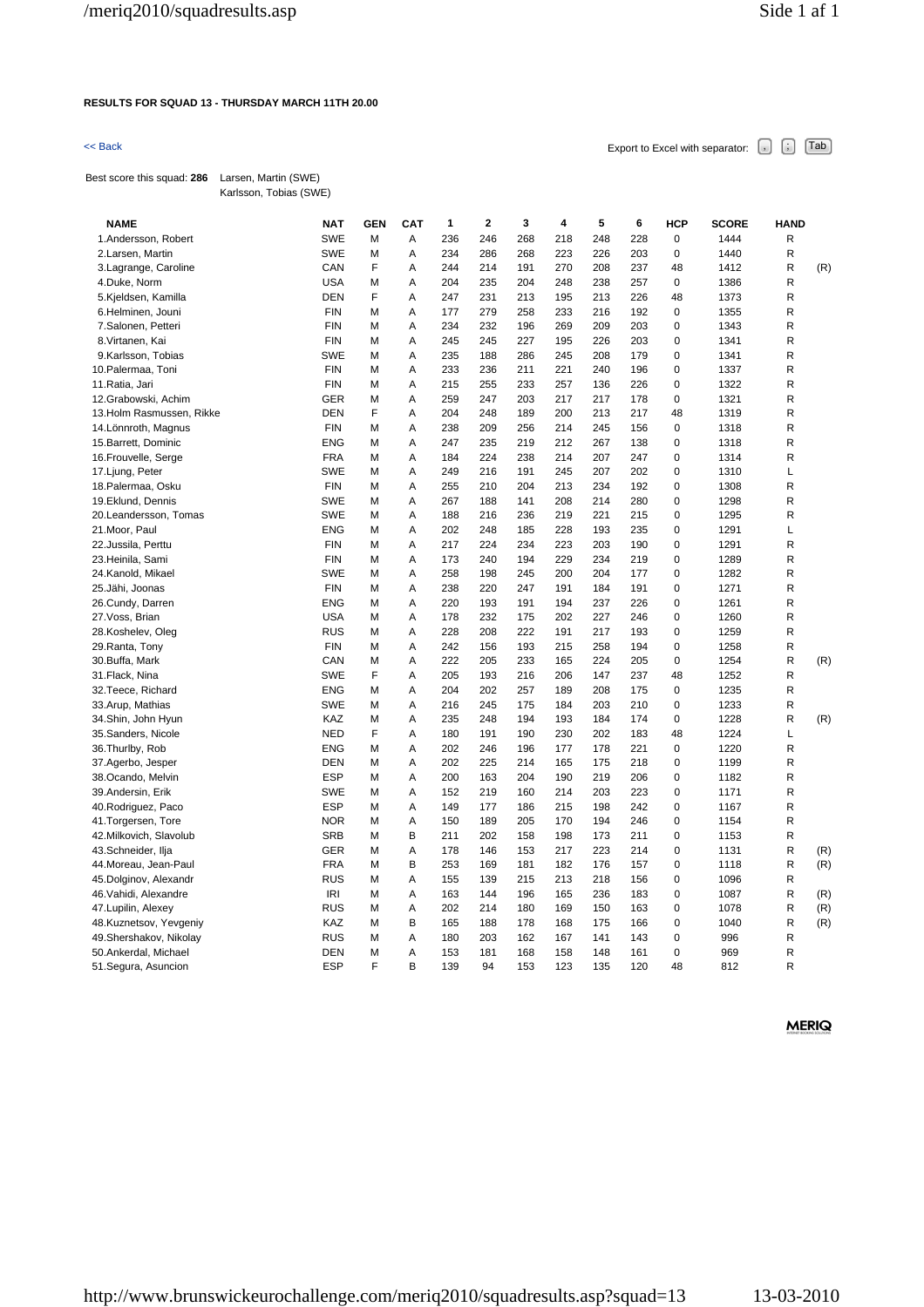### **RESULTS FOR SQUAD 13 - THURSDAY MARCH 11TH 20.00**

 $\leq$  Back Export to Excel with separator:  $\begin{bmatrix} . \end{bmatrix}$   $\begin{bmatrix} . \end{bmatrix}$   $\begin{bmatrix} \text{Tab} \end{bmatrix}$ 

Best score this squad: **286** Larsen, Martin (SWE) Karlsson, Tobias (SWE)

| <b>NAME</b>               | <b>NAT</b> | <b>GEN</b> | CAT | 1   | 2   | 3   | 4   | 5   | 6   | <b>HCP</b>  | <b>SCORE</b> | <b>HAND</b> |     |
|---------------------------|------------|------------|-----|-----|-----|-----|-----|-----|-----|-------------|--------------|-------------|-----|
| 1.Andersson, Robert       | <b>SWE</b> | M          | A   | 236 | 246 | 268 | 218 | 248 | 228 | $\mathbf 0$ | 1444         | R           |     |
| 2.Larsen, Martin          | <b>SWE</b> | M          | Α   | 234 | 286 | 268 | 223 | 226 | 203 | $\mathbf 0$ | 1440         | R           |     |
| 3. Lagrange, Caroline     | CAN        | F          | A   | 244 | 214 | 191 | 270 | 208 | 237 | 48          | 1412         | R           | (R) |
| 4.Duke, Norm              | <b>USA</b> | M          | Α   | 204 | 235 | 204 | 248 | 238 | 257 | $\mathbf 0$ | 1386         | R           |     |
| 5.Kjeldsen, Kamilla       | <b>DEN</b> | F          | Α   | 247 | 231 | 213 | 195 | 213 | 226 | 48          | 1373         | R           |     |
| 6.Helminen, Jouni         | <b>FIN</b> | M          | A   | 177 | 279 | 258 | 233 | 216 | 192 | $\mathbf 0$ | 1355         | R           |     |
| 7.Salonen, Petteri        | <b>FIN</b> | M          | Α   | 234 | 232 | 196 | 269 | 209 | 203 | $\mathbf 0$ | 1343         | R           |     |
| 8. Virtanen, Kai          | <b>FIN</b> | M          | Α   | 245 | 245 | 227 | 195 | 226 | 203 | 0           | 1341         | R           |     |
| 9.Karlsson, Tobias        | <b>SWE</b> | M          | Α   | 235 | 188 | 286 | 245 | 208 | 179 | 0           | 1341         | R           |     |
| 10. Palermaa, Toni        | <b>FIN</b> | M          | Α   | 233 | 236 | 211 | 221 | 240 | 196 | $\mathbf 0$ | 1337         | R           |     |
| 11. Ratia, Jari           | <b>FIN</b> | M          | Α   | 215 | 255 | 233 | 257 | 136 | 226 | 0           | 1322         | R           |     |
| 12.Grabowski, Achim       | <b>GER</b> | M          | A   | 259 | 247 | 203 | 217 | 217 | 178 | $\mathbf 0$ | 1321         | R           |     |
| 13. Holm Rasmussen, Rikke | <b>DEN</b> | F          | A   | 204 | 248 | 189 | 200 | 213 | 217 | 48          | 1319         | R           |     |
| 14. Lönnroth, Magnus      | <b>FIN</b> | M          | Α   | 238 | 209 | 256 | 214 | 245 | 156 | 0           | 1318         | R           |     |
| 15. Barrett, Dominic      | <b>ENG</b> | M          | A   | 247 | 235 | 219 | 212 | 267 | 138 | $\mathbf 0$ | 1318         | R           |     |
| 16. Frouvelle, Serge      | <b>FRA</b> | M          | Α   | 184 | 224 | 238 | 214 | 207 | 247 | 0           | 1314         | R           |     |
| 17. Ljung, Peter          | <b>SWE</b> | M          | A   | 249 | 216 | 191 | 245 | 207 | 202 | $\mathbf 0$ | 1310         | Г           |     |
| 18. Palermaa, Osku        | <b>FIN</b> | M          | Α   | 255 | 210 | 204 | 213 | 234 | 192 | 0           | 1308         | R           |     |
| 19.Eklund, Dennis         | <b>SWE</b> | M          | Α   | 267 | 188 | 141 | 208 | 214 | 280 | 0           | 1298         | R           |     |
| 20.Leandersson, Tomas     | <b>SWE</b> | M          | A   | 188 | 216 | 236 | 219 | 221 | 215 | $\mathbf 0$ | 1295         | R           |     |
| 21. Moor, Paul            | <b>ENG</b> | M          | Α   | 202 | 248 | 185 | 228 | 193 | 235 | 0           | 1291         | Г           |     |
| 22. Jussila, Perttu       | <b>FIN</b> | M          | Α   | 217 | 224 | 234 | 223 | 203 | 190 | $\mathbf 0$ | 1291         | R           |     |
| 23.Heinila, Sami          | <b>FIN</b> | M          | A   | 173 | 240 | 194 | 229 | 234 | 219 | 0           | 1289         | R           |     |
| 24.Kanold, Mikael         | <b>SWE</b> | M          | Α   | 258 | 198 | 245 | 200 | 204 | 177 | 0           | 1282         | R           |     |
| 25.Jähi, Joonas           | <b>FIN</b> | M          | Α   | 238 | 220 | 247 | 191 | 184 | 191 | 0           | 1271         | R           |     |
| 26.Cundy, Darren          | ENG        | M          | A   | 220 | 193 | 191 | 194 | 237 | 226 | $\mathbf 0$ | 1261         | R           |     |
| 27. Voss, Brian           | <b>USA</b> | M          | A   | 178 | 232 | 175 | 202 | 227 | 246 | $\mathbf 0$ | 1260         | R           |     |
| 28.Koshelev, Oleg         | <b>RUS</b> | M          | Α   | 228 | 208 | 222 | 191 | 217 | 193 | $\mathbf 0$ | 1259         | R           |     |
| 29. Ranta, Tony           | <b>FIN</b> | M          | A   | 242 | 156 | 193 | 215 | 258 | 194 | $\mathbf 0$ | 1258         | R           |     |
| 30.Buffa, Mark            | CAN        | M          | Α   | 222 | 205 | 233 | 165 | 224 | 205 | $\mathbf 0$ | 1254         | R           | (R) |
| 31. Flack, Nina           | <b>SWE</b> | F          | Α   | 205 | 193 | 216 | 206 | 147 | 237 | 48          | 1252         | R           |     |
| 32. Teece, Richard        | <b>ENG</b> | M          | A   | 204 | 202 | 257 | 189 | 208 | 175 | 0           | 1235         | R           |     |
| 33. Arup, Mathias         | <b>SWE</b> | M          | Α   | 216 | 245 | 175 | 184 | 203 | 210 | 0           | 1233         | R           |     |
| 34.Shin, John Hyun        | KAZ        | M          | A   | 235 | 248 | 194 | 193 | 184 | 174 | $\mathbf 0$ | 1228         | R           | (R) |
| 35.Sanders, Nicole        | <b>NED</b> | F          | A   | 180 | 191 | 190 | 230 | 202 | 183 | 48          | 1224         | L           |     |
| 36. Thurlby, Rob          | <b>ENG</b> | M          | Α   | 202 | 246 | 196 | 177 | 178 | 221 | $\mathbf 0$ | 1220         | R           |     |
| 37.Agerbo, Jesper         | <b>DEN</b> | M          | Α   | 202 | 225 | 214 | 165 | 175 | 218 | 0           | 1199         | R           |     |
| 38.Ocando, Melvin         | <b>ESP</b> | M          | A   | 200 | 163 | 204 | 190 | 219 | 206 | $\mathbf 0$ | 1182         | R           |     |
| 39.Andersin, Erik         | <b>SWE</b> | M          | Α   | 152 | 219 | 160 | 214 | 203 | 223 | $\mathbf 0$ | 1171         | R           |     |
| 40. Rodriguez, Paco       | <b>ESP</b> | M          | A   | 149 | 177 | 186 | 215 | 198 | 242 | 0           | 1167         | R           |     |
| 41. Torgersen, Tore       | <b>NOR</b> | M          | A   | 150 | 189 | 205 | 170 | 194 | 246 | $\mathbf 0$ | 1154         | R           |     |
| 42. Milkovich, Slavolub   | <b>SRB</b> | M          | В   | 211 | 202 | 158 | 198 | 173 | 211 | $\mathbf 0$ | 1153         | R           |     |
| 43.Schneider, Ilja        | <b>GER</b> | M          | Α   | 178 | 146 | 153 | 217 | 223 | 214 | $\mathbf 0$ | 1131         | R           | (R) |
| 44. Moreau, Jean-Paul     | <b>FRA</b> | M          | В   | 253 | 169 | 181 | 182 | 176 | 157 | $\mathbf 0$ | 1118         | R           | (R) |
| 45.Dolginov, Alexandr     | <b>RUS</b> | M          | Α   | 155 | 139 | 215 | 213 | 218 | 156 | 0           | 1096         | R           |     |
| 46. Vahidi, Alexandre     | <b>IRI</b> | M          | Α   | 163 | 144 | 196 | 165 | 236 | 183 | 0           | 1087         | R           | (R) |
| 47. Lupilin, Alexey       | <b>RUS</b> | M          | Α   | 202 | 214 | 180 | 169 | 150 | 163 | 0           | 1078         | R           | (R) |
| 48.Kuznetsov, Yevgeniy    | KAZ        | M          | В   | 165 | 188 | 178 | 168 | 175 | 166 | 0           | 1040         | R           | (R) |
| 49. Shershakov, Nikolay   | <b>RUS</b> | M          | A   | 180 | 203 | 162 | 167 | 141 | 143 | 0           | 996          | ${\sf R}$   |     |
| 50.Ankerdal, Michael      | <b>DEN</b> | M          | Α   | 153 | 181 | 168 | 158 | 148 | 161 | 0           | 969          | R           |     |
| 51.Segura, Asuncion       | <b>ESP</b> | F          | B   | 139 | 94  | 153 | 123 | 135 | 120 | 48          | 812          | R           |     |
|                           |            |            |     |     |     |     |     |     |     |             |              |             |     |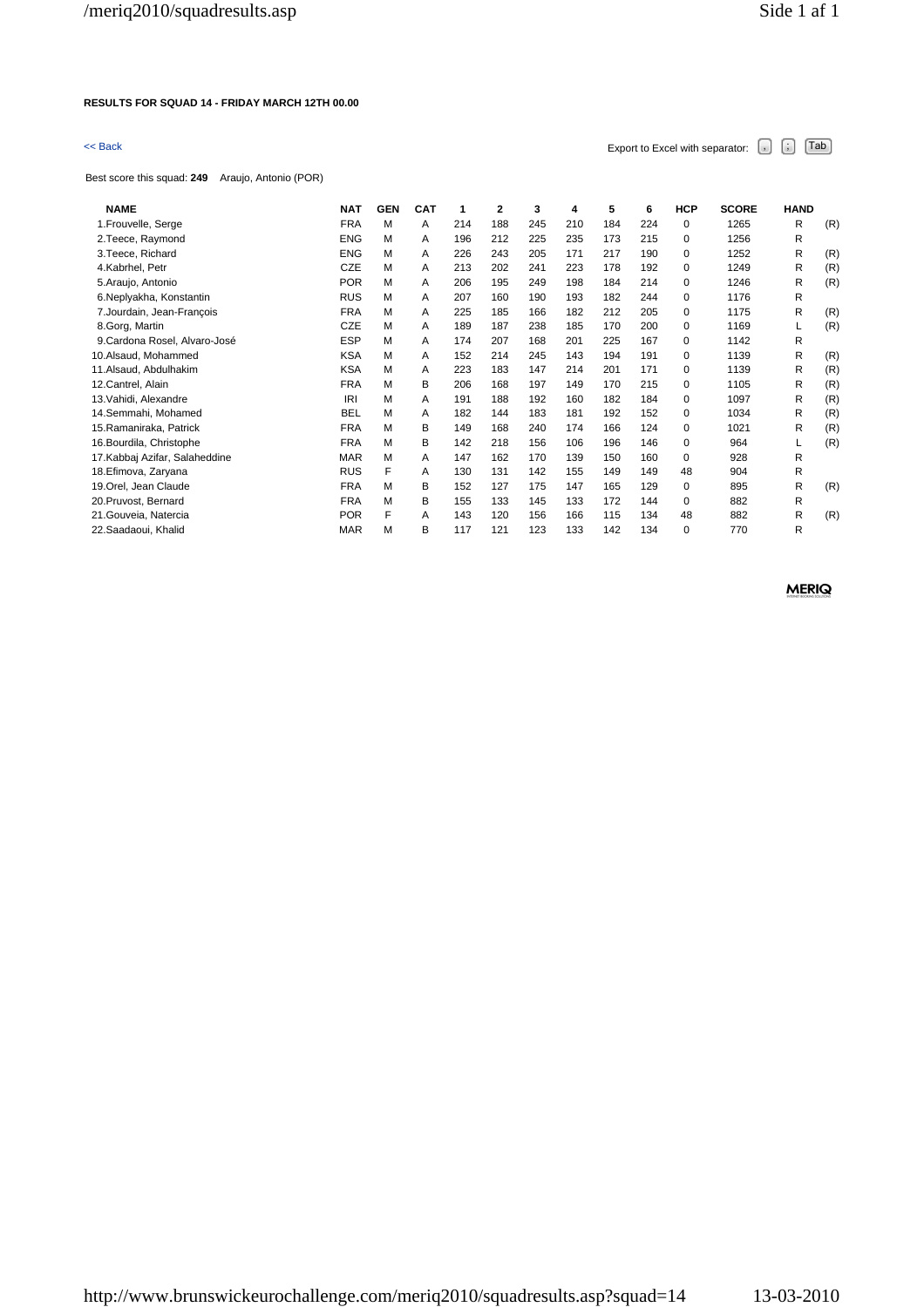### **RESULTS FOR SQUAD 14 - FRIDAY MARCH 12TH 00.00**

# $\leq$  Back Export to Excel with separator:  $\begin{bmatrix} . \ . \ . \end{bmatrix}$   $\begin{bmatrix} . \ . \ . \end{bmatrix}$   $\begin{bmatrix} . \ . \ . \end{bmatrix}$   $\begin{bmatrix} . \ . \ . \end{bmatrix}$   $\begin{bmatrix} . \ . \ . \end{bmatrix}$

Best score this squad: **249** Araujo, Antonio (POR)

| <b>NAME</b>                    | <b>NAT</b> | <b>GEN</b> | <b>CAT</b> | 1   | $\overline{2}$ | 3   | 4   | 5   | 6   | HCP      | <b>SCORE</b> | <b>HAND</b> |     |
|--------------------------------|------------|------------|------------|-----|----------------|-----|-----|-----|-----|----------|--------------|-------------|-----|
| 1. Frouvelle, Serge            | <b>FRA</b> | M          | A          | 214 | 188            | 245 | 210 | 184 | 224 | 0        | 1265         | R           | (R) |
| 2. Teece, Raymond              | <b>ENG</b> | M          | A          | 196 | 212            | 225 | 235 | 173 | 215 | 0        | 1256         | R           |     |
| 3. Teece, Richard              | <b>ENG</b> | M          | A          | 226 | 243            | 205 | 171 | 217 | 190 | 0        | 1252         | R           | (R) |
| 4.Kabrhel, Petr                | <b>CZE</b> | м          | A          | 213 | 202            | 241 | 223 | 178 | 192 | 0        | 1249         | R           | (R) |
| 5. Araujo, Antonio             | <b>POR</b> | M          | A          | 206 | 195            | 249 | 198 | 184 | 214 | 0        | 1246         | R           | (R) |
| 6.Neplyakha, Konstantin        | <b>RUS</b> | M          | A          | 207 | 160            | 190 | 193 | 182 | 244 | 0        | 1176         | R           |     |
| 7. Jourdain, Jean-Francois     | <b>FRA</b> | M          | A          | 225 | 185            | 166 | 182 | 212 | 205 | 0        | 1175         | R           | (R) |
| 8.Gorg, Martin                 | CZE        | M          | A          | 189 | 187            | 238 | 185 | 170 | 200 | 0        | 1169         | L           | (R) |
| 9. Cardona Rosel, Alvaro-José  | <b>ESP</b> | M          | A          | 174 | 207            | 168 | 201 | 225 | 167 | $\Omega$ | 1142         | R           |     |
| 10.Alsaud, Mohammed            | <b>KSA</b> | M          | A          | 152 | 214            | 245 | 143 | 194 | 191 | 0        | 1139         | R           | (R) |
| 11.Alsaud, Abdulhakim          | <b>KSA</b> | М          | A          | 223 | 183            | 147 | 214 | 201 | 171 | 0        | 1139         | R           | (R) |
| 12. Cantrel, Alain             | <b>FRA</b> | M          | в          | 206 | 168            | 197 | 149 | 170 | 215 | 0        | 1105         | R           | (R) |
| 13. Vahidi, Alexandre          | IRI        | M          | A          | 191 | 188            | 192 | 160 | 182 | 184 | 0        | 1097         | R           | (R) |
| 14.Semmahi, Mohamed            | <b>BEL</b> | М          | A          | 182 | 144            | 183 | 181 | 192 | 152 | 0        | 1034         | R           | (R) |
| 15. Ramaniraka, Patrick        | <b>FRA</b> | M          | в          | 149 | 168            | 240 | 174 | 166 | 124 | 0        | 1021         | R           | (R) |
| 16. Bourdila, Christophe       | <b>FRA</b> | M          | В          | 142 | 218            | 156 | 106 | 196 | 146 | $\Omega$ | 964          | L           | (R) |
| 17. Kabbaj Azifar, Salaheddine | <b>MAR</b> | M          | A          | 147 | 162            | 170 | 139 | 150 | 160 | 0        | 928          | R           |     |
| 18. Efimova, Zaryana           | <b>RUS</b> | F          | A          | 130 | 131            | 142 | 155 | 149 | 149 | 48       | 904          | R           |     |
| 19. Orel, Jean Claude          | <b>FRA</b> | M          | в          | 152 | 127            | 175 | 147 | 165 | 129 | 0        | 895          | R           | (R) |
| 20. Pruvost, Bernard           | <b>FRA</b> | М          | в          | 155 | 133            | 145 | 133 | 172 | 144 | 0        | 882          | R           |     |
| 21. Gouveia, Natercia          | <b>POR</b> | F          | A          | 143 | 120            | 156 | 166 | 115 | 134 | 48       | 882          | R           | (R) |
| 22.Saadaoui, Khalid            | <b>MAR</b> | М          | В          | 117 | 121            | 123 | 133 | 142 | 134 | 0        | 770          | R           |     |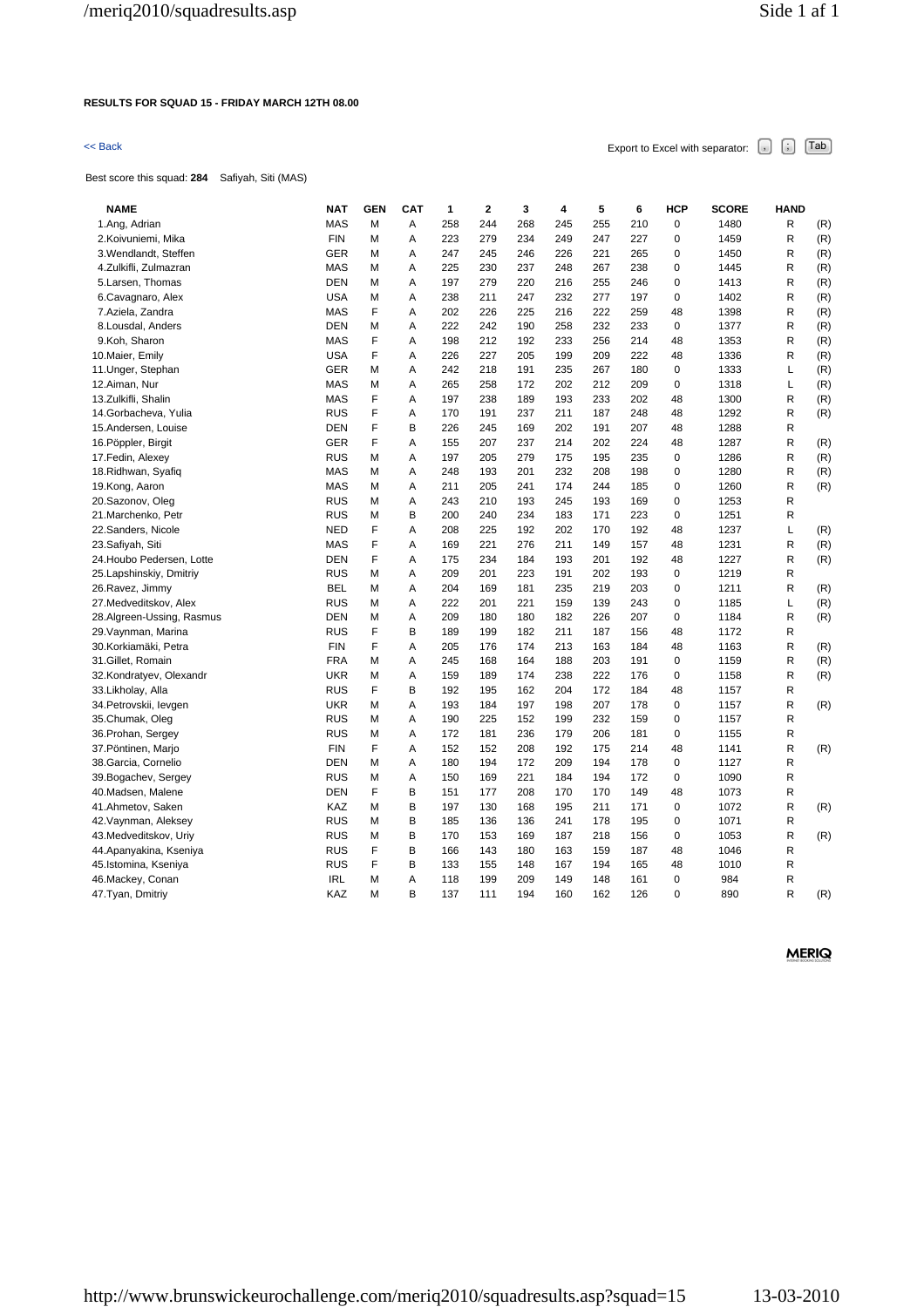## **RESULTS FOR SQUAD 15 - FRIDAY MARCH 12TH 08.00**

# $\leq$  Back Export to Excel with separator:  $\begin{bmatrix} . \ . \ . \end{bmatrix}$   $\begin{bmatrix} . \ . \ . \end{bmatrix}$   $\begin{bmatrix} . \ . \ . \end{bmatrix}$   $\begin{bmatrix} . \ . \ . \end{bmatrix}$   $\begin{bmatrix} . \ . \ . \end{bmatrix}$

Best score this squad: **284** Safiyah, Siti (MAS)

| <b>NAME</b>               | <b>NAT</b> | <b>GEN</b> | CAT | 1   | $\mathbf 2$ | 3   | 4   | 5   | 6   | <b>HCP</b>  | <b>SCORE</b> | <b>HAND</b> |     |
|---------------------------|------------|------------|-----|-----|-------------|-----|-----|-----|-----|-------------|--------------|-------------|-----|
| 1.Ang, Adrian             | <b>MAS</b> | M          | Α   | 258 | 244         | 268 | 245 | 255 | 210 | $\mathbf 0$ | 1480         | R           | (R) |
| 2.Koivuniemi, Mika        | <b>FIN</b> | М          | Α   | 223 | 279         | 234 | 249 | 247 | 227 | 0           | 1459         | R           | (R) |
| 3. Wendlandt, Steffen     | <b>GER</b> | M          | A   | 247 | 245         | 246 | 226 | 221 | 265 | $\mathbf 0$ | 1450         | R           | (R) |
| 4. Zulkifli, Zulmazran    | <b>MAS</b> | М          | A   | 225 | 230         | 237 | 248 | 267 | 238 | $\mathbf 0$ | 1445         | R           | (R) |
| 5. Larsen, Thomas         | <b>DEN</b> | М          | Α   | 197 | 279         | 220 | 216 | 255 | 246 | $\mathbf 0$ | 1413         | R           | (R) |
| 6.Cavagnaro, Alex         | <b>USA</b> | М          | Α   | 238 | 211         | 247 | 232 | 277 | 197 | 0           | 1402         | R           | (R) |
| 7.Aziela, Zandra          | <b>MAS</b> | F          | Α   | 202 | 226         | 225 | 216 | 222 | 259 | 48          | 1398         | R           | (R) |
| 8. Lousdal, Anders        | <b>DEN</b> | М          | Α   | 222 | 242         | 190 | 258 | 232 | 233 | $\mathbf 0$ | 1377         | R           | (R) |
| 9.Koh, Sharon             | <b>MAS</b> | F          | A   | 198 | 212         | 192 | 233 | 256 | 214 | 48          | 1353         | R           | (R) |
| 10.Maier, Emily           | <b>USA</b> | F          | А   | 226 | 227         | 205 | 199 | 209 | 222 | 48          | 1336         | R           | (R) |
| 11. Unger, Stephan        | <b>GER</b> | М          | Α   | 242 | 218         | 191 | 235 | 267 | 180 | 0           | 1333         | Г           | (R) |
| 12.Aiman, Nur             | <b>MAS</b> | М          | Α   | 265 | 258         | 172 | 202 | 212 | 209 | 0           | 1318         | Г           | (R) |
| 13.Zulkifli, Shalin       | <b>MAS</b> | F          | A   | 197 | 238         | 189 | 193 | 233 | 202 | 48          | 1300         | R           | (R) |
| 14. Gorbacheva, Yulia     | <b>RUS</b> | F          | A   | 170 | 191         | 237 | 211 | 187 | 248 | 48          | 1292         | R           | (R) |
| 15.Andersen, Louise       | <b>DEN</b> | F          | В   | 226 | 245         | 169 | 202 | 191 | 207 | 48          | 1288         | R           |     |
| 16. Pöppler, Birgit       | <b>GER</b> | F          | Α   | 155 | 207         | 237 | 214 | 202 | 224 | 48          | 1287         | R           | (R) |
| 17. Fedin, Alexey         | <b>RUS</b> | М          | Α   | 197 | 205         | 279 | 175 | 195 | 235 | 0           | 1286         | R           | (R) |
| 18. Ridhwan, Syafiq       | <b>MAS</b> | М          | A   | 248 | 193         | 201 | 232 | 208 | 198 | $\mathbf 0$ | 1280         | R           | (R) |
| 19.Kong, Aaron            | <b>MAS</b> | М          | Α   | 211 | 205         | 241 | 174 | 244 | 185 | $\mathbf 0$ | 1260         | R           | (R) |
| 20.Sazonov, Oleg          | <b>RUS</b> | М          | Α   | 243 | 210         | 193 | 245 | 193 | 169 | $\mathbf 0$ | 1253         | R           |     |
| 21. Marchenko, Petr       | <b>RUS</b> | M          | B   | 200 | 240         | 234 | 183 | 171 | 223 | $\mathbf 0$ | 1251         | R           |     |
| 22.Sanders, Nicole        | <b>NED</b> | F          | Α   | 208 | 225         | 192 | 202 | 170 | 192 | 48          | 1237         | L           | (R) |
| 23.Safiyah, Siti          | <b>MAS</b> | F          | A   | 169 | 221         | 276 | 211 | 149 | 157 | 48          | 1231         | R           | (R) |
| 24. Houbo Pedersen, Lotte | <b>DEN</b> | F          | Α   | 175 | 234         | 184 | 193 | 201 | 192 | 48          | 1227         | R           | (R) |
| 25. Lapshinskiy, Dmitriy  | <b>RUS</b> | М          | Α   | 209 | 201         | 223 | 191 | 202 | 193 | $\mathbf 0$ | 1219         | R           |     |
| 26.Ravez, Jimmy           | <b>BEL</b> | М          | Α   | 204 | 169         | 181 | 235 | 219 | 203 | $\mathbf 0$ | 1211         | R           | (R) |
| 27.Medveditskov, Alex     | <b>RUS</b> | М          | Α   | 222 | 201         | 221 | 159 | 139 | 243 | 0           | 1185         | Г           | (R) |
| 28.Algreen-Ussing, Rasmus | <b>DEN</b> | М          | Α   | 209 | 180         | 180 | 182 | 226 | 207 | $\mathbf 0$ | 1184         | R           | (R) |
| 29. Vaynman, Marina       | <b>RUS</b> | F          | B   | 189 | 199         | 182 | 211 | 187 | 156 | 48          | 1172         | R           |     |
| 30.Korkiamäki, Petra      | <b>FIN</b> | F          | Α   | 205 | 176         | 174 | 213 | 163 | 184 | 48          | 1163         | R           | (R) |
| 31. Gillet, Romain        | <b>FRA</b> | М          | A   | 245 | 168         | 164 | 188 | 203 | 191 | $\mathbf 0$ | 1159         | R           | (R) |
| 32.Kondratyev, Olexandr   | <b>UKR</b> | М          | Α   | 159 | 189         | 174 | 238 | 222 | 176 | 0           | 1158         | R           | (R) |
| 33.Likholay, Alla         | <b>RUS</b> | F          | В   | 192 | 195         | 162 | 204 | 172 | 184 | 48          | 1157         | R           |     |
| 34. Petrovskii, levgen    | <b>UKR</b> | М          | Α   | 193 | 184         | 197 | 198 | 207 | 178 | 0           | 1157         | R           | (R) |
| 35.Chumak, Oleg           | <b>RUS</b> | М          | Α   | 190 | 225         | 152 | 199 | 232 | 159 | 0           | 1157         | R           |     |
| 36. Prohan, Sergey        | <b>RUS</b> | М          | A   | 172 | 181         | 236 | 179 | 206 | 181 | $\mathbf 0$ | 1155         | R           |     |
| 37. Pöntinen, Marjo       | <b>FIN</b> | F          | Α   | 152 | 152         | 208 | 192 | 175 | 214 | 48          | 1141         | R           | (R) |
| 38. Garcia, Cornelio      | <b>DEN</b> | М          | Α   | 180 | 194         | 172 | 209 | 194 | 178 | 0           | 1127         | R           |     |
| 39. Bogachev, Sergey      | <b>RUS</b> | М          | Α   | 150 | 169         | 221 | 184 | 194 | 172 | 0           | 1090         | R           |     |
| 40.Madsen, Malene         | <b>DEN</b> | F          | В   | 151 | 177         | 208 | 170 | 170 | 149 | 48          | 1073         | R           |     |
| 41.Ahmetov, Saken         | KAZ        | М          | B   | 197 | 130         | 168 | 195 | 211 | 171 | 0           | 1072         | R           | (R) |
| 42. Vaynman, Aleksey      | <b>RUS</b> | М          | B   | 185 | 136         | 136 | 241 | 178 | 195 | $\mathbf 0$ | 1071         | R           |     |
| 43.Medveditskov, Uriy     | <b>RUS</b> | М          | В   | 170 | 153         | 169 | 187 | 218 | 156 | 0           | 1053         | R           | (R) |
| 44.Apanyakina, Kseniya    | <b>RUS</b> | F          | В   | 166 | 143         | 180 | 163 | 159 | 187 | 48          | 1046         | R           |     |
| 45.Istomina, Kseniya      | <b>RUS</b> | F          | B   | 133 | 155         | 148 | 167 | 194 | 165 | 48          | 1010         | R           |     |
| 46. Mackey, Conan         | <b>IRL</b> | М          | A   | 118 | 199         | 209 | 149 | 148 | 161 | $\mathbf 0$ | 984          | R           |     |
| 47. Tyan, Dmitriy         | KAZ        | М          | B   | 137 | 111         | 194 | 160 | 162 | 126 | $\Omega$    | 890          | R           | (R) |
|                           |            |            |     |     |             |     |     |     |     |             |              |             |     |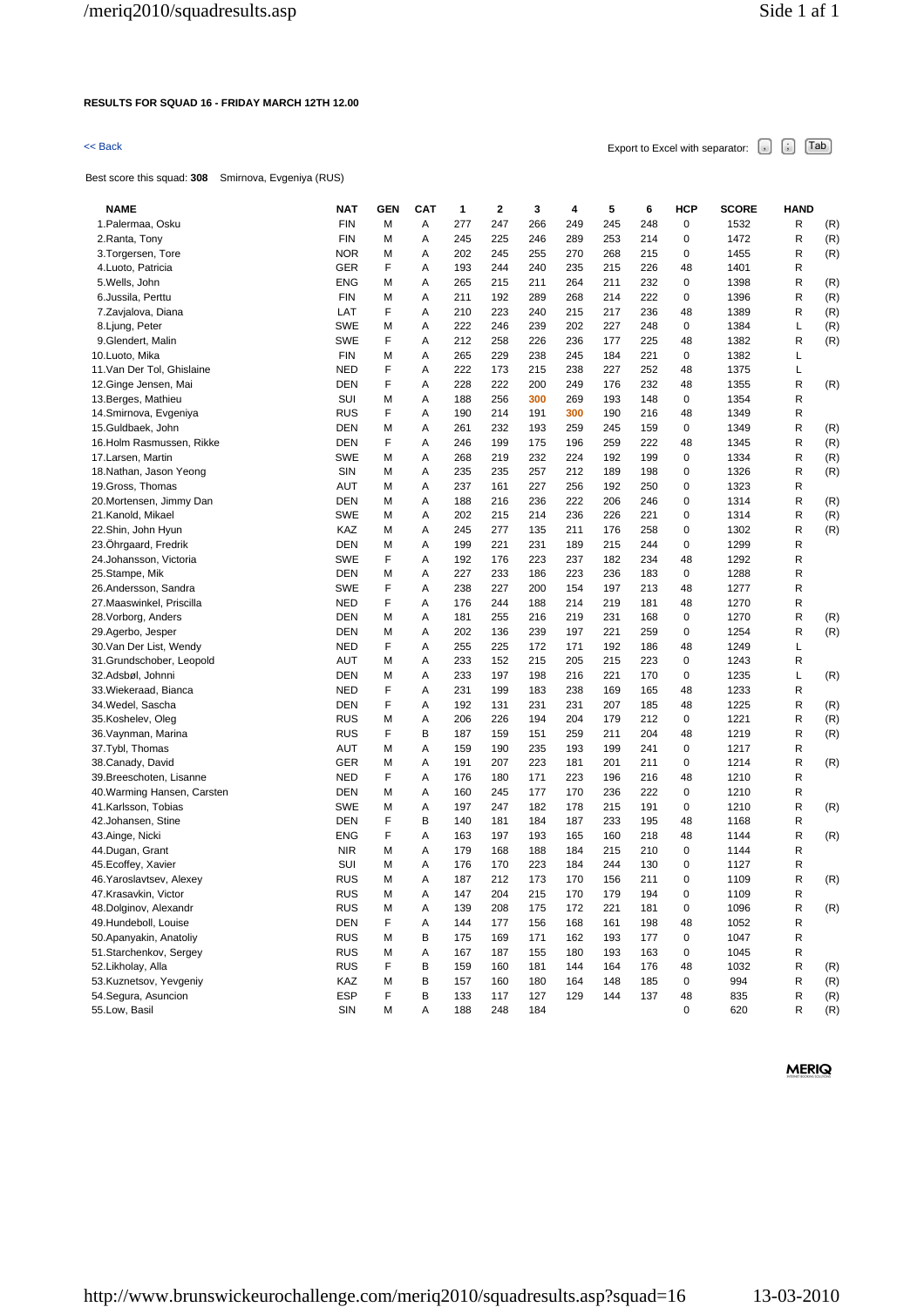### **RESULTS FOR SQUAD 16 - FRIDAY MARCH 12TH 12.00**

# $\leq$  Back Export to Excel with separator:  $\begin{bmatrix} . \ . \ . \end{bmatrix}$   $\begin{bmatrix} . \ . \ . \end{bmatrix}$   $\begin{bmatrix} . \ . \ . \end{bmatrix}$   $\begin{bmatrix} . \ . \ . \end{bmatrix}$   $\begin{bmatrix} . \ . \ . \end{bmatrix}$

Best score this squad: **308** Smirnova, Evgeniya (RUS)

| <b>NAME</b>                 | <b>NAT</b> | <b>GEN</b> | <b>CAT</b> | 1   | 2   | 3   | 4   | 5   | 6   | HCP         | <b>SCORE</b> | <b>HAND</b> |     |
|-----------------------------|------------|------------|------------|-----|-----|-----|-----|-----|-----|-------------|--------------|-------------|-----|
| 1. Palermaa, Osku           | <b>FIN</b> | М          | А          | 277 | 247 | 266 | 249 | 245 | 248 | 0           | 1532         | R           | (R) |
| 2. Ranta, Tony              | <b>FIN</b> | М          | Α          | 245 | 225 | 246 | 289 | 253 | 214 | 0           | 1472         | R           | (R) |
| 3. Torgersen, Tore          | <b>NOR</b> | М          | Α          | 202 | 245 | 255 | 270 | 268 | 215 | 0           | 1455         | R           | (R) |
| 4.Luoto, Patricia           | <b>GER</b> | F          | Α          | 193 | 244 | 240 | 235 | 215 | 226 | 48          | 1401         | R           |     |
| 5. Wells, John              | <b>ENG</b> | М          | Α          | 265 | 215 | 211 | 264 | 211 | 232 | 0           | 1398         | R           | (R) |
| 6.Jussila, Perttu           | <b>FIN</b> | М          | Α          | 211 | 192 | 289 | 268 | 214 | 222 | 0           | 1396         | R           | (R) |
| 7.Zavjalova, Diana          | LAT        | F          | Α          | 210 | 223 | 240 | 215 | 217 | 236 | 48          | 1389         | R           | (R) |
| 8. Ljung, Peter             | <b>SWE</b> | М          | Α          | 222 | 246 | 239 | 202 | 227 | 248 | 0           | 1384         | L           | (R) |
| 9.Glendert, Malin           | <b>SWE</b> | F          | Α          | 212 | 258 | 226 | 236 | 177 | 225 | 48          | 1382         | R           | (R) |
| 10.Luoto, Mika              | <b>FIN</b> | М          | Α          | 265 | 229 | 238 | 245 | 184 | 221 | 0           | 1382         | L           |     |
| 11. Van Der Tol, Ghislaine  | NED        | F          | Α          | 222 | 173 | 215 | 238 | 227 | 252 | 48          | 1375         | L           |     |
| 12. Ginge Jensen, Mai       | <b>DEN</b> | F          | Α          | 228 | 222 | 200 | 249 | 176 | 232 | 48          | 1355         | R           | (R) |
| 13. Berges, Mathieu         | <b>SUI</b> | М          | Α          | 188 | 256 | 300 | 269 | 193 | 148 | 0           | 1354         | R           |     |
| 14.Smirnova, Evgeniya       | <b>RUS</b> | F          | Α          | 190 | 214 | 191 | 300 | 190 | 216 | 48          | 1349         | R           |     |
| 15.Guldbaek, John           | <b>DEN</b> | М          | Α          | 261 | 232 | 193 | 259 | 245 | 159 | 0           | 1349         | R           | (R) |
| 16.Holm Rasmussen, Rikke    | <b>DEN</b> | F          | Α          | 246 | 199 | 175 | 196 | 259 | 222 | 48          | 1345         | R           | (R) |
| 17. Larsen, Martin          | <b>SWE</b> | М          | Α          | 268 | 219 | 232 | 224 | 192 | 199 | 0           | 1334         | R           | (R) |
|                             | SIN        | M          | Α          | 235 | 235 | 257 | 212 | 189 | 198 | 0           | 1326         | R           |     |
| 18. Nathan, Jason Yeong     |            |            |            |     |     |     |     |     |     |             |              |             | (R) |
| 19. Gross, Thomas           | AUT        | М          | Α          | 237 | 161 | 227 | 256 | 192 | 250 | 0           | 1323         | R           |     |
| 20. Mortensen, Jimmy Dan    | <b>DEN</b> | М          | Α          | 188 | 216 | 236 | 222 | 206 | 246 | 0           | 1314         | R           | (R) |
| 21.Kanold, Mikael           | <b>SWE</b> | М          | Α          | 202 | 215 | 214 | 236 | 226 | 221 | 0           | 1314         | R           | (R) |
| 22.Shin, John Hyun          | KAZ        | М          | Α          | 245 | 277 | 135 | 211 | 176 | 258 | 0           | 1302         | R           | (R) |
| 23.Ohrgaard, Fredrik        | <b>DEN</b> | М          | Α          | 199 | 221 | 231 | 189 | 215 | 244 | 0           | 1299         | R           |     |
| 24.Johansson, Victoria      | <b>SWE</b> | F          | Α          | 192 | 176 | 223 | 237 | 182 | 234 | 48          | 1292         | R           |     |
| 25.Stampe, Mik              | DEN        | М          | Α          | 227 | 233 | 186 | 223 | 236 | 183 | 0           | 1288         | R           |     |
| 26.Andersson, Sandra        | <b>SWE</b> | F          | Α          | 238 | 227 | 200 | 154 | 197 | 213 | 48          | 1277         | R           |     |
| 27. Maaswinkel, Priscilla   | NED        | F          | Α          | 176 | 244 | 188 | 214 | 219 | 181 | 48          | 1270         | R           |     |
| 28. Vorborg, Anders         | DEN        | М          | Α          | 181 | 255 | 216 | 219 | 231 | 168 | 0           | 1270         | R           | (R) |
| 29.Agerbo, Jesper           | DEN        | М          | Α          | 202 | 136 | 239 | 197 | 221 | 259 | 0           | 1254         | R           | (R) |
| 30. Van Der List, Wendy     | <b>NED</b> | F          | Α          | 255 | 225 | 172 | 171 | 192 | 186 | 48          | 1249         | L           |     |
| 31.Grundschober, Leopold    | AUT        | М          | Α          | 233 | 152 | 215 | 205 | 215 | 223 | 0           | 1243         | R           |     |
| 32.Adsbøl, Johnni           | DEN        | М          | Α          | 233 | 197 | 198 | 216 | 221 | 170 | 0           | 1235         | L           | (R) |
| 33. Wiekeraad, Bianca       | <b>NED</b> | F          | Α          | 231 | 199 | 183 | 238 | 169 | 165 | 48          | 1233         | R           |     |
| 34. Wedel, Sascha           | DEN        | F          | Α          | 192 | 131 | 231 | 231 | 207 | 185 | 48          | 1225         | R           | (R) |
| 35.Koshelev, Oleg           | <b>RUS</b> | М          | Α          | 206 | 226 | 194 | 204 | 179 | 212 | 0           | 1221         | R           | (R) |
| 36. Vaynman, Marina         | <b>RUS</b> | F          | В          | 187 | 159 | 151 | 259 | 211 | 204 | 48          | 1219         | R           | (R) |
| 37.Tybl, Thomas             | AUT        | М          | Α          | 159 | 190 | 235 | 193 | 199 | 241 | 0           | 1217         | R           |     |
| 38. Canady, David           | <b>GER</b> | М          | Α          | 191 | 207 | 223 | 181 | 201 | 211 | $\mathbf 0$ | 1214         | R           | (R) |
| 39. Breeschoten, Lisanne    | <b>NED</b> | F          | Α          | 176 | 180 | 171 | 223 | 196 | 216 | 48          | 1210         | R           |     |
| 40. Warming Hansen, Carsten | <b>DEN</b> | М          | Α          | 160 | 245 | 177 | 170 | 236 | 222 | 0           | 1210         | R           |     |
| 41.Karlsson, Tobias         | <b>SWE</b> | М          | Α          | 197 | 247 | 182 | 178 | 215 | 191 | 0           | 1210         | R           | (R) |
| 42.Johansen, Stine          | <b>DEN</b> | F          | В          | 140 | 181 | 184 | 187 | 233 | 195 | 48          | 1168         | R           |     |
| 43.Ainge, Nicki             | ENG        | F          | Α          | 163 | 197 | 193 | 165 | 160 | 218 | 48          | 1144         | R           | (R) |
| 44.Dugan, Grant             | <b>NIR</b> | М          | Α          | 179 | 168 | 188 | 184 | 215 | 210 | 0           | 1144         | R           |     |
| 45. Ecoffey, Xavier         | SUI        | М          | Α          | 176 | 170 | 223 | 184 | 244 | 130 | 0           | 1127         | R           |     |
| 46. Yaroslavtsev, Alexey    | <b>RUS</b> | М          | Α          | 187 | 212 | 173 | 170 | 156 | 211 | $\mathbf 0$ | 1109         | R           | (R) |
| 47.Krasavkin, Victor        | <b>RUS</b> | М          | Α          | 147 | 204 | 215 | 170 | 179 | 194 | 0           | 1109         | R           |     |
| 48.Dolginov, Alexandr       | <b>RUS</b> | M          | А          | 139 | 208 | 175 | 172 | 221 | 181 | $\pmb{0}$   | 1096         | R           | (R) |
| 49.Hundeboll, Louise        | <b>DEN</b> | F          | А          | 144 | 177 | 156 | 168 | 161 | 198 | 48          | 1052         | R           |     |
| 50. Apanyakin, Anatoliy     | <b>RUS</b> | М          | В          | 175 | 169 | 171 | 162 | 193 | 177 | 0           | 1047         | R           |     |
| 51.Starchenkov, Sergey      | <b>RUS</b> | М          | А          | 167 | 187 | 155 | 180 | 193 | 163 | 0           | 1045         | R           |     |
| 52.Likholay, Alla           | <b>RUS</b> | F          | В          | 159 | 160 | 181 | 144 | 164 | 176 | 48          | 1032         | R           | (R) |
| 53.Kuznetsov, Yevgeniy      | KAZ        | М          | В          | 157 | 160 | 180 | 164 | 148 | 185 | 0           | 994          | R           | (R) |
| 54. Segura, Asuncion        | ESP        | F          | В          | 133 | 117 | 127 | 129 | 144 | 137 | 48          | 835          | R           | (R) |
| 55.Low, Basil               | SIN        | М          | А          | 188 | 248 | 184 |     |     |     | 0           | 620          | R           | (R) |
|                             |            |            |            |     |     |     |     |     |     |             |              |             |     |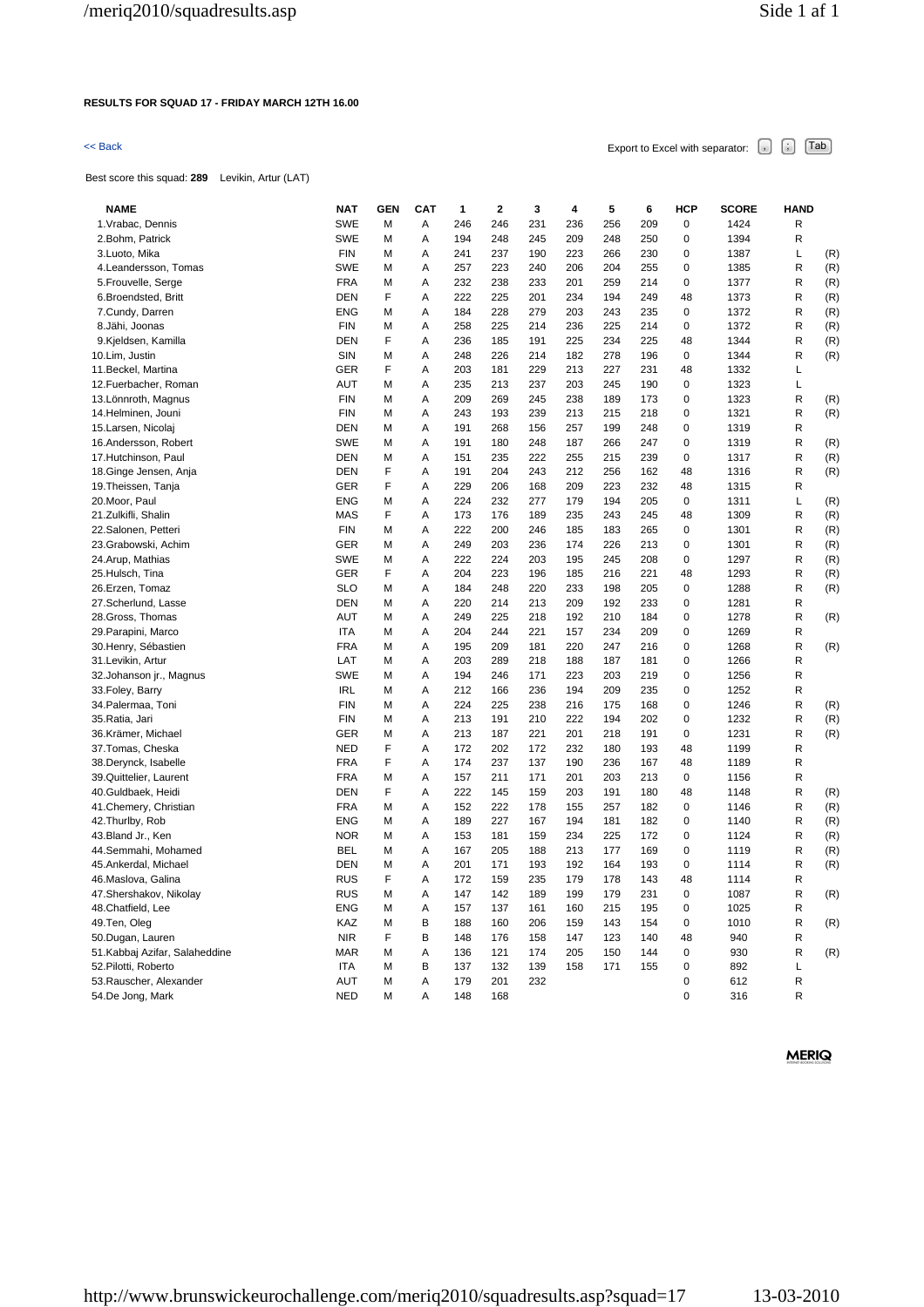## **RESULTS FOR SQUAD 17 - FRIDAY MARCH 12TH 16.00**

# $\leq$  Back Export to Excel with separator:  $\begin{bmatrix} . \ . \ . \end{bmatrix}$   $\begin{bmatrix} . \ . \ . \end{bmatrix}$   $\begin{bmatrix} . \ . \ . \end{bmatrix}$   $\begin{bmatrix} . \ . \ . \end{bmatrix}$   $\begin{bmatrix} . \ . \ . \end{bmatrix}$

Best score this squad: **289** Levikin, Artur (LAT)

| <b>NAME</b>                                  | <b>NAT</b>               | <b>GEN</b> | <b>CAT</b> | 1          | $\mathbf{2}$ | 3          | 4          | 5          | 6          | HCP         | <b>SCORE</b> | <b>HAND</b>  |            |
|----------------------------------------------|--------------------------|------------|------------|------------|--------------|------------|------------|------------|------------|-------------|--------------|--------------|------------|
| 1. Vrabac, Dennis                            | <b>SWE</b>               | М          | Α          | 246        | 246          | 231        | 236        | 256        | 209        | $\pmb{0}$   | 1424         | R            |            |
| 2.Bohm, Patrick                              | <b>SWE</b>               | М          | Α          | 194        | 248          | 245        | 209        | 248        | 250        | 0           | 1394         | R            |            |
| 3.Luoto, Mika                                | <b>FIN</b>               | М          | Α          | 241        | 237          | 190        | 223        | 266        | 230        | 0           | 1387         | L            | (R)        |
| 4. Leandersson, Tomas                        | <b>SWE</b>               | М          | Α          | 257        | 223          | 240        | 206        | 204        | 255        | 0           | 1385         | R            | (R)        |
| 5. Frouvelle, Serge                          | <b>FRA</b>               | M          | Α          | 232        | 238          | 233        | 201        | 259        | 214        | 0           | 1377         | R            | (R)        |
| 6.Broendsted, Britt                          | DEN                      | F          | A          | 222        | 225          | 201        | 234        | 194        | 249        | 48          | 1373         | R            | (R)        |
| 7.Cundy, Darren                              | <b>ENG</b>               | M          | Α          | 184        | 228          | 279        | 203        | 243        | 235        | $\pmb{0}$   | 1372         | R            | (R)        |
| 8.Jähi, Joonas                               | <b>FIN</b>               | M          | Α          | 258        | 225          | 214        | 236        | 225        | 214        | 0           | 1372         | R            | (R)        |
| 9.Kjeldsen, Kamilla                          | <b>DEN</b>               | F          | Α          | 236        | 185          | 191        | 225        | 234        | 225        | 48          | 1344         | R            | (R)        |
| 10.Lim, Justin                               | SIN                      | M          | Α          | 248        | 226          | 214        | 182        | 278        | 196        | 0           | 1344         | R            | (R)        |
| 11. Beckel, Martina                          | <b>GER</b>               | F          | Α          | 203        | 181          | 229        | 213        | 227        | 231        | 48          | 1332         | Г            |            |
| 12. Fuerbacher, Roman                        | AUT                      | M          | Α          | 235        | 213          | 237        | 203        | 245        | 190        | 0           | 1323         | L            |            |
| 13. Lönnroth, Magnus                         | <b>FIN</b>               | М          | Α          | 209        | 269          | 245        | 238        | 189        | 173        | 0           | 1323         | R            | (R)        |
| 14.Helminen, Jouni                           | <b>FIN</b>               | M          | Α          | 243        | 193          | 239        | 213        | 215        | 218        | 0           | 1321         | R            | (R)        |
| 15.Larsen, Nicolaj                           | <b>DEN</b>               | M          | Α          | 191        | 268          | 156        | 257        | 199        | 248        | 0           | 1319         | R            |            |
| 16.Andersson, Robert                         | <b>SWE</b>               | М          | Α          | 191        | 180          | 248        | 187        | 266        | 247        | 0           | 1319         | R            | (R)        |
| 17. Hutchinson, Paul                         | <b>DEN</b>               | M          | Α          | 151        | 235          | 222        | 255        | 215        | 239        | 0           | 1317         | R            | (R)        |
| 18.Ginge Jensen, Anja                        | <b>DEN</b>               | F          | Α          | 191        | 204          | 243        | 212        | 256        | 162        | 48          | 1316         | R            | (R)        |
| 19. Theissen, Tanja                          | <b>GER</b>               | F          | Α          | 229        | 206          | 168        | 209        | 223        | 232        | 48          | 1315         | $\mathsf R$  |            |
| 20.Moor, Paul                                | <b>ENG</b>               | М          | Α          | 224        | 232          | 277        | 179        | 194        | 205        | $\mathbf 0$ | 1311         | Г            | (R)        |
| 21. Zulkifli, Shalin                         | <b>MAS</b>               | F          | Α          | 173        | 176          | 189        | 235        | 243        | 245        | 48          | 1309         | $\mathsf R$  | (R)        |
| 22.Salonen, Petteri                          | <b>FIN</b>               | М          | Α          | 222        | 200          | 246        | 185        | 183        | 265        | 0           | 1301         | R            | (R)        |
| 23.Grabowski, Achim                          | <b>GER</b>               | M          | Α          | 249        | 203          | 236        | 174        | 226        | 213        | 0           | 1301         | R            | (R)        |
| 24.Arup, Mathias                             | <b>SWE</b>               | М          | Α          | 222        | 224          | 203        | 195        | 245        | 208        | 0           | 1297         | R            | (R)        |
| 25.Hulsch, Tina                              | <b>GER</b>               | F          | Α          | 204        | 223          | 196        | 185        | 216        | 221        | 48          | 1293         | R            | (R)        |
| 26.Erzen, Tomaz                              | <b>SLO</b>               | М          | A          | 184        | 248          | 220        | 233        | 198        | 205        | 0           | 1288         | R            | (R)        |
| 27.Scherlund, Lasse                          | DEN                      | M          | Α          | 220        | 214          | 213        | 209        | 192        | 233        | 0           | 1281         | R            |            |
| 28.Gross, Thomas                             | <b>AUT</b>               | M          | Α          | 249        | 225          | 218        | 192        | 210        | 184        | 0           | 1278         | R            | (R)        |
| 29. Parapini, Marco                          | <b>ITA</b>               | M          | Α          | 204        | 244          | 221        | 157        | 234        | 209        | 0           | 1269         | R            |            |
| 30. Henry, Sébastien                         | <b>FRA</b>               | M          | A          | 195        | 209          | 181        | 220        | 247        | 216        | 0           | 1268         | R            | (R)        |
| 31.Levikin, Artur                            | LAT                      | M          | Α          | 203        | 289          | 218        | 188        | 187        | 181        | 0           | 1266         | R            |            |
| 32. Johanson jr., Magnus                     | <b>SWE</b>               | M          | A          | 194        | 246          | 171        | 223        | 203        | 219        | 0           | 1256         | $\mathsf{R}$ |            |
| 33. Foley, Barry                             | <b>IRL</b>               | M          | Α          | 212        | 166          | 236        | 194        | 209        | 235        | 0           | 1252         | R            |            |
| 34. Palermaa, Toni                           | <b>FIN</b>               | М          | A          | 224        | 225          | 238        | 216        | 175        | 168        | 0           | 1246         | R            | (R)        |
| 35. Ratia, Jari                              | <b>FIN</b>               | М          | Α          | 213        | 191          | 210        | 222        | 194        | 202        | 0           | 1232         | R            | (R)        |
| 36.Krämer, Michael                           | GER                      | M          | Α          | 213        | 187          | 221        | 201        | 218        | 191        | 0           | 1231         | R            | (R)        |
| 37. Tomas, Cheska                            | <b>NED</b>               | F          | Α          | 172        | 202          | 172        | 232        | 180        | 193        | 48          | 1199         | R            |            |
|                                              | <b>FRA</b>               | F          | Α          | 174        | 237          | 137        | 190        | 236        |            | 48          | 1189         | R            |            |
| 38. Derynck, Isabelle                        | <b>FRA</b>               |            | Α          | 157        | 211          | 171        | 201        | 203        | 167<br>213 | 0           | 1156         | R            |            |
| 39.Quittelier, Laurent                       | DEN                      | M<br>F     | Α          | 222        | 145          | 159        | 203        | 191        | 180        | 48          | 1148         | R            |            |
| 40.Guldbaek, Heidi<br>41. Chemery, Christian | <b>FRA</b>               | M          | Α          | 152        | 222          | 178        | 155        | 257        | 182        | 0           | 1146         | R            | (R)<br>(R) |
|                                              | <b>ENG</b>               |            | Α          | 189        | 227          |            | 194        |            |            | 0           |              | R            | (R)        |
| 42. Thurlby, Rob<br>43.Bland Jr., Ken        | <b>NOR</b>               | M<br>М     | Α          | 153        | 181          | 167<br>159 | 234        | 181<br>225 | 182<br>172 | 0           | 1140<br>1124 | R            |            |
|                                              | <b>BEL</b>               | М          | Α          | 167        | 205          | 188        | 213        | 177        | 169        | 0           | 1119         | R            | (R)<br>(R) |
| 44.Semmahi, Mohamed<br>45.Ankerdal, Michael  | <b>DEN</b>               |            | Α          | 201        | 171          | 193        | 192        | 164        | 193        | 0           | 1114         | R            | (R)        |
|                                              |                          | M<br>F     |            |            |              |            |            |            |            |             |              |              |            |
| 46.Maslova, Galina                           | <b>RUS</b><br><b>RUS</b> |            | Α          | 172<br>147 | 159          | 235<br>189 | 179<br>199 | 178        | 143        | 48          | 1114         | R<br>R       |            |
| 47.Shershakov, Nikolay                       |                          | M          | Α          |            | 142          |            |            | 179        | 231        | 0           | 1087         | $\mathsf R$  | (R)        |
| 48. Chatfield, Lee                           | <b>ENG</b>               | M          | Α          | 157        | 137          | 161        | 160        | 215        | 195        | 0           | 1025         |              |            |
| 49.Ten, Oleg                                 | KAZ                      | M          | В          | 188        | 160          | 206        | 159        | 143        | 154        | 0           | 1010         | R            | (R)        |
| 50.Dugan, Lauren                             | <b>NIR</b>               | F          | В          | 148        | 176          | 158        | 147        | 123        | 140        | 48          | 940          | $\mathsf R$  |            |
| 51.Kabbaj Azifar, Salaheddine                | <b>MAR</b>               | M          | Α          | 136        | 121          | 174        | 205        | 150        | 144        | 0           | 930          | R            | (R)        |
| 52. Pilotti, Roberto                         | ITA                      | M          | В          | 137        | 132          | 139        | 158        | 171        | 155        | 0           | 892          | L            |            |
| 53. Rauscher, Alexander                      | AUT                      | M          | Α          | 179        | 201          | 232        |            |            |            | 0           | 612          | R            |            |
| 54.De Jong, Mark                             | <b>NED</b>               | М          | A          | 148        | 168          |            |            |            |            | 0           | 316          | R            |            |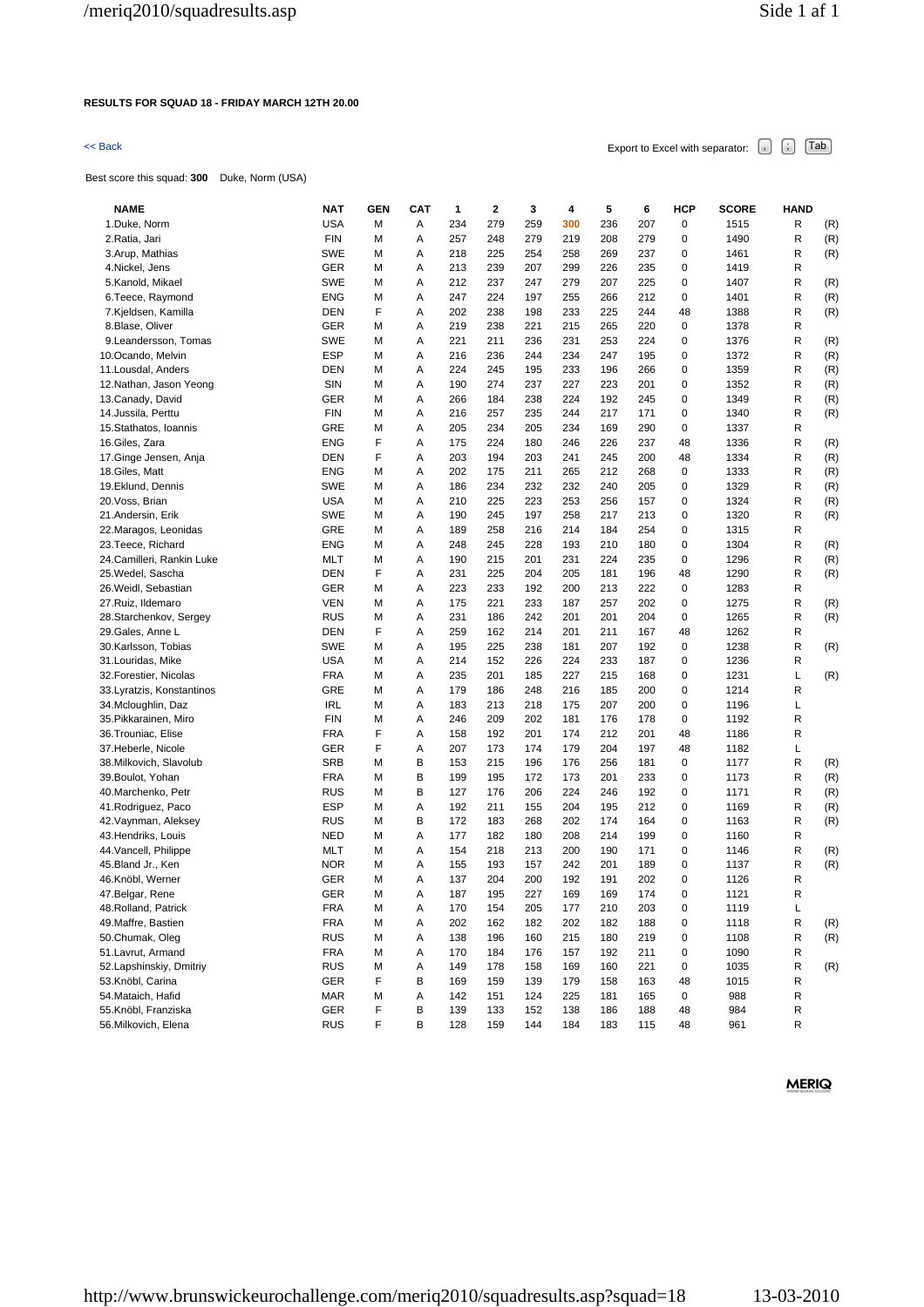### **RESULTS FOR SQUAD 18 - FRIDAY MARCH 12TH 20.00**

Best score this squad: **300** Duke, Norm (USA)

 $\leq$  Back Export to Excel with separator:  $\begin{bmatrix} . \ . \ . \end{bmatrix}$   $\begin{bmatrix} . \ . \ . \end{bmatrix}$   $\begin{bmatrix} . \ . \ . \end{bmatrix}$   $\begin{bmatrix} . \ . \ . \end{bmatrix}$   $\begin{bmatrix} . \ . \ . \end{bmatrix}$ 

| <b>NAME</b>                | <b>NAT</b> | GEN | <b>CAT</b> | 1   | 2   | 3   | 4   | 5   | 6   | <b>HCP</b>  | <b>SCORE</b> | <b>HAND</b> |     |
|----------------------------|------------|-----|------------|-----|-----|-----|-----|-----|-----|-------------|--------------|-------------|-----|
| 1.Duke, Norm               | <b>USA</b> | М   | Α          | 234 | 279 | 259 | 300 | 236 | 207 | $\mathbf 0$ | 1515         | R           | (R) |
| 2.Ratia, Jari              | <b>FIN</b> | М   | Α          | 257 | 248 | 279 | 219 | 208 | 279 | 0           | 1490         | R           | (R) |
| 3.Arup, Mathias            | <b>SWE</b> | М   | Α          | 218 | 225 | 254 | 258 | 269 | 237 | 0           | 1461         | R           | (R) |
| 4. Nickel, Jens            | GER        | M   | Α          | 213 | 239 | 207 | 299 | 226 | 235 | 0           | 1419         | R           |     |
| 5.Kanold, Mikael           | <b>SWE</b> | М   | Α          | 212 | 237 | 247 | 279 | 207 | 225 | $\mathbf 0$ | 1407         | R           | (R) |
| 6. Teece, Raymond          | <b>ENG</b> | М   | Α          | 247 | 224 | 197 | 255 | 266 | 212 | 0           | 1401         | R           | (R) |
| 7.Kjeldsen, Kamilla        | <b>DEN</b> | F   | Α          | 202 | 238 | 198 | 233 | 225 | 244 | 48          | 1388         | R           | (R) |
| 8.Blase, Oliver            | GER        | M   | Α          | 219 | 238 | 221 | 215 | 265 | 220 | 0           | 1378         | R           |     |
| 9. Leandersson, Tomas      | <b>SWE</b> | М   | Α          | 221 | 211 | 236 | 231 | 253 | 224 | 0           | 1376         | R           | (R) |
| 10.Ocando, Melvin          | <b>ESP</b> | M   | Α          | 216 | 236 | 244 | 234 | 247 | 195 | 0           | 1372         | R           | (R) |
| 11. Lousdal, Anders        | <b>DEN</b> | М   | Α          | 224 | 245 | 195 | 233 | 196 | 266 | 0           | 1359         | R           | (R) |
| 12. Nathan, Jason Yeong    | SIN        | M   | Α          | 190 | 274 | 237 | 227 | 223 | 201 | 0           | 1352         | R           | (R) |
| 13. Canady, David          | GER        | M   | Α          | 266 | 184 | 238 | 224 | 192 | 245 | $\mathbf 0$ | 1349         | R           | (R) |
| 14. Jussila, Perttu        | <b>FIN</b> | М   | Α          | 216 | 257 | 235 | 244 | 217 | 171 | 0           | 1340         | R           | (R) |
| 15. Stathatos, Ioannis     | <b>GRE</b> | М   | Α          | 205 | 234 | 205 | 234 | 169 | 290 | 0           | 1337         | R           |     |
| 16.Giles, Zara             | <b>ENG</b> | F   | Α          | 175 | 224 | 180 | 246 | 226 | 237 | 48          | 1336         | R           | (R) |
| 17. Ginge Jensen, Anja     | <b>DEN</b> | F   | Α          | 203 | 194 | 203 | 241 | 245 | 200 | 48          | 1334         | R           | (R) |
| 18.Giles, Matt             | <b>ENG</b> | М   | Α          | 202 | 175 | 211 | 265 | 212 | 268 | 0           | 1333         | R           | (R) |
| 19.Eklund, Dennis          | <b>SWE</b> | M   | Α          | 186 | 234 | 232 | 232 | 240 | 205 | 0           | 1329         | R           | (R) |
| 20. Voss, Brian            | <b>USA</b> | М   | Α          | 210 | 225 | 223 | 253 | 256 | 157 | $\mathbf 0$ | 1324         | R           | (R) |
| 21.Andersin, Erik          | <b>SWE</b> | М   | Α          | 190 | 245 | 197 | 258 | 217 | 213 | $\mathbf 0$ | 1320         | R           | (R) |
| 22. Maragos, Leonidas      | GRE        | М   | Α          | 189 | 258 | 216 | 214 | 184 | 254 | 0           | 1315         | R           |     |
| 23. Teece, Richard         | <b>ENG</b> | М   | Α          | 248 | 245 | 228 | 193 | 210 | 180 | 0           | 1304         | R           | (R) |
| 24.Camilleri, Rankin Luke  | <b>MLT</b> | M   | Α          | 190 | 215 | 201 | 231 | 224 | 235 | $\mathbf 0$ | 1296         | R           | (R) |
| 25. Wedel, Sascha          | <b>DEN</b> | F   | Α          | 231 | 225 | 204 | 205 | 181 | 196 | 48          | 1290         | R           | (R) |
| 26. Weidl, Sebastian       | GER        | M   | Α          | 223 | 233 | 192 | 200 | 213 | 222 | 0           | 1283         | R           |     |
| 27. Ruiz, Ildemaro         | <b>VEN</b> | М   | Α          | 175 | 221 | 233 | 187 | 257 | 202 | 0           | 1275         | R           | (R) |
| 28.Starchenkov, Sergey     | <b>RUS</b> | М   | Α          | 231 | 186 | 242 | 201 | 201 | 204 | 0           | 1265         | R           | (R) |
| 29. Gales, Anne L          | <b>DEN</b> | F   | Α          | 259 | 162 | 214 | 201 | 211 | 167 | 48          | 1262         | R           |     |
| 30.Karlsson, Tobias        | <b>SWE</b> | М   | Α          | 195 | 225 | 238 | 181 | 207 | 192 | 0           | 1238         | R           | (R) |
| 31.Louridas, Mike          | <b>USA</b> | М   | Α          | 214 | 152 | 226 | 224 | 233 | 187 | 0           | 1236         | R           |     |
| 32. Forestier, Nicolas     | <b>FRA</b> | М   | Α          | 235 | 201 | 185 | 227 | 215 | 168 | 0           | 1231         | L           | (R) |
| 33. Lyratzis, Konstantinos | GRE        | M   | Α          | 179 | 186 | 248 | 216 | 185 | 200 | $\mathbf 0$ | 1214         | R           |     |
| 34. Mcloughlin, Daz        | IRL        | М   | Α          | 183 | 213 | 218 | 175 | 207 | 200 | $\mathbf 0$ | 1196         | L           |     |
| 35. Pikkarainen, Miro      | <b>FIN</b> | M   | Α          | 246 | 209 | 202 | 181 | 176 | 178 | $\mathbf 0$ | 1192         | R           |     |
| 36. Trouniac, Elise        | <b>FRA</b> | F   | Α          | 158 | 192 | 201 | 174 | 212 | 201 | 48          | 1186         | R           |     |
| 37. Heberle, Nicole        | GER        | F   | Α          | 207 | 173 | 174 | 179 | 204 | 197 | 48          | 1182         | L           |     |
| 38. Milkovich, Slavolub    | <b>SRB</b> | М   | B          | 153 | 215 | 196 | 176 | 256 | 181 | 0           | 1177         | R           | (R) |
| 39. Boulot, Yohan          | <b>FRA</b> | М   | B          | 199 | 195 | 172 | 173 | 201 | 233 | 0           | 1173         | R           | (R) |
| 40.Marchenko, Petr         | <b>RUS</b> | М   | B          | 127 | 176 | 206 | 224 | 246 | 192 | 0           | 1171         | R           | (R) |
| 41. Rodriguez, Paco        | ESP        | М   | Α          | 192 | 211 | 155 | 204 | 195 | 212 | 0           | 1169         | R           | (R) |
| 42. Vaynman, Aleksey       | <b>RUS</b> | М   | В          | 172 | 183 | 268 | 202 | 174 | 164 | 0           | 1163         | R           | (R) |
| 43. Hendriks, Louis        | <b>NED</b> | M   | Α          | 177 | 182 | 180 | 208 | 214 | 199 | $\mathbf 0$ | 1160         | R           |     |
| 44. Vancell, Philippe      | <b>MLT</b> | М   | Α          | 154 | 218 | 213 | 200 | 190 | 171 | 0           | 1146         | R           | (R) |
| 45.Bland Jr., Ken          | <b>NOR</b> | М   | Α          | 155 | 193 | 157 | 242 | 201 | 189 | $\mathbf 0$ | 1137         | R           | (R) |
| 46.Knöbl, Werner           | <b>GER</b> | М   | Α          | 137 | 204 | 200 | 192 | 191 | 202 | 0           | 1126         | R           |     |
| 47. Belgar, Rene           | GER        | М   | Α          | 187 | 195 | 227 | 169 | 169 | 174 | 0           | 1121         | R           |     |
| 48. Rolland, Patrick       | <b>FRA</b> | М   | Α          | 170 | 154 | 205 | 177 | 210 | 203 | 0           | 1119         | L           |     |
| 49. Maffre, Bastien        | <b>FRA</b> | M   | Α          | 202 | 162 | 182 | 202 | 182 | 188 | 0           | 1118         | R           | (R) |
| 50.Chumak, Oleg            | <b>RUS</b> | M   | Α          | 138 | 196 | 160 | 215 | 180 | 219 | 0           | 1108         | R           | (R) |
| 51.Lavrut, Armand          | <b>FRA</b> | M   | Α          | 170 | 184 | 176 | 157 | 192 | 211 | 0           | 1090         | R           |     |
| 52. Lapshinskiy, Dmitriy   | <b>RUS</b> | M   | Α          | 149 | 178 | 158 | 169 | 160 | 221 | 0           | 1035         | R           | (R) |
| 53.Knöbl, Carina           | GER        | F   | В          | 169 | 159 | 139 | 179 | 158 | 163 | 48          | 1015         | R           |     |
| 54. Mataich, Hafid         | <b>MAR</b> | M   | Α          | 142 | 151 | 124 | 225 | 181 | 165 | 0           | 988          | R           |     |
| 55.Knöbl, Franziska        | <b>GER</b> | F   | В          | 139 | 133 | 152 | 138 | 186 | 188 | 48          | 984          | R           |     |
| 56. Milkovich, Elena       | <b>RUS</b> | F   | B          | 128 | 159 | 144 | 184 | 183 | 115 | 48          | 961          | R           |     |
|                            |            |     |            |     |     |     |     |     |     |             |              |             |     |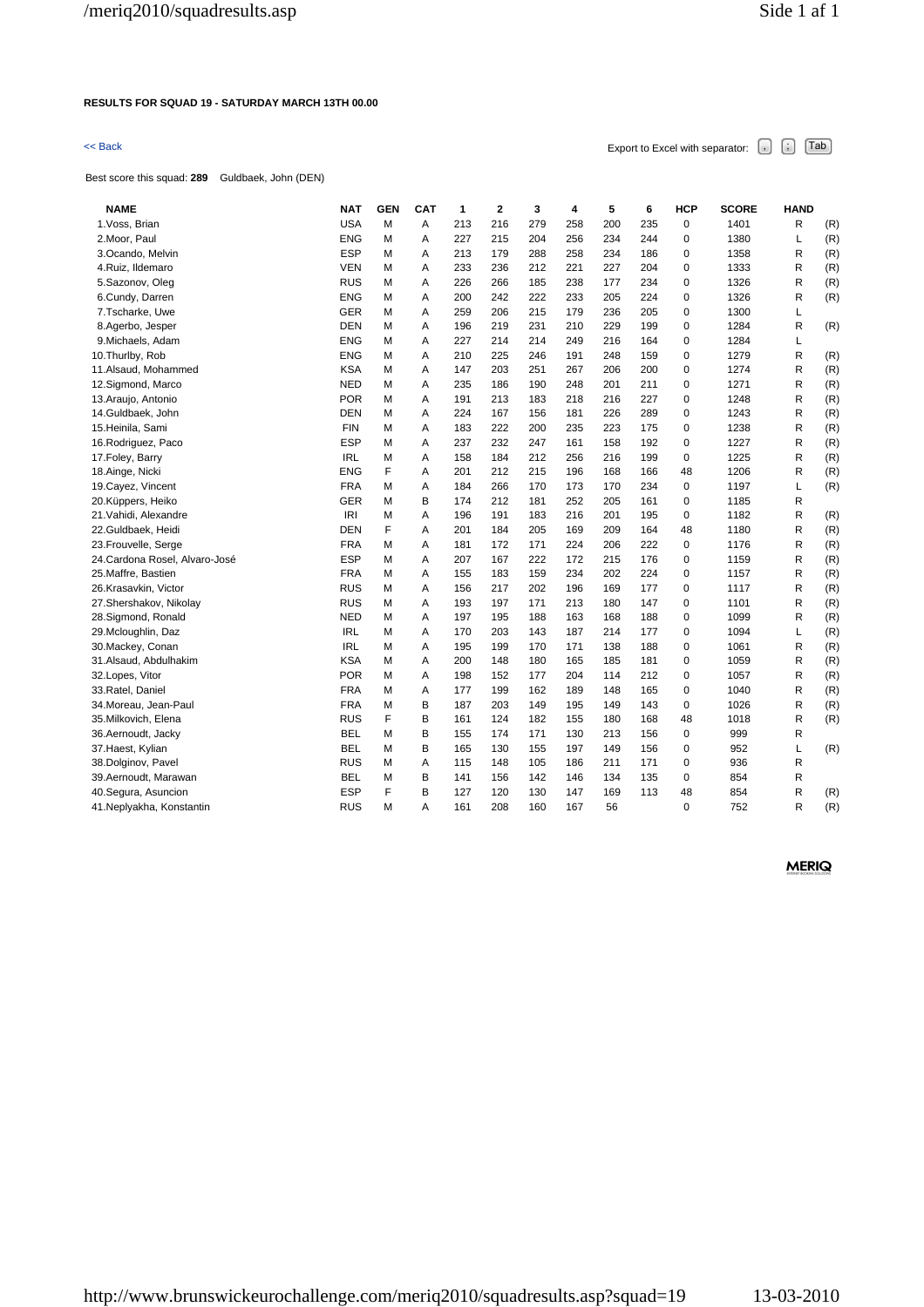# **RESULTS FOR SQUAD 19 - SATURDAY MARCH 13TH 00.00**

# $\leq$  Back Export to Excel with separator:  $\begin{bmatrix} . \ . \ . \end{bmatrix}$   $\begin{bmatrix} . \ . \ . \end{bmatrix}$   $\begin{bmatrix} . \ . \ . \end{bmatrix}$   $\begin{bmatrix} . \ . \ . \end{bmatrix}$   $\begin{bmatrix} . \ . \ . \end{bmatrix}$

Best score this squad: **289** Guldbaek, John (DEN)

| <b>NAME</b><br><b>NAT</b><br><b>GEN</b><br><b>CAT</b>  | 1   | $\overline{2}$ | 3   | 4   | 5   | 6   | <b>HCP</b>  | <b>SCORE</b> | <b>HAND</b>  |     |
|--------------------------------------------------------|-----|----------------|-----|-----|-----|-----|-------------|--------------|--------------|-----|
| <b>USA</b><br>1. Voss, Brian<br>M<br>A                 | 213 | 216            | 279 | 258 | 200 | 235 | 0           | 1401         | R            | (R) |
| <b>ENG</b><br>M<br>Α<br>2. Moor, Paul                  | 227 | 215            | 204 | 256 | 234 | 244 | $\mathbf 0$ | 1380         | Г            | (R) |
| <b>ESP</b><br>M<br>Α<br>3.Ocando, Melvin               | 213 | 179            | 288 | 258 | 234 | 186 | $\mathbf 0$ | 1358         | R            | (R) |
| <b>VEN</b><br>M<br>4.Ruiz, Ildemaro<br>Α               | 233 | 236            | 212 | 221 | 227 | 204 | 0           | 1333         | R            | (R) |
| <b>RUS</b><br>M<br>5.Sazonov, Oleg<br>Α                | 226 | 266            | 185 | 238 | 177 | 234 | 0           | 1326         | R            | (R) |
| <b>ENG</b><br>M<br>6.Cundy, Darren<br>A                | 200 | 242            | 222 | 233 | 205 | 224 | $\mathbf 0$ | 1326         | R            | (R) |
| GER<br>7.Tscharke, Uwe<br>M<br>Α                       | 259 | 206            | 215 | 179 | 236 | 205 | 0           | 1300         | Г            |     |
| <b>DEN</b><br>8.Agerbo, Jesper<br>M<br>A               | 196 | 219            | 231 | 210 | 229 | 199 | $\mathbf 0$ | 1284         | R            | (R) |
| 9. Michaels, Adam<br><b>ENG</b><br>M<br>A              | 227 | 214            | 214 | 249 | 216 | 164 | $\mathbf 0$ | 1284         | Г            |     |
| <b>ENG</b><br>M<br>Α<br>10. Thurlby, Rob               | 210 | 225            | 246 | 191 | 248 | 159 | 0           | 1279         | R            | (R) |
| <b>KSA</b><br>11.Alsaud, Mohammed<br>M<br>A            | 147 | 203            | 251 | 267 | 206 | 200 | $\mathbf 0$ | 1274         | R            | (R) |
| <b>NED</b><br>M<br>Α<br>12. Sigmond, Marco             | 235 | 186            | 190 | 248 | 201 | 211 | $\mathbf 0$ | 1271         | R            | (R) |
| <b>POR</b><br>M<br>13. Araujo, Antonio<br>Α            | 191 | 213            | 183 | 218 | 216 | 227 | 0           | 1248         | R            | (R) |
| <b>DEN</b><br>14.Guldbaek, John<br>M<br>A              | 224 | 167            | 156 | 181 | 226 | 289 | $\mathbf 0$ | 1243         | R            | (R) |
| <b>FIN</b><br>15.Heinila, Sami<br>M<br>Α               | 183 | 222            | 200 | 235 | 223 | 175 | 0           | 1238         | R            | (R) |
| <b>ESP</b><br>M<br>Α<br>16. Rodriguez, Paco            | 237 | 232            | 247 | 161 | 158 | 192 | 0           | 1227         | R            | (R) |
| <b>IRL</b><br>M<br>17. Foley, Barry<br>A               | 158 | 184            | 212 | 256 | 216 | 199 | $\mathbf 0$ | 1225         | R            | (R) |
| F<br><b>ENG</b><br>18.Ainge, Nicki<br>A                | 201 | 212            | 215 | 196 | 168 | 166 | 48          | 1206         | R            | (R) |
| <b>FRA</b><br>19. Cayez, Vincent<br>M<br>Α             | 184 | 266            | 170 | 173 | 170 | 234 | 0           | 1197         | Г            | (R) |
| 20.Küppers, Heiko<br><b>GER</b><br>M<br>В              | 174 | 212            | 181 | 252 | 205 | 161 | $\mathbf 0$ | 1185         | R            |     |
| IRI<br>21. Vahidi, Alexandre<br>M<br>Α                 | 196 | 191            | 183 | 216 | 201 | 195 | 0           | 1182         | R            | (R) |
| F<br><b>DEN</b><br>22.Guldbaek, Heidi<br>A             | 201 | 184            | 205 | 169 | 209 | 164 | 48          | 1180         | $\mathsf{R}$ | (R) |
| <b>FRA</b><br>23. Frouvelle, Serge<br>M<br>A           | 181 | 172            | 171 | 224 | 206 | 222 | $\mathbf 0$ | 1176         | R            | (R) |
| <b>ESP</b><br>Α<br>24. Cardona Rosel, Alvaro-José<br>M | 207 | 167            | 222 | 172 | 215 | 176 | 0           | 1159         | R            | (R) |
| <b>FRA</b><br>25.Maffre, Bastien<br>M<br>A             | 155 | 183            | 159 | 234 | 202 | 224 | $\mathbf 0$ | 1157         | R            | (R) |
| <b>RUS</b><br>M<br>26.Krasavkin, Victor<br>Α           | 156 | 217            | 202 | 196 | 169 | 177 | 0           | 1117         | R            | (R) |
| <b>RUS</b><br>M<br>27.Shershakov, Nikolay<br>Α         | 193 | 197            | 171 | 213 | 180 | 147 | 0           | 1101         | R            | (R) |
| <b>NED</b><br>28.Sigmond, Ronald<br>M<br>A             | 197 | 195            | 188 | 163 | 168 | 188 | $\mathbf 0$ | 1099         | R            | (R) |
| 29.Mcloughlin, Daz<br><b>IRL</b><br>M<br>Α             | 170 | 203            | 143 | 187 | 214 | 177 | $\mathbf 0$ | 1094         | Г            | (R) |
| <b>IRL</b><br>30. Mackey, Conan<br>M<br>Α              | 195 | 199            | 170 | 171 | 138 | 188 | 0           | 1061         | R            | (R) |
| <b>KSA</b><br>31.Alsaud, Abdulhakim<br>M<br>A          | 200 | 148            | 180 | 165 | 185 | 181 | $\mathbf 0$ | 1059         | R            | (R) |
| <b>POR</b><br>M<br>Α<br>32.Lopes, Vitor                | 198 | 152            | 177 | 204 | 114 | 212 | $\mathbf 0$ | 1057         | R            | (R) |
| <b>FRA</b><br>33. Ratel, Daniel<br>M<br>A              | 177 | 199            | 162 | 189 | 148 | 165 | $\mathbf 0$ | 1040         | R            | (R) |
| <b>FRA</b><br>M<br>В<br>34.Moreau, Jean-Paul           | 187 | 203            | 149 | 195 | 149 | 143 | $\mathbf 0$ | 1026         | R            | (R) |
| F<br><b>RUS</b><br>В<br>35.Milkovich, Elena            | 161 | 124            | 182 | 155 | 180 | 168 | 48          | 1018         | R            | (R) |
| <b>BEL</b><br>M<br>В<br>36.Aernoudt, Jacky             | 155 | 174            | 171 | 130 | 213 | 156 | $\mathbf 0$ | 999          | R            |     |
| <b>BEL</b><br>M<br>В<br>37. Haest, Kylian              | 165 | 130            | 155 | 197 | 149 | 156 | 0           | 952          | Г            | (R) |
| <b>RUS</b><br>38.Dolginov, Pavel<br>M<br>Α             | 115 | 148            | 105 | 186 | 211 | 171 | 0           | 936          | R            |     |
| <b>BEL</b><br>39.Aernoudt, Marawan<br>M<br>В           | 141 | 156            | 142 | 146 | 134 | 135 | $\mathbf 0$ | 854          | R            |     |
| F<br>B<br><b>ESP</b><br>40. Segura, Asuncion           | 127 | 120            | 130 | 147 | 169 | 113 | 48          | 854          | R            | (R) |
| <b>RUS</b><br>M<br>A<br>41. Neplyakha, Konstantin      | 161 | 208            | 160 | 167 | 56  |     | $\mathbf 0$ | 752          | R            | (R) |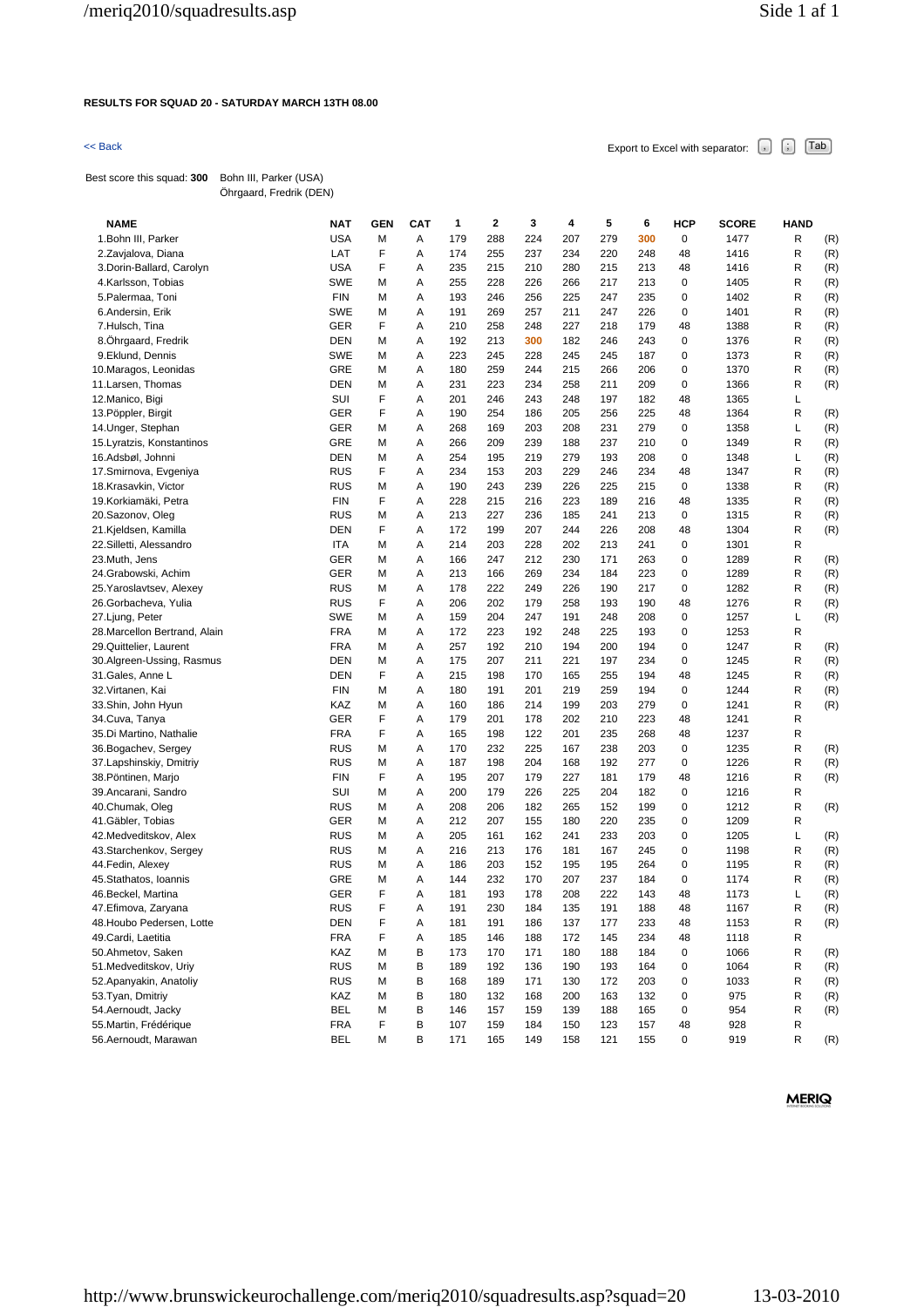### **RESULTS FOR SQUAD 20 - SATURDAY MARCH 13TH 08.00**

 $\leq$  Back Export to Excel with separator:  $\begin{bmatrix} . \end{bmatrix}$   $\begin{bmatrix} . \end{bmatrix}$   $\begin{bmatrix} \text{Tab} \end{bmatrix}$ 

Best score this squad: **300** Bohn III, Parker (USA) Öhrgaard, Fredrik (DEN)

| <b>NAME</b>                   | <b>NAT</b> | <b>GEN</b> | <b>CAT</b> | 1   | $\overline{\mathbf{2}}$ | 3   | 4   | 5   | 6   | <b>HCP</b>  | SCORE | <b>HAND</b> |     |
|-------------------------------|------------|------------|------------|-----|-------------------------|-----|-----|-----|-----|-------------|-------|-------------|-----|
| 1. Bohn III, Parker           | <b>USA</b> | М          | Α          | 179 | 288                     | 224 | 207 | 279 | 300 | 0           | 1477  | R           | (R) |
| 2.Zavjalova, Diana            | LAT        | F          | Α          | 174 | 255                     | 237 | 234 | 220 | 248 | 48          | 1416  | R           | (R) |
| 3. Dorin-Ballard, Carolyn     | <b>USA</b> | F          | Α          | 235 | 215                     | 210 | 280 | 215 | 213 | 48          | 1416  | R           | (R) |
| 4.Karlsson, Tobias            | <b>SWE</b> | Μ          | Α          | 255 | 228                     | 226 | 266 | 217 | 213 | 0           | 1405  | R           | (R) |
| 5. Palermaa, Toni             | <b>FIN</b> | М          | Α          | 193 | 246                     | 256 | 225 | 247 | 235 | 0           | 1402  | R           | (R) |
| 6.Andersin, Erik              | <b>SWE</b> | М          | Α          | 191 | 269                     | 257 | 211 | 247 | 226 | 0           | 1401  | R           | (R) |
| 7.Hulsch, Tina                | <b>GER</b> | F          | Α          | 210 | 258                     | 248 | 227 | 218 | 179 | 48          | 1388  | R           | (R) |
| 8.Ohrgaard, Fredrik           | <b>DEN</b> | М          | Α          | 192 | 213                     | 300 | 182 | 246 | 243 | 0           | 1376  | R           | (R) |
| 9.Eklund, Dennis              | <b>SWE</b> | Μ          | Α          | 223 | 245                     | 228 | 245 | 245 | 187 | 0           | 1373  | R           | (R) |
| 10.Maragos, Leonidas          | <b>GRE</b> | М          | Α          | 180 | 259                     | 244 | 215 | 266 | 206 | 0           | 1370  | R           | (R) |
| 11. Larsen, Thomas            | <b>DEN</b> | М          | Α          | 231 | 223                     | 234 | 258 | 211 | 209 | 0           | 1366  | R           | (R) |
| 12. Manico, Bigi              | SUI        | F          | Α          | 201 | 246                     | 243 | 248 | 197 | 182 | 48          | 1365  | Г           |     |
| 13. Pöppler, Birgit           | GER        | F          | Α          | 190 | 254                     | 186 | 205 | 256 | 225 | 48          | 1364  | R           | (R) |
| 14. Unger, Stephan            | <b>GER</b> | М          | Α          | 268 | 169                     | 203 | 208 | 231 | 279 | 0           | 1358  | L           | (R) |
| 15. Lyratzis, Konstantinos    | GRE        | М          | Α          | 266 | 209                     | 239 | 188 | 237 | 210 | 0           | 1349  | R           | (R) |
| 16.Adsbøl, Johnni             | <b>DEN</b> | М          | Α          | 254 | 195                     | 219 | 279 | 193 | 208 | 0           | 1348  | L           | (R) |
| 17.Smirnova, Evgeniya         | <b>RUS</b> | F          | Α          | 234 | 153                     | 203 | 229 | 246 | 234 | 48          | 1347  | R           | (R) |
| 18.Krasavkin, Victor          | <b>RUS</b> | М          | Α          | 190 | 243                     | 239 | 226 | 225 | 215 | 0           | 1338  | R           | (R) |
| 19. Korkiamäki, Petra         | <b>FIN</b> | F          | A          | 228 | 215                     | 216 | 223 | 189 | 216 | 48          | 1335  | R           | (R) |
| 20.Sazonov, Oleg              | <b>RUS</b> | М          | Α          | 213 | 227                     | 236 | 185 | 241 | 213 | $\mathbf 0$ | 1315  | R           | (R) |
| 21.Kjeldsen, Kamilla          | <b>DEN</b> | F          | Α          | 172 | 199                     | 207 | 244 | 226 | 208 | 48          | 1304  | R           | (R) |
| 22.Silletti, Alessandro       | ITA        | М          | Α          | 214 | 203                     | 228 | 202 | 213 | 241 | 0           | 1301  | R           |     |
| 23.Muth, Jens                 | <b>GER</b> | М          | Α          | 166 | 247                     | 212 | 230 | 171 | 263 | 0           | 1289  | R           | (R) |
| 24.Grabowski, Achim           | GER        | Μ          | Α          | 213 | 166                     | 269 | 234 | 184 | 223 | 0           | 1289  | R           | (R) |
| 25. Yaroslavtsev, Alexey      | <b>RUS</b> | Μ          | Α          | 178 | 222                     | 249 | 226 | 190 | 217 | 0           | 1282  | R           | (R) |
| 26.Gorbacheva, Yulia          | <b>RUS</b> | F          | Α          | 206 | 202                     | 179 | 258 | 193 | 190 | 48          | 1276  | R           | (R) |
| 27.Ljung, Peter               | <b>SWE</b> | М          | Α          | 159 | 204                     | 247 | 191 | 248 | 208 | 0           | 1257  | L           | (R) |
| 28. Marcellon Bertrand, Alain | <b>FRA</b> | М          | Α          | 172 | 223                     | 192 | 248 | 225 | 193 | 0           | 1253  | R           |     |
| 29.Quittelier, Laurent        | <b>FRA</b> | Μ          | Α          | 257 | 192                     | 210 | 194 | 200 | 194 | 0           | 1247  | R           | (R) |
| 30.Algreen-Ussing, Rasmus     | <b>DEN</b> | М          | Α          | 175 | 207                     | 211 | 221 | 197 | 234 | 0           | 1245  | R           | (R) |
| 31. Gales, Anne L             | <b>DEN</b> | F          | Α          | 215 | 198                     | 170 | 165 | 255 | 194 | 48          | 1245  | R           | (R) |
| 32. Virtanen, Kai             | <b>FIN</b> | М          | Α          | 180 | 191                     | 201 | 219 | 259 | 194 | 0           | 1244  | R           | (R) |
| 33.Shin, John Hyun            | KAZ        | М          | Α          | 160 | 186                     | 214 | 199 | 203 | 279 | 0           | 1241  | R           | (R) |
| 34.Cuva, Tanya                | GER        | F          | Α          | 179 | 201                     | 178 | 202 | 210 | 223 | 48          | 1241  | R           |     |
| 35.Di Martino, Nathalie       | <b>FRA</b> | F          | Α          | 165 | 198                     | 122 | 201 | 235 | 268 | 48          | 1237  | R           |     |
| 36. Bogachev, Sergey          | <b>RUS</b> | М          | Α          | 170 | 232                     | 225 | 167 | 238 | 203 | 0           | 1235  | R           | (R) |
| 37.Lapshinskiy, Dmitriy       | <b>RUS</b> | М          | Α          | 187 | 198                     | 204 | 168 | 192 | 277 | 0           | 1226  | R           | (R) |
| 38. Pöntinen, Marjo           | <b>FIN</b> | F          | Α          | 195 | 207                     | 179 | 227 | 181 | 179 | 48          | 1216  | R           | (R) |
| 39. Ancarani, Sandro          | SUI        | М          | Α          | 200 | 179                     | 226 | 225 | 204 | 182 | 0           | 1216  | R           |     |
| 40.Chumak, Oleg               | <b>RUS</b> | М          | Α          | 208 | 206                     | 182 | 265 | 152 | 199 | 0           | 1212  | R           | (R) |
| 41. Gäbler, Tobias            | GER        | Μ          | Α          | 212 | 207                     | 155 | 180 | 220 | 235 | 0           | 1209  | R           |     |
| 42.Medveditskov, Alex         | <b>RUS</b> | м          | Α          | 205 | 161                     | 162 | 241 | 233 | 203 | 0           | 1205  | L           | (R) |
| 43.Starchenkov, Sergey        | <b>RUS</b> | м          | Α          | 216 | 213                     | 176 | 181 | 167 | 245 | 0           | 1198  | R           | (R) |
| 44. Fedin, Alexey             | <b>RUS</b> | М          | Α          | 186 | 203                     | 152 | 195 | 195 | 264 | 0           | 1195  | R           | (R) |
| 45.Stathatos, Ioannis         | GRE        | М          | Α          | 144 | 232                     | 170 | 207 | 237 | 184 | 0           | 1174  | R           | (R) |
| 46.Beckel, Martina            | GER        | F          | A          | 181 | 193                     | 178 | 208 | 222 | 143 | 48          | 1173  | L           | (R) |
| 47. Efimova, Zaryana          | <b>RUS</b> | F          | Α          | 191 | 230                     | 184 | 135 | 191 | 188 | 48          | 1167  | R           | (R) |
| 48. Houbo Pedersen, Lotte     | DEN        | F          | Α          | 181 | 191                     | 186 | 137 | 177 | 233 | 48          | 1153  | R           | (R) |
| 49. Cardi, Laetitia           | <b>FRA</b> | F          | Α          | 185 | 146                     | 188 | 172 | 145 | 234 | 48          | 1118  | R           |     |
| 50.Ahmetov, Saken             | KAZ        | М          | В          | 173 | 170                     | 171 | 180 | 188 | 184 | 0           | 1066  | R           | (R) |
| 51. Medveditskov, Uriy        | <b>RUS</b> | М          | В          | 189 | 192                     | 136 | 190 | 193 | 164 | 0           | 1064  | R           | (R) |
| 52. Apanyakin, Anatoliy       | <b>RUS</b> | Μ          | В          | 168 | 189                     | 171 | 130 | 172 | 203 | 0           | 1033  | R           | (R) |
| 53. Tyan, Dmitriy             | KAZ        | М          | В          | 180 | 132                     | 168 | 200 | 163 | 132 | 0           | 975   | R           | (R) |
| 54.Aernoudt, Jacky            | <b>BEL</b> | М          | В          | 146 | 157                     | 159 | 139 | 188 | 165 | 0           | 954   | R           | (R) |
| 55. Martin, Frédérique        | <b>FRA</b> | F          | В          | 107 | 159                     | 184 | 150 | 123 | 157 | 48          | 928   | R           |     |
| 56.Aernoudt, Marawan          | <b>BEL</b> | М          | в          | 171 | 165                     | 149 | 158 | 121 | 155 | 0           | 919   | R           | (R) |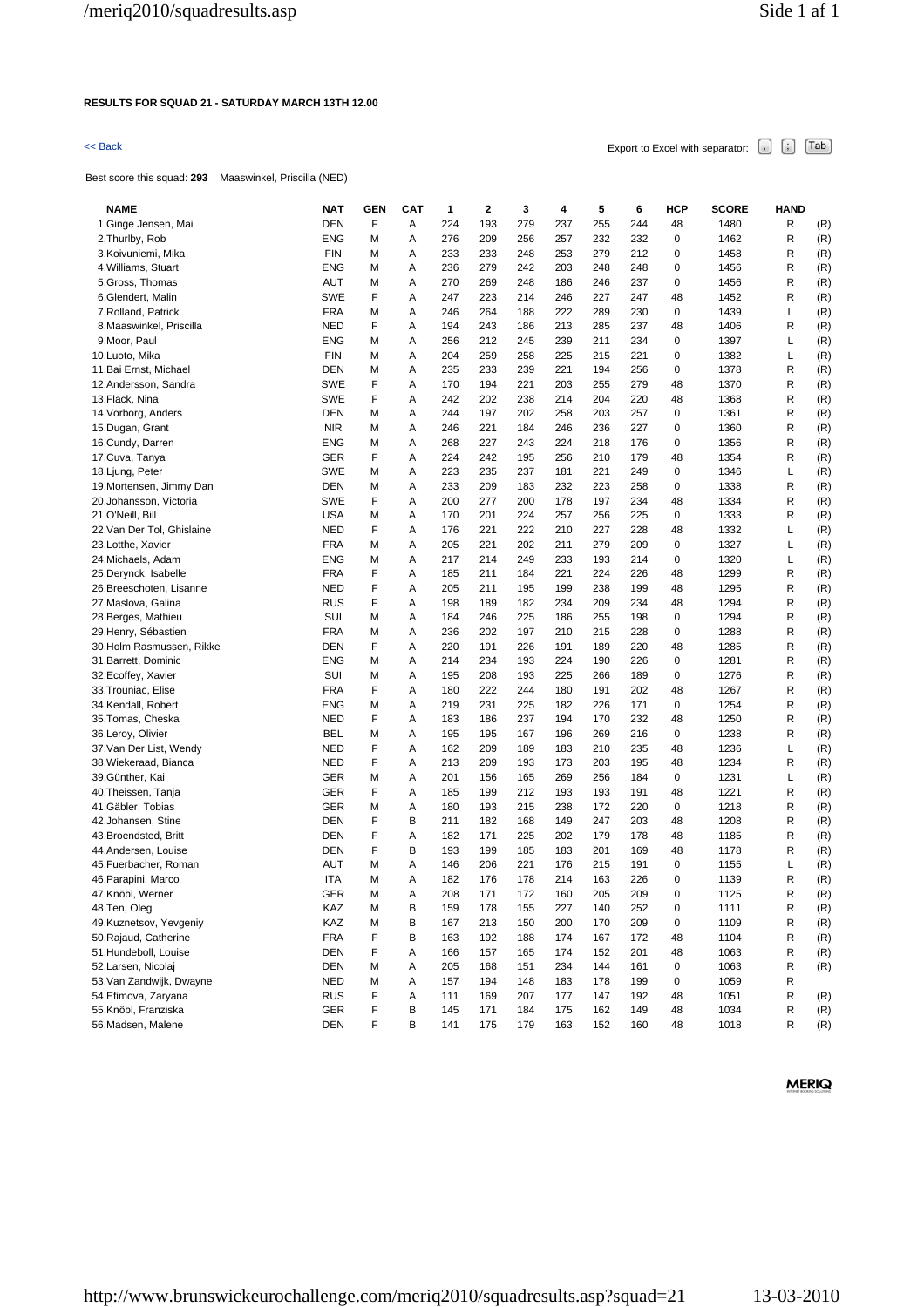### **RESULTS FOR SQUAD 21 - SATURDAY MARCH 13TH 12.00**

# $\leq$  Back Export to Excel with separator:  $\begin{bmatrix} . \end{bmatrix}$   $\begin{bmatrix} . \end{bmatrix}$   $\begin{bmatrix} \text{Tab} \end{bmatrix}$

Best score this squad: **293** Maaswinkel, Priscilla (NED)

| <b>NAME</b>                              | <b>NAT</b>               | <b>GEN</b> | САТ    | 1          | 2          | 3          | 4          | 5          | 6          | HCP     | <b>SCORE</b> | <b>HAND</b> |            |
|------------------------------------------|--------------------------|------------|--------|------------|------------|------------|------------|------------|------------|---------|--------------|-------------|------------|
| 1.Ginge Jensen, Mai                      | <b>DEN</b>               | F          | Α      | 224        | 193        | 279        | 237        | 255        | 244        | 48      | 1480         | R           | (R)        |
| 2. Thurlby, Rob                          | <b>ENG</b>               | Μ          | Α      | 276        | 209        | 256        | 257        | 232        | 232        | 0       | 1462         | R           | (R)        |
| 3. Koivuniemi, Mika                      | <b>FIN</b>               | М          | Α      | 233        | 233        | 248        | 253        | 279        | 212        | 0       | 1458         | R           | (R)        |
| 4. Williams, Stuart                      | <b>ENG</b>               | М          | Α      | 236        | 279        | 242        | 203        | 248        | 248        | 0       | 1456         | R           | (R)        |
| 5. Gross, Thomas                         | AUT                      | М          | Α      | 270        | 269        | 248        | 186        | 246        | 237        | 0       | 1456         | R           | (R)        |
| 6.Glendert, Malin                        | <b>SWE</b>               | F          | Α      | 247        | 223        | 214        | 246        | 227        | 247        | 48      | 1452         | R           | (R)        |
| 7. Rolland, Patrick                      | <b>FRA</b>               | Μ          | Α      | 246        | 264        | 188        | 222        | 289        | 230        | 0       | 1439         | Г           | (R)        |
| 8. Maaswinkel, Priscilla                 | <b>NED</b>               | F          | Α      | 194        | 243        | 186        | 213        | 285        | 237        | 48      | 1406         | R           | (R)        |
| 9. Moor, Paul                            | <b>ENG</b>               | М          | Α      | 256        | 212        | 245        | 239        | 211        | 234        | 0       | 1397         | L           | (R)        |
| 10.Luoto, Mika                           | <b>FIN</b>               | М          | Α      | 204        | 259        | 258        | 225        | 215        | 221        | 0       | 1382         | L           | (R)        |
| 11. Bai Ernst, Michael                   | DEN                      | М          | Α      | 235        | 233        | 239        | 221        | 194        | 256        | 0       | 1378         | R           | (R)        |
| 12.Andersson, Sandra                     | <b>SWE</b>               | F          | Α      | 170        | 194        | 221        | 203        | 255        | 279        | 48      | 1370         | R           | (R)        |
| 13.Flack, Nina                           | <b>SWE</b>               | F          | Α      | 242        | 202        | 238        | 214        | 204        | 220        | 48      | 1368         | R           | (R)        |
| 14. Vorborg, Anders                      | <b>DEN</b>               | М          | Α      | 244        | 197        | 202        | 258        | 203        | 257        | 0       | 1361         | R           | (R)        |
| 15.Dugan, Grant                          | <b>NIR</b>               | М          | Α      | 246        | 221        | 184        | 246        | 236        | 227        | 0       | 1360         | R           | (R)        |
| 16.Cundy, Darren                         | <b>ENG</b>               | Μ          | Α      | 268        | 227        | 243        | 224        | 218        | 176        | 0       | 1356         | R           | (R)        |
| 17.Cuva, Tanya                           | GER                      | F          | Α      | 224        | 242        | 195        | 256        | 210        | 179        | 48      | 1354         | R           | (R)        |
| 18. Ljung, Peter                         | <b>SWE</b>               | М          | Α      | 223        | 235        | 237        | 181        | 221        | 249        | 0       | 1346         | L           | (R)        |
| 19. Mortensen, Jimmy Dan                 | DEN                      | М          | Α      | 233        | 209        | 183        | 232        | 223        | 258        | 0       | 1338         | R           | (R)        |
| 20.Johansson, Victoria                   | <b>SWE</b>               | F          | Α      | 200        | 277        | 200        | 178        | 197        | 234        | 48      | 1334         | R           | (R)        |
| 21.O'Neill, Bill                         | <b>USA</b>               | М          | Α      | 170        | 201        | 224        | 257        | 256        | 225        | 0       | 1333         | R           | (R)        |
| 22.Van Der Tol, Ghislaine                | <b>NED</b>               | F          | Α      | 176        | 221        | 222        | 210        | 227        | 228        | 48      | 1332         | Г           | (R)        |
| 23.Lotthe, Xavier                        | <b>FRA</b>               | М          | Α      | 205        | 221        | 202        | 211        | 279        | 209        | 0       | 1327         | L           | (R)        |
| 24.Michaels, Adam                        | <b>ENG</b>               | Μ          | Α      | 217        | 214        | 249        | 233        | 193        | 214        | 0       | 1320         | L           | (R)        |
| 25.Derynck, Isabelle                     | <b>FRA</b>               | F          | Α      | 185        | 211        | 184        | 221        | 224        | 226        | 48      | 1299         | R           | (R)        |
| 26.Breeschoten, Lisanne                  | NED                      | F          | Α      | 205        | 211        | 195        | 199        | 238        | 199        | 48      | 1295         | R           | (R)        |
| 27.Maslova, Galina                       | <b>RUS</b>               | F          | Α      | 198        | 189        | 182        | 234        | 209        | 234        | 48      | 1294         | R           | (R)        |
| 28.Berges, Mathieu                       | SUI                      | М          | Α      | 184        | 246        | 225        | 186        | 255        | 198        | 0       | 1294         | R           | (R)        |
| 29.Henry, Sébastien                      | <b>FRA</b>               | М          | Α      | 236        | 202        | 197        | 210        | 215        | 228        | 0       | 1288         | R           | (R)        |
| 30.Holm Rasmussen, Rikke                 | <b>DEN</b>               | F          | Α      | 220        | 191        | 226        | 191        | 189        | 220        | 48      | 1285         | R           | (R)        |
| 31.Barrett, Dominic                      | ENG                      | М          | Α      | 214        | 234        | 193        | 224        | 190        | 226        | 0       | 1281         | R           | (R)        |
| 32.Ecoffey, Xavier                       | SUI                      | Μ          | Α      | 195        | 208        | 193        | 225        | 266        | 189        | 0       | 1276         | R           | (R)        |
| 33.Trouniac, Elise<br>34.Kendall, Robert | <b>FRA</b><br><b>ENG</b> | F<br>Μ     | Α<br>Α | 180<br>219 | 222<br>231 | 244<br>225 | 180<br>182 | 191<br>226 | 202<br>171 | 48<br>0 | 1267<br>1254 | R<br>R      | (R)<br>(R) |
| 35.Tomas, Cheska                         | <b>NED</b>               | F          | Α      | 183        | 186        | 237        | 194        | 170        | 232        | 48      | 1250         | R           | (R)        |
| 36.Leroy, Olivier                        | <b>BEL</b>               | М          | Α      | 195        | 195        | 167        | 196        | 269        | 216        | 0       | 1238         | R           | (R)        |
| 37.Van Der List, Wendy                   | <b>NED</b>               | F          | Α      | 162        | 209        | 189        | 183        | 210        | 235        | 48      | 1236         | L           | (R)        |
| 38.Wiekeraad, Bianca                     | <b>NED</b>               | F          | Α      | 213        | 209        | 193        | 173        | 203        | 195        | 48      | 1234         | R           | (R)        |
| 39.Günther, Kai                          | GER                      | Μ          | Α      | 201        | 156        | 165        | 269        | 256        | 184        | 0       | 1231         | Г           | (R)        |
| 40.Theissen, Tanja                       | GER                      | F          | Α      | 185        | 199        | 212        | 193        | 193        | 191        | 48      | 1221         | R           | (R)        |
| 41.Gäbler, Tobias                        | GER                      | М          | Α      | 180        | 193        | 215        | 238        | 172        | 220        | 0       | 1218         | R           | (R)        |
| 42.Johansen, Stine                       | DEN                      | F          | В      | 211        | 182        | 168        | 149        | 247        | 203        | 48      | 1208         | R           | (R)        |
| 43.Broendsted, Britt                     | <b>DEN</b>               | F          | Α      | 182        | 171        | 225        | 202        | 179        | 178        | 48      | 1185         | R           | (R)        |
| 44.Andersen, Louise                      | <b>DEN</b>               | F          | В      | 193        | 199        | 185        | 183        | 201        | 169        | 48      | 1178         | R           | (R)        |
| 45.Fuerbacher, Roman                     | <b>AUT</b>               | М          | Α      | 146        | 206        | 221        | 176        | 215        | 191        | 0       | 1155         | L           | (R)        |
| 46.Parapini, Marco                       | ITA                      | М          | Α      | 182        | 176        | 178        | 214        | 163        | 226        | 0       | 1139         | R           | (R)        |
| 47.Knöbl, Werner                         | <b>GER</b>               | М          | A      | 208        | 171        | 172        | 160        | 205        | 209        | 0       | 1125         | R           | (R)        |
| 48.Ten, Oleg                             | KAZ                      | М          | В      | 159        | 178        | 155        | 227        | 140        | 252        | 0       | 1111         | R           | (R)        |
| 49.Kuznetsov, Yevgeniy                   | KAZ                      | М          | В      | 167        | 213        | 150        | 200        | 170        | 209        | 0       | 1109         | R           | (R)        |
| 50.Rajaud, Catherine                     | <b>FRA</b>               | F          | В      | 163        | 192        | 188        | 174        | 167        | 172        | 48      | 1104         | R           | (R)        |
| 51.Hundeboll, Louise                     | DEN                      | F          | Α      | 166        | 157        | 165        | 174        | 152        | 201        | 48      | 1063         | R           | (R)        |
| 52.Larsen, Nicolaj                       | <b>DEN</b>               | М          | Α      | 205        | 168        | 151        | 234        | 144        | 161        | 0       | 1063         | R           | (R)        |
| 53.Van Zandwijk, Dwayne                  | <b>NED</b>               | M          | Α      | 157        | 194        | 148        | 183        | 178        | 199        | 0       | 1059         | R           |            |
| 54.Efimova, Zaryana                      | <b>RUS</b>               | F          | Α      | 111        | 169        | 207        | 177        | 147        | 192        | 48      | 1051         | R           | (R)        |
| 55.Knöbl, Franziska                      | GER                      | F          | В      | 145        | 171        | 184        | 175        | 162        | 149        | 48      | 1034         | R           | (R)        |
| 56.Madsen, Malene                        | <b>DEN</b>               | F          | В      | 141        | 175        | 179        | 163        | 152        | 160        | 48      | 1018         | R           | (R)        |
|                                          |                          |            |        |            |            |            |            |            |            |         |              |             |            |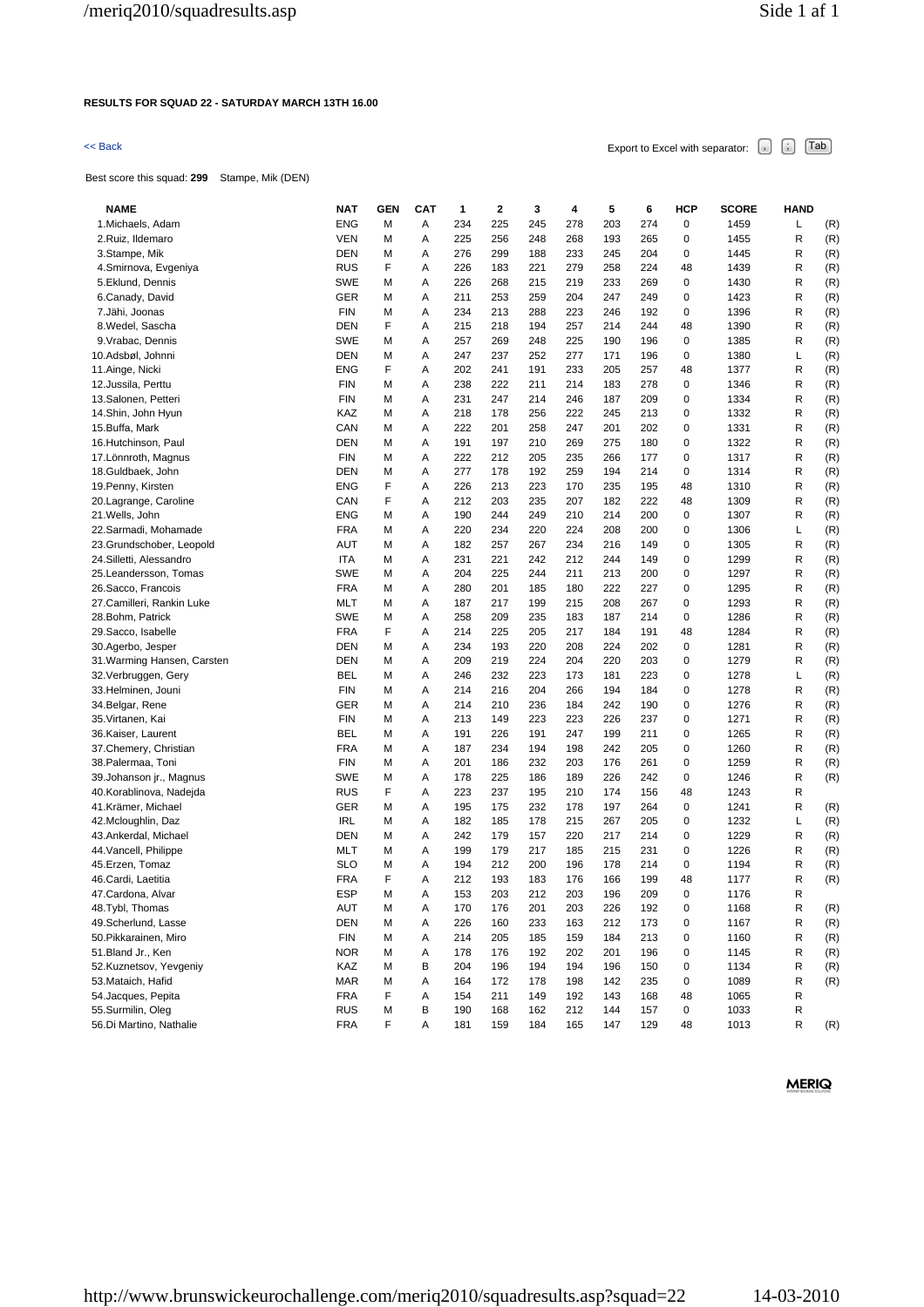# **RESULTS FOR SQUAD 22 - SATURDAY MARCH 13TH 16.00**

# $\leq$  Back Export to Excel with separator:  $\begin{bmatrix} . \ . \ . \end{bmatrix}$   $\begin{bmatrix} . \ . \ . \end{bmatrix}$   $\begin{bmatrix} . \ . \ . \end{bmatrix}$   $\begin{bmatrix} . \ . \ . \end{bmatrix}$   $\begin{bmatrix} . \ . \ . \end{bmatrix}$

Best score this squad: **299** Stampe, Mik (DEN)

| <b>NAME</b>                                | <b>NAT</b>               | <b>GEN</b> | <b>CAT</b> | 1   | 2   | 3   | 4   | 5   | 6   | HCP         | <b>SCORE</b> | <b>HAND</b> |     |
|--------------------------------------------|--------------------------|------------|------------|-----|-----|-----|-----|-----|-----|-------------|--------------|-------------|-----|
| 1. Michaels, Adam                          | <b>ENG</b>               | M          | Α          | 234 | 225 | 245 | 278 | 203 | 274 | 0           | 1459         | L           | (R) |
| 2.Ruiz, Ildemaro                           | <b>VEN</b>               | M          | Α          | 225 | 256 | 248 | 268 | 193 | 265 | 0           | 1455         | R           | (R) |
| 3.Stampe, Mik                              | <b>DEN</b>               | М          | Α          | 276 | 299 | 188 | 233 | 245 | 204 | 0           | 1445         | R           | (R) |
| 4.Smirnova, Evgeniya                       | <b>RUS</b>               | F          | Α          | 226 | 183 | 221 | 279 | 258 | 224 | 48          | 1439         | R           | (R) |
| 5.Eklund, Dennis                           | <b>SWE</b>               | м          | Α          | 226 | 268 | 215 | 219 | 233 | 269 | 0           | 1430         | R           | (R) |
| 6.Canady, David                            | GER                      | M          | Α          | 211 | 253 | 259 | 204 | 247 | 249 | 0           | 1423         | R           | (R) |
| 7.Jähi, Joonas                             | <b>FIN</b>               | М          | Α          | 234 | 213 | 288 | 223 | 246 | 192 | 0           | 1396         | R           | (R) |
| 8. Wedel, Sascha                           | DEN                      | F          | Α          | 215 | 218 | 194 | 257 | 214 | 244 | 48          | 1390         | R           | (R) |
| 9. Vrabac, Dennis                          | <b>SWE</b>               | М          | Α          | 257 | 269 | 248 | 225 | 190 | 196 | 0           | 1385         | R           | (R) |
| 10.Adsbøl, Johnni                          | DEN                      | M          | Α          | 247 | 237 | 252 | 277 | 171 | 196 | 0           | 1380         | L           | (R) |
| 11.Ainge, Nicki                            | <b>ENG</b>               | F          | Α          | 202 | 241 | 191 | 233 | 205 | 257 | 48          | 1377         | R           | (R) |
| 12. Jussila, Perttu                        | <b>FIN</b>               | M          | Α          | 238 | 222 | 211 | 214 | 183 | 278 | 0           | 1346         | R           | (R) |
| 13.Salonen, Petteri                        | <b>FIN</b>               | М          | Α          | 231 | 247 | 214 | 246 | 187 | 209 | 0           | 1334         | R           | (R) |
| 14.Shin, John Hyun                         | KAZ                      | M          | Α          | 218 | 178 | 256 | 222 | 245 | 213 | 0           | 1332         | R           | (R) |
| 15.Buffa, Mark                             | CAN                      | M          | Α          | 222 | 201 | 258 | 247 | 201 | 202 | 0           | 1331         | R           | (R) |
| 16.Hutchinson, Paul                        | DEN                      | М          | Α          | 191 | 197 | 210 | 269 | 275 | 180 | 0           | 1322         | R           | (R) |
| 17. Lönnroth, Magnus                       | <b>FIN</b>               | M          | Α          | 222 | 212 | 205 | 235 | 266 | 177 | 0           | 1317         | R           | (R) |
| 18.Guldbaek, John                          | DEN                      | M          | Α          | 277 | 178 | 192 | 259 | 194 | 214 | 0           | 1314         | R           | (R) |
| 19. Penny, Kirsten                         | <b>ENG</b>               | F          | Α          | 226 | 213 | 223 | 170 | 235 | 195 | 48          | 1310         | R           | (R) |
| 20.Lagrange, Caroline                      | CAN                      | F          | Α          | 212 | 203 | 235 | 207 | 182 | 222 | 48          | 1309         | R           | (R) |
| 21. Wells, John                            | <b>ENG</b>               | M          | Α          | 190 | 244 | 249 | 210 | 214 | 200 | 0           | 1307         | R           | (R) |
| 22.Sarmadi, Mohamade                       | FRA                      | M          | Α          | 220 | 234 | 220 | 224 | 208 | 200 | 0           | 1306         | L           | (R) |
| 23.Grundschober, Leopold                   | AUT                      | М          | Α          | 182 | 257 | 267 | 234 | 216 | 149 | 0           | 1305         | R           | (R) |
| 24. Silletti, Alessandro                   | <b>ITA</b>               | M          | Α          | 231 | 221 | 242 | 212 | 244 | 149 | 0           | 1299         | R           | (R) |
| 25. Leandersson, Tomas                     | <b>SWE</b>               | М          | Α          | 204 | 225 | 244 | 211 | 213 | 200 | 0           | 1297         | R           | (R) |
| 26. Sacco, Francois                        | <b>FRA</b>               | M          | Α          | 280 | 201 | 185 | 180 | 222 | 227 | 0           | 1295         | R           | (R) |
| 27.Camilleri, Rankin Luke                  | MLT                      | M          | Α          | 187 | 217 | 199 | 215 | 208 | 267 | 0           | 1293         | R           | (R) |
| 28. Bohm, Patrick                          | <b>SWE</b>               | М          | Α          | 258 | 209 | 235 | 183 | 187 | 214 | 0           | 1286         | R           | (R) |
| 29. Sacco, Isabelle                        | <b>FRA</b>               | F          | Α          | 214 | 225 | 205 | 217 | 184 | 191 | 48          | 1284         | R           | (R) |
| 30.Agerbo, Jesper                          | DEN                      | М          | Α          | 234 | 193 | 220 | 208 | 224 | 202 | 0           | 1281         | R           | (R) |
| 31. Warming Hansen, Carsten                | DEN                      | M          | Α          | 209 | 219 | 224 | 204 | 220 | 203 | 0           | 1279         | R           | (R) |
| 32. Verbruggen, Gery                       | <b>BEL</b>               | М          | Α          | 246 | 232 | 223 | 173 | 181 | 223 | 0           | 1278         | Г           | (R) |
| 33.Helminen, Jouni                         | <b>FIN</b>               | M          | Α          | 214 | 216 | 204 | 266 | 194 | 184 | 0           | 1278         | R           | (R) |
| 34. Belgar, Rene                           | GER                      | М          | Α          | 214 | 210 | 236 | 184 | 242 | 190 | 0           | 1276         | R           | (R) |
| 35. Virtanen, Kai                          | <b>FIN</b>               | М          | Α          | 213 | 149 | 223 | 223 | 226 | 237 | 0           | 1271         | R           | (R) |
| 36.Kaiser, Laurent                         | <b>BEL</b>               | М          | Α          | 191 | 226 | 191 | 247 | 199 | 211 | 0           | 1265         | R           | (R) |
| 37. Chemery, Christian                     | <b>FRA</b>               | M          | Α          | 187 | 234 | 194 | 198 | 242 | 205 | 0           | 1260         | R           | (R) |
| 38. Palermaa, Toni                         | <b>FIN</b>               | М          | Α          | 201 | 186 | 232 | 203 | 176 | 261 | 0           | 1259         | R           | (R) |
| 39. Johanson jr., Magnus                   | SWE                      | М          | Α          | 178 | 225 | 186 | 189 | 226 | 242 | 0           | 1246         | R           | (R) |
| 40.Korablinova, Nadejda                    | <b>RUS</b>               | F          | Α          | 223 | 237 | 195 | 210 | 174 | 156 | 48          | 1243         | R           |     |
| 41.Krämer, Michael                         | GER                      | M          | Α          | 195 | 175 | 232 | 178 | 197 | 264 | 0           | 1241         | R           | (R) |
|                                            | <b>IRL</b>               | M          | Α          | 182 | 185 | 178 | 215 | 267 | 205 | 0           | 1232         | L           | (R) |
| 42.Mcloughlin, Daz<br>43.Ankerdal, Michael | DEN                      | M          | Α          | 242 | 179 | 157 | 220 | 217 | 214 | 0           | 1229         | R           | (R) |
|                                            | MLT                      |            | Α          | 199 |     | 217 |     |     |     | 0           |              | R           |     |
| 44. Vancell, Philippe                      |                          | M          |            |     | 179 |     | 185 | 215 | 231 | 0           | 1226         |             | (R) |
| 45. Erzen, Tomaz                           | <b>SLO</b><br><b>FRA</b> | М<br>F     | Α          | 194 | 212 | 200 | 196 | 178 | 214 |             | 1194         | R           | (R) |
| 46.Cardi, Laetitia                         |                          |            | Α          | 212 | 193 | 183 | 176 | 166 | 199 | 48          | 1177         | R           | (R) |
| 47. Cardona, Alvar                         | <b>ESP</b>               | м          | Α          | 153 | 203 | 212 | 203 | 196 | 209 | $\mathbf 0$ | 1176         | R           |     |
| 48.Tybl, Thomas                            | AUT                      | M          | Α          | 170 | 176 | 201 | 203 | 226 | 192 | 0           | 1168         | R           | (R) |
| 49.Scherlund, Lasse                        | <b>DEN</b>               | M          | Α          | 226 | 160 | 233 | 163 | 212 | 173 | 0           | 1167         | R           | (R) |
| 50. Pikkarainen, Miro                      | FIN                      | M          | Α          | 214 | 205 | 185 | 159 | 184 | 213 | 0           | 1160         | R           | (R) |
| 51. Bland Jr., Ken                         | <b>NOR</b>               | M          | Α          | 178 | 176 | 192 | 202 | 201 | 196 | 0           | 1145         | R           | (R) |
| 52.Kuznetsov, Yevgeniy                     | KAZ                      | M          | В          | 204 | 196 | 194 | 194 | 196 | 150 | 0           | 1134         | R           | (R) |
| 53. Mataich, Hafid                         | <b>MAR</b>               | M          | Α          | 164 | 172 | 178 | 198 | 142 | 235 | 0           | 1089         | R           | (R) |
| 54. Jacques, Pepita                        | <b>FRA</b>               | F          | Α          | 154 | 211 | 149 | 192 | 143 | 168 | 48          | 1065         | R           |     |
| 55.Surmilin, Oleg                          | <b>RUS</b>               | М          | В          | 190 | 168 | 162 | 212 | 144 | 157 | 0           | 1033         | R           |     |
| 56.Di Martino, Nathalie                    | <b>FRA</b>               | F          | Α          | 181 | 159 | 184 | 165 | 147 | 129 | 48          | 1013         | R           | (R) |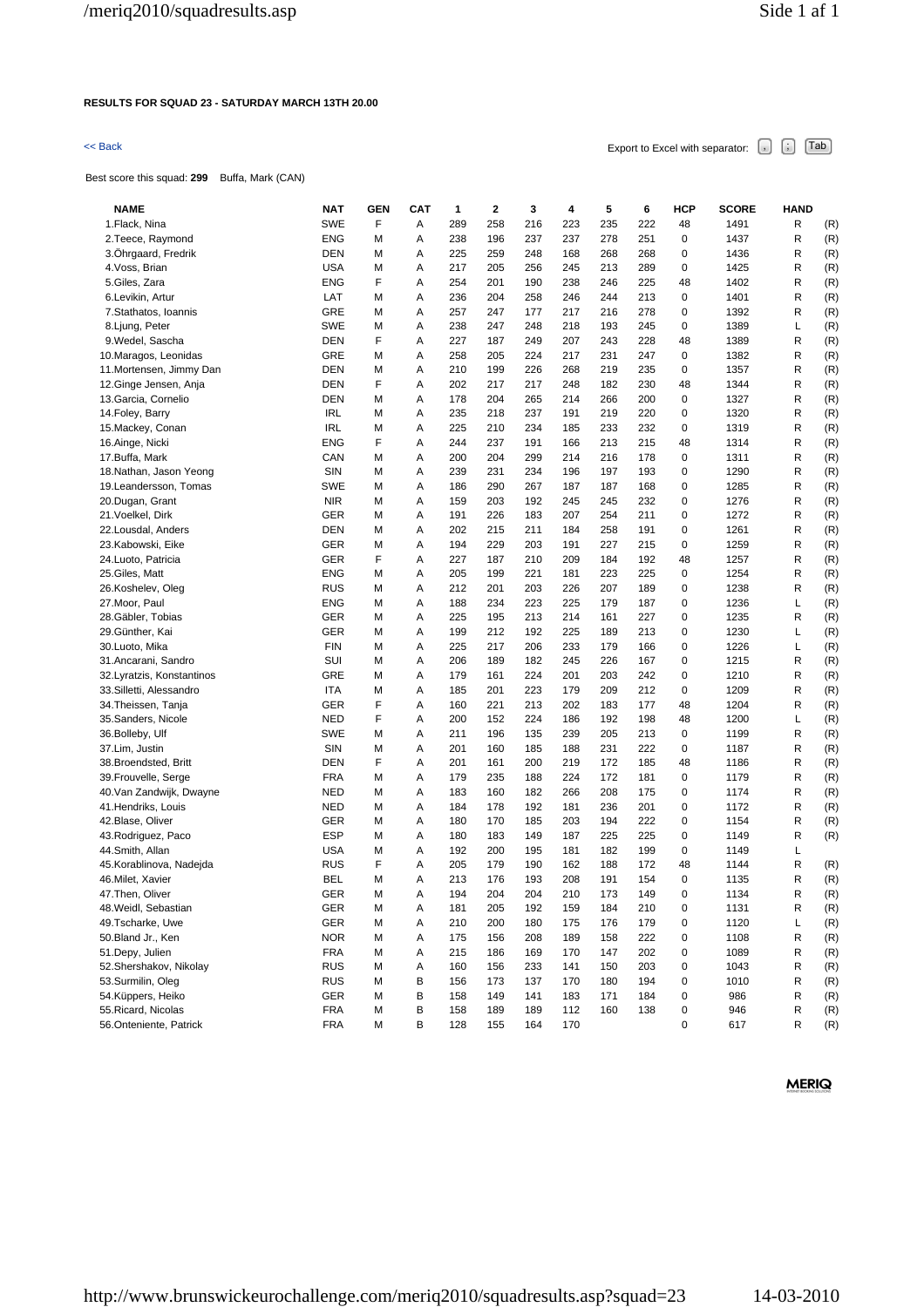### **RESULTS FOR SQUAD 23 - SATURDAY MARCH 13TH 20.00**

Best score this squad: **299** Buffa, Mark (CAN)

 $\leq$  Back Export to Excel with separator:  $\begin{bmatrix} . \end{bmatrix}$   $\begin{bmatrix} . \end{bmatrix}$   $\begin{bmatrix} \text{Tab} \end{bmatrix}$ 

| <b>NAME</b>                | NAT        | GEN | <b>CAT</b> | 1   | 2   | 3   | 4   | 5   | 6   | HCP | <b>SCORE</b> | <b>HAND</b> |     |
|----------------------------|------------|-----|------------|-----|-----|-----|-----|-----|-----|-----|--------------|-------------|-----|
| 1. Flack, Nina             | <b>SWE</b> | F   | Α          | 289 | 258 | 216 | 223 | 235 | 222 | 48  | 1491         | R           | (R) |
| 2. Teece, Raymond          | <b>ENG</b> | М   | Α          | 238 | 196 | 237 | 237 | 278 | 251 | 0   | 1437         | R           | (R) |
| 3. Ohrgaard, Fredrik       | <b>DEN</b> | М   | Α          | 225 | 259 | 248 | 168 | 268 | 268 | 0   | 1436         | R           | (R) |
| 4. Voss, Brian             | <b>USA</b> | M   | Α          | 217 | 205 | 256 | 245 | 213 | 289 | 0   | 1425         | R           | (R) |
| 5.Giles, Zara              | <b>ENG</b> | F   | Α          | 254 | 201 | 190 | 238 | 246 | 225 | 48  | 1402         | R           | (R) |
| 6.Levikin, Artur           | LAT        | М   | Α          | 236 | 204 | 258 | 246 | 244 | 213 | 0   | 1401         | R           | (R) |
| 7.Stathatos, Ioannis       | <b>GRE</b> | М   | Α          | 257 | 247 | 177 | 217 | 216 | 278 | 0   | 1392         | R           | (R) |
| 8. Ljung, Peter            | <b>SWE</b> | M   | Α          | 238 | 247 | 248 | 218 | 193 | 245 | 0   | 1389         | L           | (R) |
| 9. Wedel, Sascha           | <b>DEN</b> | F   | Α          | 227 | 187 | 249 | 207 | 243 | 228 | 48  | 1389         | R           | (R) |
| 10. Maragos, Leonidas      | <b>GRE</b> | M   | Α          | 258 | 205 | 224 | 217 | 231 | 247 | 0   | 1382         | R           | (R) |
| 11. Mortensen, Jimmy Dan   | DEN        | M   | Α          | 210 | 199 | 226 | 268 | 219 | 235 | 0   | 1357         | R           | (R) |
| 12.Ginge Jensen, Anja      | DEN        | F   | Α          | 202 | 217 | 217 | 248 | 182 | 230 | 48  | 1344         | R           | (R) |
| 13. Garcia, Cornelio       | DEN        | М   | Α          | 178 | 204 | 265 | 214 | 266 | 200 | 0   | 1327         | R           | (R) |
| 14. Foley, Barry           | <b>IRL</b> | M   | Α          | 235 | 218 | 237 | 191 | 219 | 220 | 0   | 1320         | R           | (R) |
| 15. Mackey, Conan          | <b>IRL</b> | M   | A          | 225 | 210 | 234 | 185 | 233 | 232 | 0   | 1319         | R           | (R) |
| 16.Ainge, Nicki            | <b>ENG</b> | F   | Α          | 244 | 237 | 191 | 166 | 213 | 215 | 48  | 1314         | R           | (R) |
| 17.Buffa, Mark             | CAN        | M   | Α          | 200 | 204 | 299 | 214 | 216 | 178 | 0   | 1311         | R           | (R) |
| 18. Nathan, Jason Yeong    | SIN        | М   | Α          | 239 | 231 | 234 | 196 | 197 | 193 | 0   | 1290         | R           | (R) |
| 19. Leandersson, Tomas     | <b>SWE</b> | M   | Α          | 186 | 290 | 267 | 187 | 187 | 168 | 0   | 1285         | R           | (R) |
| 20.Dugan, Grant            | <b>NIR</b> | М   | Α          | 159 | 203 | 192 | 245 | 245 | 232 | 0   | 1276         | R           | (R) |
| 21. Voelkel, Dirk          | GER        | M   | Α          | 191 | 226 | 183 | 207 | 254 | 211 | 0   | 1272         | R           | (R) |
| 22. Lousdal, Anders        | DEN        | M   | Α          | 202 | 215 | 211 | 184 | 258 | 191 | 0   | 1261         | R           | (R) |
| 23.Kabowski, Eike          | <b>GER</b> | М   | Α          | 194 | 229 | 203 | 191 | 227 | 215 | 0   | 1259         | R           | (R) |
| 24. Luoto, Patricia        | <b>GER</b> | F   | Α          | 227 | 187 | 210 | 209 | 184 | 192 | 48  | 1257         | R           | (R) |
| 25. Giles, Matt            | <b>ENG</b> | м   | Α          | 205 | 199 | 221 | 181 | 223 | 225 | 0   | 1254         | R           | (R) |
| 26.Koshelev, Oleg          | <b>RUS</b> | М   | Α          | 212 | 201 | 203 | 226 | 207 | 189 | 0   | 1238         | R           | (R) |
| 27. Moor, Paul             | <b>ENG</b> | M   | Α          | 188 | 234 | 223 | 225 | 179 | 187 | 0   | 1236         | L           | (R) |
| 28.Gäbler, Tobias          | GER        | M   | Α          | 225 | 195 | 213 | 214 | 161 | 227 | 0   | 1235         | R           | (R) |
| 29.Günther, Kai            | GER        | М   | Α          | 199 | 212 | 192 | 225 | 189 | 213 | 0   | 1230         | L           | (R) |
| 30.Luoto, Mika             | <b>FIN</b> | M   | Α          | 225 | 217 | 206 | 233 | 179 | 166 | 0   | 1226         | L           | (R) |
| 31. Ancarani, Sandro       | SUI        | M   | Α          | 206 | 189 | 182 | 245 | 226 | 167 | 0   | 1215         | R           | (R) |
| 32. Lyratzis, Konstantinos | <b>GRE</b> | м   | Α          | 179 | 161 | 224 | 201 | 203 | 242 | 0   | 1210         | R           | (R) |
| 33. Silletti, Alessandro   | <b>ITA</b> | M   | Α          | 185 | 201 | 223 | 179 | 209 | 212 | 0   | 1209         | R           | (R) |
| 34. Theissen, Tanja        | <b>GER</b> | F   | Α          | 160 | 221 | 213 | 202 | 183 | 177 | 48  | 1204         | R           | (R) |
| 35. Sanders, Nicole        | <b>NED</b> | F   | Α          | 200 | 152 | 224 | 186 | 192 | 198 | 48  | 1200         | L           | (R) |
| 36. Bolleby, Ulf           | <b>SWE</b> | М   | Α          | 211 | 196 | 135 | 239 | 205 | 213 | 0   | 1199         | R           | (R) |
| 37.Lim, Justin             | SIN        | M   | Α          | 201 | 160 | 185 | 188 | 231 | 222 | 0   | 1187         | R           | (R) |
| 38. Broendsted, Britt      | DEN        | F   | A          | 201 | 161 | 200 | 219 | 172 | 185 | 48  | 1186         | R           | (R) |
| 39. Frouvelle, Serge       | <b>FRA</b> | М   | Α          | 179 | 235 | 188 | 224 | 172 | 181 | 0   | 1179         | R           | (R) |
| 40. Van Zandwijk, Dwayne   | <b>NED</b> | М   | Α          | 183 | 160 | 182 | 266 | 208 | 175 | 0   | 1174         | R           | (R) |
| 41. Hendriks, Louis        | <b>NED</b> | М   | Α          | 184 | 178 | 192 | 181 | 236 | 201 | 0   | 1172         | R           | (R) |
| 42.Blase, Oliver           | <b>GER</b> | M   | Α          | 180 | 170 | 185 | 203 | 194 | 222 | 0   | 1154         | R           | (R) |
| 43. Rodriguez, Paco        | ESP        | М   | Α          | 180 | 183 | 149 | 187 | 225 | 225 | 0   | 1149         | R           | (R) |
| 44.Smith, Allan            | <b>USA</b> | M   | Α          | 192 | 200 | 195 | 181 | 182 | 199 | 0   | 1149         | L           |     |
| 45.Korablinova, Nadejda    | <b>RUS</b> | F   | Α          | 205 | 179 | 190 | 162 | 188 | 172 | 48  | 1144         | R           | (R) |
| 46. Milet, Xavier          | BEL        | М   | A          | 213 | 176 | 193 | 208 | 191 | 154 | 0   | 1135         | R           | (R) |
| 47. Then, Oliver           | GER        | M   | Α          | 194 | 204 | 204 | 210 | 173 | 149 | 0   | 1134         | R           | (R) |
| 48. Weidl, Sebastian       | GER        | M   | Α          | 181 | 205 | 192 | 159 | 184 | 210 | 0   | 1131         | R           | (R) |
| 49. Tscharke, Uwe          | GER        | M   | Α          | 210 | 200 | 180 | 175 | 176 | 179 | 0   | 1120         | L           | (R) |
| 50.Bland Jr., Ken          | <b>NOR</b> | M   | Α          | 175 | 156 | 208 | 189 | 158 | 222 | 0   | 1108         | R           | (R) |
| 51.Depy, Julien            | <b>FRA</b> | M   | Α          | 215 | 186 | 169 | 170 | 147 | 202 | 0   | 1089         | R           | (R) |
| 52. Shershakov, Nikolay    | <b>RUS</b> | M   | Α          | 160 | 156 | 233 | 141 | 150 | 203 | 0   | 1043         | R           | (R) |
| 53.Surmilin, Oleg          | <b>RUS</b> | M   | В          | 156 | 173 | 137 | 170 | 180 | 194 | 0   | 1010         | R           | (R) |
| 54.Küppers, Heiko          | GER        | м   | В          | 158 | 149 | 141 | 183 | 171 | 184 | 0   | 986          | R           | (R) |
| 55. Ricard, Nicolas        | FRA        | M   | В          | 158 | 189 | 189 | 112 | 160 | 138 | 0   | 946          | R           | (R) |
| 56.Onteniente, Patrick     | <b>FRA</b> | М   | в          | 128 | 155 | 164 | 170 |     |     | 0   | 617          | R           | (R) |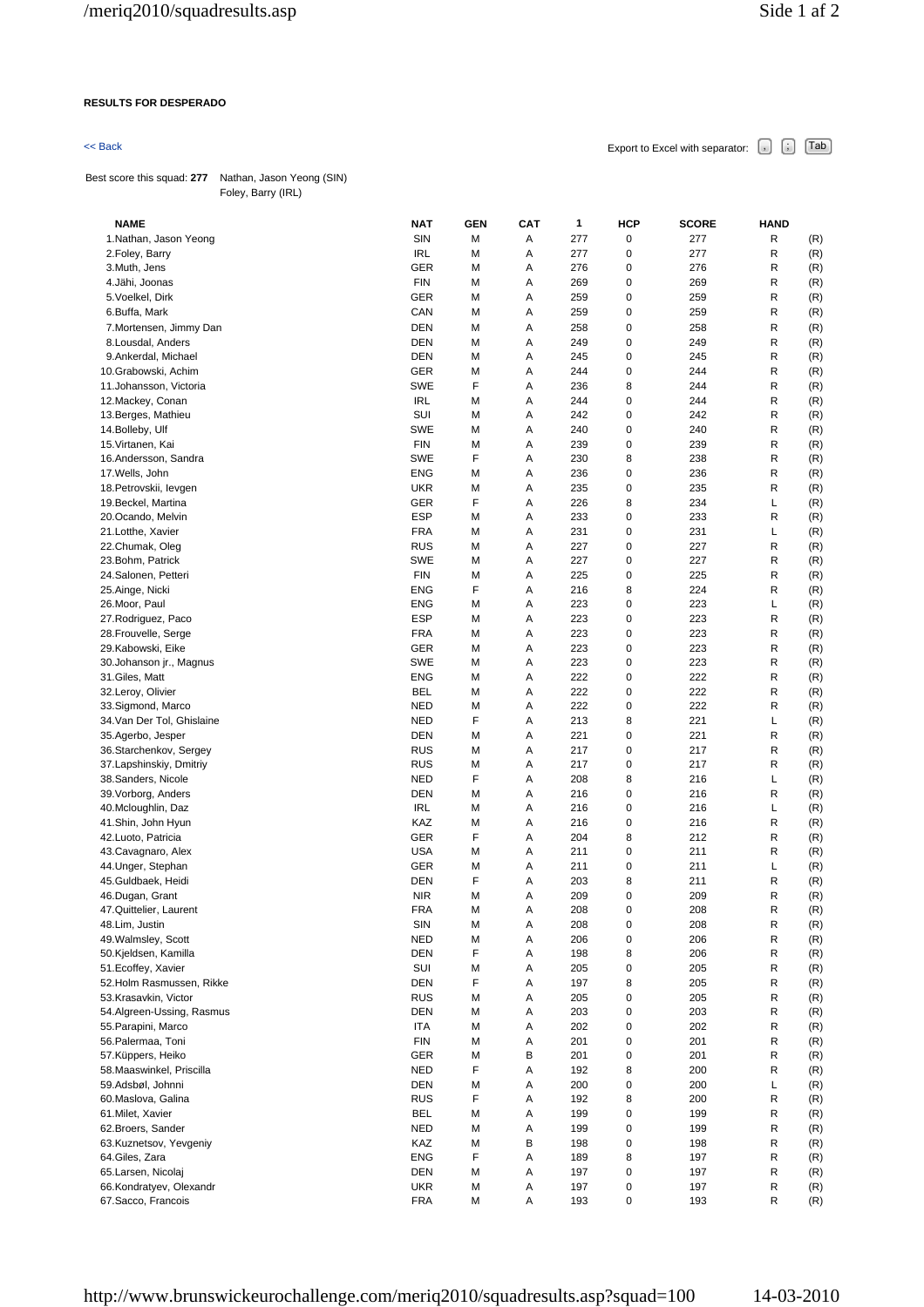## **RESULTS FOR DESPERADO**

Best score this squad: **277** Nathan, Jason Yeong (SIN) Foley, Barry (IRL)

| <b>NAME</b>                                      | NAT                      | <b>GEN</b> | <b>CAT</b> | 1          | HCP    | <b>SCORE</b> | <b>HAND</b> |            |
|--------------------------------------------------|--------------------------|------------|------------|------------|--------|--------------|-------------|------------|
| 1.Nathan, Jason Yeong                            | <b>SIN</b>               | M          | Α          | 277        | 0      | 277          | R           | (R)        |
| 2. Foley, Barry                                  | <b>IRL</b>               | M          | Α          | 277        | 0      | 277          | R           | (R)        |
| 3.Muth, Jens                                     | GER                      | M          | А          | 276        | 0      | 276          | R           | (R)        |
| 4.Jähi, Joonas                                   | <b>FIN</b>               | M          | Α          | 269        | 0      | 269          | R           | (R)        |
| 5. Voelkel, Dirk                                 | GER                      | M          | Α          | 259        | 0      | 259          | R           | (R)        |
| 6.Buffa, Mark                                    | CAN                      | M          | Α          | 259        | 0      | 259          | R           | (R)        |
| 7. Mortensen, Jimmy Dan                          | DEN                      | M          | Α          | 258        | 0      | 258          | R           | (R)        |
| 8. Lousdal, Anders                               | DEN                      | M          | Α          | 249        | 0      | 249          | R           | (R)        |
| 9.Ankerdal, Michael                              | DEN                      | M          | Α          | 245        | 0      | 245          | R           | (R)        |
| 10.Grabowski, Achim                              | GER                      | М          | Α          | 244        | 0      | 244          | R           | (R)        |
| 11. Johansson, Victoria                          | <b>SWE</b>               | F          | Α          | 236        | 8      | 244          | R           | (R)        |
| 12. Mackey, Conan                                | <b>IRL</b>               | M          | А          | 244        | 0      | 244          | R           | (R)        |
| 13. Berges, Mathieu                              | SUI                      | M          | Α          | 242        | 0      | 242          | R           | (R)        |
| 14. Bolleby, Ulf                                 | <b>SWE</b>               | M          | А          | 240        | 0      | 240          | R           | (R)        |
| 15. Virtanen, Kai                                | <b>FIN</b>               | M          | Α          | 239        | 0      | 239          | R           | (R)        |
| 16.Andersson, Sandra                             | <b>SWE</b>               | F          | Α          | 230        | 8      | 238          | R           | (R)        |
| 17. Wells, John                                  | <b>ENG</b>               | M          | А          | 236        | 0      | 236          | R           | (R)        |
| 18. Petrovskii, levgen                           | <b>UKR</b>               | М          | Α          | 235        | 0      | 235          | R           | (R)        |
| 19. Beckel, Martina                              | <b>GER</b><br><b>ESP</b> | F<br>М     | Α<br>А     | 226<br>233 | 8<br>0 | 234<br>233   | L<br>R      | (R)        |
| 20.Ocando, Melvin<br>21.Lotthe, Xavier           | <b>FRA</b>               | M          | А          | 231        | 0      | 231          | L           | (R)<br>(R) |
| 22.Chumak, Oleg                                  | <b>RUS</b>               | M          | Α          | 227        | 0      | 227          | R           |            |
| 23.Bohm, Patrick                                 | <b>SWE</b>               | M          | Α          | 227        | 0      | 227          | R           | (R)<br>(R) |
| 24.Salonen, Petteri                              | <b>FIN</b>               | M          | А          | 225        | 0      | 225          | R           | (R)        |
| 25.Ainge, Nicki                                  | <b>ENG</b>               | F          | А          | 216        | 8      | 224          | R           | (R)        |
| 26.Moor, Paul                                    | <b>ENG</b>               | M          | Α          | 223        | 0      | 223          | L           | (R)        |
| 27. Rodriguez, Paco                              | <b>ESP</b>               | М          | Α          | 223        | 0      | 223          | R           | (R)        |
| 28. Frouvelle, Serge                             | <b>FRA</b>               | M          | А          | 223        | 0      | 223          | R           | (R)        |
| 29.Kabowski, Eike                                | GER                      | M          | Α          | 223        | 0      | 223          | R           | (R)        |
| 30. Johanson jr., Magnus                         | <b>SWE</b>               | M          | А          | 223        | 0      | 223          | R           | (R)        |
| 31.Giles, Matt                                   | <b>ENG</b>               | M          | Α          | 222        | 0      | 222          | R           | (R)        |
| 32.Leroy, Olivier                                | <b>BEL</b>               | М          | Α          | 222        | 0      | 222          | R           | (R)        |
| 33.Sigmond, Marco                                | <b>NED</b>               | M          | А          | 222        | 0      | 222          | R           | (R)        |
| 34. Van Der Tol, Ghislaine                       | <b>NED</b>               | F          | Α          | 213        | 8      | 221          | L           | (R)        |
| 35.Agerbo, Jesper                                | <b>DEN</b>               | M          | Α          | 221        | 0      | 221          | R           | (R)        |
| 36.Starchenkov, Sergey                           | <b>RUS</b>               | M          | Α          | 217        | 0      | 217          | R           | (R)        |
| 37. Lapshinskiy, Dmitriy                         | RUS                      | M          | Α          | 217        | 0      | 217          | R           | (R)        |
| 38.Sanders, Nicole                               | <b>NED</b>               | F          | Α          | 208        | 8      | 216          | L           | (R)        |
| 39. Vorborg, Anders                              | <b>DEN</b>               | M          | Α          | 216        | 0      | 216          | R           | (R)        |
| 40.Mcloughlin, Daz                               | <b>IRL</b>               | M          | А          | 216        | 0      | 216          | L           | (R)        |
| 41.Shin, John Hyun                               | KAZ                      | М          | Α          | 216        | 0      | 216          | R           | (R)        |
| 42.Luoto, Patricia                               | <b>GER</b>               | F          | Α          | 204        | 8      | 212          | R           | (R)        |
| 43. Cavagnaro, Alex                              | <b>USA</b>               | M          | Α          | 211        | 0      | 211          | R           | (R)        |
| 44. Unger, Stephan                               | <b>GER</b>               | M          | А          | 211        | 0      | 211          | L           | (R)        |
| 45.Guldbaek, Heidi                               | DEN                      | F          | Α          | 203        | 8      | 211          | R           | (R)        |
| 46.Dugan, Grant                                  | <b>NIR</b>               | M          | Α          | 209        | 0      | 209          | R           | (R)        |
| 47.Quittelier, Laurent                           | FRA                      | М          | Α          | 208        | 0      | 208          | R           | (R)        |
| 48.Lim, Justin                                   | SIN                      | M          | А          | 208        | 0      | 208          | R           | (R)        |
| 49. Walmsley, Scott                              | <b>NED</b>               | M          | А          | 206        | 0      | 206          | R           | (R)        |
| 50.Kjeldsen, Kamilla                             | DEN<br>SUI               | F          | А          | 198        | 8      | 206          | R<br>R      | (R)        |
| 51. Ecoffey, Xavier                              |                          | M          | Α          | 205        | 0      | 205          |             | (R)        |
| 52.Holm Rasmussen, Rikke<br>53.Krasavkin, Victor | DEN<br><b>RUS</b>        | F          | Α<br>А     | 197<br>205 | 8<br>0 | 205<br>205   | R<br>R      | (R)        |
| 54. Algreen-Ussing, Rasmus                       | DEN                      | M<br>M     | Α          | 203        | 0      | 203          | R           | (R)<br>(R) |
| 55. Parapini, Marco                              | <b>ITA</b>               | M          | Α          | 202        | 0      | 202          | R           | (R)        |
| 56. Palermaa, Toni                               | <b>FIN</b>               | М          | Α          | 201        | 0      | 201          | R           | (R)        |
| 57.Küppers, Heiko                                | GER                      | M          | В          | 201        | 0      | 201          | R           | (R)        |
| 58. Maaswinkel, Priscilla                        | <b>NED</b>               | F          | Α          | 192        | 8      | 200          | R           | (R)        |
| 59.Adsbøl, Johnni                                | DEN                      | M          | А          | 200        | 0      | 200          | L           | (R)        |
| 60.Maslova, Galina                               | <b>RUS</b>               | F          | А          | 192        | 8      | 200          | R           | (R)        |
| 61.Milet, Xavier                                 | <b>BEL</b>               | M          | Α          | 199        | 0      | 199          | R           | (R)        |
| 62. Broers, Sander                               | NED                      | M          | А          | 199        | 0      | 199          | R           | (R)        |
| 63.Kuznetsov, Yevgeniy                           | KAZ                      | M          | В          | 198        | 0      | 198          | R           | (R)        |
| 64.Giles, Zara                                   | <b>ENG</b>               | F          | А          | 189        | 8      | 197          | R           | (R)        |
| 65.Larsen, Nicolaj                               | <b>DEN</b>               | М          | А          | 197        | 0      | 197          | R           | (R)        |
| 66.Kondratyev, Olexandr                          | <b>UKR</b>               | M          | Α          | 197        | 0      | 197          | R           | (R)        |
| 67. Sacco, Francois                              | <b>FRA</b>               | М          | Α          | 193        | 0      | 193          | R           | (R)        |

 $\leq$  Back Export to Excel with separator:  $\begin{bmatrix} . \ . \ . \end{bmatrix}$   $\begin{bmatrix} . \ . \ . \end{bmatrix}$   $\begin{bmatrix} . \ . \ . \end{bmatrix}$   $\begin{bmatrix} . \ . \ . \end{bmatrix}$   $\begin{bmatrix} . \ . \ . \end{bmatrix}$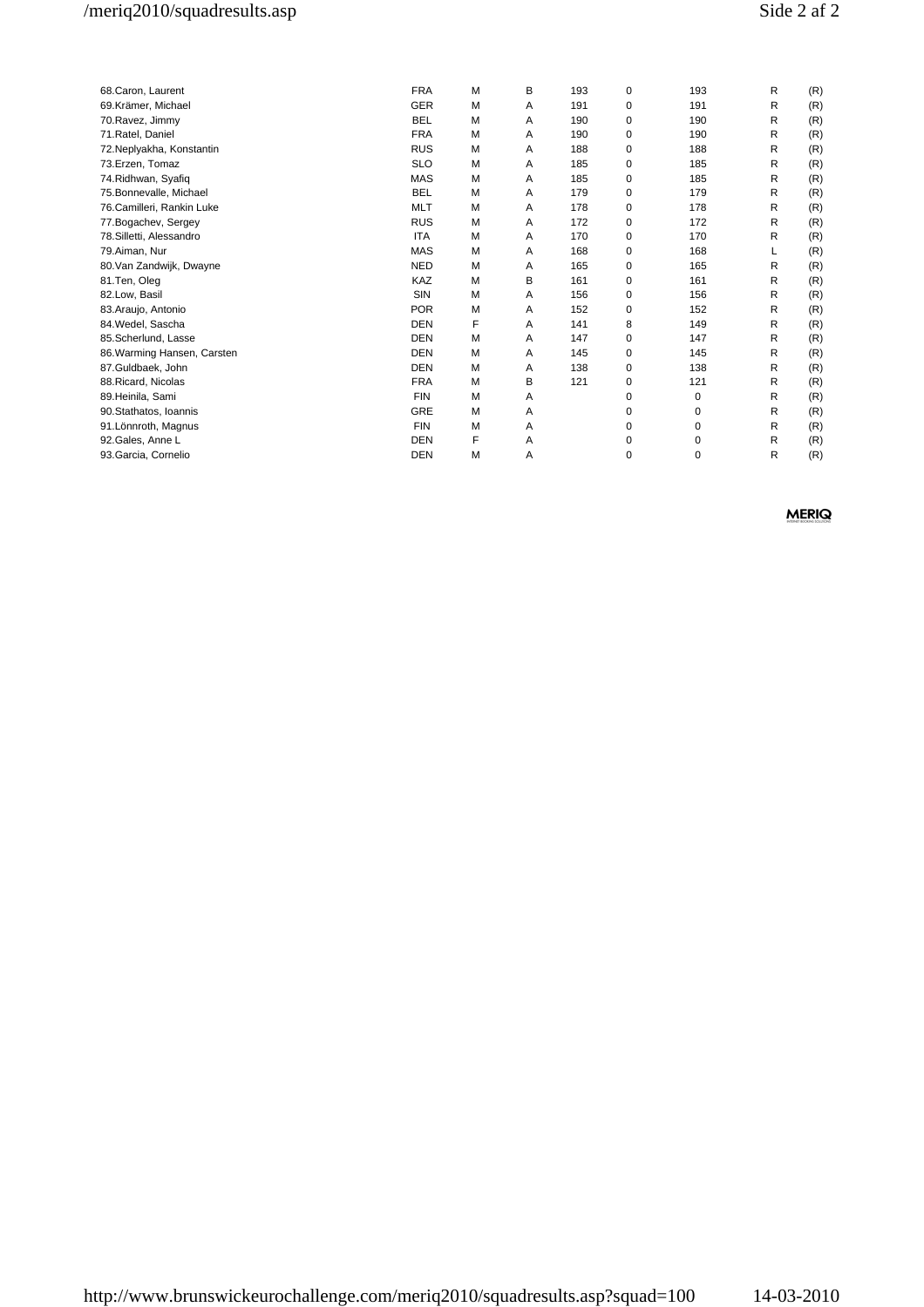| 68.Caron, Laurent           | <b>FRA</b> | M | В | 193 | $\mathbf 0$ | 193 | R | (R) |
|-----------------------------|------------|---|---|-----|-------------|-----|---|-----|
| 69.Krämer, Michael          | <b>GER</b> | M | A | 191 | 0           | 191 | R | (R) |
| 70. Ravez, Jimmy            | <b>BEL</b> | M | Α | 190 | $\mathbf 0$ | 190 | R | (R) |
| 71. Ratel, Daniel           | <b>FRA</b> | м | A | 190 | 0           | 190 | R | (R) |
| 72. Neplyakha, Konstantin   | <b>RUS</b> | M | Α | 188 | 0           | 188 | R | (R) |
| 73.Erzen, Tomaz             | <b>SLO</b> | M | A | 185 | 0           | 185 | R | (R) |
| 74. Ridhwan, Syafiq         | <b>MAS</b> | M | A | 185 | 0           | 185 | R | (R) |
| 75.Bonnevalle, Michael      | <b>BEL</b> | M | A | 179 | 0           | 179 | R | (R) |
| 76.Camilleri, Rankin Luke   | <b>MLT</b> | M | A | 178 | $\mathbf 0$ | 178 | R | (R) |
| 77. Bogachev, Sergey        | <b>RUS</b> | M | Α | 172 | 0           | 172 | R | (R) |
| 78. Silletti, Alessandro    | <b>ITA</b> | м | A | 170 | 0           | 170 | R | (R) |
| 79.Aiman, Nur               | <b>MAS</b> | M | Α | 168 | 0           | 168 |   | (R) |
| 80.Van Zandwijk, Dwayne     | <b>NED</b> | M | A | 165 | 0           | 165 | R | (R) |
| 81.Ten, Oleg                | <b>KAZ</b> | M | B | 161 | 0           | 161 | R | (R) |
| 82.Low, Basil               | <b>SIN</b> | M | A | 156 | 0           | 156 | R | (R) |
| 83. Araujo, Antonio         | <b>POR</b> | M | Α | 152 | 0           | 152 | R | (R) |
| 84. Wedel, Sascha           | <b>DEN</b> | F | A | 141 | 8           | 149 | R | (R) |
| 85.Scherlund, Lasse         | <b>DEN</b> | M | A | 147 | 0           | 147 | R | (R) |
| 86. Warming Hansen, Carsten | <b>DEN</b> | M | A | 145 | 0           | 145 | R | (R) |
| 87.Guldbaek, John           | <b>DEN</b> | M | Α | 138 | 0           | 138 | R | (R) |
| 88. Ricard, Nicolas         | <b>FRA</b> | M | В | 121 | 0           | 121 | R | (R) |
| 89.Heinila, Sami            | <b>FIN</b> | M | Α |     | $\mathbf 0$ | 0   | R | (R) |
| 90.Stathatos, Ioannis       | <b>GRE</b> | М | Α |     | 0           | 0   | R | (R) |
| 91. Lönnroth, Magnus        | <b>FIN</b> | М | Α |     | 0           | 0   | R | (R) |
| 92.Gales, Anne L            | <b>DEN</b> | F | Α |     | 0           | 0   | R | (R) |
| 93. Garcia, Cornelio        | <b>DEN</b> | M | A |     | 0           | 0   | R | (R) |
|                             |            |   |   |     |             |     |   |     |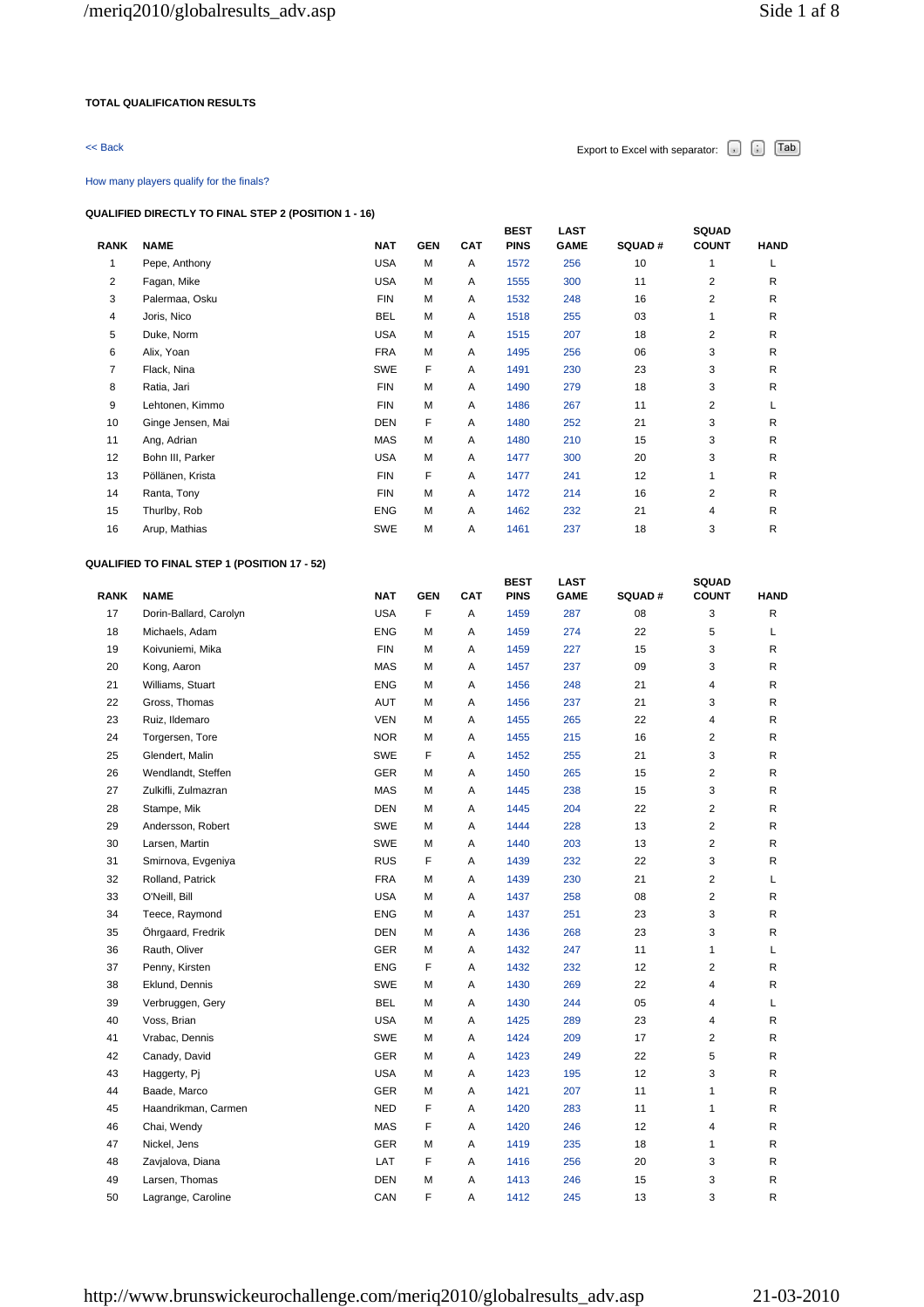### **TOTAL QUALIFICATION RESULTS**

# $\leq$  Back Export to Excel with separator:  $\begin{bmatrix} . \end{bmatrix}$   $\begin{bmatrix} . \end{bmatrix}$   $\begin{bmatrix} \text{Tab} \end{bmatrix}$

### How many players qualify for the finals?

### **QUALIFIED DIRECTLY TO FINAL STEP 2 (POSITION 1 - 16)**

| <b>RANK</b>    | <b>NAME</b>       | <b>NAT</b> | <b>GEN</b> | <b>CAT</b> | <b>BEST</b><br><b>PINS</b> | <b>LAST</b><br><b>GAME</b> | <b>SQUAD#</b> | <b>SQUAD</b><br><b>COUNT</b> | <b>HAND</b> |
|----------------|-------------------|------------|------------|------------|----------------------------|----------------------------|---------------|------------------------------|-------------|
| 1              | Pepe, Anthony     | <b>USA</b> | M          | Α          | 1572                       | 256                        | 10            | 1                            | L           |
| 2              | Fagan, Mike       | <b>USA</b> | M          | Α          | 1555                       | 300                        | 11            | 2                            | R           |
| 3              | Palermaa, Osku    | <b>FIN</b> | м          | Α          | 1532                       | 248                        | 16            | 2                            | R           |
| 4              | Joris, Nico       | <b>BEL</b> | м          | Α          | 1518                       | 255                        | 03            | 1                            | R           |
| 5              | Duke, Norm        | <b>USA</b> | M          | A          | 1515                       | 207                        | 18            | $\overline{2}$               | R           |
| 6              | Alix, Yoan        | <b>FRA</b> | M          | Α          | 1495                       | 256                        | 06            | 3                            | R.          |
| $\overline{7}$ | Flack, Nina       | <b>SWE</b> | F          | Α          | 1491                       | 230                        | 23            | 3                            | R           |
| 8              | Ratia, Jari       | <b>FIN</b> | M          | Α          | 1490                       | 279                        | 18            | 3                            | R           |
| 9              | Lehtonen, Kimmo   | <b>FIN</b> | M          | A          | 1486                       | 267                        | 11            | $\overline{2}$               |             |
| 10             | Ginge Jensen, Mai | <b>DEN</b> | F          | Α          | 1480                       | 252                        | 21            | 3                            | R           |
| 11             | Ang, Adrian       | <b>MAS</b> | M          | Α          | 1480                       | 210                        | 15            | 3                            | R           |
| 12             | Bohn III, Parker  | <b>USA</b> | M          | A          | 1477                       | 300                        | 20            | 3                            | R           |
| 13             | Pöllänen, Krista  | <b>FIN</b> | F          | A          | 1477                       | 241                        | 12            | 1                            | R.          |
| 14             | Ranta, Tony       | <b>FIN</b> | M          | Α          | 1472                       | 214                        | 16            | $\overline{2}$               | R.          |
| 15             | Thurlby, Rob      | <b>ENG</b> | M          | Α          | 1462                       | 232                        | 21            | $\overline{4}$               | R           |
| 16             | Arup, Mathias     | <b>SWE</b> | M          | Α          | 1461                       | 237                        | 18            | 3                            | R           |

## **QUALIFIED TO FINAL STEP 1 (POSITION 17 - 52)**

|             |                        |            |            |            | <b>BEST</b> | <b>LAST</b> |        | <b>SQUAD</b>            |              |
|-------------|------------------------|------------|------------|------------|-------------|-------------|--------|-------------------------|--------------|
| <b>RANK</b> | <b>NAME</b>            | <b>NAT</b> | <b>GEN</b> | <b>CAT</b> | <b>PINS</b> | <b>GAME</b> | SQUAD# | <b>COUNT</b>            | <b>HAND</b>  |
| 17          | Dorin-Ballard, Carolyn | <b>USA</b> | F          | Α          | 1459        | 287         | 08     | 3                       | $\mathsf{R}$ |
| 18          | Michaels, Adam         | ENG        | M          | Α          | 1459        | 274         | 22     | 5                       | L            |
| 19          | Koivuniemi, Mika       | <b>FIN</b> | M          | Α          | 1459        | 227         | 15     | 3                       | R            |
| 20          | Kong, Aaron            | MAS        | м          | Α          | 1457        | 237         | 09     | 3                       | R            |
| 21          | Williams, Stuart       | <b>ENG</b> | М          | Α          | 1456        | 248         | 21     | $\overline{\mathbf{4}}$ | R            |
| 22          | Gross, Thomas          | AUT        | М          | Α          | 1456        | 237         | 21     | 3                       | R            |
| 23          | Ruiz, Ildemaro         | VEN        | M          | Α          | 1455        | 265         | 22     | 4                       | R            |
| 24          | Torgersen, Tore        | <b>NOR</b> | M          | Α          | 1455        | 215         | 16     | $\overline{2}$          | R            |
| 25          | Glendert, Malin        | SWE        | F          | Α          | 1452        | 255         | 21     | 3                       | R            |
| 26          | Wendlandt, Steffen     | GER        | М          | Α          | 1450        | 265         | 15     | $\overline{c}$          | R            |
| 27          | Zulkifli, Zulmazran    | <b>MAS</b> | м          | Α          | 1445        | 238         | 15     | 3                       | R            |
| 28          | Stampe, Mik            | <b>DEN</b> | M          | Α          | 1445        | 204         | 22     | $\overline{2}$          | R            |
| 29          | Andersson, Robert      | <b>SWE</b> | М          | Α          | 1444        | 228         | 13     | $\overline{2}$          | R            |
| 30          | Larsen, Martin         | SWE        | М          | Α          | 1440        | 203         | 13     | $\overline{2}$          | R            |
| 31          | Smirnova, Evgeniya     | <b>RUS</b> | F          | Α          | 1439        | 232         | 22     | 3                       | R            |
| 32          | Rolland, Patrick       | <b>FRA</b> | M          | Α          | 1439        | 230         | 21     | $\overline{2}$          | L            |
| 33          | O'Neill, Bill          | <b>USA</b> | M          | Α          | 1437        | 258         | 08     | $\overline{2}$          | R            |
| 34          | Teece, Raymond         | <b>ENG</b> | M          | Α          | 1437        | 251         | 23     | 3                       | $\mathsf{R}$ |
| 35          | Öhrgaard, Fredrik      | DEN        | M          | Α          | 1436        | 268         | 23     | 3                       | R            |
| 36          | Rauth, Oliver          | <b>GER</b> | M          | Α          | 1432        | 247         | 11     | 1                       | L            |
| 37          | Penny, Kirsten         | <b>ENG</b> | F          | Α          | 1432        | 232         | 12     | $\overline{2}$          | $\mathsf{R}$ |
| 38          | Eklund, Dennis         | SWE        | М          | Α          | 1430        | 269         | 22     | 4                       | R            |
| 39          | Verbruggen, Gery       | <b>BEL</b> | М          | Α          | 1430        | 244         | 05     | $\overline{4}$          | L            |
| 40          | Voss, Brian            | <b>USA</b> | м          | Α          | 1425        | 289         | 23     | 4                       | R            |
| 41          | Vrabac, Dennis         | SWE        | М          | Α          | 1424        | 209         | 17     | $\overline{2}$          | R            |
| 42          | Canady, David          | <b>GER</b> | м          | Α          | 1423        | 249         | 22     | 5                       | R            |
| 43          | Haggerty, Pj           | <b>USA</b> | М          | Α          | 1423        | 195         | 12     | 3                       | R            |
| 44          | Baade, Marco           | <b>GER</b> | м          | Α          | 1421        | 207         | 11     | $\mathbf{1}$            | R            |
| 45          | Haandrikman, Carmen    | NED        | F          | Α          | 1420        | 283         | 11     | $\mathbf{1}$            | R            |
| 46          | Chai, Wendy            | MAS        | F          | Α          | 1420        | 246         | 12     | 4                       | R            |
| 47          | Nickel, Jens           | GER        | М          | Α          | 1419        | 235         | 18     | $\mathbf{1}$            | R            |
| 48          | Zavjalova, Diana       | LAT        | F          | Α          | 1416        | 256         | 20     | 3                       | R            |
| 49          | Larsen, Thomas         | DEN        | M          | Α          | 1413        | 246         | 15     | 3                       | $\mathsf{R}$ |
| 50          | Lagrange, Caroline     | CAN        | F          | Α          | 1412        | 245         | 13     | 3                       | R            |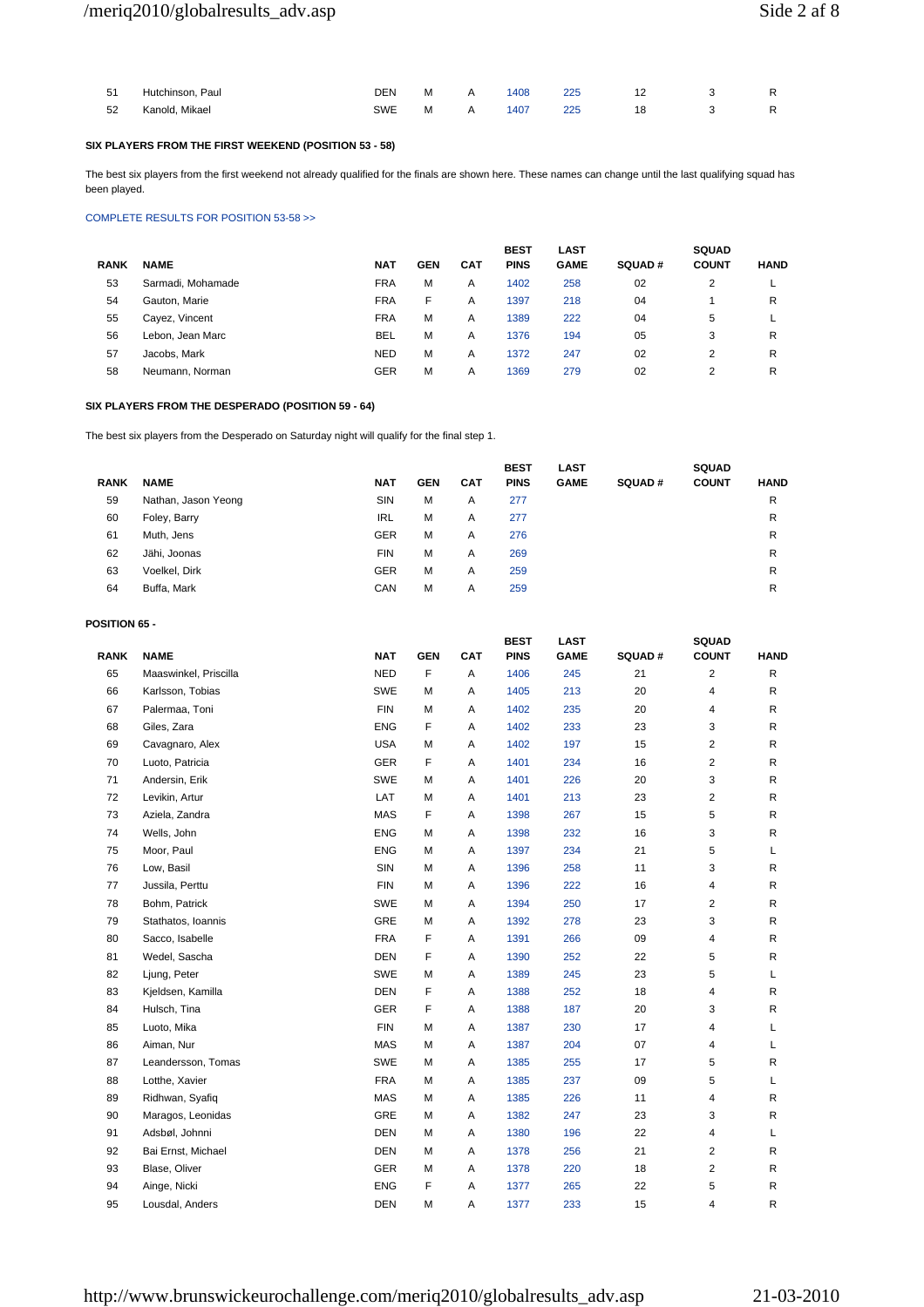| 51   | Hutchinson, Paul | DEN     | M A | 1408 | 225 | 12 |  |
|------|------------------|---------|-----|------|-----|----|--|
| - 52 | Kanold. Mikael   | SWE M A |     | 1407 | 225 | 18 |  |

## **SIX PLAYERS FROM THE FIRST WEEKEND (POSITION 53 - 58)**

The best six players from the first weekend not already qualified for the finals are shown here. These names can change until the last qualifying squad has been played.

### COMPLETE RESULTS FOR POSITION 53-58 >>

|             |                   |            |            |     | <b>BEST</b> | <b>LAST</b> |               | <b>SQUAD</b>   |             |
|-------------|-------------------|------------|------------|-----|-------------|-------------|---------------|----------------|-------------|
| <b>RANK</b> | <b>NAME</b>       | NAT        | <b>GEN</b> | CAT | <b>PINS</b> | <b>GAME</b> | <b>SQUAD#</b> | <b>COUNT</b>   | <b>HAND</b> |
| 53          | Sarmadi, Mohamade | <b>FRA</b> | М          | A   | 1402        | 258         | 02            | 2              | ┕           |
| 54          | Gauton, Marie     | <b>FRA</b> | F          | Α   | 1397        | 218         | 04            |                | R           |
| 55          | Cayez, Vincent    | <b>FRA</b> | М          | Α   | 1389        | 222         | 04            | 5              |             |
| 56          | Lebon, Jean Marc  | <b>BEL</b> | M          | A   | 1376        | 194         | 05            | 3              | R           |
| 57          | Jacobs, Mark      | <b>NED</b> | М          | A   | 1372        | 247         | 02            | $\overline{2}$ | R           |
| 58          | Neumann, Norman   | <b>GER</b> | М          | Α   | 1369        | 279         | 02            | $\overline{c}$ | R           |

## **SIX PLAYERS FROM THE DESPERADO (POSITION 59 - 64)**

The best six players from the Desperado on Saturday night will qualify for the final step 1.

|             |                     |            |            |            | <b>BEST</b> | <b>LAST</b> |               | <b>SQUAD</b> |             |
|-------------|---------------------|------------|------------|------------|-------------|-------------|---------------|--------------|-------------|
| <b>RANK</b> | <b>NAME</b>         | <b>NAT</b> | <b>GEN</b> | <b>CAT</b> | <b>PINS</b> | <b>GAME</b> | <b>SQUAD#</b> | <b>COUNT</b> | <b>HAND</b> |
| 59          | Nathan, Jason Yeong | SIN        | M          | A          | 277         |             |               |              | R           |
| 60          | Foley, Barry        | <b>IRL</b> | M          | Α          | 277         |             |               |              | R           |
| 61          | Muth, Jens          | <b>GER</b> | M          | Α          | 276         |             |               |              | R           |
| 62          | Jähi, Joonas        | <b>FIN</b> | M          | A          | 269         |             |               |              | R           |
| 63          | Voelkel, Dirk       | <b>GER</b> | M          | A          | 259         |             |               |              | R           |
| 64          | Buffa, Mark         | CAN        | M          | A          | 259         |             |               |              | R           |

### **POSITION 65 -**

| <b>RANK</b> | <b>NAME</b>           | <b>NAT</b> | <b>GEN</b> | <b>CAT</b> | <b>BEST</b><br><b>PINS</b> | <b>LAST</b><br><b>GAME</b> | SQUAD# | SQUAD<br><b>COUNT</b>   | <b>HAND</b>  |
|-------------|-----------------------|------------|------------|------------|----------------------------|----------------------------|--------|-------------------------|--------------|
| 65          | Maaswinkel, Priscilla | <b>NED</b> | F          | A          | 1406                       | 245                        | 21     | $\overline{c}$          | $\mathsf{R}$ |
| 66          | Karlsson, Tobias      | SWE        | М          | Α          | 1405                       | 213                        | 20     | 4                       | R            |
| 67          | Palermaa, Toni        | <b>FIN</b> | M          | Α          | 1402                       | 235                        | 20     | 4                       | R            |
| 68          | Giles, Zara           | <b>ENG</b> | F          | Α          | 1402                       | 233                        | 23     | 3                       | R            |
| 69          | Cavagnaro, Alex       | <b>USA</b> | M          | Α          | 1402                       | 197                        | 15     | $\overline{\mathbf{c}}$ | R            |
| 70          | Luoto, Patricia       | <b>GER</b> | F          | Α          | 1401                       | 234                        | 16     | $\overline{c}$          | R            |
| 71          | Andersin, Erik        | SWE        | M          | Α          | 1401                       | 226                        | 20     | 3                       | R            |
| 72          | Levikin, Artur        | LAT        | M          | Α          | 1401                       | 213                        | 23     | $\overline{c}$          | R            |
| 73          | Aziela, Zandra        | MAS        | F          | Α          | 1398                       | 267                        | 15     | 5                       | R            |
| 74          | Wells, John           | <b>ENG</b> | M          | Α          | 1398                       | 232                        | 16     | 3                       | R            |
| 75          | Moor, Paul            | <b>ENG</b> | M          | Α          | 1397                       | 234                        | 21     | 5                       | L            |
| 76          | Low, Basil            | SIN        | M          | Α          | 1396                       | 258                        | 11     | 3                       | R            |
| 77          | Jussila, Perttu       | <b>FIN</b> | M          | Α          | 1396                       | 222                        | 16     | 4                       | R            |
| 78          | Bohm, Patrick         | SWE        | M          | Α          | 1394                       | 250                        | 17     | $\overline{c}$          | R            |
| 79          | Stathatos, Ioannis    | GRE        | М          | Α          | 1392                       | 278                        | 23     | 3                       | R            |
| 80          | Sacco, Isabelle       | <b>FRA</b> | F          | Α          | 1391                       | 266                        | 09     | 4                       | R            |
| 81          | Wedel, Sascha         | <b>DEN</b> | F          | Α          | 1390                       | 252                        | 22     | 5                       | R            |
| 82          | Ljung, Peter          | SWE        | М          | Α          | 1389                       | 245                        | 23     | 5                       | L            |
| 83          | Kjeldsen, Kamilla     | <b>DEN</b> | F          | Α          | 1388                       | 252                        | 18     | 4                       | R            |
| 84          | Hulsch, Tina          | GER        | F          | Α          | 1388                       | 187                        | 20     | 3                       | R            |
| 85          | Luoto, Mika           | <b>FIN</b> | M          | Α          | 1387                       | 230                        | 17     | 4                       | L            |
| 86          | Aiman, Nur            | MAS        | M          | Α          | 1387                       | 204                        | 07     | 4                       | L            |
| 87          | Leandersson, Tomas    | <b>SWE</b> | M          | Α          | 1385                       | 255                        | 17     | 5                       | R            |
| 88          | Lotthe, Xavier        | <b>FRA</b> | M          | Α          | 1385                       | 237                        | 09     | 5                       | Г            |
| 89          | Ridhwan, Syafiq       | MAS        | M          | Α          | 1385                       | 226                        | 11     | 4                       | R            |
| 90          | Maragos, Leonidas     | GRE        | M          | Α          | 1382                       | 247                        | 23     | 3                       | R            |
| 91          | Adsbøl, Johnni        | <b>DEN</b> | M          | Α          | 1380                       | 196                        | 22     | 4                       | Г            |
| 92          | Bai Ernst, Michael    | <b>DEN</b> | м          | A          | 1378                       | 256                        | 21     | $\overline{c}$          | R            |
| 93          | Blase, Oliver         | GER        | М          | Α          | 1378                       | 220                        | 18     | $\overline{\mathbf{c}}$ | R            |
| 94          | Ainge, Nicki          | <b>ENG</b> | F          | Α          | 1377                       | 265                        | 22     | 5                       | R            |
| 95          | Lousdal, Anders       | <b>DEN</b> | M          | Α          | 1377                       | 233                        | 15     | 4                       | R            |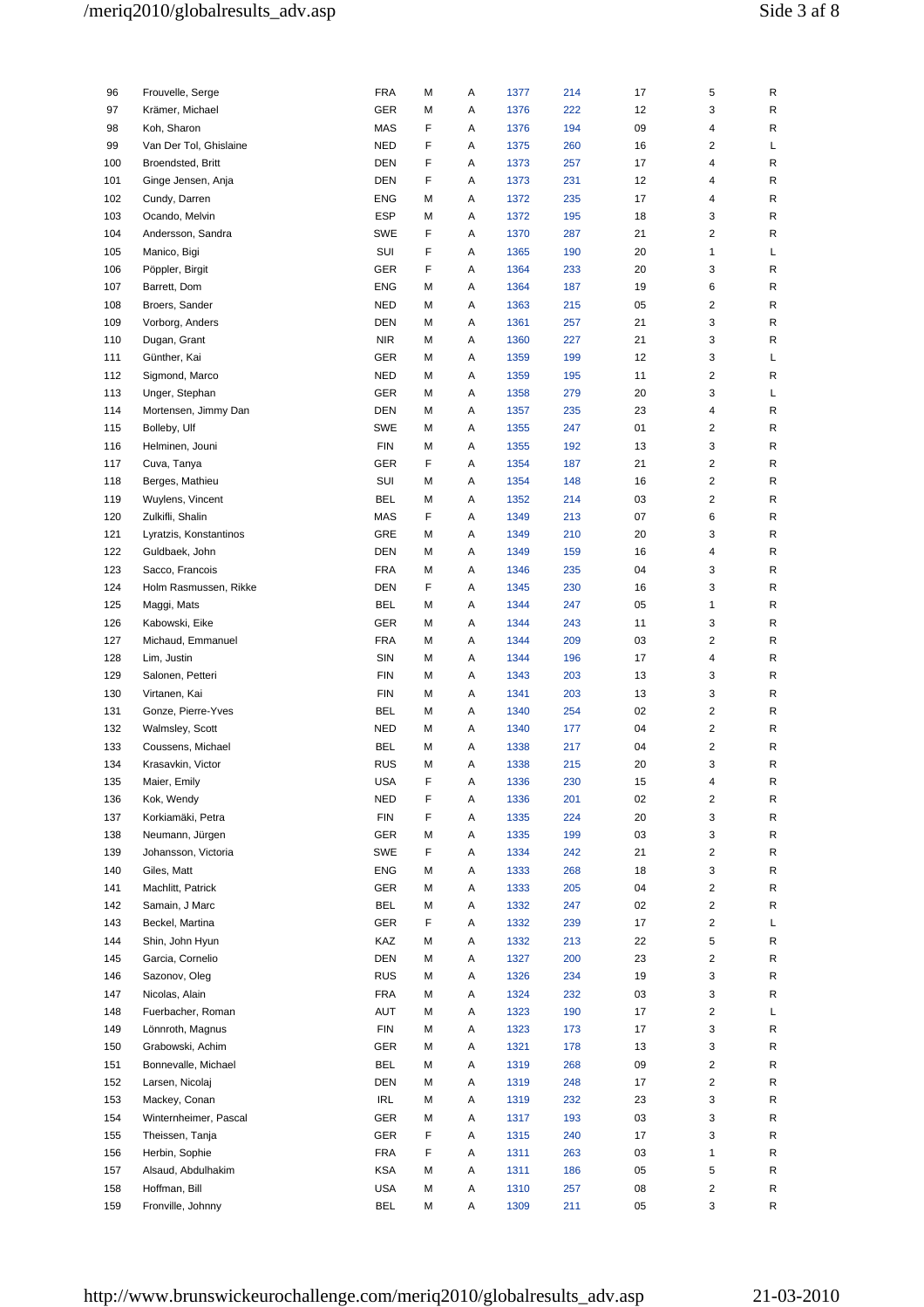| 96  | Frouvelle, Serge       | <b>FRA</b> | М | Α | 1377 | 214 | 17 | 5                       | R |
|-----|------------------------|------------|---|---|------|-----|----|-------------------------|---|
| 97  | Krämer, Michael        | <b>GER</b> | М | Α | 1376 | 222 | 12 | 3                       | R |
| 98  | Koh, Sharon            | MAS        | F | Α | 1376 | 194 | 09 | 4                       | R |
| 99  | Van Der Tol, Ghislaine | <b>NED</b> | F | Α | 1375 | 260 | 16 | $\overline{\mathbf{c}}$ | L |
| 100 | Broendsted, Britt      | <b>DEN</b> | F | Α | 1373 | 257 | 17 | 4                       | R |
| 101 | Ginge Jensen, Anja     | <b>DEN</b> | F | Α | 1373 | 231 | 12 | 4                       | R |
|     |                        |            |   |   |      |     |    |                         |   |
| 102 | Cundy, Darren          | <b>ENG</b> | М | Α | 1372 | 235 | 17 | 4                       | R |
| 103 | Ocando, Melvin         | <b>ESP</b> | М | Α | 1372 | 195 | 18 | 3                       | R |
| 104 | Andersson, Sandra      | SWE        | F | Α | 1370 | 287 | 21 | $\overline{c}$          | R |
| 105 | Manico, Bigi           | SUI        | F | Α | 1365 | 190 | 20 | 1                       | Г |
| 106 | Pöppler, Birgit        | GER        | F | Α | 1364 | 233 | 20 | 3                       | R |
| 107 | Barrett, Dom           | <b>ENG</b> | М | Α | 1364 | 187 | 19 | 6                       | R |
|     | Broers, Sander         |            |   |   |      |     |    |                         |   |
| 108 |                        | <b>NED</b> | М | Α | 1363 | 215 | 05 | $\overline{c}$          | R |
| 109 | Vorborg, Anders        | <b>DEN</b> | М | Α | 1361 | 257 | 21 | 3                       | R |
| 110 | Dugan, Grant           | <b>NIR</b> | М | Α | 1360 | 227 | 21 | 3                       | R |
| 111 | Günther, Kai           | GER        | М | Α | 1359 | 199 | 12 | 3                       | L |
| 112 | Sigmond, Marco         | <b>NED</b> | М | Α | 1359 | 195 | 11 | $\overline{2}$          | R |
| 113 | Unger, Stephan         | GER        | М | Α | 1358 | 279 | 20 | 3                       | Г |
| 114 | Mortensen, Jimmy Dan   | <b>DEN</b> | м | Α | 1357 | 235 | 23 | 4                       | R |
| 115 | Bolleby, Ulf           | <b>SWE</b> | м | Α | 1355 | 247 | 01 | $\overline{2}$          | R |
|     |                        |            |   |   |      |     |    |                         |   |
| 116 | Helminen, Jouni        | <b>FIN</b> | М | Α | 1355 | 192 | 13 | 3                       | R |
| 117 | Cuva, Tanya            | <b>GER</b> | F | Α | 1354 | 187 | 21 | 2                       | R |
| 118 | Berges, Mathieu        | SUI        | М | Α | 1354 | 148 | 16 | $\overline{c}$          | R |
| 119 | Wuylens, Vincent       | BEL        | М | Α | 1352 | 214 | 03 | $\mathbf{2}$            | R |
| 120 | Zulkifli, Shalin       | MAS        | F | Α | 1349 | 213 | 07 | 6                       | R |
| 121 | Lyratzis, Konstantinos | GRE        | М | Α | 1349 | 210 | 20 | 3                       | R |
| 122 | Guldbaek, John         | <b>DEN</b> | М | Α | 1349 | 159 | 16 | 4                       | R |
|     |                        |            |   |   |      |     |    |                         |   |
| 123 | Sacco, Francois        | <b>FRA</b> | М | Α | 1346 | 235 | 04 | 3                       | R |
| 124 | Holm Rasmussen, Rikke  | <b>DEN</b> | F | Α | 1345 | 230 | 16 | 3                       | R |
| 125 | Maggi, Mats            | <b>BEL</b> | М | Α | 1344 | 247 | 05 | 1                       | R |
| 126 | Kabowski, Eike         | GER        | М | Α | 1344 | 243 | 11 | 3                       | R |
| 127 | Michaud, Emmanuel      | <b>FRA</b> | М | Α | 1344 | 209 | 03 | $\overline{2}$          | R |
| 128 | Lim, Justin            | SIN        | М | Α | 1344 | 196 | 17 | 4                       | R |
| 129 | Salonen, Petteri       | <b>FIN</b> | М | Α | 1343 | 203 | 13 | 3                       | R |
| 130 | Virtanen, Kai          | <b>FIN</b> | М | Α | 1341 | 203 | 13 | 3                       | R |
|     |                        |            |   |   |      |     |    |                         |   |
| 131 | Gonze, Pierre-Yves     | <b>BEL</b> | М | Α | 1340 | 254 | 02 | $\overline{c}$          | R |
| 132 | Walmsley, Scott        | <b>NED</b> | М | Α | 1340 | 177 | 04 | $\overline{2}$          | R |
| 133 | Coussens, Michael      | BEL        | м | Α | 1338 | 217 | 04 | $\overline{c}$          | R |
| 134 | Krasavkin, Victor      | <b>RUS</b> | М | Α | 1338 | 215 | 20 | 3                       | R |
| 135 | Maier, Emily           | <b>USA</b> | F | Α | 1336 | 230 | 15 | 4                       | R |
| 136 | Kok, Wendy             | NED        | F |   |      |     |    |                         |   |
| 137 | Korkiamäki, Petra      |            |   |   |      | 201 | 02 | $\overline{\mathbf{c}}$ | R |
| 138 |                        |            |   | Α | 1336 |     |    |                         |   |
|     |                        | <b>FIN</b> | F | Α | 1335 | 224 | 20 | 3                       | R |
|     | Neumann, Jürgen        | GER        | М | Α | 1335 | 199 | 03 | 3                       | R |
| 139 | Johansson, Victoria    | <b>SWE</b> | F | Α | 1334 | 242 | 21 | $\overline{\mathbf{c}}$ | R |
| 140 | Giles, Matt            | <b>ENG</b> | М | Α | 1333 | 268 | 18 | 3                       | R |
| 141 | Machlitt, Patrick      | GER        | М | Α | 1333 | 205 | 04 | $\overline{\mathbf{c}}$ | R |
| 142 | Samain, J Marc         | <b>BEL</b> | М | Α | 1332 | 247 | 02 | $\mathbf{2}$            | R |
| 143 | Beckel, Martina        | GER        | F | Α | 1332 | 239 | 17 | $\overline{\mathbf{c}}$ | L |
|     |                        |            |   |   |      |     |    |                         |   |
| 144 | Shin, John Hyun        | KAZ        | М | Α | 1332 | 213 | 22 | 5                       | R |
| 145 | Garcia, Cornelio       | <b>DEN</b> | М | Α | 1327 | 200 | 23 | $\overline{\mathbf{c}}$ | R |
| 146 | Sazonov, Oleg          | <b>RUS</b> | м | Α | 1326 | 234 | 19 | 3                       | R |
| 147 | Nicolas, Alain         | <b>FRA</b> | м | Α | 1324 | 232 | 03 | 3                       | R |
| 148 | Fuerbacher, Roman      | AUT        | м | Α | 1323 | 190 | 17 | $\overline{\mathbf{c}}$ | L |
| 149 | Lönnroth, Magnus       | <b>FIN</b> | М | Α | 1323 | 173 | 17 | 3                       | R |
| 150 | Grabowski, Achim       | GER        | М | Α | 1321 | 178 | 13 | 3                       | R |
|     |                        |            |   |   |      |     |    |                         | R |
| 151 | Bonnevalle, Michael    | <b>BEL</b> | М | Α | 1319 | 268 | 09 | $\overline{\mathbf{c}}$ |   |
| 152 | Larsen, Nicolaj        | <b>DEN</b> | М | Α | 1319 | 248 | 17 | $\overline{\mathbf{c}}$ | R |
| 153 | Mackey, Conan          | IRL        | М | Α | 1319 | 232 | 23 | 3                       | R |
| 154 | Winternheimer, Pascal  | GER        | М | Α | 1317 | 193 | 03 | 3                       | R |
| 155 | Theissen, Tanja        | GER        | F | Α | 1315 | 240 | 17 | 3                       | R |
| 156 | Herbin, Sophie         | <b>FRA</b> | F | Α | 1311 | 263 | 03 | $\mathbf{1}$            | R |
| 157 | Alsaud, Abdulhakim     | <b>KSA</b> | М | Α | 1311 | 186 | 05 | 5                       | R |
| 158 | Hoffman, Bill          | <b>USA</b> | М | Α | 1310 | 257 | 08 | $\overline{\mathbf{c}}$ | R |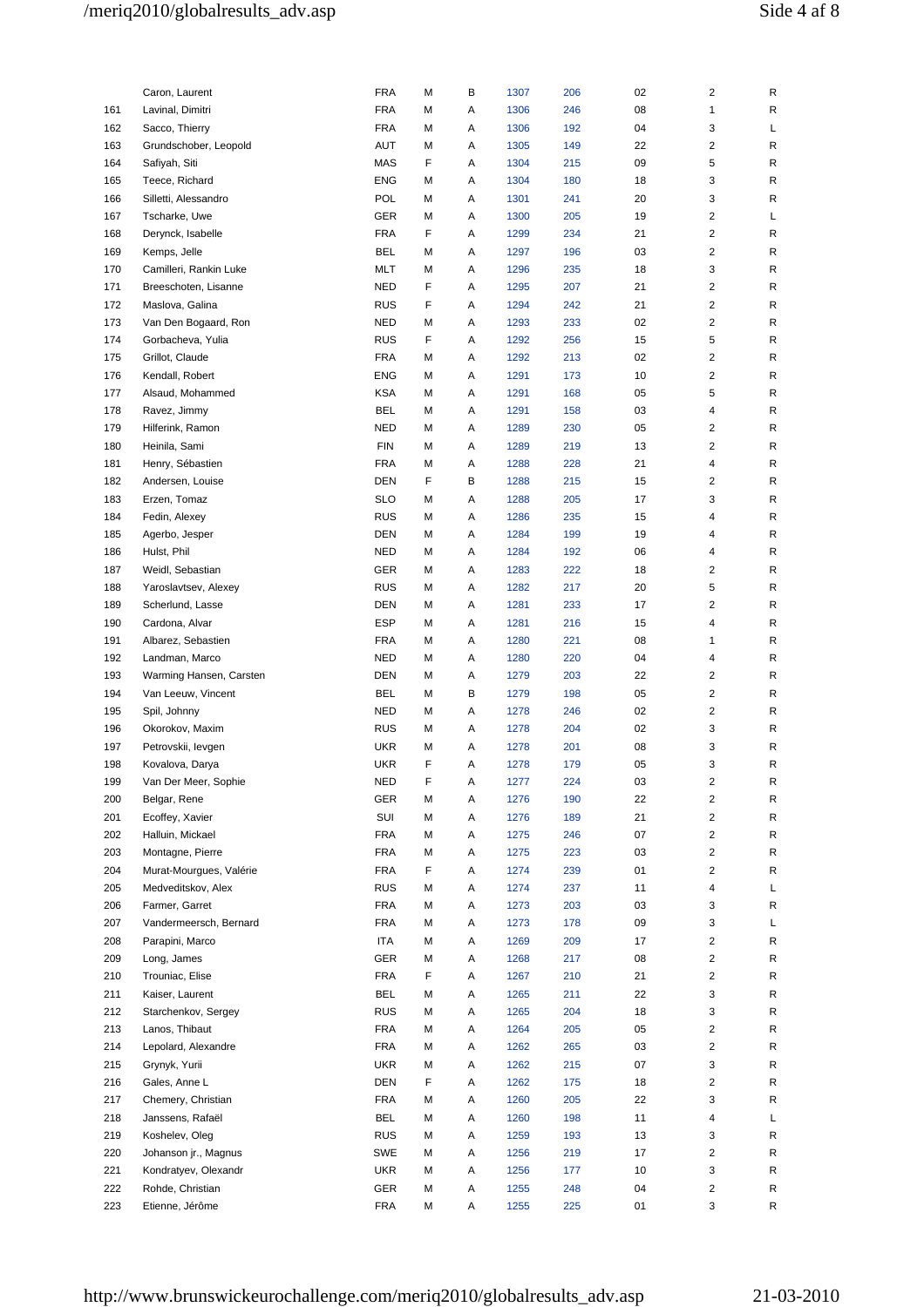# /meriq2010/globalresults\_adv.asp Side 4 af 8

|     | Caron, Laurent          | <b>FRA</b> | М | В | 1307 | 206 | 02 | 2                       | R |
|-----|-------------------------|------------|---|---|------|-----|----|-------------------------|---|
| 161 | Lavinal, Dimitri        | <b>FRA</b> | М | Α | 1306 | 246 | 08 | 1                       | R |
| 162 | Sacco, Thierry          | <b>FRA</b> | M | Α | 1306 | 192 | 04 | 3                       | L |
| 163 | Grundschober, Leopold   | AUT        | M | Α | 1305 | 149 | 22 | 2                       | R |
| 164 | Safiyah, Siti           | MAS        | F | Α | 1304 | 215 | 09 | 5                       | R |
| 165 | Teece, Richard          | <b>ENG</b> | M | Α | 1304 | 180 | 18 | 3                       | R |
| 166 | Silletti, Alessandro    | <b>POL</b> | М | Α | 1301 | 241 | 20 | 3                       | R |
| 167 | Tscharke, Uwe           | <b>GER</b> | M | Α | 1300 | 205 | 19 | 2                       | L |
| 168 | Derynck, Isabelle       | <b>FRA</b> | F | А | 1299 | 234 | 21 | 2                       | R |
| 169 | Kemps, Jelle            | <b>BEL</b> | М | Α | 1297 | 196 | 03 | $\overline{c}$          | R |
| 170 | Camilleri, Rankin Luke  | MLT        | M | Α | 1296 | 235 | 18 | 3                       | R |
| 171 | Breeschoten, Lisanne    | <b>NED</b> | F | Α | 1295 | 207 | 21 | $\overline{\mathbf{c}}$ | R |
| 172 | Maslova, Galina         | <b>RUS</b> | F | Α | 1294 | 242 | 21 | 2                       | R |
| 173 | Van Den Bogaard, Ron    | <b>NED</b> | М | Α | 1293 | 233 | 02 | $\overline{\mathbf{c}}$ | R |
| 174 | Gorbacheva, Yulia       | <b>RUS</b> | F | Α | 1292 | 256 | 15 | 5                       | R |
| 175 | Grillot, Claude         | <b>FRA</b> | M | Α | 1292 | 213 | 02 | $\overline{\mathbf{c}}$ | R |
| 176 | Kendall, Robert         | ENG        | M | Α | 1291 | 173 | 10 | $\overline{\mathbf{c}}$ | R |
| 177 | Alsaud, Mohammed        | <b>KSA</b> | М | Α | 1291 | 168 | 05 | 5                       | R |
| 178 | Ravez, Jimmy            | BEL        | М | Α | 1291 | 158 | 03 | 4                       | R |
| 179 | Hilferink, Ramon        | <b>NED</b> | М | Α | 1289 | 230 | 05 | 2                       | R |
| 180 | Heinila, Sami           | <b>FIN</b> | М | Α | 1289 | 219 | 13 | 2                       | R |
| 181 | Henry, Sébastien        | <b>FRA</b> | M | Α | 1288 | 228 | 21 | 4                       | R |
| 182 | Andersen, Louise        | DEN        | F | В | 1288 | 215 | 15 | 2                       | R |
| 183 | Erzen, Tomaz            | <b>SLO</b> | М | Α | 1288 | 205 | 17 | 3                       | R |
| 184 | Fedin, Alexey           | <b>RUS</b> | M | Α | 1286 | 235 | 15 | 4                       | R |
| 185 | Agerbo, Jesper          | <b>DEN</b> | М | А | 1284 | 199 | 19 | 4                       | R |
| 186 | Hulst, Phil             | <b>NED</b> | M | Α | 1284 | 192 | 06 | 4                       | R |
| 187 | Weidl, Sebastian        | <b>GER</b> | М | Α | 1283 | 222 | 18 | $\overline{c}$          | R |
| 188 | Yaroslavtsev, Alexey    | <b>RUS</b> | М | Α | 1282 | 217 | 20 | 5                       | R |
| 189 | Scherlund, Lasse        | DEN        | М | Α | 1281 | 233 | 17 | 2                       | R |
| 190 | Cardona, Alvar          | <b>ESP</b> | М | Α | 1281 | 216 | 15 | 4                       | R |
| 191 | Albarez, Sebastien      | <b>FRA</b> | M | Α | 1280 | 221 | 08 | 1                       | R |
| 192 | Landman, Marco          | <b>NED</b> | M | А | 1280 | 220 | 04 | 4                       | R |
| 193 | Warming Hansen, Carsten | <b>DEN</b> | M | Α | 1279 | 203 | 22 | 2                       | R |
| 194 | Van Leeuw, Vincent      | <b>BEL</b> | M | В | 1279 | 198 | 05 | $\overline{c}$          | R |
| 195 | Spil, Johnny            | <b>NED</b> | M | А | 1278 | 246 | 02 | 2                       | R |
| 196 | Okorokov, Maxim         | <b>RUS</b> | M | Α | 1278 | 204 | 02 | 3                       | R |
| 197 | Petrovskii, levgen      | <b>UKR</b> | M | Α | 1278 | 201 | 08 | 3                       | R |
| 198 | Kovalova, Darya         | <b>UKR</b> | F | Α | 1278 | 179 | 05 | 3                       | R |
| 199 | Van Der Meer, Sophie    | <b>NED</b> | F | Α | 1277 | 224 | 03 | $\overline{c}$          | R |
| 200 | Belgar, Rene            | GER        | М | Α | 1276 | 190 | 22 | $\overline{\mathbf{c}}$ | R |
| 201 | Ecoffey, Xavier         | SUI        | M | Α | 1276 | 189 | 21 | $\overline{\mathbf{c}}$ | R |
| 202 | Halluin, Mickael        | <b>FRA</b> | М | Α | 1275 | 246 | 07 | $\overline{c}$          | R |
| 203 | Montagne, Pierre        | <b>FRA</b> | M | Α | 1275 | 223 | 03 | $\overline{\mathbf{c}}$ | R |
| 204 | Murat-Mourgues, Valérie | <b>FRA</b> | F | Α | 1274 | 239 | 01 | $\overline{2}$          | R |
| 205 | Medveditskov, Alex      | <b>RUS</b> | М | Α | 1274 | 237 | 11 | 4                       | L |
| 206 | Farmer, Garret          | <b>FRA</b> | М | Α | 1273 | 203 | 03 | 3                       | R |
| 207 | Vandermeersch, Bernard  | <b>FRA</b> | М | Α | 1273 | 178 | 09 | 3                       | L |
| 208 | Parapini, Marco         | ITA        | М | Α | 1269 | 209 | 17 | $\overline{\mathbf{c}}$ | R |
| 209 | Long, James             | GER        | М | Α | 1268 | 217 | 08 | $\overline{c}$          | R |
| 210 | Trouniac, Elise         | <b>FRA</b> | F | Α | 1267 | 210 | 21 | $\overline{\mathbf{c}}$ | R |
| 211 | Kaiser, Laurent         | BEL        | М | Α | 1265 | 211 | 22 | 3                       | R |
| 212 | Starchenkov, Sergey     | <b>RUS</b> | М | Α | 1265 | 204 | 18 | 3                       | R |
| 213 | Lanos, Thibaut          | <b>FRA</b> | М | Α | 1264 | 205 | 05 | $\overline{\mathbf{c}}$ | R |
| 214 | Lepolard, Alexandre     | <b>FRA</b> | М | Α | 1262 | 265 | 03 | $\overline{2}$          | R |
| 215 | Grynyk, Yurii           | <b>UKR</b> | М | Α | 1262 | 215 | 07 | 3                       | R |
| 216 | Gales, Anne L           | <b>DEN</b> | F | Α | 1262 | 175 | 18 | $\overline{2}$          | R |
| 217 | Chemery, Christian      | <b>FRA</b> | М | Α | 1260 | 205 | 22 | 3                       | R |
| 218 | Janssens, Rafaël        | BEL        | М | Α | 1260 | 198 | 11 | 4                       | L |
| 219 | Koshelev, Oleg          | <b>RUS</b> | М | Α | 1259 | 193 | 13 | 3                       | R |
| 220 | Johanson jr., Magnus    | <b>SWE</b> | М | Α | 1256 | 219 | 17 | $\overline{\mathbf{c}}$ | R |
| 221 | Kondratyev, Olexandr    | <b>UKR</b> | М | Α | 1256 | 177 | 10 | 3                       | R |
| 222 | Rohde, Christian        | GER        | М | Α | 1255 | 248 | 04 | $\overline{c}$          | R |
| 223 | Etienne, Jérôme         | FRA        | М | Α | 1255 | 225 | 01 | 3                       | R |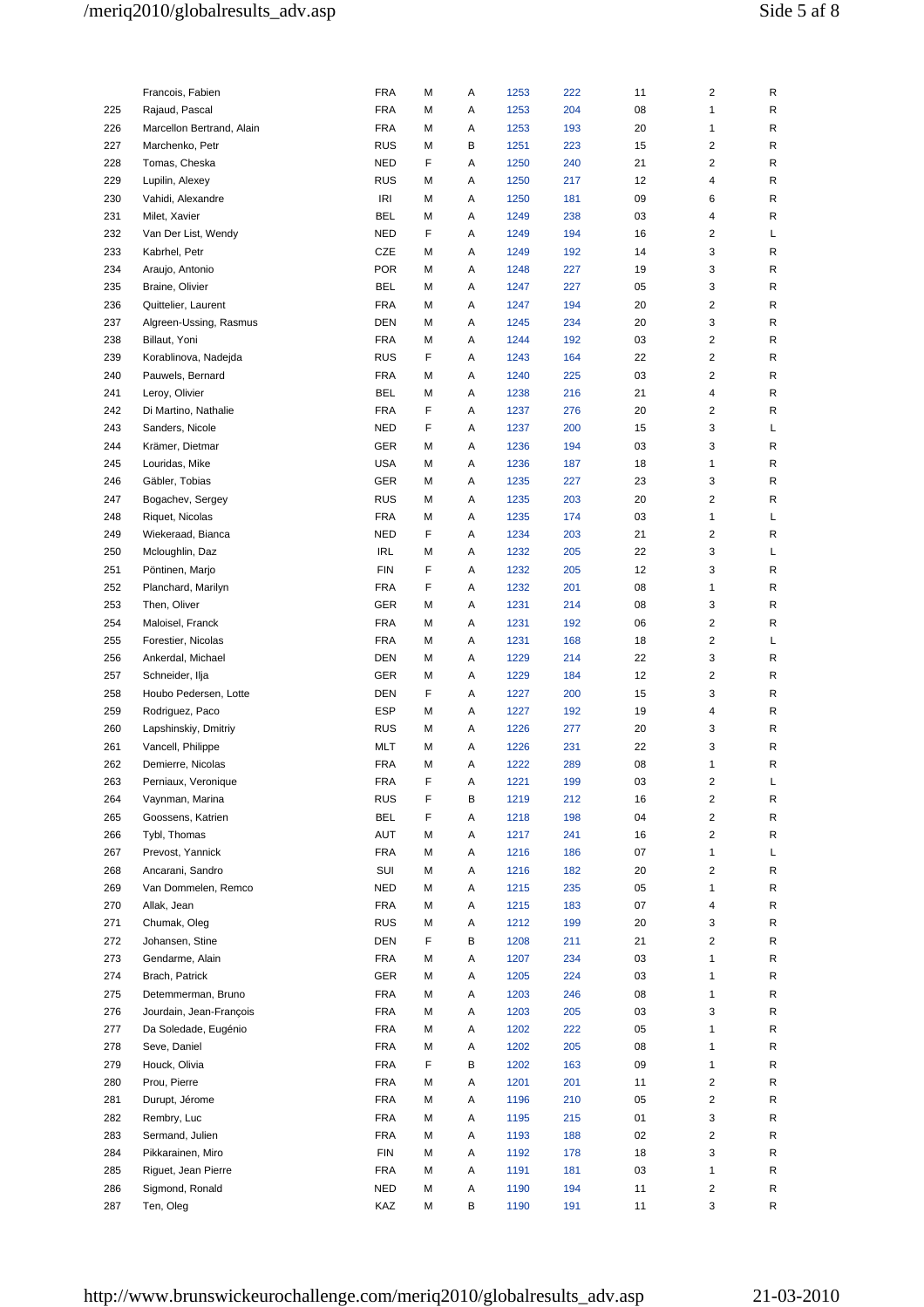# /meriq2010/globalresults\_adv.asp Side 5 af 8

|            | Francois, Fabien          | <b>FRA</b>               | М | Α | 1253         | 222 | 11       | 2              | R      |
|------------|---------------------------|--------------------------|---|---|--------------|-----|----------|----------------|--------|
| 225        | Rajaud, Pascal            | <b>FRA</b>               | М | Α | 1253         | 204 | 08       | 1              | R      |
| 226        | Marcellon Bertrand, Alain | <b>FRA</b>               | М | Α | 1253         | 193 | 20       | 1              | R      |
| 227        | Marchenko, Petr           | <b>RUS</b>               | M | В | 1251         | 223 | 15       | 2              | R      |
| 228        | Tomas, Cheska             | NED                      | F | Α | 1250         | 240 | 21       | 2              | R      |
| 229        | Lupilin, Alexey           | <b>RUS</b>               | М | Α | 1250         | 217 | 12       | 4              | R      |
| 230        | Vahidi, Alexandre         | IRI                      | M | Α | 1250         | 181 | 09       | 6              | R      |
| 231        | Milet, Xavier             | <b>BEL</b>               | M | Α | 1249         | 238 | 03       | 4              | R      |
| 232        | Van Der List, Wendy       | NED                      | F | Α | 1249         | 194 | 16       | 2              | L      |
| 233        | Kabrhel, Petr             | CZE                      | M | Α | 1249         | 192 | 14       | 3              | R      |
| 234        | Araujo, Antonio           | <b>POR</b>               | M | Α | 1248         | 227 | 19       | 3              | R      |
| 235        | Braine, Olivier           | <b>BEL</b>               | M | Α | 1247         | 227 | 05       | 3              | R      |
| 236        | Quittelier, Laurent       | <b>FRA</b>               | M | Α | 1247         | 194 | 20       | 2              | R      |
| 237        | Algreen-Ussing, Rasmus    | DEN                      | M | Α | 1245         | 234 | 20       | 3              | R      |
|            |                           |                          |   |   |              |     |          | 2              |        |
| 238        | Billaut, Yoni             | FRA                      | M | Α | 1244         | 192 | 03       |                | R      |
| 239        | Korablinova, Nadejda      | <b>RUS</b>               | F | Α | 1243         | 164 | 22       | 2              | R      |
| 240        | Pauwels, Bernard          | <b>FRA</b>               | M | Α | 1240         | 225 | 03       | 2              | R      |
| 241        | Leroy, Olivier            | <b>BEL</b>               | M | Α | 1238         | 216 | 21       | 4              | R      |
| 242        | Di Martino, Nathalie      | <b>FRA</b>               | F | Α | 1237         | 276 | 20       | 2              | R      |
| 243        | Sanders, Nicole           | NED                      | F | Α | 1237         | 200 | 15       | 3              | L      |
| 244        | Krämer, Dietmar           | GER                      | M | Α | 1236         | 194 | 03       | 3              | R      |
| 245        | Louridas, Mike            | <b>USA</b>               | M | Α | 1236         | 187 | 18       | 1              | R      |
| 246        | Gäbler, Tobias            | GER                      | M | Α | 1235         | 227 | 23       | 3              | R      |
| 247        | Bogachev, Sergey          | <b>RUS</b>               | M | Α | 1235         | 203 | 20       | 2              | R      |
| 248        | Riquet, Nicolas           | <b>FRA</b>               | M | Α | 1235         | 174 | 03       | 1              | Г      |
| 249        | Wiekeraad, Bianca         | <b>NED</b>               | F | Α | 1234         | 203 | 21       | 2              | R      |
| 250        | Mcloughlin, Daz           | IRL                      | M | Α | 1232         | 205 | 22       | 3              | L      |
| 251        | Pöntinen, Marjo           | <b>FIN</b>               | F | Α | 1232         | 205 | 12       | 3              | R      |
| 252        | Planchard, Marilyn        | <b>FRA</b>               | F | Α | 1232         | 201 | 08       | 1              | R      |
| 253        | Then, Oliver              | GER                      | M | Α | 1231         | 214 | 08       | 3              | R      |
| 254        | Maloisel, Franck          | <b>FRA</b>               | M | Α | 1231         | 192 | 06       | 2              | R      |
| 255        | Forestier, Nicolas        | <b>FRA</b>               | M | Α | 1231         | 168 | 18       | 2              | L      |
| 256        | Ankerdal, Michael         | DEN                      | M | Α | 1229         | 214 | 22       | 3              | R      |
| 257        | Schneider, Ilja           | GER                      | M | Α | 1229         | 184 | 12       | 2              | R      |
| 258        | Houbo Pedersen, Lotte     | DEN                      | F | Α | 1227         | 200 | 15       | 3              | R      |
| 259        | Rodriguez, Paco           | <b>ESP</b>               | M | Α | 1227         | 192 | 19       | 4              | R      |
| 260        | Lapshinskiy, Dmitriy      | <b>RUS</b>               | М | Α | 1226         | 277 | 20       | 3              | R      |
| 261        | Vancell, Philippe         | MLT                      | M | Α | 1226         | 231 | 22       | 3              | R      |
| 262        | Demierre, Nicolas         | <b>FRA</b>               | М | Α | 1222         | 289 | 08       | 1              | R      |
| 263        | Perniaux, Veronique       | <b>FRA</b>               | F | A | 1221         | 199 | 03       | 2              | L      |
| 264        | Vaynman, Marina           | RUS                      | F | В | 1219         | 212 | 16       | 2              | R      |
| 265        | Goossens, Katrien         | <b>BEL</b>               | F | Α | 1218         | 198 | 04       | 2              | R      |
| 266        | Tybl, Thomas              | AUT                      | M | Α | 1217         | 241 | 16       | $\overline{2}$ | R      |
| 267        | Prevost, Yannick          | <b>FRA</b>               | М | Α | 1216         | 186 | 07       | 1              | L      |
| 268        | Ancarani, Sandro          | SUI                      | М | Α | 1216         | 182 | 20       | 2              | R      |
| 269        | Van Dommelen, Remco       | NED                      | М | Α | 1215         | 235 | 05       | 1              | R      |
| 270        | Allak, Jean               | <b>FRA</b>               | М | Α | 1215         | 183 | 07       | 4              | R      |
| 271        | Chumak, Oleg              | <b>RUS</b>               | М | Α | 1212         | 199 | 20       | 3              | R      |
| 272        | Johansen, Stine           | DEN                      | F | в | 1208         | 211 | 21       | 2              | R      |
| 273        | Gendarme, Alain           | FRA                      | М | Α | 1207         | 234 | 03       | 1              | R      |
| 274        | Brach, Patrick            | GER                      | М | Α | 1205         | 224 | 03       | 1              | R      |
| 275        | Detemmerman, Bruno        | <b>FRA</b>               | М | Α | 1203         | 246 | 08       | $\mathbf{1}$   | R      |
| 276        | Jourdain, Jean-François   | <b>FRA</b>               | М | Α | 1203         | 205 | 03       | 3              | R      |
| 277        | Da Soledade, Eugénio      | <b>FRA</b>               | М | Α | 1202         | 222 | 05       | 1              | R      |
| 278        | Seve, Daniel              | <b>FRA</b>               | М | Α | 1202         | 205 | 08       | 1              | R      |
|            |                           |                          | F |   |              |     |          |                |        |
| 279<br>280 | Houck, Olivia             | <b>FRA</b><br><b>FRA</b> |   | в | 1202<br>1201 | 163 | 09<br>11 | 1<br>2         | R<br>R |
|            | Prou, Pierre              |                          | М | Α |              | 201 |          |                |        |
| 281        | Durupt, Jérome            | <b>FRA</b>               | М | Α | 1196         | 210 | 05       | $\overline{c}$ | R      |
| 282        | Rembry, Luc               | <b>FRA</b>               | М | Α | 1195         | 215 | 01       | 3              | R      |
| 283        | Sermand, Julien           | <b>FRA</b>               | М | Α | 1193         | 188 | 02       | 2              | R      |
| 284        | Pikkarainen, Miro         | FIN                      | М | Α | 1192         | 178 | 18       | 3              | R      |
| 285        | Riguet, Jean Pierre       | <b>FRA</b>               | М | Α | 1191         | 181 | 03       | 1              | R      |
| 286        | Sigmond, Ronald           | NED                      | М | Α | 1190         | 194 | 11       | $\overline{c}$ | R      |
| 287        | Ten, Oleg                 | KAZ                      | М | в | 1190         | 191 | 11       | 3              | R      |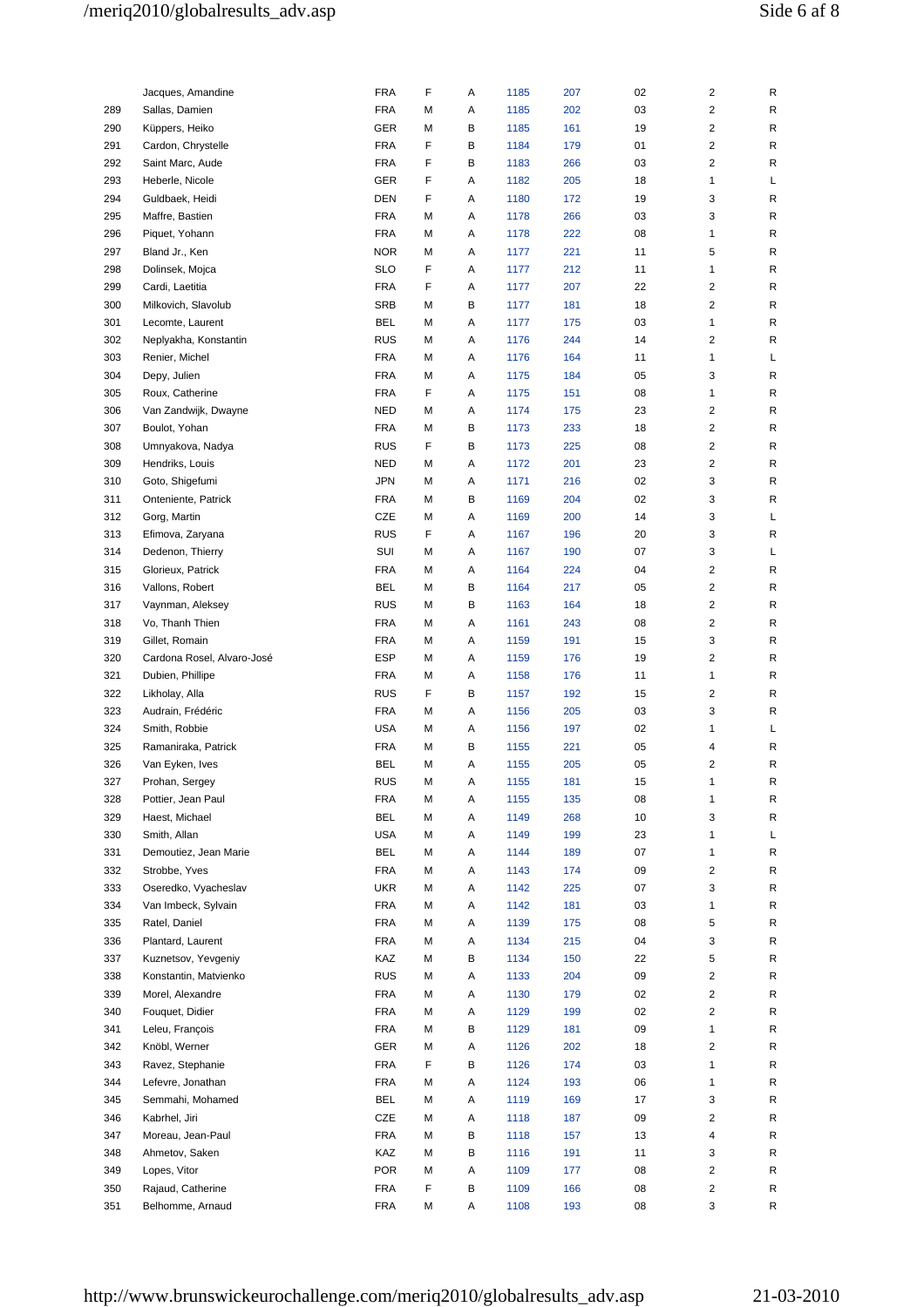|     | Jacques, Amandine                    | <b>FRA</b> | F      | Α | 1185 | 207 | 02 | $\overline{\mathbf{c}}$ | R |
|-----|--------------------------------------|------------|--------|---|------|-----|----|-------------------------|---|
| 289 | Sallas, Damien                       | <b>FRA</b> | М      | Α | 1185 | 202 | 03 | $\overline{\mathbf{c}}$ | R |
| 290 | Küppers, Heiko                       | GER        | М      | В | 1185 | 161 | 19 | $\overline{\mathbf{c}}$ | R |
| 291 | Cardon, Chrystelle                   | <b>FRA</b> | F      | В | 1184 | 179 | 01 | $\overline{\mathbf{c}}$ | R |
| 292 | Saint Marc, Aude                     | FRA        | F      | В | 1183 | 266 | 03 | $\overline{c}$          | R |
| 293 | Heberle, Nicole                      | GER        | F      | Α | 1182 | 205 | 18 | $\mathbf{1}$            | Г |
| 294 | Guldbaek, Heidi                      | DEN        | F      | Α | 1180 | 172 | 19 | 3                       | R |
| 295 | Maffre, Bastien                      | FRA        | М      | Α | 1178 | 266 | 03 | 3                       | R |
| 296 | Piquet, Yohann                       | FRA        | М      | Α | 1178 | 222 | 08 | 1                       | R |
| 297 | Bland Jr., Ken                       | <b>NOR</b> | М      | Α | 1177 | 221 | 11 | 5                       | R |
| 298 | Dolinsek, Mojca                      | <b>SLO</b> | F      | Α | 1177 | 212 | 11 | 1                       | R |
| 299 | Cardi, Laetitia                      | FRA        | F      | Α | 1177 | 207 | 22 | 2                       | R |
| 300 | Milkovich, Slavolub                  | <b>SRB</b> | М      | В | 1177 | 181 | 18 | $\overline{c}$          | R |
| 301 | Lecomte, Laurent                     | BEL        | М      | Α | 1177 | 175 | 03 | 1                       | R |
| 302 | Neplyakha, Konstantin                | <b>RUS</b> | М      | Α | 1176 | 244 | 14 | $\overline{\mathbf{c}}$ | R |
| 303 | Renier, Michel                       | FRA        | М      | Α | 1176 | 164 | 11 | $\mathbf{1}$            | Г |
| 304 | Depy, Julien                         | FRA        | М      | Α | 1175 | 184 | 05 | 3                       | R |
| 305 | Roux, Catherine                      | FRA        | F      | Α | 1175 | 151 | 08 | 1                       | R |
| 306 | Van Zandwijk, Dwayne                 | <b>NED</b> | М      | Α | 1174 | 175 | 23 | $\overline{\mathbf{c}}$ | R |
| 307 | Boulot, Yohan                        | <b>FRA</b> | М      | В | 1173 | 233 | 18 | $\overline{c}$          | R |
| 308 | Umnyakova, Nadya                     | <b>RUS</b> | F      | В | 1173 | 225 | 08 | $\overline{\mathbf{c}}$ | R |
| 309 | Hendriks, Louis                      | <b>NED</b> | М      | Α | 1172 | 201 | 23 | $\overline{c}$          | R |
| 310 | Goto, Shigefumi                      | JPN        | М      | Α | 1171 | 216 | 02 | 3                       | R |
| 311 | Onteniente, Patrick                  | FRA        | М      | в | 1169 | 204 | 02 | 3                       | R |
| 312 | Gorg, Martin                         | CZE        | М      | Α | 1169 | 200 | 14 | 3                       | L |
| 313 | Efimova, Zaryana                     | <b>RUS</b> | F      | Α | 1167 | 196 | 20 | 3                       | R |
| 314 | Dedenon, Thierry                     | SUI        | М      | Α | 1167 | 190 | 07 | 3                       | L |
| 315 | Glorieux, Patrick                    | FRA        | М      | Α | 1164 | 224 | 04 | $\overline{\mathbf{c}}$ | R |
| 316 | Vallons, Robert                      | BEL        | М      | В | 1164 | 217 | 05 | $\overline{c}$          | R |
| 317 | Vaynman, Aleksey                     | <b>RUS</b> | М      | В | 1163 | 164 | 18 | $\overline{\mathbf{c}}$ | R |
| 318 | Vo, Thanh Thien                      | FRA        | М      | Α | 1161 | 243 | 08 | $\overline{\mathbf{c}}$ | R |
| 319 | Gillet, Romain                       | FRA        | М      | Α | 1159 | 191 | 15 | 3                       | R |
| 320 | Cardona Rosel, Alvaro-José           | ESP        | М      | Α | 1159 | 176 | 19 | $\overline{\mathbf{c}}$ | R |
| 321 |                                      | FRA        |        | Α | 1158 | 176 | 11 | 1                       |   |
| 322 | Dubien, Phillipe<br>Likholay, Alla   | <b>RUS</b> | М<br>F | B |      |     | 15 | $\overline{c}$          | R |
|     |                                      |            |        |   | 1157 | 192 |    |                         | R |
| 323 | Audrain, Frédéric                    | FRA        | М      | Α | 1156 | 205 | 03 | 3<br>1                  | R |
| 324 | Smith, Robbie                        | <b>USA</b> | М      | Α | 1156 | 197 | 02 |                         | L |
| 325 | Ramaniraka, Patrick                  | FRA        | М      | В | 1155 | 221 | 05 | 4                       | R |
| 326 | Van Eyken, Ives                      | BEL        | М      | Α | 1155 | 205 | 05 | $\overline{\mathbf{c}}$ | R |
| 327 | Prohan, Sergey<br>Pottier, Jean Paul | <b>RUS</b> | м      | Α | 1155 | 181 | 15 | 1                       | R |
| 328 |                                      | FRA        | М      | Α | 1155 | 135 | 08 | $\mathbf{1}$            | R |
| 329 | Haest, Michael                       | BEL        | М      | Α | 1149 | 268 | 10 | 3                       | R |
| 330 | Smith, Allan                         | <b>USA</b> | М      | Α | 1149 | 199 | 23 | $\mathbf{1}$            | L |
| 331 | Demoutiez, Jean Marie                | BEL        | М      | Α | 1144 | 189 | 07 | 1                       | R |
| 332 | Strobbe, Yves                        | FRA        | М      | Α | 1143 | 174 | 09 | $\overline{\mathbf{c}}$ | R |
| 333 | Oseredko, Vyacheslav                 | <b>UKR</b> | М      | Α | 1142 | 225 | 07 | 3                       | R |
| 334 | Van Imbeck, Sylvain                  | FRA        | М      | Α | 1142 | 181 | 03 | 1                       | R |
| 335 | Ratel, Daniel                        | FRA        | М      | Α | 1139 | 175 | 08 | 5                       | R |
| 336 | Plantard, Laurent                    | FRA        | М      | Α | 1134 | 215 | 04 | 3                       | R |
| 337 | Kuznetsov, Yevgeniy                  | KAZ        | М      | в | 1134 | 150 | 22 | 5                       | R |
| 338 | Konstantin, Matvienko                | <b>RUS</b> | М      | Α | 1133 | 204 | 09 | $\overline{\mathbf{c}}$ | R |
| 339 | Morel, Alexandre                     | FRA        | М      | Α | 1130 | 179 | 02 | $\overline{c}$          | R |
| 340 | Fouquet, Didier                      | FRA        | М      | Α | 1129 | 199 | 02 | $\overline{\mathbf{c}}$ | R |
| 341 | Leleu, François                      | FRA        | М      | В | 1129 | 181 | 09 | 1                       | R |
| 342 | Knöbl, Werner                        | GER        | М      | Α | 1126 | 202 | 18 | $\overline{c}$          | R |
| 343 | Ravez, Stephanie                     | FRA        | F      | В | 1126 | 174 | 03 | 1                       | R |
| 344 | Lefevre, Jonathan                    | FRA        | М      | Α | 1124 | 193 | 06 | 1                       | R |
| 345 | Semmahi, Mohamed                     | BEL        | М      | Α | 1119 | 169 | 17 | 3                       | R |
| 346 | Kabrhel, Jiri                        | CZE        | М      | Α | 1118 | 187 | 09 | $\overline{\mathbf{c}}$ | R |
| 347 | Moreau, Jean-Paul                    | FRA        | М      | в | 1118 | 157 | 13 | 4                       | R |
| 348 | Ahmetov, Saken                       | KAZ        | М      | В | 1116 | 191 | 11 | 3                       | R |
| 349 | Lopes, Vitor                         | <b>POR</b> | М      | Α | 1109 | 177 | 08 | $\overline{\mathbf{c}}$ | R |
| 350 | Rajaud, Catherine                    | FRA        | F      | В | 1109 | 166 | 08 | $\overline{\mathbf{c}}$ | R |
| 351 | Belhomme, Arnaud                     | FRA        | М      | Α | 1108 | 193 | 08 | 3                       | R |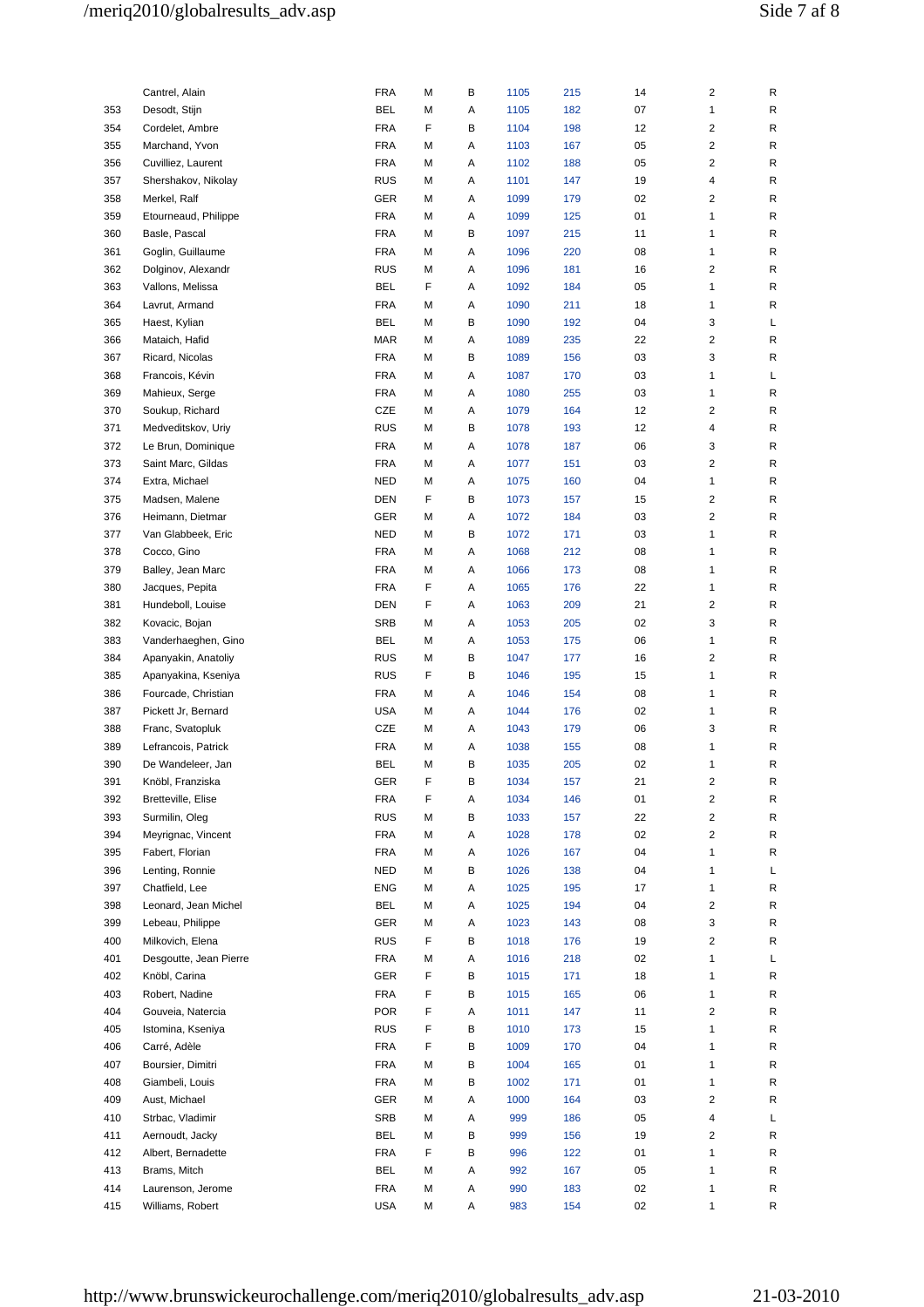|            | Cantrel, Alain                     | FRA                      | М      | В | 1105 | 215        | 14       | 2              | R      |
|------------|------------------------------------|--------------------------|--------|---|------|------------|----------|----------------|--------|
| 353        | Desodt, Stijn                      | BEL                      | М      | Α | 1105 | 182        | 07       | 1              | R      |
| 354        | Cordelet, Ambre                    | <b>FRA</b>               | F      | В | 1104 | 198        | 12       | 2              | R      |
| 355        | Marchand, Yvon                     | <b>FRA</b>               | М      | Α | 1103 | 167        | 05       | 2              | R      |
| 356        | Cuvilliez, Laurent                 | <b>FRA</b>               | М      | Α | 1102 | 188        | 05       | 2              | R      |
| 357        | Shershakov, Nikolay                | <b>RUS</b>               | М      | Α | 1101 | 147        | 19       | 4              | R      |
| 358        | Merkel, Ralf                       | GER                      | M      | Α | 1099 | 179        | 02       | 2              | R      |
| 359        | Etourneaud, Philippe               | <b>FRA</b>               | М      | Α | 1099 | 125        | 01       | $\mathbf{1}$   | R      |
| 360        |                                    | <b>FRA</b>               | М      | В | 1097 | 215        | 11       | 1              | R      |
|            | Basle, Pascal<br>Goglin, Guillaume |                          |        |   |      |            |          |                |        |
| 361<br>362 | Dolginov, Alexandr                 | <b>FRA</b><br><b>RUS</b> | М<br>М | Α | 1096 | 220<br>181 | 08<br>16 | 1<br>2         | R<br>R |
|            |                                    |                          |        | Α | 1096 |            |          |                |        |
| 363        | Vallons, Melissa                   | BEL                      | F      | Α | 1092 | 184        | 05       | 1              | R      |
| 364        | Lavrut, Armand                     | <b>FRA</b>               | М      | Α | 1090 | 211        | 18       | $\mathbf{1}$   | R      |
| 365        | Haest, Kylian                      | BEL                      | М      | В | 1090 | 192        | 04       | 3              | L      |
| 366        | Mataich, Hafid                     | MAR                      | М      | А | 1089 | 235        | 22       | 2              | R      |
| 367        | Ricard, Nicolas                    | <b>FRA</b>               | М      | В | 1089 | 156        | 03       | 3              | R      |
| 368        | Francois, Kévin                    | <b>FRA</b>               | м      | Α | 1087 | 170        | 03       | 1              | L      |
| 369        | Mahieux, Serge                     | <b>FRA</b>               | M      | Α | 1080 | 255        | 03       | $\mathbf{1}$   | R      |
| 370        | Soukup, Richard                    | CZE                      | M      | Α | 1079 | 164        | 12       | 2              | R      |
| 371        | Medveditskov, Uriy                 | <b>RUS</b>               | М      | В | 1078 | 193        | 12       | 4              | R      |
| 372        | Le Brun, Dominique                 | <b>FRA</b>               | М      | Α | 1078 | 187        | 06       | 3              | R      |
| 373        | Saint Marc, Gildas                 | <b>FRA</b>               | М      | Α | 1077 | 151        | 03       | 2              | R      |
| 374        | Extra, Michael                     | <b>NED</b>               | М      | Α | 1075 | 160        | 04       | 1              | R      |
| 375        | Madsen, Malene                     | <b>DEN</b>               | F      | В | 1073 | 157        | 15       | 2              | R      |
| 376        | Heimann, Dietmar                   | GER                      | М      | Α | 1072 | 184        | 03       | $\overline{c}$ | R      |
| 377        | Van Glabbeek, Eric                 | <b>NED</b>               | М      | В | 1072 | 171        | 03       | 1              | R      |
| 378        | Cocco, Gino                        | <b>FRA</b>               | M      | Α | 1068 | 212        | 08       | 1              | R      |
| 379        | Balley, Jean Marc                  | <b>FRA</b>               | M      | Α | 1066 | 173        | 08       | $\mathbf{1}$   | R      |
| 380        | Jacques, Pepita                    | <b>FRA</b>               | F      | Α | 1065 | 176        | 22       | 1              | R      |
| 381        | Hundeboll, Louise                  | <b>DEN</b>               | F      | Α | 1063 | 209        | 21       | 2              | R      |
| 382        | Kovacic, Bojan                     | <b>SRB</b>               | М      | Α | 1053 | 205        | 02       | 3              | R      |
| 383        | Vanderhaeghen, Gino                | BEL                      | М      | А | 1053 | 175        | 06       | $\mathbf{1}$   | R      |
| 384        | Apanyakin, Anatoliy                | <b>RUS</b>               | М      | В | 1047 | 177        | 16       | 2              | R      |
| 385        | Apanyakina, Kseniya                | <b>RUS</b>               | F      | В | 1046 | 195        | 15       | 1              | R      |
| 386        | Fourcade, Christian                | <b>FRA</b>               | М      | Α | 1046 | 154        | 08       | 1              | R      |
| 387        | Pickett Jr, Bernard                | <b>USA</b>               | м      | Α | 1044 | 176        | 02       | 1              | R      |
| 388        | Franc, Svatopluk                   | CZE                      | M      | Α | 1043 | 179        | 06       | 3              | R      |
| 389        | Lefrancois, Patrick                | FRA                      | М      | Α | 1038 | 155        | 08       | 1              | R      |
| 390        | De Wandeleer, Jan                  | BEL                      | М      | В | 1035 | 205        | 02       | 1              | R      |
| 391        | Knöbl, Franziska                   | GER                      | F      | в | 1034 | 157        | 21       | 2              | R      |
| 392        | Bretteville, Elise                 | <b>FRA</b>               | F      | Α | 1034 | 146        | 01       | 2              | R      |
| 393        | Surmilin, Oleg                     | <b>RUS</b>               | М      | В | 1033 | 157        | 22       | 2              | R      |
| 394        | Meyrignac, Vincent                 | <b>FRA</b>               | M      | Α | 1028 | 178        | 02       | 2              | R      |
| 395        | Fabert, Florian                    | <b>FRA</b>               | M      | Α | 1026 | 167        | 04       | $\mathbf{1}$   | R      |
| 396        | Lenting, Ronnie                    | NED                      | М      | В | 1026 | 138        | 04       | $\mathbf{1}$   | L      |
| 397        | Chatfield, Lee                     | <b>ENG</b>               | М      | Α | 1025 | 195        | 17       | 1              | R      |
| 398        | Leonard, Jean Michel               | <b>BEL</b>               | М      | Α | 1025 | 194        | 04       | 2              | R      |
| 399        | Lebeau, Philippe                   | GER                      | М      | Α | 1023 | 143        | 08       | 3              | R      |
| 400        | Milkovich, Elena                   | <b>RUS</b>               | F.     | В | 1018 | 176        | 19       | 2              | R      |
| 401        | Desgoutte, Jean Pierre             | <b>FRA</b>               | М      | Α | 1016 | 218        | 02       | $\mathbf{1}$   | L      |
| 402        | Knöbl, Carina                      | GER                      | F      | В | 1015 | 171        | 18       | 1              | R      |
| 403        | Robert, Nadine                     | <b>FRA</b>               | F      | В | 1015 | 165        | 06       | 1              | R      |
| 404        | Gouveia, Natercia                  | <b>POR</b>               | F      | Α | 1011 | 147        | 11       | 2              | R      |
| 405        | Istomina, Kseniya                  | <b>RUS</b>               | F      | В | 1010 | 173        | 15       | 1              | R      |
| 406        | Carré, Adèle                       | <b>FRA</b>               | F      | В | 1009 | 170        | 04       | $\mathbf{1}$   | R      |
| 407        | Boursier, Dimitri                  | <b>FRA</b>               | M      | В | 1004 | 165        | 01       | 1              | R      |
| 408        | Giambeli, Louis                    | <b>FRA</b>               | М      | В | 1002 | 171        | 01       | $\mathbf{1}$   | R      |
| 409        | Aust, Michael                      | GER                      | М      | Α | 1000 | 164        | 03       | 2              | R      |
| 410        | Strbac, Vladimir                   | <b>SRB</b>               | М      | Α | 999  | 186        | 05       | 4              | L      |
| 411        | Aernoudt, Jacky                    | BEL                      | М      | В | 999  | 156        | 19       | 2              | R      |
| 412        | Albert, Bernadette                 | <b>FRA</b>               | F      | В | 996  | 122        | 01       | 1              | R      |
| 413        | Brams, Mitch                       | BEL                      | М      | Α | 992  | 167        | 05       | $\mathbf{1}$   | R      |
| 414        | Laurenson, Jerome                  | <b>FRA</b>               | M      | Α | 990  | 183        | 02       | $\mathbf{1}$   | R      |
| 415        | Williams, Robert                   | <b>USA</b>               | М      | А | 983  | 154        | 02       | 1              | R      |
|            |                                    |                          |        |   |      |            |          |                |        |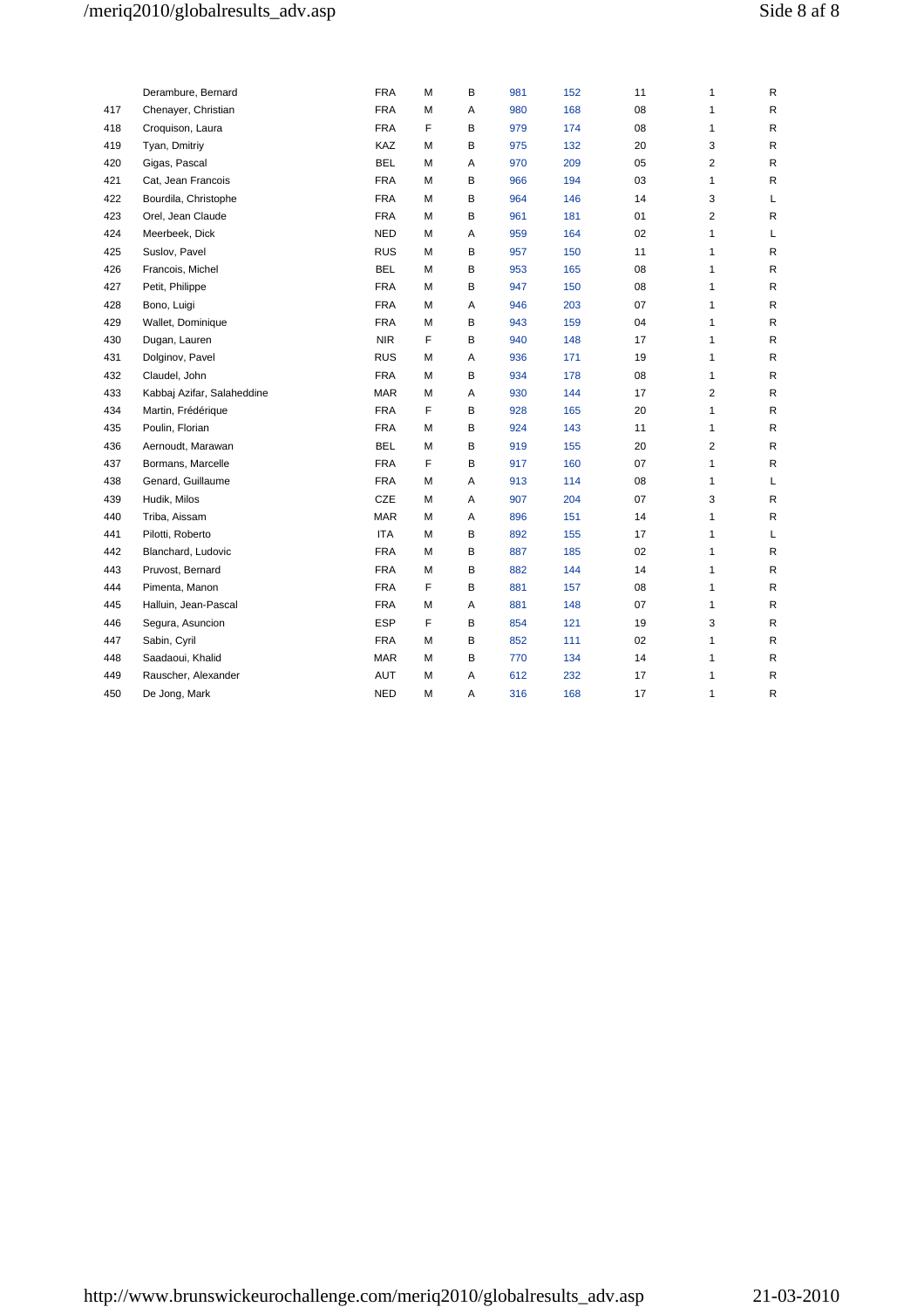# /meriq2010/globalresults\_adv.asp Side 8 af 8

|     | Derambure, Bernard         | <b>FRA</b> | М | В | 981 | 152 | 11 | 1                       | R            |
|-----|----------------------------|------------|---|---|-----|-----|----|-------------------------|--------------|
| 417 | Chenayer, Christian        | <b>FRA</b> | М | Α | 980 | 168 | 08 | $\mathbf{1}$            | $\mathsf{R}$ |
| 418 | Croquison, Laura           | <b>FRA</b> | F | В | 979 | 174 | 08 | 1                       | R            |
| 419 | Tyan, Dmitriy              | KAZ        | М | В | 975 | 132 | 20 | 3                       | R            |
| 420 | Gigas, Pascal              | <b>BEL</b> | М | Α | 970 | 209 | 05 | $\overline{2}$          | R            |
| 421 | Cat, Jean Francois         | <b>FRA</b> | М | В | 966 | 194 | 03 | 1                       | R            |
| 422 | Bourdila, Christophe       | <b>FRA</b> | М | B | 964 | 146 | 14 | 3                       | Г            |
| 423 | Orel, Jean Claude          | <b>FRA</b> | М | B | 961 | 181 | 01 | $\overline{2}$          | R            |
| 424 | Meerbeek, Dick             | <b>NED</b> | М | Α | 959 | 164 | 02 | 1                       | L            |
| 425 | Suslov, Pavel              | <b>RUS</b> | М | В | 957 | 150 | 11 | 1                       | R            |
| 426 | Francois, Michel           | <b>BEL</b> | М | B | 953 | 165 | 08 | 1                       | $\mathsf{R}$ |
| 427 | Petit, Philippe            | <b>FRA</b> | М | В | 947 | 150 | 08 | 1                       | R            |
| 428 | Bono, Luigi                | <b>FRA</b> | М | Α | 946 | 203 | 07 | 1                       | R            |
| 429 | Wallet, Dominique          | <b>FRA</b> | М | В | 943 | 159 | 04 | 1                       | $\mathsf{R}$ |
| 430 | Dugan, Lauren              | <b>NIR</b> | F | В | 940 | 148 | 17 | 1                       | R            |
| 431 | Dolginov, Pavel            | <b>RUS</b> | М | Α | 936 | 171 | 19 | 1                       | R            |
| 432 | Claudel, John              | <b>FRA</b> | М | B | 934 | 178 | 08 | $\mathbf{1}$            | R            |
| 433 | Kabbaj Azifar, Salaheddine | <b>MAR</b> | М | Α | 930 | 144 | 17 | $\overline{\mathbf{c}}$ | R            |
| 434 | Martin, Frédérique         | <b>FRA</b> | F | B | 928 | 165 | 20 | $\mathbf{1}$            | $\mathsf{R}$ |
| 435 | Poulin, Florian            | <b>FRA</b> | М | В | 924 | 143 | 11 | 1                       | $\mathsf{R}$ |
| 436 | Aernoudt, Marawan          | <b>BEL</b> | М | В | 919 | 155 | 20 | 2                       | R            |
| 437 | Bormans, Marcelle          | <b>FRA</b> | F | В | 917 | 160 | 07 | 1                       | R            |
| 438 | Genard, Guillaume          | <b>FRA</b> | М | Α | 913 | 114 | 08 | $\mathbf{1}$            | Г            |
| 439 | Hudik, Milos               | CZE        | М | Α | 907 | 204 | 07 | 3                       | R            |
| 440 | Triba, Aissam              | <b>MAR</b> | М | Α | 896 | 151 | 14 | 1                       | R            |
| 441 | Pilotti, Roberto           | <b>ITA</b> | М | B | 892 | 155 | 17 | 1                       | Г            |
| 442 | Blanchard, Ludovic         | <b>FRA</b> | M | B | 887 | 185 | 02 | 1                       | R            |
| 443 | Pruvost, Bernard           | <b>FRA</b> | М | В | 882 | 144 | 14 | 1                       | $\mathsf{R}$ |
| 444 | Pimenta, Manon             | <b>FRA</b> | F | B | 881 | 157 | 08 | 1                       | R            |
| 445 | Halluin, Jean-Pascal       | <b>FRA</b> | М | Α | 881 | 148 | 07 | 1                       | R            |
| 446 | Segura, Asuncion           | <b>ESP</b> | F | В | 854 | 121 | 19 | 3                       | R            |
| 447 | Sabin, Cyril               | <b>FRA</b> | М | B | 852 | 111 | 02 | 1                       | R            |
| 448 | Saadaoui, Khalid           | <b>MAR</b> | М | В | 770 | 134 | 14 | 1                       | R            |
| 449 | Rauscher, Alexander        | AUT        | М | Α | 612 | 232 | 17 | 1                       | R            |
| 450 | De Jong, Mark              | <b>NED</b> | М | Α | 316 | 168 | 17 | 1                       | R            |
|     |                            |            |   |   |     |     |    |                         |              |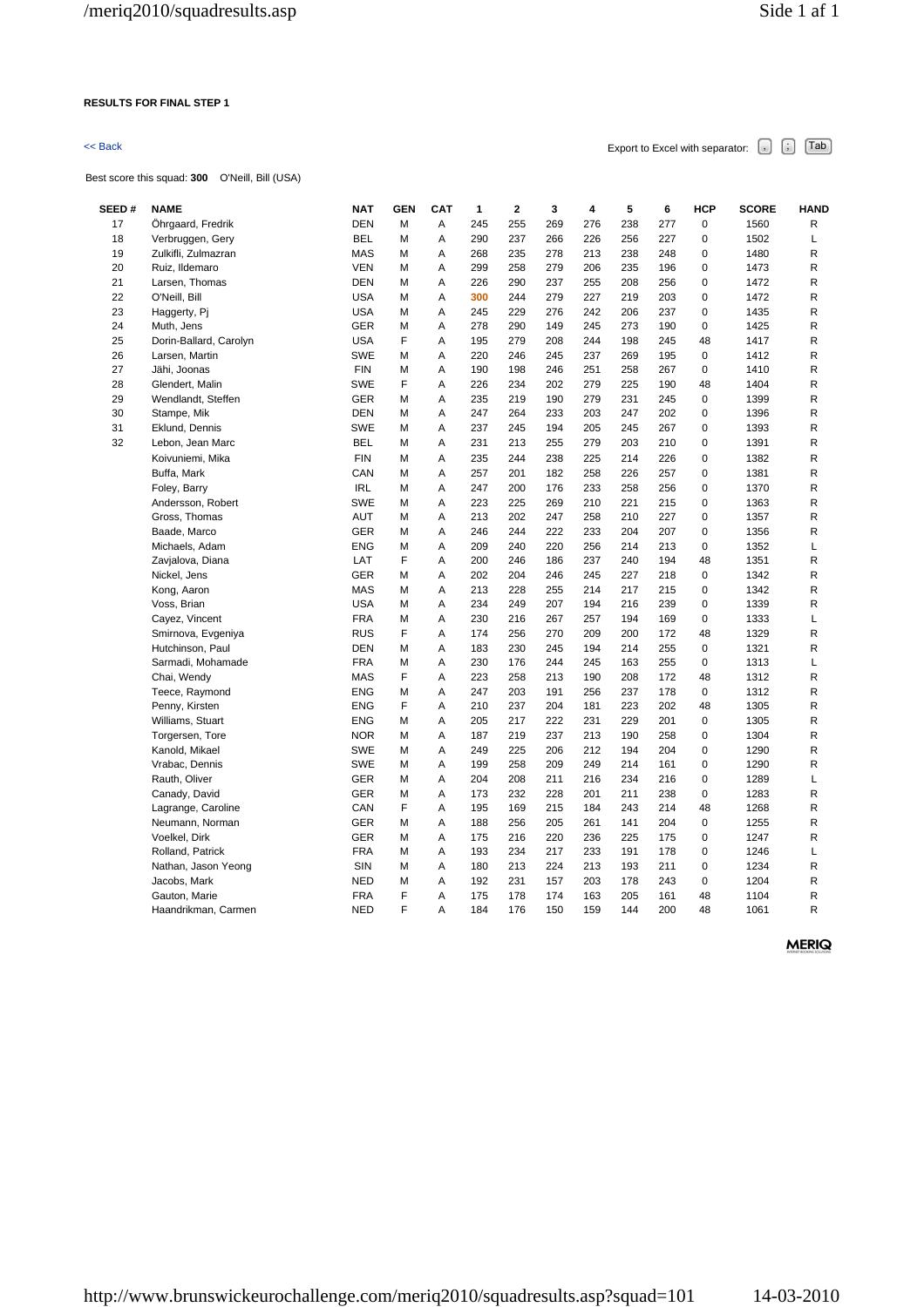### **RESULTS FOR FINAL STEP 1**

Best score this squad: **300** O'Neill, Bill (USA)

 $\leq$  Back  $\leq$  Back Excel with separator:  $\begin{bmatrix} \cdot \\ \cdot \end{bmatrix}$   $\begin{bmatrix} \text{Tab} \end{bmatrix}$ 

**SEED # NAME NAT GEN CAT 1 2 3 4 5 6 HCP SCORE HAND**  17 Öhrgaard, Fredrik DEN M A 245 255 269 276 238 277 0 1560 R 18 Verbruggen, Gery BEL M A 290 237 266 226 256 227 0 1502 L 19 Zulkifli, Zulmazran MAS M A 268 235 278 213 238 248 0 1480 R 20 Ruiz, Ildemaro VEN M A 299 258 279 206 235 196 0 1473 R 21 Larsen, Thomas DEN M A 226 290 237 255 208 256 0 1472 R 22 O'Neill, Bill USA M A **300** 244 279 227 219 203 0 1472 R 23 Haggerty, Pj USA M A 245 229 276 242 206 237 0 1435 R 24 Muth, Jens GER M A 278 290 149 245 273 190 0 1425 R 25 Dorin-Ballard, Carolyn USA F A 195 279 208 244 198 245 48 1417 R 26 Larsen, Martin SWE M A 220 246 245 237 269 195 0 1412 R 27 Jähi, Joonas FIN M A 190 198 246 251 258 267 0 1410 R 28 Glendert, Malin SWE F A 226 234 202 279 225 190 48 1404 R 29 Wendlandt, Steffen GER M A 235 219 190 279 231 245 0 1399 R 30 Stampe, Mik DEN M A 247 264 233 203 247 202 0 1396 R 31 Eklund, Dennis SWE M A 237 245 194 205 245 267 0 1393 R 32 Lebon, Jean Marc BEL M A 231 213 255 279 203 210 0 1391 R Koivuniemi, Mika FIN M A 235 244 238 225 214 226 0 1382 R Buffa, Mark CAN M A 257 201 182 258 226 257 0 1381 R Foley, Barry IRL M A 247 200 176 233 258 256 0 1370 R Andersson, Robert SWE M A 223 225 269 210 221 215 0 1363 R Gross, Thomas AUT M A 213 202 247 258 210 227 0 1357 R Baade, Marco GER M A 246 244 222 233 204 207 0 1356 R Michaels, Adam ENG M A 209 240 220 256 214 213 0 1352 L Zavjalova, Diana LAT F A 200 246 186 237 240 194 48 1351 R Nickel, Jens GER M A 202 204 246 245 227 218 0 1342 R Kong, Aaron MAS M A 213 228 255 214 217 215 0 1342 R Voss, Brian USA M A 234 249 207 194 216 239 0 1339 R Cayez, Vincent FRA M A 230 216 267 257 194 169 0 1333 L Smirnova, Evgeniya RUS F A 174 256 270 209 200 172 48 1329 R Hutchinson, Paul DEN M A 183 230 245 194 214 255 0 1321 R Sarmadi, Mohamade FRA M A 230 176 244 245 163 255 0 1313 L Chai, Wendy MAS F A 223 258 213 190 208 172 48 1312 R Teece, Raymond ENG M A 247 203 191 256 237 178 0 1312 R Penny, Kirsten ENG F A 210 237 204 181 223 202 48 1305 R Williams, Stuart ENG M A 205 217 222 231 229 201 0 1305 R Torgersen, Tore **NOR M** A 187 219 237 213 190 258 0 1304 R Kanold, Mikael SWE M A 249 225 206 212 194 204 0 1290 R Vrabac, Dennis SWE M A 199 258 209 249 214 161 0 1290 R Rauth, Oliver GER M A 204 208 211 216 234 216 0 1289 L Canady, David GER M A 173 232 228 201 211 238 0 1283 R Lagrange, Caroline CAN F A 195 169 215 184 243 214 48 1268 R

Neumann, Norman GER M A 188 256 205 261 141 204 0 1255 R Voelkel, Dirk GER M A 175 216 220 236 225 175 0 1247 R Rolland, Patrick FRA M A 193 234 217 233 191 178 0 1246 L Nathan, Jason Yeong **SIN M A 180 213 224 213 193 211 0 1234** R Jacobs, Mark NED M A 192 231 157 203 178 243 0 1204 R Gauton, Marie FRA F A 175 178 174 163 205 161 48 1104 R Haandrikman, Carmen NED F A 184 176 150 159 144 200 48 1061 R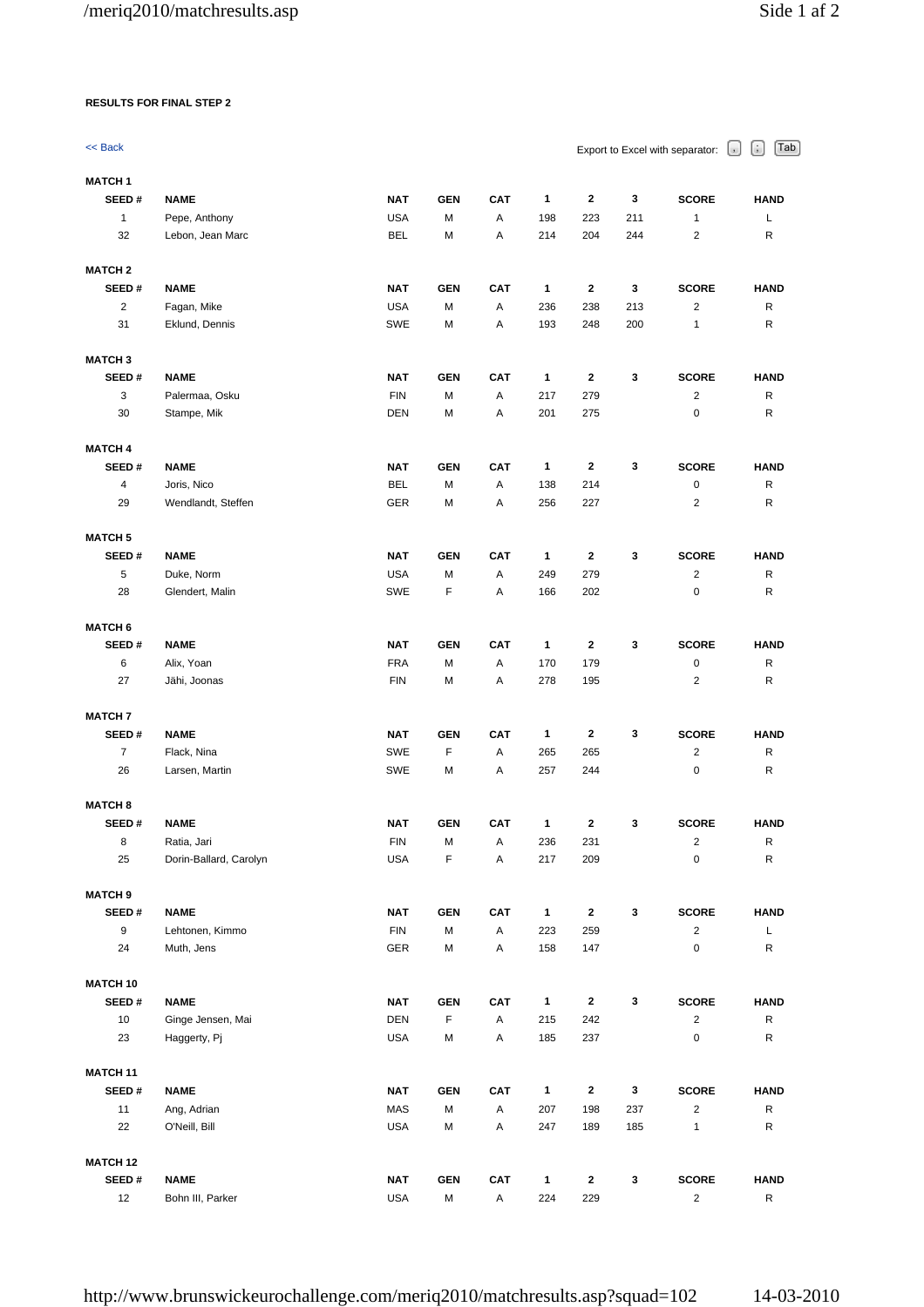## **RESULTS FOR FINAL STEP 2**

| << Back            |                                   |                          |            |            |              |              | Export to Excel with separator: | Tab<br>u,<br>$\cup$         |                  |  |
|--------------------|-----------------------------------|--------------------------|------------|------------|--------------|--------------|---------------------------------|-----------------------------|------------------|--|
| <b>MATCH1</b>      |                                   |                          |            |            |              |              |                                 |                             |                  |  |
| SEED#              | <b>NAME</b>                       | <b>NAT</b><br><b>USA</b> | <b>GEN</b> | <b>CAT</b> | 1            | $\mathbf{2}$ | 3                               | <b>SCORE</b>                | <b>HAND</b>      |  |
| $\mathbf{1}$<br>32 | Pepe, Anthony<br>Lebon, Jean Marc | <b>BEL</b>               | М<br>М     | Α<br>Α     | 198<br>214   | 223<br>204   | 211<br>244                      | $\mathbf{1}$<br>$\sqrt{2}$  | L<br>R           |  |
| <b>MATCH 2</b>     |                                   |                          |            |            |              |              |                                 |                             |                  |  |
| SEED#              | <b>NAME</b>                       | <b>NAT</b>               | <b>GEN</b> | <b>CAT</b> | 1            | 2            | 3                               | <b>SCORE</b>                | <b>HAND</b>      |  |
| $\sqrt{2}$         | Fagan, Mike                       | <b>USA</b>               | М          | Α          | 236          | 238          | 213                             | 2                           | R                |  |
| 31                 | Eklund, Dennis                    | <b>SWE</b>               | М          | Α          | 193          | 248          | 200                             | 1                           | R                |  |
| <b>MATCH3</b>      |                                   |                          |            |            |              |              |                                 |                             |                  |  |
| SEED#              | <b>NAME</b>                       | <b>NAT</b>               | <b>GEN</b> | <b>CAT</b> | 1            | 2            | 3                               | <b>SCORE</b>                | <b>HAND</b>      |  |
| 3                  | Palermaa, Osku                    | <b>FIN</b>               | M          | А          | 217          | 279          |                                 | $\sqrt{2}$                  | R                |  |
| 30                 | Stampe, Mik                       | <b>DEN</b>               | М          | А          | 201          | 275          |                                 | $\pmb{0}$                   | R                |  |
| <b>MATCH 4</b>     |                                   |                          |            |            |              |              |                                 |                             |                  |  |
| SEED#              | <b>NAME</b>                       | <b>NAT</b>               | <b>GEN</b> | <b>CAT</b> | 1            | 2            | 3                               | <b>SCORE</b>                | <b>HAND</b>      |  |
| 4<br>29            | Joris, Nico<br>Wendlandt, Steffen | BEL<br>GER               | М<br>М     | Α<br>А     | 138<br>256   | 214<br>227   |                                 | $\pmb{0}$<br>$\overline{2}$ | $\mathsf R$<br>R |  |
|                    |                                   |                          |            |            |              |              |                                 |                             |                  |  |
| <b>MATCH 5</b>     |                                   |                          |            |            |              |              |                                 |                             |                  |  |
| SEED#              | <b>NAME</b>                       | <b>NAT</b>               | <b>GEN</b> | <b>CAT</b> | 1            | 2            | 3                               | <b>SCORE</b>                | <b>HAND</b>      |  |
| 5                  | Duke, Norm                        | <b>USA</b>               | М          | А          | 249          | 279          |                                 | 2                           | R                |  |
| 28                 | Glendert, Malin                   | SWE                      | F          | Α          | 166          | 202          |                                 | $\pmb{0}$                   | R                |  |
| <b>MATCH 6</b>     |                                   |                          |            |            |              |              |                                 |                             |                  |  |
| SEED#              | <b>NAME</b>                       | <b>NAT</b>               | <b>GEN</b> | <b>CAT</b> | 1            | 2            | 3                               | <b>SCORE</b>                | <b>HAND</b>      |  |
| 6                  | Alix, Yoan                        | <b>FRA</b>               | М          | Α          | 170          | 179          |                                 | 0                           | R                |  |
| 27                 | Jähi, Joonas                      | <b>FIN</b>               | М          | Α          | 278          | 195          |                                 | 2                           | R                |  |
| <b>MATCH 7</b>     |                                   |                          |            |            |              |              |                                 |                             |                  |  |
| SEED#              | <b>NAME</b>                       | <b>NAT</b>               | <b>GEN</b> | <b>CAT</b> | 1            | 2            | 3                               | <b>SCORE</b>                | <b>HAND</b>      |  |
| $\boldsymbol{7}$   | Flack, Nina                       | SWE                      | F          | Α          | 265          | 265          |                                 | $\mathbf 2$                 | R                |  |
| 26                 | Larsen, Martin                    | SWE                      | М          | Α          | 257          | 244          |                                 | 0                           | R                |  |
| <b>MATCH 8</b>     |                                   |                          |            |            |              |              |                                 |                             |                  |  |
| SEED#              | <b>NAME</b>                       | <b>NAT</b>               | <b>GEN</b> | CAT        | 1            | 2            | 3                               | <b>SCORE</b>                | <b>HAND</b>      |  |
| 8                  | Ratia, Jari                       | ${\sf FIN}$              | М          | A          | 236          | 231          |                                 | $\overline{\mathbf{c}}$     | ${\sf R}$        |  |
| 25                 | Dorin-Ballard, Carolyn            | <b>USA</b>               | F          | Α          | 217          | 209          |                                 | $\pmb{0}$                   | R                |  |
| <b>MATCH 9</b>     |                                   |                          |            |            |              |              |                                 |                             |                  |  |
| SEED#              | <b>NAME</b>                       | <b>NAT</b>               | <b>GEN</b> | CAT        | $\mathbf{1}$ | 2            | $\mathbf{3}$                    | <b>SCORE</b>                | <b>HAND</b>      |  |
| 9                  | Lehtonen, Kimmo                   | <b>FIN</b>               | М          | Α          | 223          | 259          |                                 | $\overline{\mathbf{c}}$     | L                |  |
| 24                 | Muth, Jens                        | <b>GER</b>               | М          | Α          | 158          | 147          |                                 | $\pmb{0}$                   | R                |  |
| <b>MATCH 10</b>    |                                   |                          |            |            |              |              |                                 |                             |                  |  |
| SEED#              | <b>NAME</b>                       | <b>NAT</b>               | <b>GEN</b> | CAT        | 1            | $\mathbf 2$  | $\mathbf{3}$                    | <b>SCORE</b>                | <b>HAND</b>      |  |
| 10                 | Ginge Jensen, Mai                 | DEN                      | F          | A          | 215          | 242          |                                 | $\overline{\mathbf{c}}$     | ${\sf R}$        |  |
| 23                 | Haggerty, Pj                      | <b>USA</b>               | М          | Α          | 185          | 237          |                                 | $\pmb{0}$                   | R                |  |
| <b>MATCH 11</b>    |                                   |                          |            |            |              |              |                                 |                             |                  |  |
| SEED#              | <b>NAME</b>                       | <b>NAT</b>               | <b>GEN</b> | CAT        | $\mathbf{1}$ | $\mathbf{2}$ | $\mathbf 3$                     | <b>SCORE</b>                | <b>HAND</b>      |  |
| 11                 | Ang, Adrian                       | MAS                      | М          | Α          | 207          | 198          | 237                             | $\overline{\mathbf{c}}$     | ${\sf R}$        |  |
| 22                 | O'Neill, Bill                     | <b>USA</b>               | М          | A          | 247          | 189          | 185                             | 1                           | R                |  |
| <b>MATCH 12</b>    |                                   |                          |            |            |              |              |                                 |                             |                  |  |
| SEED#              | <b>NAME</b>                       | <b>NAT</b>               | <b>GEN</b> | CAT        | 1            | 2            | 3                               | <b>SCORE</b>                | <b>HAND</b>      |  |

http://www.brunswickeurochallenge.com/meriq2010/matchresults.asp?squad=102 14-03-2010

12 Bohn III, Parker **Network COVID COVID USA** M A 224 229 229 2 R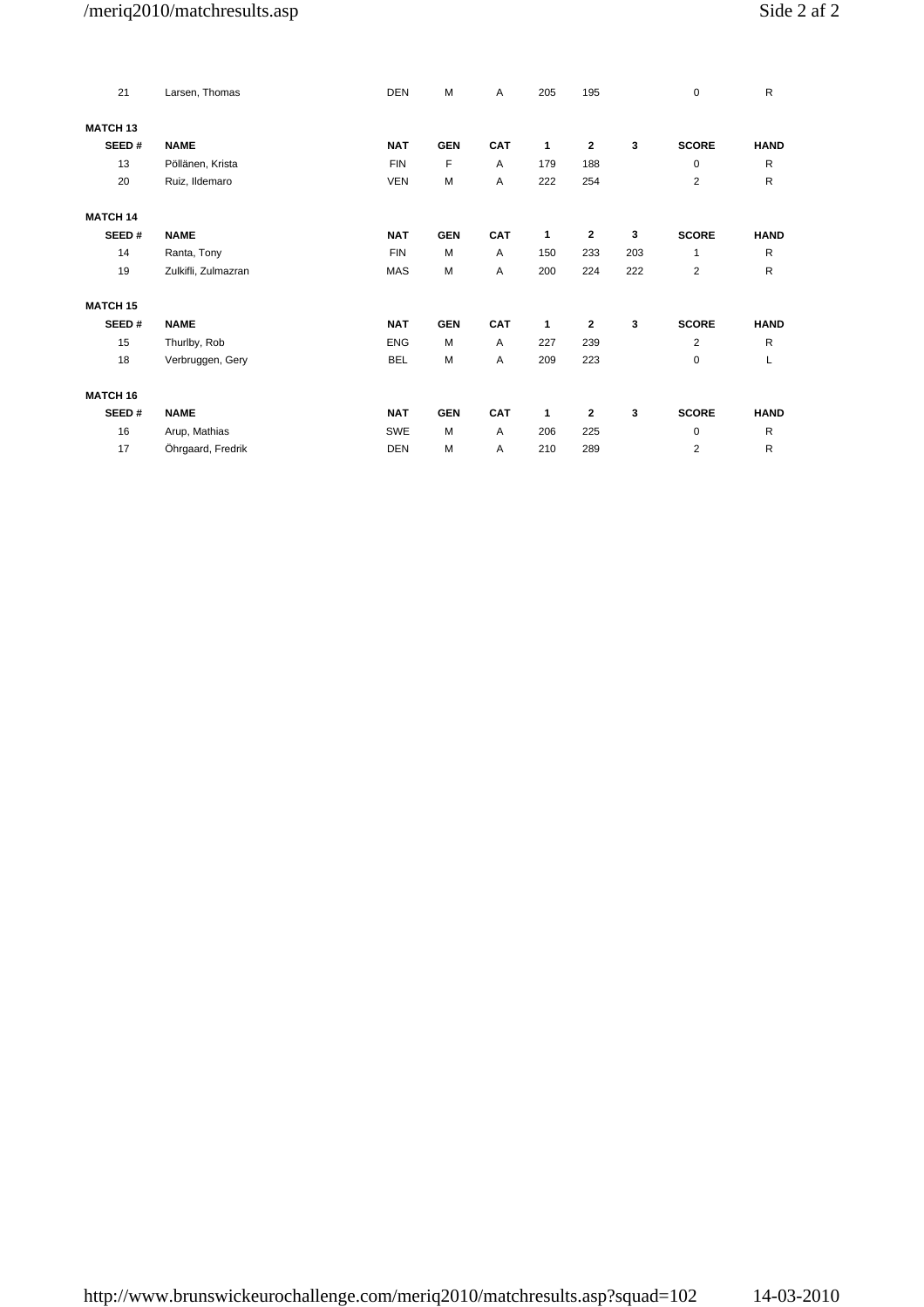# /meriq2010/matchresults.asp

|  | Side 2 af 2 |  |  |  |
|--|-------------|--|--|--|
|--|-------------|--|--|--|

| 21              | Larsen, Thomas      | <b>DEN</b> | M          | Α          | 205 | 195          |     | $\mathbf 0$    | R            |
|-----------------|---------------------|------------|------------|------------|-----|--------------|-----|----------------|--------------|
| <b>MATCH 13</b> |                     |            |            |            |     |              |     |                |              |
| SEED#           | <b>NAME</b>         | <b>NAT</b> | <b>GEN</b> | CAT        | 1   | 2            | 3   | <b>SCORE</b>   | <b>HAND</b>  |
| 13              | Pöllänen, Krista    | <b>FIN</b> | F          | Α          | 179 | 188          |     | $\mathbf 0$    | R            |
| 20              | Ruiz, Ildemaro      | <b>VEN</b> | М          | Α          | 222 | 254          |     | $\overline{c}$ | $\mathsf R$  |
| <b>MATCH 14</b> |                     |            |            |            |     |              |     |                |              |
| SEED#           | <b>NAME</b>         | <b>NAT</b> | <b>GEN</b> | <b>CAT</b> | 1   | 2            | 3   | <b>SCORE</b>   | <b>HAND</b>  |
| 14              | Ranta, Tony         | <b>FIN</b> | M          | A          | 150 | 233          | 203 | 1              | ${\sf R}$    |
| 19              | Zulkifli, Zulmazran | MAS        | M          | Α          | 200 | 224          | 222 | 2              | ${\sf R}$    |
| <b>MATCH 15</b> |                     |            |            |            |     |              |     |                |              |
| SEED#           | <b>NAME</b>         | <b>NAT</b> | <b>GEN</b> | <b>CAT</b> | 1   | $\mathbf{2}$ | 3   | <b>SCORE</b>   | <b>HAND</b>  |
| 15              | Thurlby, Rob        | <b>ENG</b> | M          | Α          | 227 | 239          |     | $\overline{c}$ | R            |
| 18              | Verbruggen, Gery    | <b>BEL</b> | М          | Α          | 209 | 223          |     | 0              | L            |
| <b>MATCH 16</b> |                     |            |            |            |     |              |     |                |              |
| SEED#           | <b>NAME</b>         | <b>NAT</b> | <b>GEN</b> | <b>CAT</b> | 1   | 2            | 3   | <b>SCORE</b>   | <b>HAND</b>  |
| 16              | Arup, Mathias       | SWE        | M          | Α          | 206 | 225          |     | 0              | R            |
| 17              | Öhrgaard, Fredrik   | <b>DEN</b> | M          | A          | 210 | 289          |     | $\overline{2}$ | $\mathsf{R}$ |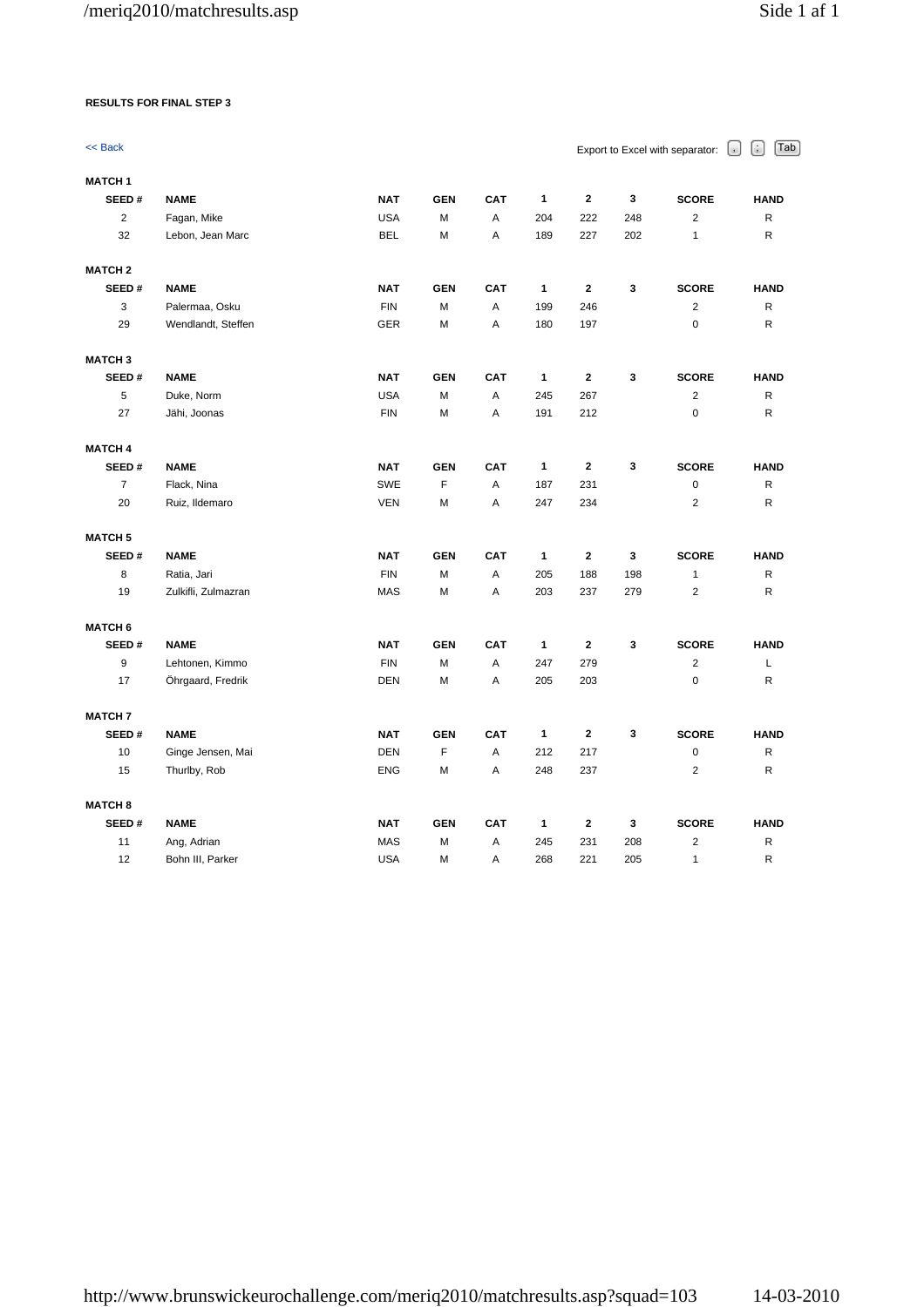## **RESULTS FOR FINAL STEP 3**

| << Back        |                     |            |            |     |              |              |     | Export to Excel with separator: | G<br>Tab<br>$\left\lfloor \cdot \right\rfloor$ |
|----------------|---------------------|------------|------------|-----|--------------|--------------|-----|---------------------------------|------------------------------------------------|
| <b>MATCH1</b>  |                     |            |            |     |              |              |     |                                 |                                                |
| SEED#          | <b>NAME</b>         | <b>NAT</b> | <b>GEN</b> | CAT | 1            | $\mathbf{2}$ | 3   | <b>SCORE</b>                    | <b>HAND</b>                                    |
| $\overline{2}$ | Fagan, Mike         | <b>USA</b> | M          | A   | 204          | 222          | 248 | $\overline{2}$                  | R                                              |
| 32             | Lebon, Jean Marc    | <b>BEL</b> | M          | A   | 189          | 227          | 202 | $\mathbf{1}$                    | R                                              |
| <b>MATCH 2</b> |                     |            |            |     |              |              |     |                                 |                                                |
| SEED#          | <b>NAME</b>         | <b>NAT</b> | <b>GEN</b> | CAT | $\mathbf{1}$ | $\mathbf{2}$ | 3   | <b>SCORE</b>                    | <b>HAND</b>                                    |
| 3              | Palermaa, Osku      | <b>FIN</b> | M          | Α   | 199          | 246          |     | $\overline{2}$                  | R                                              |
| 29             | Wendlandt, Steffen  | <b>GER</b> | M          | A   | 180          | 197          |     | $\mathbf 0$                     | R                                              |
| <b>MATCH 3</b> |                     |            |            |     |              |              |     |                                 |                                                |
| SEED#          | <b>NAME</b>         | <b>NAT</b> | <b>GEN</b> | CAT | 1            | $\mathbf{2}$ | 3   | <b>SCORE</b>                    | <b>HAND</b>                                    |
| 5              | Duke, Norm          | <b>USA</b> | M          | Α   | 245          | 267          |     | $\overline{\mathbf{c}}$         | R                                              |
| 27             | Jähi, Joonas        | <b>FIN</b> | M          | Α   | 191          | 212          |     | $\mathbf 0$                     | R                                              |
| <b>MATCH 4</b> |                     |            |            |     |              |              |     |                                 |                                                |
| SEED#          | <b>NAME</b>         | <b>NAT</b> | <b>GEN</b> | CAT | 1            | $\mathbf{2}$ | 3   | <b>SCORE</b>                    | <b>HAND</b>                                    |
| $\overline{7}$ | Flack, Nina         | <b>SWE</b> | F          | Α   | 187          | 231          |     | $\mathbf 0$                     | R                                              |
| 20             | Ruiz, Ildemaro      | <b>VEN</b> | M          | Α   | 247          | 234          |     | $\overline{2}$                  | R                                              |
| <b>MATCH 5</b> |                     |            |            |     |              |              |     |                                 |                                                |
| SEED#          | <b>NAME</b>         | <b>NAT</b> | <b>GEN</b> | CAT | 1            | $\mathbf 2$  | 3   | <b>SCORE</b>                    | <b>HAND</b>                                    |
| 8              | Ratia, Jari         | <b>FIN</b> | M          | A   | 205          | 188          | 198 | $\mathbf{1}$                    | R                                              |
| 19             | Zulkifli, Zulmazran | <b>MAS</b> | M          | A   | 203          | 237          | 279 | $\overline{2}$                  | R                                              |
| <b>MATCH 6</b> |                     |            |            |     |              |              |     |                                 |                                                |
| SEED#          | <b>NAME</b>         | <b>NAT</b> | <b>GEN</b> | CAT | 1            | $\mathbf{2}$ | 3   | <b>SCORE</b>                    | <b>HAND</b>                                    |
| 9              | Lehtonen, Kimmo     | <b>FIN</b> | M          | Α   | 247          | 279          |     | $\overline{2}$                  | L                                              |
| 17             | Öhrgaard, Fredrik   | <b>DEN</b> | M          | A   | 205          | 203          |     | $\mathbf 0$                     | R                                              |
| <b>MATCH 7</b> |                     |            |            |     |              |              |     |                                 |                                                |
| SEED#          | <b>NAME</b>         | <b>NAT</b> | <b>GEN</b> | CAT | 1            | $\mathbf 2$  | 3   | <b>SCORE</b>                    | <b>HAND</b>                                    |
| 10             | Ginge Jensen, Mai   | <b>DEN</b> | F          | Α   | 212          | 217          |     | $\mathbf 0$                     | R                                              |
| 15             | Thurlby, Rob        | <b>ENG</b> | M          | A   | 248          | 237          |     | $\overline{2}$                  | R                                              |
| <b>MATCH 8</b> |                     |            |            |     |              |              |     |                                 |                                                |
| SEED#          | <b>NAME</b>         | <b>NAT</b> | <b>GEN</b> | CAT | 1            | $\mathbf{2}$ | 3   | <b>SCORE</b>                    | <b>HAND</b>                                    |
| 11             | Ang, Adrian         | <b>MAS</b> | М          | Α   | 245          | 231          | 208 | $\overline{2}$                  | R                                              |
| 12             | Bohn III, Parker    | <b>USA</b> | M          | Α   | 268          | 221          | 205 | $\mathbf{1}$                    | R                                              |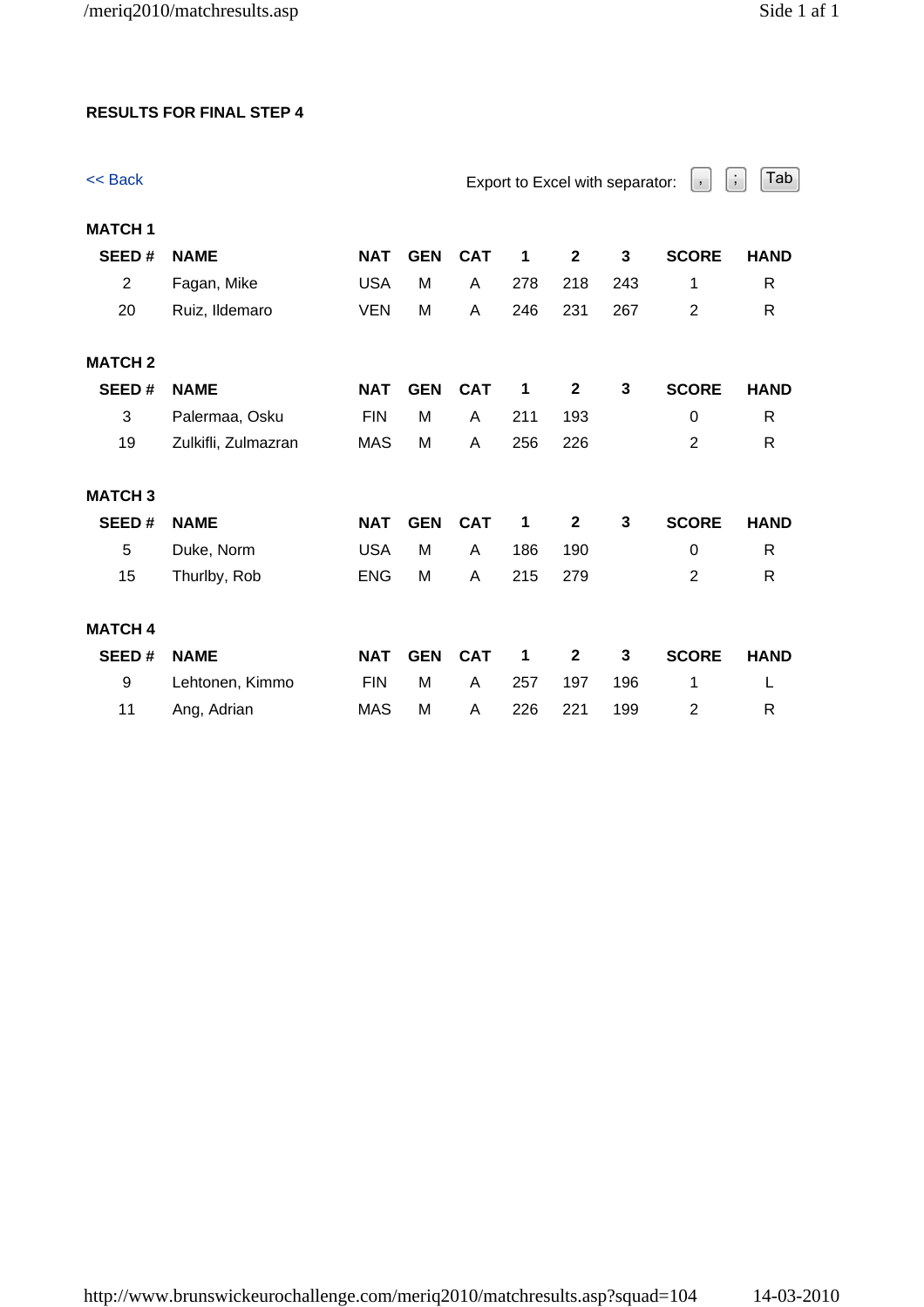# **RESULTS FOR FINAL STEP 4**

| << Back        |                     |            |            |            |     |              | Export to Excel with separator: | $\,$ ,         | Tab<br>$\ddot{ }$ |
|----------------|---------------------|------------|------------|------------|-----|--------------|---------------------------------|----------------|-------------------|
| <b>MATCH1</b>  |                     |            |            |            |     |              |                                 |                |                   |
| SEED#          | <b>NAME</b>         | <b>NAT</b> | <b>GEN</b> | <b>CAT</b> | 1   | $\mathbf 2$  | 3                               | <b>SCORE</b>   | <b>HAND</b>       |
| $\overline{2}$ | Fagan, Mike         | <b>USA</b> | M          | A          | 278 | 218          | 243                             | 1              | $\mathsf{R}$      |
| 20             | Ruiz, Ildemaro      | <b>VEN</b> | M          | Α          | 246 | 231          | 267                             | $\overline{2}$ | R                 |
| <b>MATCH 2</b> |                     |            |            |            |     |              |                                 |                |                   |
| SEED#          | <b>NAME</b>         | <b>NAT</b> | <b>GEN</b> | <b>CAT</b> | 1   | $\mathbf 2$  | 3                               | <b>SCORE</b>   | <b>HAND</b>       |
| 3              | Palermaa, Osku      | <b>FIN</b> | M          | A          | 211 | 193          |                                 | $\mathbf 0$    | $\mathsf{R}$      |
| 19             | Zulkifli, Zulmazran | <b>MAS</b> | M          | A          | 256 | 226          |                                 | 2              | $\mathsf{R}$      |
| <b>MATCH3</b>  |                     |            |            |            |     |              |                                 |                |                   |
| SEED#          | <b>NAME</b>         | <b>NAT</b> | <b>GEN</b> | <b>CAT</b> | 1   | $\mathbf{2}$ | $\mathbf{3}$                    | <b>SCORE</b>   | <b>HAND</b>       |
| 5              | Duke, Norm          | <b>USA</b> | M          | A          | 186 | 190          |                                 | $\mathbf 0$    | $\mathsf{R}$      |
| 15             | Thurlby, Rob        | <b>ENG</b> | M          | Α          | 215 | 279          |                                 | $\overline{2}$ | $\mathsf{R}$      |
| <b>MATCH 4</b> |                     |            |            |            |     |              |                                 |                |                   |
| SEED#          | <b>NAME</b>         | <b>NAT</b> | <b>GEN</b> | <b>CAT</b> | 1   | $\mathbf{2}$ | 3                               | <b>SCORE</b>   | <b>HAND</b>       |
| 9              | Lehtonen, Kimmo     | <b>FIN</b> | M          | A          | 257 | 197          | 196                             | 1              | L                 |
| 11             | Ang, Adrian         | <b>MAS</b> | M          | Α          | 226 | 221          | 199                             | $\overline{2}$ | $\mathsf{R}$      |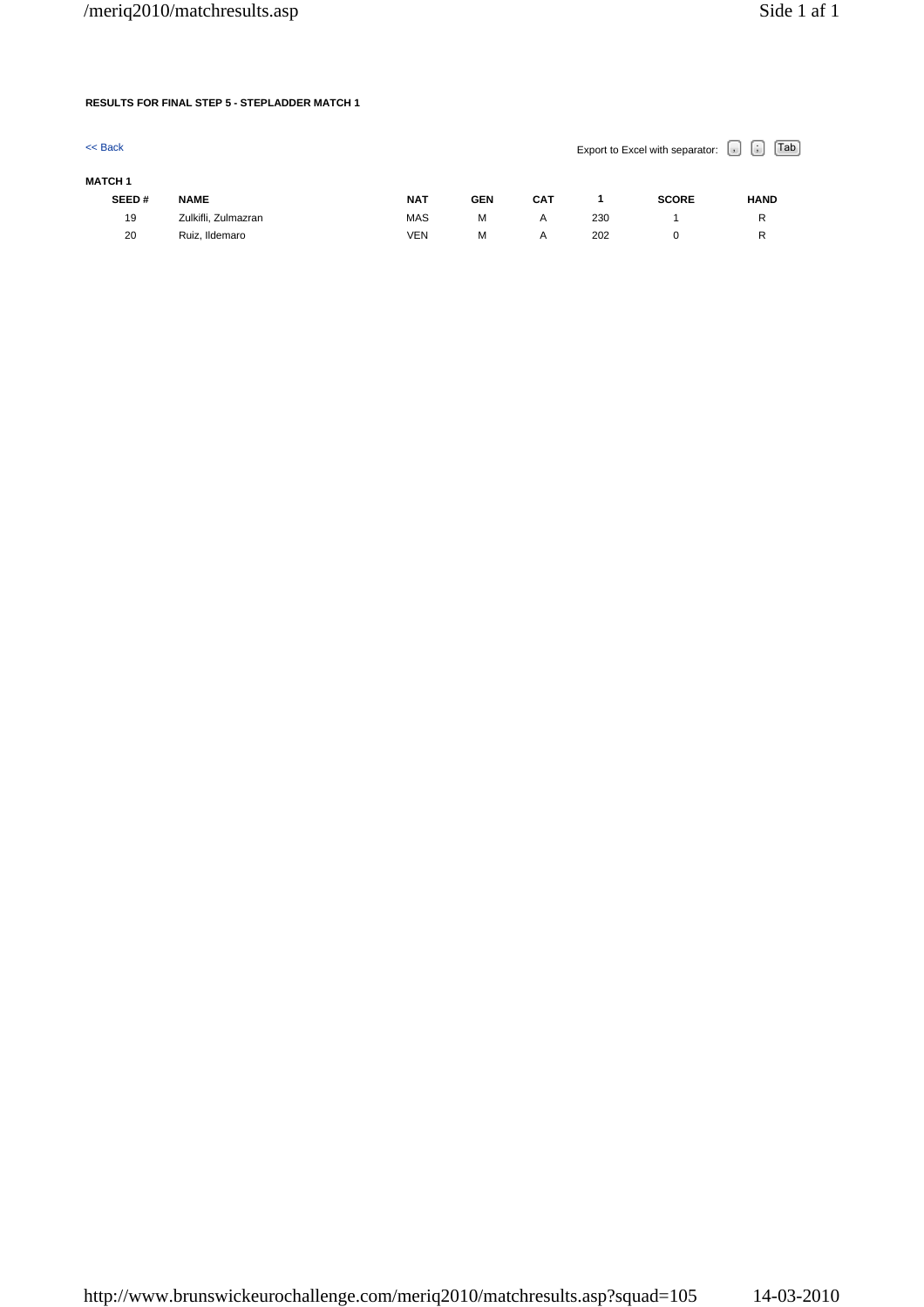## **RESULTS FOR FINAL STEP 5 - STEPLADDER MATCH 1**

| $<<$ Back      |                     |            |            |            |     | Export to Excel with separator: | $\mathsf{Tab}$<br>$\vert \cdot \vert$<br>$\vert \cdot \vert$ |
|----------------|---------------------|------------|------------|------------|-----|---------------------------------|--------------------------------------------------------------|
| <b>MATCH 1</b> |                     |            |            |            |     |                                 |                                                              |
| SEED#          | <b>NAME</b>         | <b>NAT</b> | <b>GEN</b> | <b>CAT</b> |     | <b>SCORE</b>                    | <b>HAND</b>                                                  |
| 19             | Zulkifli, Zulmazran | <b>MAS</b> | M          | A          | 230 |                                 | R                                                            |
| 20             | Ruiz, Ildemaro      | VEN        | M          | A          | 202 |                                 | R                                                            |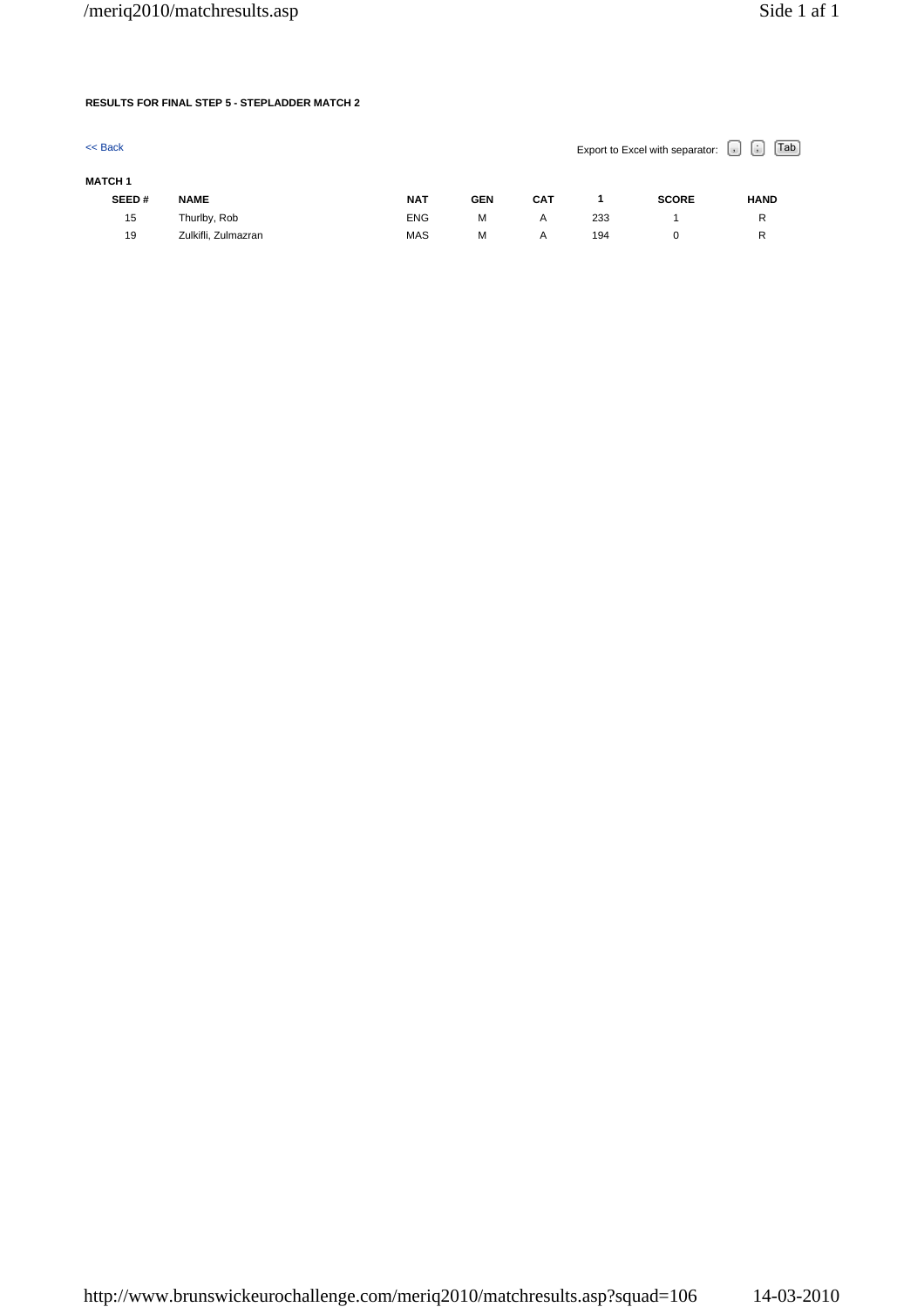## **RESULTS FOR FINAL STEP 5 - STEPLADDER MATCH 2**

| $<<$ Back      |                     |            |            |            |     | Export to Excel with separator: | Tab<br>$\left[ \cdot \right]$<br>$\vert$ , |
|----------------|---------------------|------------|------------|------------|-----|---------------------------------|--------------------------------------------|
| <b>MATCH 1</b> |                     |            |            |            |     |                                 |                                            |
| SEED#          | <b>NAME</b>         | <b>NAT</b> | <b>GEN</b> | <b>CAT</b> |     | <b>SCORE</b>                    | <b>HAND</b>                                |
| 15             | Thurlby, Rob        | <b>ENG</b> | M          | A          | 233 |                                 | R                                          |
| 19             | Zulkifli, Zulmazran | <b>MAS</b> | M          | Α          | 194 |                                 | R                                          |